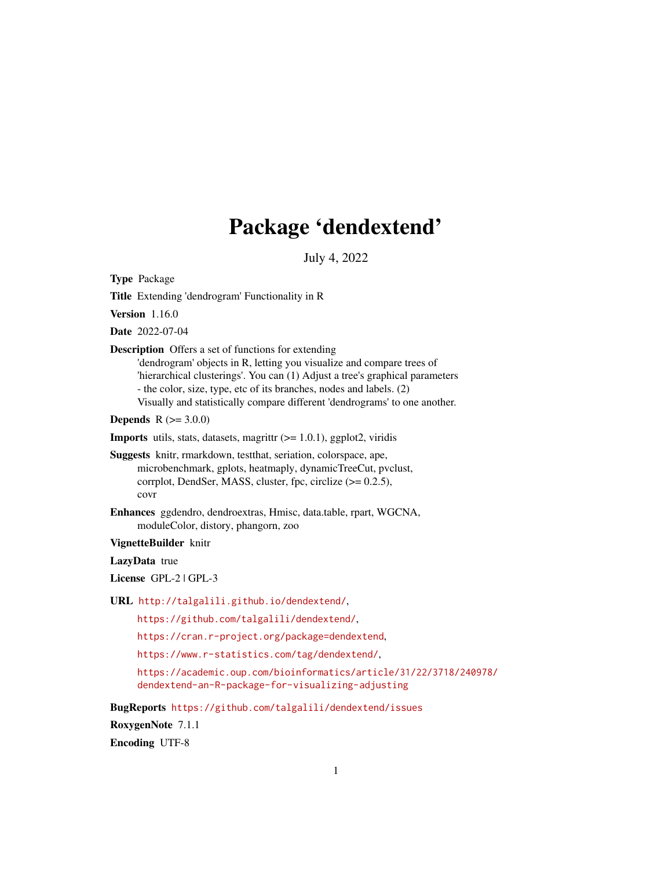# Package 'dendextend'

July 4, 2022

<span id="page-0-0"></span>Type Package

Title Extending 'dendrogram' Functionality in R

Version 1.16.0

Date 2022-07-04

Description Offers a set of functions for extending

'dendrogram' objects in R, letting you visualize and compare trees of 'hierarchical clusterings'. You can (1) Adjust a tree's graphical parameters - the color, size, type, etc of its branches, nodes and labels. (2) Visually and statistically compare different 'dendrograms' to one another.

**Depends**  $R (= 3.0.0)$ 

**Imports** utils, stats, datasets, magrittr  $(>= 1.0.1)$ , ggplot2, viridis

Suggests knitr, rmarkdown, testthat, seriation, colorspace, ape, microbenchmark, gplots, heatmaply, dynamicTreeCut, pvclust, corrplot, DendSer, MASS, cluster, fpc, circlize (>= 0.2.5), covr

Enhances ggdendro, dendroextras, Hmisc, data.table, rpart, WGCNA, moduleColor, distory, phangorn, zoo

VignetteBuilder knitr

LazyData true

License GPL-2 | GPL-3

URL <http://talgalili.github.io/dendextend/>,

<https://github.com/talgalili/dendextend/>,

<https://cran.r-project.org/package=dendextend>,

<https://www.r-statistics.com/tag/dendextend/>,

[https://academic.oup.com/bioinformatics/article/31/22/3718/240978/](https://academic.oup.com/bioinformatics/article/31/22/3718/240978/dendextend-an-R-package-for-visualizing-adjusting) [dendextend-an-R-package-for-visualizing-adjusting](https://academic.oup.com/bioinformatics/article/31/22/3718/240978/dendextend-an-R-package-for-visualizing-adjusting)

BugReports <https://github.com/talgalili/dendextend/issues>

RoxygenNote 7.1.1

Encoding UTF-8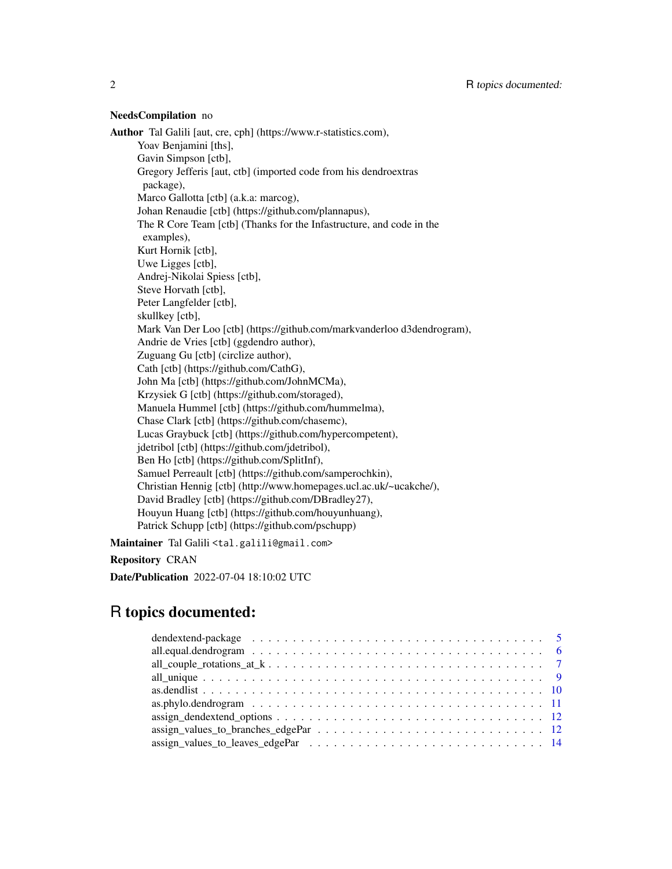#### NeedsCompilation no

Author Tal Galili [aut, cre, cph] (https://www.r-statistics.com), Yoav Benjamini [ths], Gavin Simpson [ctb], Gregory Jefferis [aut, ctb] (imported code from his dendroextras package), Marco Gallotta [ctb] (a.k.a: marcog), Johan Renaudie [ctb] (https://github.com/plannapus), The R Core Team [ctb] (Thanks for the Infastructure, and code in the examples), Kurt Hornik [ctb], Uwe Ligges [ctb], Andrej-Nikolai Spiess [ctb], Steve Horvath [ctb], Peter Langfelder [ctb], skullkey [ctb], Mark Van Der Loo [ctb] (https://github.com/markvanderloo d3dendrogram), Andrie de Vries [ctb] (ggdendro author), Zuguang Gu [ctb] (circlize author), Cath [ctb] (https://github.com/CathG), John Ma [ctb] (https://github.com/JohnMCMa), Krzysiek G [ctb] (https://github.com/storaged), Manuela Hummel [ctb] (https://github.com/hummelma), Chase Clark [ctb] (https://github.com/chasemc), Lucas Graybuck [ctb] (https://github.com/hypercompetent), jdetribol [ctb] (https://github.com/jdetribol), Ben Ho [ctb] (https://github.com/SplitInf), Samuel Perreault [ctb] (https://github.com/samperochkin), Christian Hennig [ctb] (http://www.homepages.ucl.ac.uk/~ucakche/), David Bradley [ctb] (https://github.com/DBradley27), Houyun Huang [ctb] (https://github.com/houyunhuang), Patrick Schupp [ctb] (https://github.com/pschupp)

Maintainer Tal Galili <tal.galili@gmail.com>

Repository CRAN

Date/Publication 2022-07-04 18:10:02 UTC

# R topics documented:

| dendextend-package $\ldots \ldots \ldots \ldots \ldots \ldots \ldots \ldots \ldots \ldots \ldots \ldots \ldots 5$ |  |
|-------------------------------------------------------------------------------------------------------------------|--|
|                                                                                                                   |  |
|                                                                                                                   |  |
|                                                                                                                   |  |
|                                                                                                                   |  |
|                                                                                                                   |  |
|                                                                                                                   |  |
|                                                                                                                   |  |
|                                                                                                                   |  |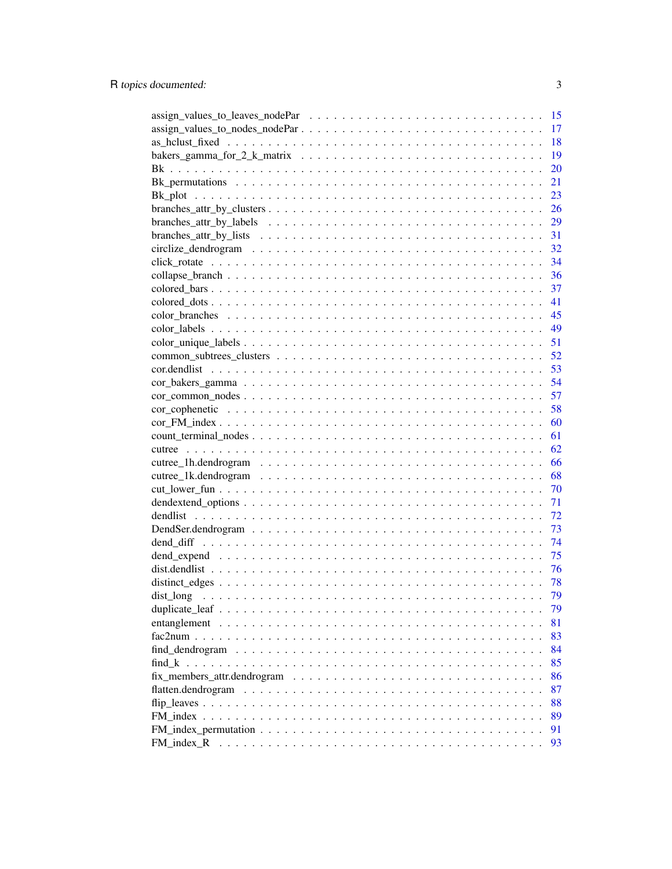|                                                                                                                | -15 |
|----------------------------------------------------------------------------------------------------------------|-----|
|                                                                                                                | 17  |
|                                                                                                                | 18  |
|                                                                                                                | 19  |
|                                                                                                                | 20  |
|                                                                                                                | 21  |
|                                                                                                                | 23  |
|                                                                                                                | 26  |
|                                                                                                                | 29  |
|                                                                                                                | 31  |
|                                                                                                                | 32  |
|                                                                                                                | 34  |
|                                                                                                                | 36  |
|                                                                                                                | 37  |
|                                                                                                                |     |
|                                                                                                                | 41  |
|                                                                                                                |     |
|                                                                                                                | 49  |
|                                                                                                                | 51  |
|                                                                                                                | 52  |
|                                                                                                                |     |
|                                                                                                                | 54  |
| $cor\_common\_nodes \dots \dots \dots \dots \dots \dots \dots \dots \dots \dots \dots \dots \dots \dots \dots$ | 57  |
|                                                                                                                | 58  |
|                                                                                                                | 60  |
|                                                                                                                | 61  |
|                                                                                                                | 62  |
|                                                                                                                | 66  |
|                                                                                                                | 68  |
|                                                                                                                | 70  |
|                                                                                                                | 71  |
|                                                                                                                | 72  |
|                                                                                                                | 73  |
|                                                                                                                | 74  |
|                                                                                                                | 75  |
|                                                                                                                | 76  |
|                                                                                                                | 78  |
|                                                                                                                | 79  |
|                                                                                                                | 79  |
|                                                                                                                | 81  |
|                                                                                                                | 83  |
|                                                                                                                | 84  |
|                                                                                                                |     |
| find $k$                                                                                                       | 85  |
|                                                                                                                | 86  |
|                                                                                                                | 87  |
|                                                                                                                | 88  |
|                                                                                                                | 89  |
|                                                                                                                | 91  |
| FM_index_R                                                                                                     | 93  |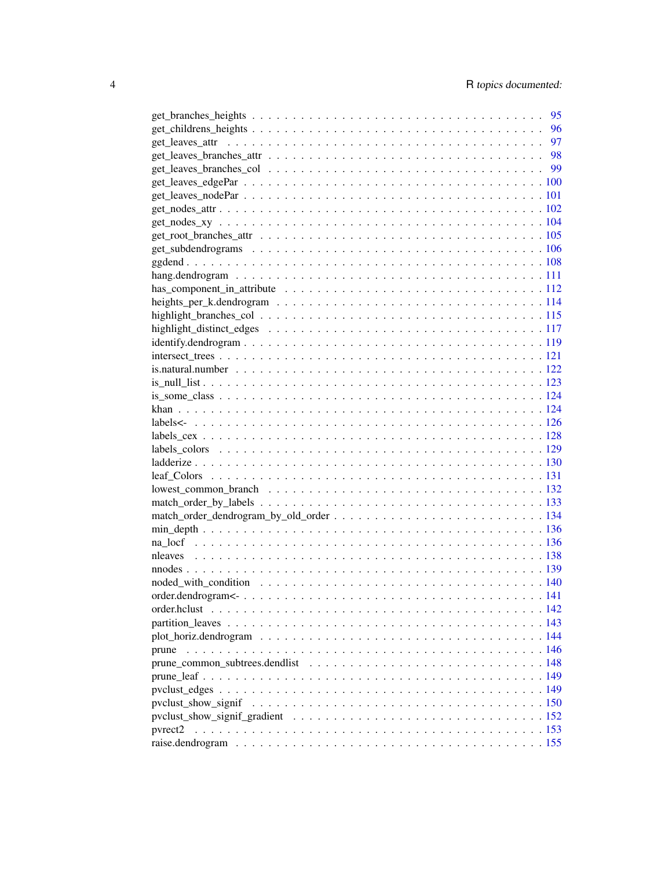|       | 95 |
|-------|----|
|       | 96 |
|       |    |
|       |    |
|       |    |
|       |    |
|       |    |
|       |    |
|       |    |
|       |    |
|       |    |
|       |    |
|       |    |
|       |    |
|       |    |
|       |    |
|       |    |
|       |    |
|       |    |
|       |    |
|       |    |
|       |    |
|       |    |
|       |    |
|       |    |
|       |    |
|       |    |
|       |    |
|       |    |
|       |    |
|       |    |
|       |    |
|       |    |
|       |    |
|       |    |
|       |    |
|       |    |
|       |    |
|       |    |
|       |    |
| prune |    |
|       |    |
|       |    |
|       |    |
|       |    |
|       |    |
|       |    |
|       |    |
|       |    |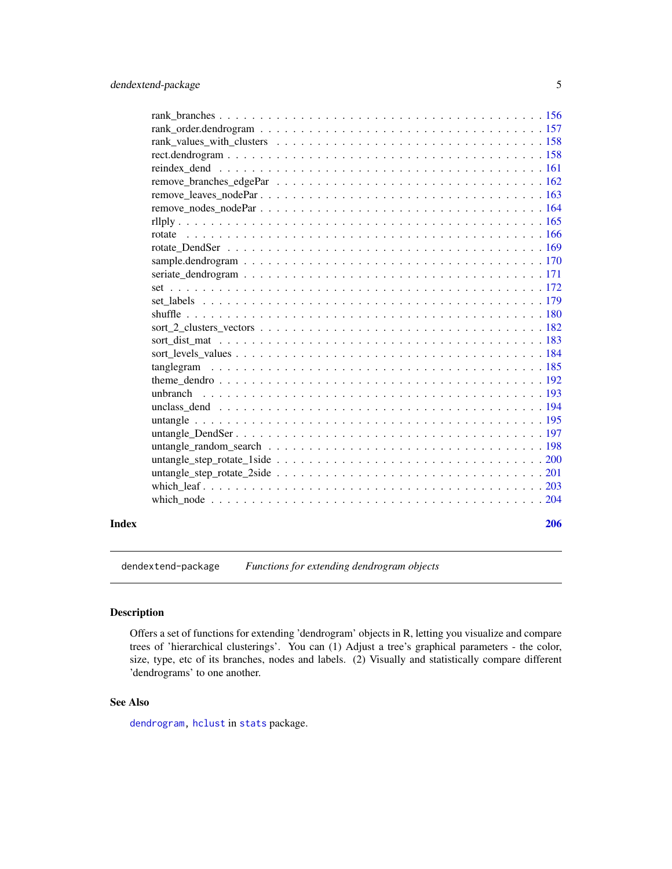<span id="page-4-0"></span>

dendextend-package *Functions for extending dendrogram objects*

# Description

Offers a set of functions for extending 'dendrogram' objects in R, letting you visualize and compare trees of 'hierarchical clusterings'. You can (1) Adjust a tree's graphical parameters - the color, size, type, etc of its branches, nodes and labels. (2) Visually and statistically compare different 'dendrograms' to one another.

# See Also

[dendrogram,](#page-0-0) [hclust](#page-0-0) in [stats](#page-0-0) package.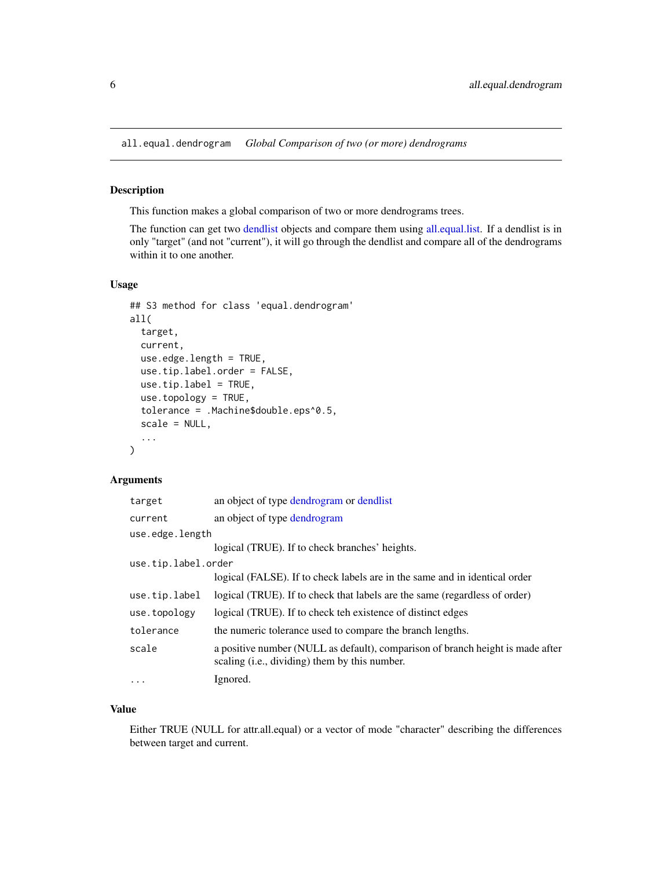<span id="page-5-0"></span>all.equal.dendrogram *Global Comparison of two (or more) dendrograms*

#### Description

This function makes a global comparison of two or more dendrograms trees.

The function can get two [dendlist](#page-71-1) objects and compare them using [all.equal.list.](#page-0-0) If a dendlist is in only "target" (and not "current"), it will go through the dendlist and compare all of the dendrograms within it to one another.

# Usage

```
## S3 method for class 'equal.dendrogram'
all(
  target,
  current,
 use.edge.length = TRUE,
  use.tip.label.order = FALSE,
  use.tip.label = TRUE,
  use.topology = TRUE,
  tolerance = .Machine$double.eps^0.5,
  scale = NULL,
  ...
)
```
#### Arguments

| target              | an object of type dendrogram or dendlist                                                                                        |
|---------------------|---------------------------------------------------------------------------------------------------------------------------------|
| current             | an object of type dendrogram                                                                                                    |
| use.edge.length     |                                                                                                                                 |
|                     | logical (TRUE). If to check branches' heights.                                                                                  |
| use.tip.label.order |                                                                                                                                 |
|                     | logical (FALSE). If to check labels are in the same and in identical order                                                      |
| use.tip.label       | logical (TRUE). If to check that labels are the same (regardless of order)                                                      |
| use.topology        | logical (TRUE). If to check teh existence of distinct edges                                                                     |
| tolerance           | the numeric tolerance used to compare the branch lengths.                                                                       |
| scale               | a positive number (NULL as default), comparison of branch height is made after<br>scaling (i.e., dividing) them by this number. |
| $\ddotsc$           | Ignored.                                                                                                                        |

#### Value

Either TRUE (NULL for attr.all.equal) or a vector of mode "character" describing the differences between target and current.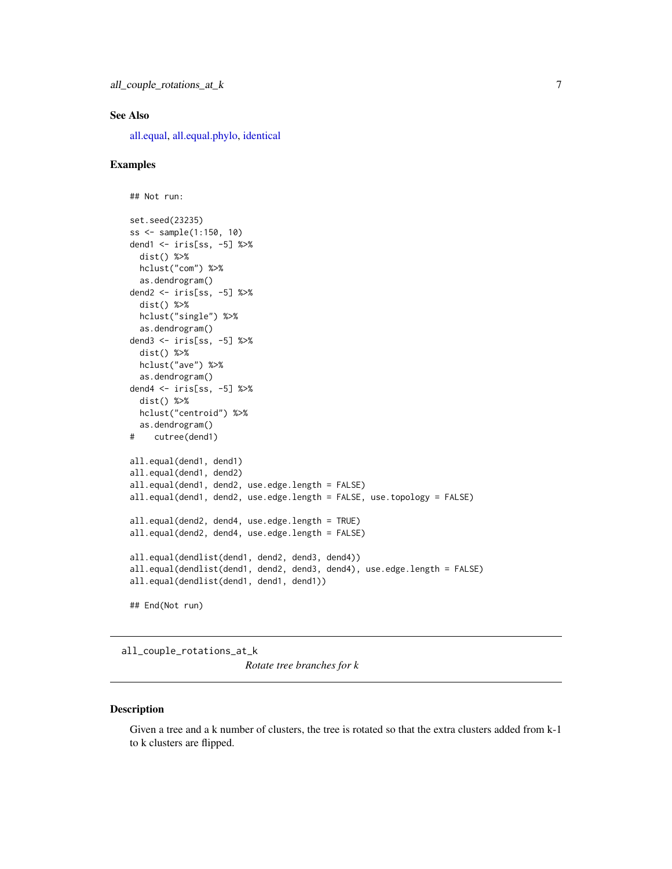#### <span id="page-6-0"></span>See Also

[all.equal,](#page-0-0) [all.equal.phylo,](#page-0-0) [identical](#page-0-0)

#### Examples

```
## Not run:
set.seed(23235)
ss <- sample(1:150, 10)
dend1 <- iris[ss, -5] %>%
 dist() %>%
 hclust("com") %>%
  as.dendrogram()
dend2 <- iris[ss, -5] %>%
  dist() %>%
  hclust("single") %>%
  as.dendrogram()
dend3 <- iris[ss, -5] %>%
  dist() %>%
  hclust("ave") %>%
  as.dendrogram()
dend4 <- iris[ss, -5] %>%
  dist() %>%
  hclust("centroid") %>%
  as.dendrogram()
# cutree(dend1)
all.equal(dend1, dend1)
all.equal(dend1, dend2)
all.equal(dend1, dend2, use.edge.length = FALSE)
all.equal(dend1, dend2, use.edge.length = FALSE, use.topology = FALSE)
all.equal(dend2, dend4, use.edge.length = TRUE)
all.equal(dend2, dend4, use.edge.length = FALSE)
all.equal(dendlist(dend1, dend2, dend3, dend4))
all.equal(dendlist(dend1, dend2, dend3, dend4), use.edge.length = FALSE)
all.equal(dendlist(dend1, dend1, dend1))
## End(Not run)
```
all\_couple\_rotations\_at\_k

*Rotate tree branches for k*

#### Description

Given a tree and a k number of clusters, the tree is rotated so that the extra clusters added from k-1 to k clusters are flipped.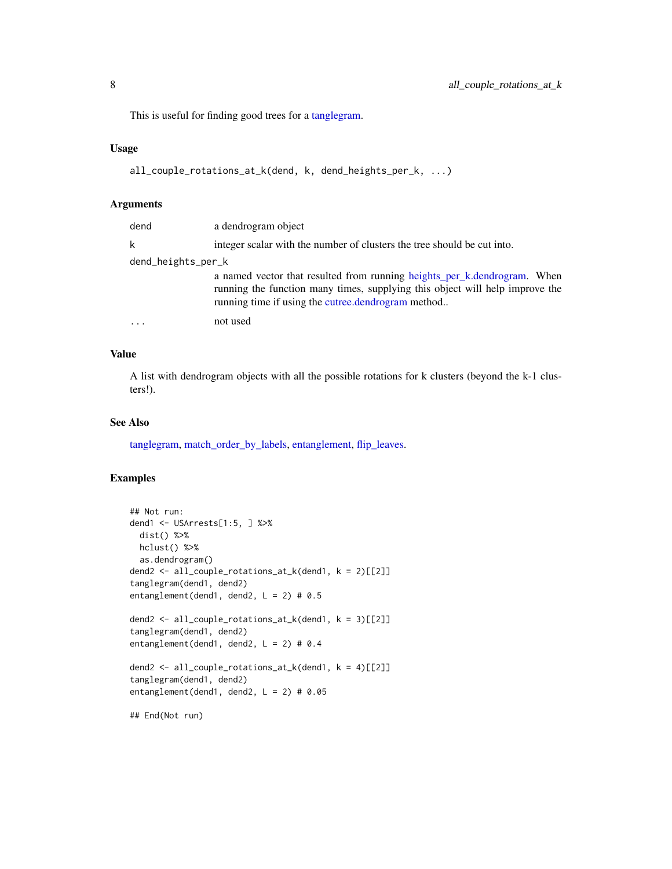This is useful for finding good trees for a [tanglegram.](#page-184-1)

# Usage

```
all_couple_rotations_at_k(dend, k, dend_heights_per_k, ...)
```
#### Arguments

| dend               | a dendrogram object                                                                                                                                                                                            |
|--------------------|----------------------------------------------------------------------------------------------------------------------------------------------------------------------------------------------------------------|
| k                  | integer scalar with the number of clusters the tree should be cut into.                                                                                                                                        |
| dend_heights_per_k |                                                                                                                                                                                                                |
|                    | a named vector that resulted from running heights_per_k.dendrogram. When<br>running the function many times, supplying this object will help improve the<br>running time if using the cutree.dendrogram method |
|                    | not used                                                                                                                                                                                                       |

# Value

A list with dendrogram objects with all the possible rotations for k clusters (beyond the k-1 clusters!).

# See Also

[tanglegram,](#page-184-1) [match\\_order\\_by\\_labels,](#page-132-1) [entanglement,](#page-80-1) [flip\\_leaves.](#page-87-1)

```
## Not run:
dend1 <- USArrests[1:5, ] %>%
 dist() %>%
 hclust() %>%
  as.dendrogram()
dend2 <- all_couple_rotations_at_k(dend1, k = 2)[[2]]
tanglegram(dend1, dend2)
entanglement(dend1, dend2, L = 2) # 0.5
dend2 <- all_couple_rotations_at_k(dend1, k = 3)[[2]]
tanglegram(dend1, dend2)
entanglement(dend1, dend2, L = 2) # 0.4
dend2 <- all_couple_rotations_at_k(dend1, k = 4)[[2]]
tanglegram(dend1, dend2)
entanglement(dend1, dend2, L = 2) # 0.05
## End(Not run)
```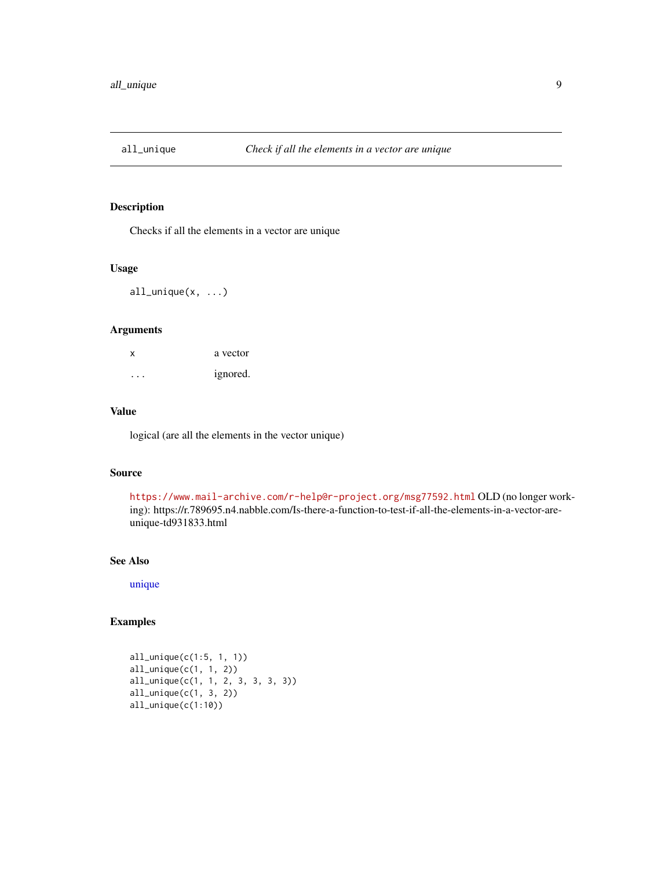<span id="page-8-0"></span>

Checks if all the elements in a vector are unique

# Usage

all\_unique(x, ...)

#### Arguments

| X | a vector |
|---|----------|
| . | ignored. |

#### Value

logical (are all the elements in the vector unique)

#### Source

<https://www.mail-archive.com/r-help@r-project.org/msg77592.html> OLD (no longer working): https://r.789695.n4.nabble.com/Is-there-a-function-to-test-if-all-the-elements-in-a-vector-areunique-td931833.html

# See Also

[unique](#page-0-0)

```
all_unique(c(1:5, 1, 1))
all_unique(c(1, 1, 2))
all_unique(c(1, 1, 2, 3, 3, 3, 3))
all_unique(c(1, 3, 2))
all_unique(c(1:10))
```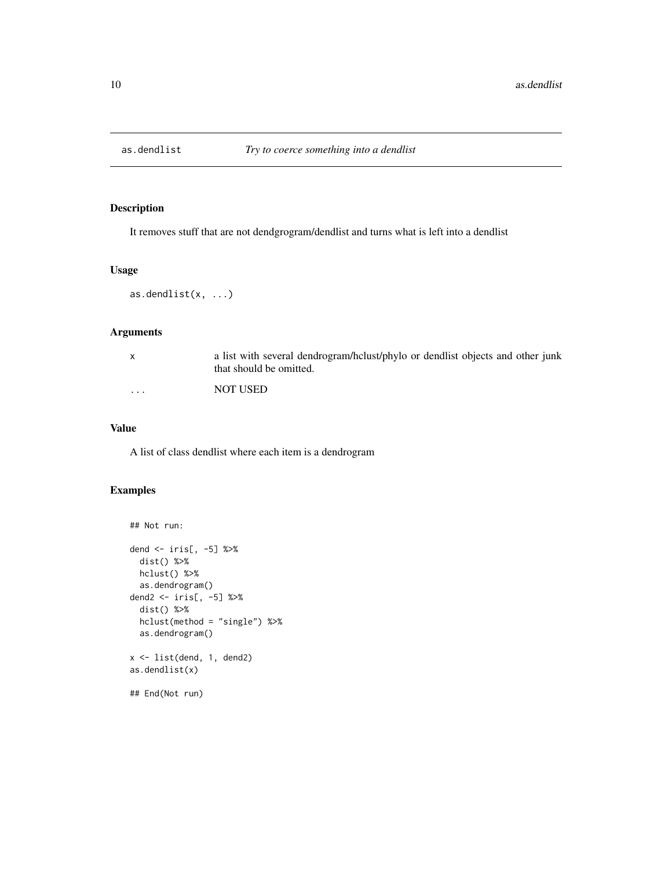<span id="page-9-0"></span>

It removes stuff that are not dendgrogram/dendlist and turns what is left into a dendlist

# Usage

as.dendlist(x, ...)

# Arguments

|   | a list with several dendrogram/hclust/phylo or dendlist objects and other junk<br>that should be omitted. |
|---|-----------------------------------------------------------------------------------------------------------|
| . | NOT USED                                                                                                  |

# Value

A list of class dendlist where each item is a dendrogram

```
## Not run:
dend <- iris[, -5] %>%
 dist() %>%
  hclust() %>%
  as.dendrogram()
dend2 <- iris[, -5] %>%
  dist() %>%
  hclust(method = "single") %>%
  as.dendrogram()
x <- list(dend, 1, dend2)
as.dendlist(x)
## End(Not run)
```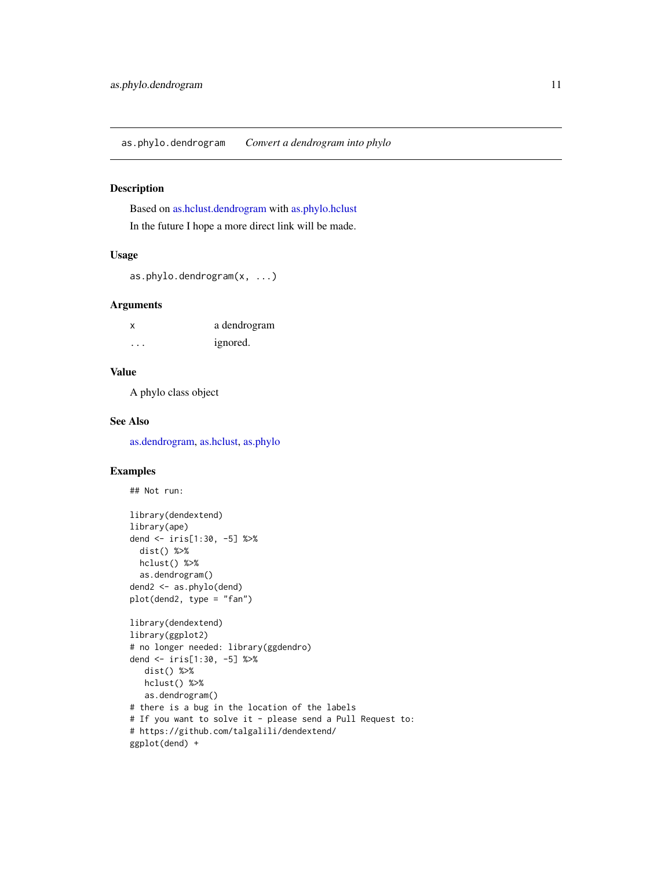<span id="page-10-0"></span>Based on [as.hclust.dendrogram](#page-0-0) with [as.phylo.hclust](#page-0-0) In the future I hope a more direct link will be made.

#### Usage

```
as.phylo.dendrogram(x, ...)
```
# Arguments

| x | a dendrogram |
|---|--------------|
| . | ignored.     |

# Value

A phylo class object

# See Also

[as.dendrogram,](#page-0-0) [as.hclust,](#page-0-0) [as.phylo](#page-0-0)

```
## Not run:
library(dendextend)
library(ape)
dend <- iris[1:30, -5] %>%
  dist() %>%
 hclust() %>%
  as.dendrogram()
dend2 <- as.phylo(dend)
plot(dend2, type = "fan")
library(dendextend)
library(ggplot2)
# no longer needed: library(ggdendro)
dend <- iris[1:30, -5] %>%
  dist() %>%
  hclust() %>%
   as.dendrogram()
# there is a bug in the location of the labels
# If you want to solve it - please send a Pull Request to:
# https://github.com/talgalili/dendextend/
ggplot(dend) +
```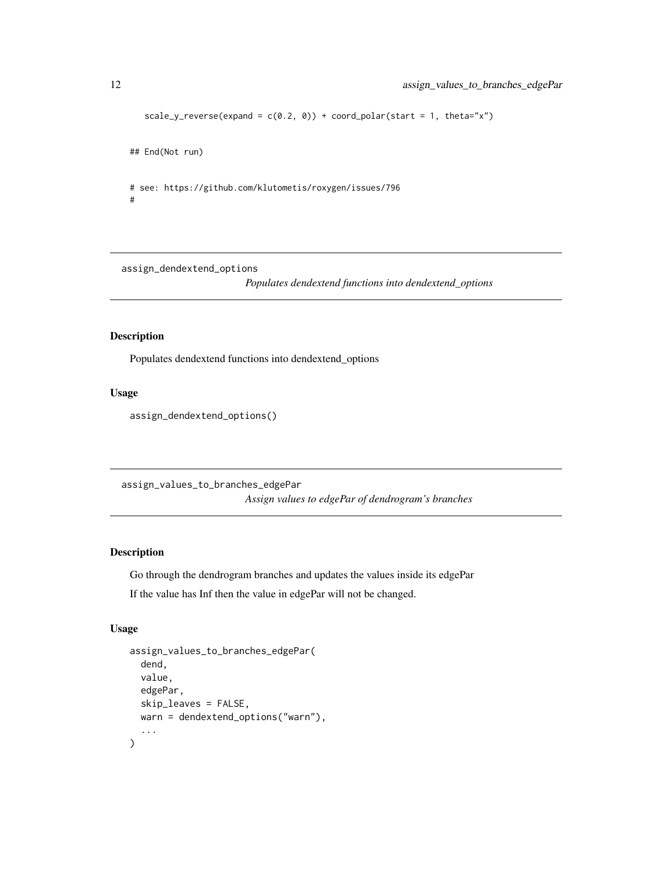```
scale_y_reverse(expand = c(0.2, 0)) + coord_polar(start = 1, theta="x")## End(Not run)
# see: https://github.com/klutometis/roxygen/issues/796
```
assign\_dendextend\_options

*Populates dendextend functions into dendextend\_options*

# Description

#

Populates dendextend functions into dendextend\_options

#### Usage

assign\_dendextend\_options()

assign\_values\_to\_branches\_edgePar

*Assign values to edgePar of dendrogram's branches*

### Description

Go through the dendrogram branches and updates the values inside its edgePar If the value has Inf then the value in edgePar will not be changed.

#### Usage

```
assign_values_to_branches_edgePar(
  dend,
  value,
  edgePar,
  skip_leaves = FALSE,
 warn = dendextend_options("warn"),
  ...
\mathcal{E}
```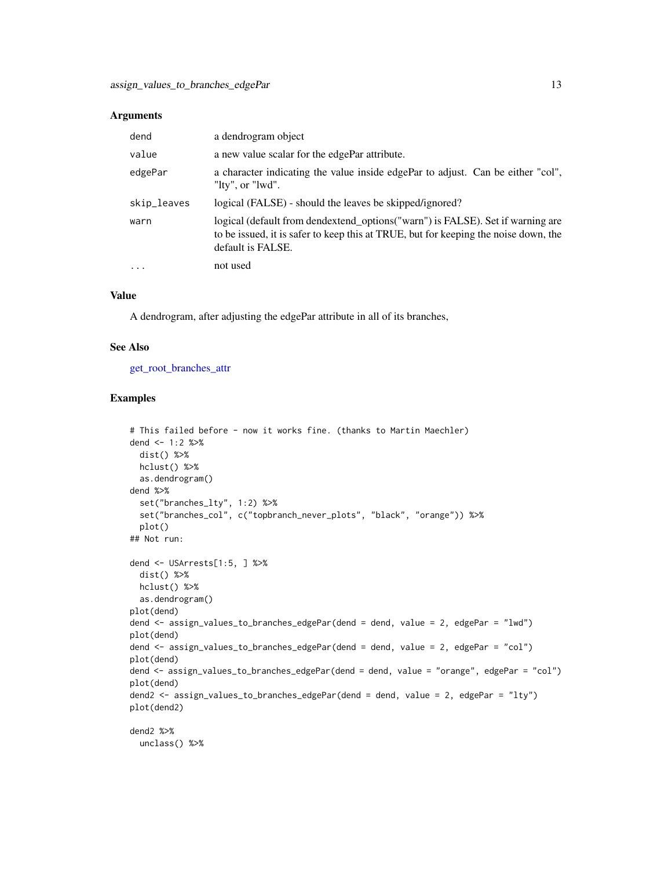#### **Arguments**

| dend        | a dendrogram object                                                                                                                                                                        |
|-------------|--------------------------------------------------------------------------------------------------------------------------------------------------------------------------------------------|
| value       | a new value scalar for the edgePar attribute.                                                                                                                                              |
| edgePar     | a character indicating the value inside edgePar to adjust. Can be either "col",<br>"lty", or "lwd".                                                                                        |
| skip_leaves | logical (FALSE) - should the leaves be skipped/ignored?                                                                                                                                    |
| warn        | logical (default from dendextend_options("warn") is FALSE). Set if warning are<br>to be issued, it is safer to keep this at TRUE, but for keeping the noise down, the<br>default is FALSE. |
| $\ddotsc$   | not used                                                                                                                                                                                   |

# Value

A dendrogram, after adjusting the edgePar attribute in all of its branches,

#### See Also

[get\\_root\\_branches\\_attr](#page-104-1)

```
# This failed before - now it works fine. (thanks to Martin Maechler)
dend <-1:2 %>%
 dist() %>%
 hclust() %>%
  as.dendrogram()
dend %>%
  set("branches_lty", 1:2) %>%
  set("branches_col", c("topbranch_never_plots", "black", "orange")) %>%
  plot()
## Not run:
dend <- USArrests[1:5, ] %>%
 dist() %>%
 hclust() %>%
  as.dendrogram()
plot(dend)
dend <- assign_values_to_branches_edgePar(dend = dend, value = 2, edgePar = "lwd")
plot(dend)
dend <- assign_values_to_branches_edgePar(dend = dend, value = 2, edgePar = "col")
plot(dend)
dend <- assign_values_to_branches_edgePar(dend = dend, value = "orange", edgePar = "col")
plot(dend)
dend2 <- assign_values_to_branches_edgePar(dend = dend, value = 2, edgePar = "lty")
plot(dend2)
dend2 %>%
 unclass() %>%
```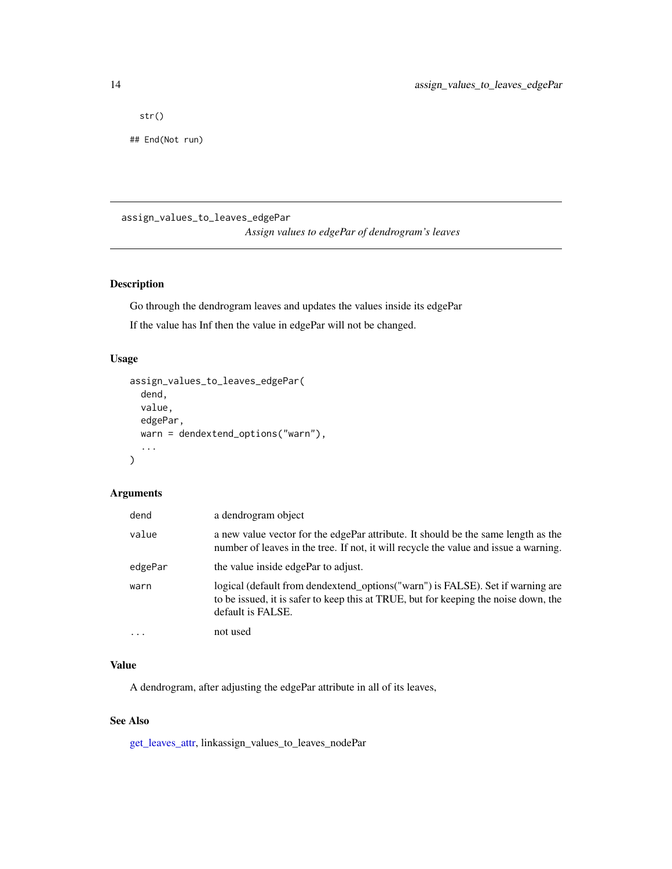<span id="page-13-0"></span>str()

## End(Not run)

assign\_values\_to\_leaves\_edgePar

*Assign values to edgePar of dendrogram's leaves*

# Description

Go through the dendrogram leaves and updates the values inside its edgePar

If the value has Inf then the value in edgePar will not be changed.

# Usage

```
assign_values_to_leaves_edgePar(
  dend,
  value,
  edgePar,
  warn = dendextend_options("warn"),
  ...
\mathcal{L}
```
# Arguments

| dend    | a dendrogram object                                                                                                                                                                        |
|---------|--------------------------------------------------------------------------------------------------------------------------------------------------------------------------------------------|
| value   | a new value vector for the edgePar attribute. It should be the same length as the<br>number of leaves in the tree. If not, it will recycle the value and issue a warning.                  |
| edgePar | the value inside edgePar to adjust.                                                                                                                                                        |
| warn    | logical (default from dendextend_options("warn") is FALSE). Set if warning are<br>to be issued, it is safer to keep this at TRUE, but for keeping the noise down, the<br>default is FALSE. |
| $\cdot$ | not used                                                                                                                                                                                   |

#### Value

A dendrogram, after adjusting the edgePar attribute in all of its leaves,

#### See Also

[get\\_leaves\\_attr,](#page-96-1) linkassign\_values\_to\_leaves\_nodePar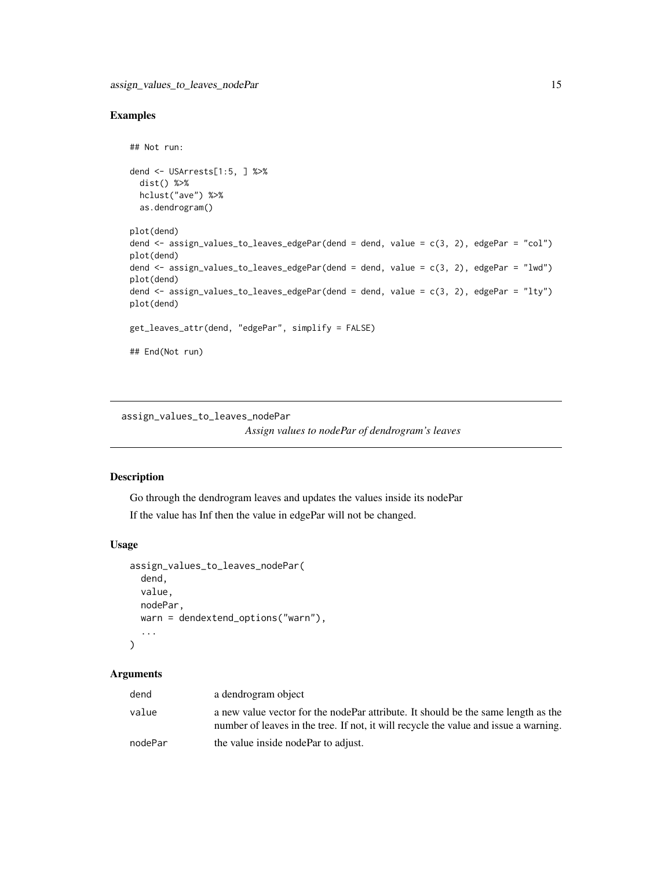# <span id="page-14-0"></span>Examples

```
## Not run:
dend <- USArrests[1:5, ] %>%
  dist() %>%
 hclust("ave") %>%
  as.dendrogram()
plot(dend)
dend <- assign_values_to_leaves_edgePar(dend = dend, value = c(3, 2), edgePar = "col")
plot(dend)
dend \le assign_values_to_leaves_edgePar(dend = dend, value = c(3, 2), edgePar = "lwd")
plot(dend)
dend <- assign_values_to_leaves_edgePar(dend = dend, value = c(3, 2), edgePar = "lty")
plot(dend)
get_leaves_attr(dend, "edgePar", simplify = FALSE)
## End(Not run)
```
<span id="page-14-1"></span>assign\_values\_to\_leaves\_nodePar *Assign values to nodePar of dendrogram's leaves*

# Description

Go through the dendrogram leaves and updates the values inside its nodePar If the value has Inf then the value in edgePar will not be changed.

# Usage

```
assign_values_to_leaves_nodePar(
  dend,
  value,
 nodePar,
 warn = dendextend_options("warn"),
  ...
)
```
#### Arguments

| dend    | a dendrogram object                                                                                                                                                       |
|---------|---------------------------------------------------------------------------------------------------------------------------------------------------------------------------|
| value   | a new value vector for the nodePar attribute. It should be the same length as the<br>number of leaves in the tree. If not, it will recycle the value and issue a warning. |
| nodePar | the value inside nodePar to adjust.                                                                                                                                       |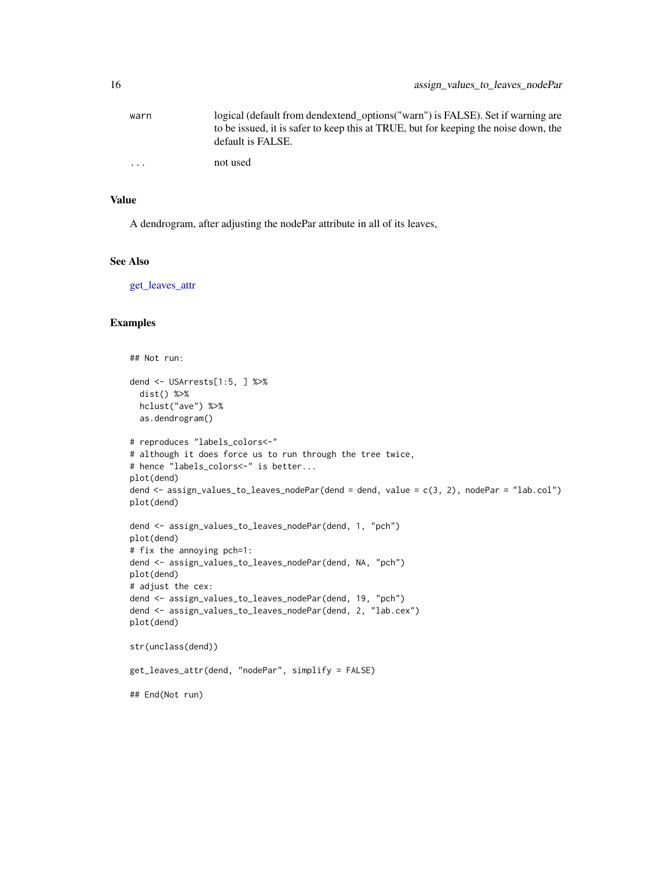| warn     | logical (default from dendextend options ("warn") is FALSE). Set if warning are     |
|----------|-------------------------------------------------------------------------------------|
|          | to be issued, it is safer to keep this at TRUE, but for keeping the noise down, the |
|          | default is FALSE.                                                                   |
| $\cdots$ | not used                                                                            |

# Value

A dendrogram, after adjusting the nodePar attribute in all of its leaves,

#### See Also

[get\\_leaves\\_attr](#page-96-1)

```
## Not run:
dend <- USArrests[1:5, ] %>%
  dist() %>%
 hclust("ave") %>%
  as.dendrogram()
# reproduces "labels_colors<-"
# although it does force us to run through the tree twice,
# hence "labels_colors<-" is better...
plot(dend)
dend <- assign_values_to_leaves_nodePar(dend = dend, value = c(3, 2), nodePar = "lab.col")
plot(dend)
dend <- assign_values_to_leaves_nodePar(dend, 1, "pch")
plot(dend)
# fix the annoying pch=1:
dend <- assign_values_to_leaves_nodePar(dend, NA, "pch")
plot(dend)
# adjust the cex:
dend <- assign_values_to_leaves_nodePar(dend, 19, "pch")
dend <- assign_values_to_leaves_nodePar(dend, 2, "lab.cex")
plot(dend)
str(unclass(dend))
get_leaves_attr(dend, "nodePar", simplify = FALSE)
## End(Not run)
```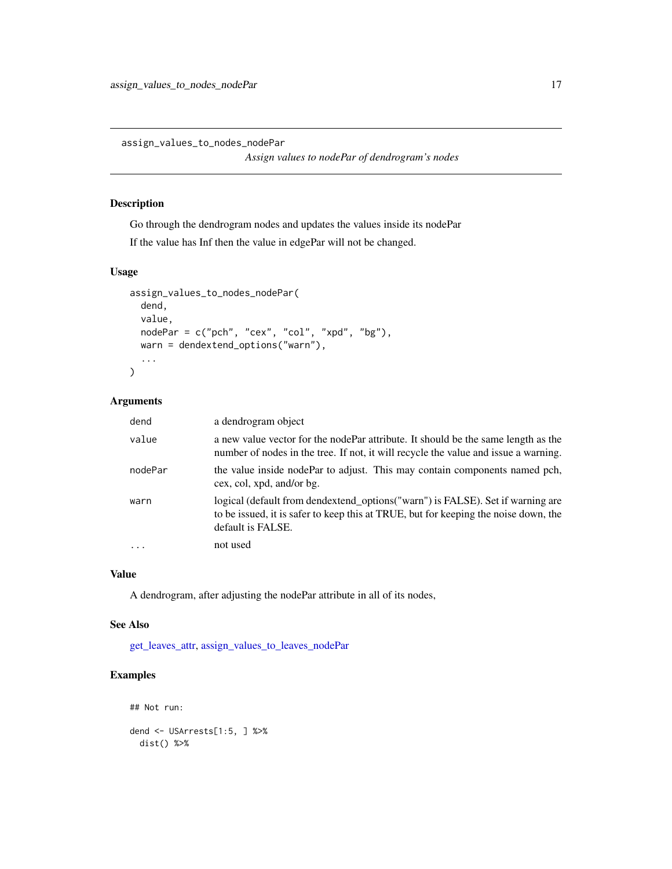<span id="page-16-0"></span>assign\_values\_to\_nodes\_nodePar

*Assign values to nodePar of dendrogram's nodes*

#### Description

Go through the dendrogram nodes and updates the values inside its nodePar

If the value has Inf then the value in edgePar will not be changed.

# Usage

```
assign_values_to_nodes_nodePar(
  dend,
  value,
  nodePar = c("pch", "cex", "col", "xpd", "bg"),
 warn = dendextend_options("warn"),
  ...
\mathcal{L}
```
### Arguments

| dend    | a dendrogram object                                                                                                                                                                        |
|---------|--------------------------------------------------------------------------------------------------------------------------------------------------------------------------------------------|
| value   | a new value vector for the nodePar attribute. It should be the same length as the<br>number of nodes in the tree. If not, it will recycle the value and issue a warning.                   |
| nodePar | the value inside nodePar to adjust. This may contain components named pch,<br>cex, col, xpd, and/or bg.                                                                                    |
| warn    | logical (default from dendextend_options("warn") is FALSE). Set if warning are<br>to be issued, it is safer to keep this at TRUE, but for keeping the noise down, the<br>default is FALSE. |
|         | not used                                                                                                                                                                                   |

#### Value

A dendrogram, after adjusting the nodePar attribute in all of its nodes,

#### See Also

[get\\_leaves\\_attr,](#page-96-1) [assign\\_values\\_to\\_leaves\\_nodePar](#page-14-1)

```
## Not run:
dend <- USArrests[1:5, ] %>%
  dist() %>%
```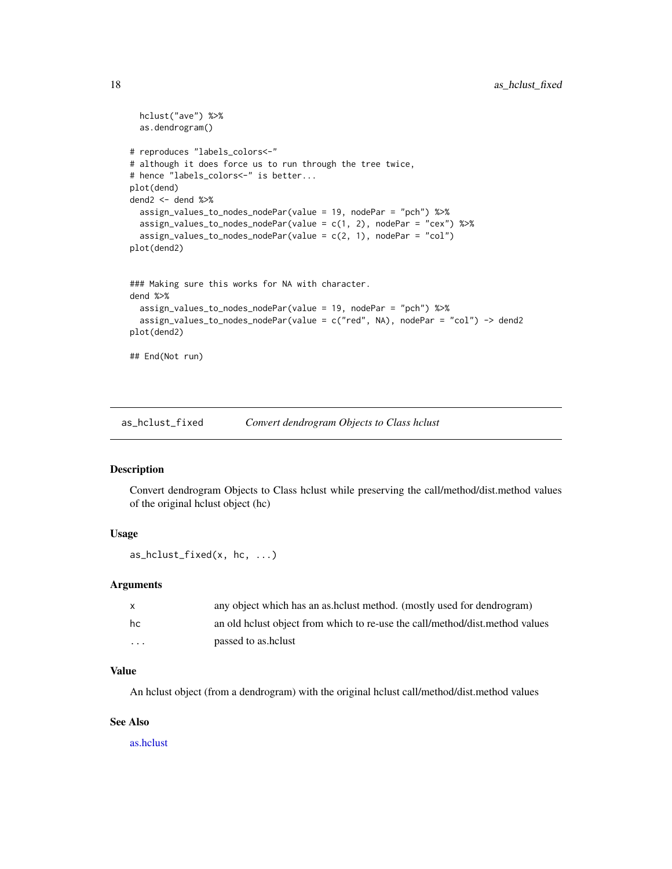```
hclust("ave") %>%
 as.dendrogram()
# reproduces "labels_colors<-"
# although it does force us to run through the tree twice,
# hence "labels_colors<-" is better...
plot(dend)
dend2 <- dend %>%
 assign_values_to_nodes_nodePar(value = 19, nodePar = "pch") %>%
 assign_values_to_nodes_nodePar(value = c(1, 2), nodePar = "cex") %>%
 assign_values_to_nodes_nodePar(value = c(2, 1), nodePar = "col")
plot(dend2)
### Making sure this works for NA with character.
dend %>%
 assign_values_to_nodes_nodePar(value = 19, nodePar = "pch") %>%
 assign_values_to_nodes_nodePar(value = c("red", NA), nodePar = "col") -> dend2
plot(dend2)
## End(Not run)
```
as\_hclust\_fixed *Convert dendrogram Objects to Class hclust*

### Description

Convert dendrogram Objects to Class hclust while preserving the call/method/dist.method values of the original hclust object (hc)

#### Usage

as\_hclust\_fixed(x, hc, ...)

#### Arguments

| $\mathsf{X}$            | any object which has an as helust method. (mostly used for dendrogram)       |
|-------------------------|------------------------------------------------------------------------------|
| hc                      | an old helust object from which to re-use the call/method/dist.method values |
| $\cdot$ $\cdot$ $\cdot$ | passed to as helust                                                          |

#### Value

An hclust object (from a dendrogram) with the original hclust call/method/dist.method values

#### See Also

[as.hclust](#page-0-0)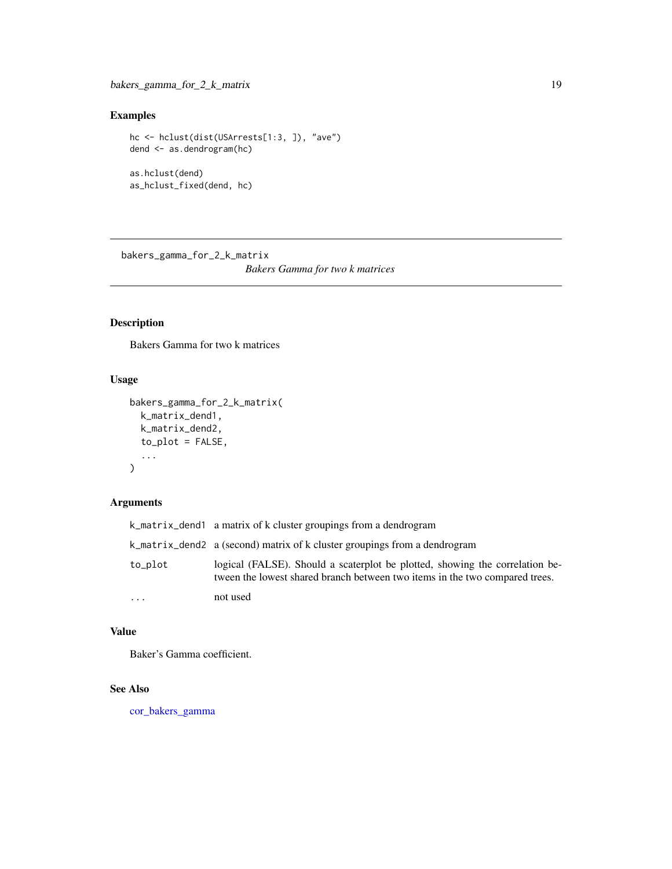# <span id="page-18-0"></span>Examples

```
hc <- hclust(dist(USArrests[1:3, ]), "ave")
dend <- as.dendrogram(hc)
as.hclust(dend)
as_hclust_fixed(dend, hc)
```
bakers\_gamma\_for\_2\_k\_matrix *Bakers Gamma for two k matrices*

# Description

Bakers Gamma for two k matrices

# Usage

```
bakers_gamma_for_2_k_matrix(
  k_matrix_dend1,
  k_matrix_dend2,
  to\_plot = FALSE,...
\mathcal{L}
```
# Arguments

|         | k_matrix_dend1 a matrix of k cluster groupings from a dendrogram                                                                                            |
|---------|-------------------------------------------------------------------------------------------------------------------------------------------------------------|
|         | k_matrix_dend2 a (second) matrix of k cluster groupings from a dendrogram                                                                                   |
| to_plot | logical (FALSE). Should a scaterplot be plotted, showing the correlation be-<br>tween the lowest shared branch between two items in the two compared trees. |
| .       | not used                                                                                                                                                    |

#### Value

Baker's Gamma coefficient.

# See Also

[cor\\_bakers\\_gamma](#page-53-1)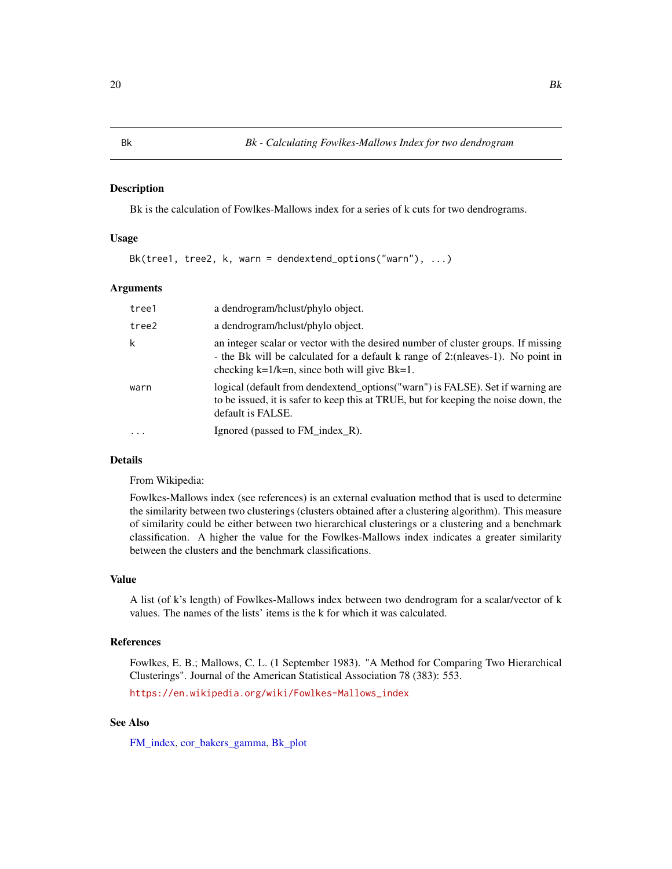<span id="page-19-1"></span><span id="page-19-0"></span>Bk is the calculation of Fowlkes-Mallows index for a series of k cuts for two dendrograms.

#### Usage

Bk(tree1, tree2, k, warn = dendextend\_options("warn"), ...)

#### Arguments

| tree1    | a dendrogram/holust/phylo object.                                                                                                                                                                                           |
|----------|-----------------------------------------------------------------------------------------------------------------------------------------------------------------------------------------------------------------------------|
| tree2    | a dendrogram/hclust/phylo object.                                                                                                                                                                                           |
| k        | an integer scalar or vector with the desired number of cluster groups. If missing<br>- the Bk will be calculated for a default k range of 2: (nleaves-1). No point in<br>checking $k=1/k=n$ , since both will give $Bk=1$ . |
| warn     | logical (default from dendextend_options("warn") is FALSE). Set if warning are<br>to be issued, it is safer to keep this at TRUE, but for keeping the noise down, the<br>default is FALSE.                                  |
| $\cdots$ | Ignored (passed to FM index R).                                                                                                                                                                                             |

# Details

From Wikipedia:

Fowlkes-Mallows index (see references) is an external evaluation method that is used to determine the similarity between two clusterings (clusters obtained after a clustering algorithm). This measure of similarity could be either between two hierarchical clusterings or a clustering and a benchmark classification. A higher the value for the Fowlkes-Mallows index indicates a greater similarity between the clusters and the benchmark classifications.

# Value

A list (of k's length) of Fowlkes-Mallows index between two dendrogram for a scalar/vector of k values. The names of the lists' items is the k for which it was calculated.

#### References

Fowlkes, E. B.; Mallows, C. L. (1 September 1983). "A Method for Comparing Two Hierarchical Clusterings". Journal of the American Statistical Association 78 (383): 553.

[https://en.wikipedia.org/wiki/Fowlkes-Mallows\\_index](https://en.wikipedia.org/wiki/Fowlkes-Mallows_index)

# See Also

[FM\\_index,](#page-88-1) [cor\\_bakers\\_gamma,](#page-53-1) [Bk\\_plot](#page-22-1)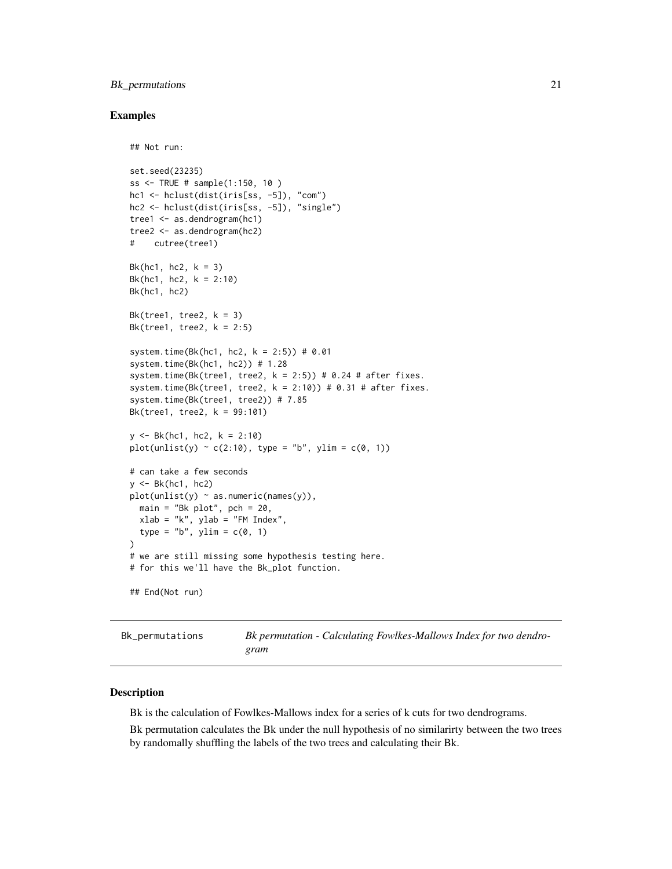# <span id="page-20-0"></span>Bk\_permutations 21

#### Examples

```
## Not run:
set.seed(23235)
ss <- TRUE # sample(1:150, 10 )
hc1 <- hclust(dist(iris[ss, -5]), "com")
hc2 <- hclust(dist(iris[ss, -5]), "single")
tree1 <- as.dendrogram(hc1)
tree2 <- as.dendrogram(hc2)
# cutree(tree1)
Bk(hc1, hc2, k = 3)
Bk(hc1, hc2, k = 2:10)Bk(hc1, hc2)
Bk(tree1, tree2, k = 3)Bk(tree1, tree2, k = 2:5)
system.time(Bk(hc1, hc2, k = 2:5)) # 0.01
system.time(Bk(hc1, hc2)) # 1.28
system.time(Bk(tree1, tree2, k = 2:5)) # 0.24 # after fixes.
system.time(Bk(tree1, tree2, k = 2:10)) # 0.31 # after fixes.
system.time(Bk(tree1, tree2)) # 7.85
Bk(tree1, tree2, k = 99:101)
y \le - Bk(hc1, hc2, k = 2:10)plot(unlist(y) ~ c(2:10), type = "b", ylim = c(0, 1))# can take a few seconds
y \leftarrow Bk(hc1, hc2)plot(unlist(y) ~ a.s.numeric(names(y)),main = "Bk plot", pch = 20,
  xlab = "k", ylab = "FM Index",
  type = nb", ylim = c(0, 1))
# we are still missing some hypothesis testing here.
# for this we'll have the Bk_plot function.
## End(Not run)
```
<span id="page-20-1"></span>

Bk\_permutations *Bk permutation - Calculating Fowlkes-Mallows Index for two dendrogram*

#### Description

Bk is the calculation of Fowlkes-Mallows index for a series of k cuts for two dendrograms.

Bk permutation calculates the Bk under the null hypothesis of no similarirty between the two trees by randomally shuffling the labels of the two trees and calculating their Bk.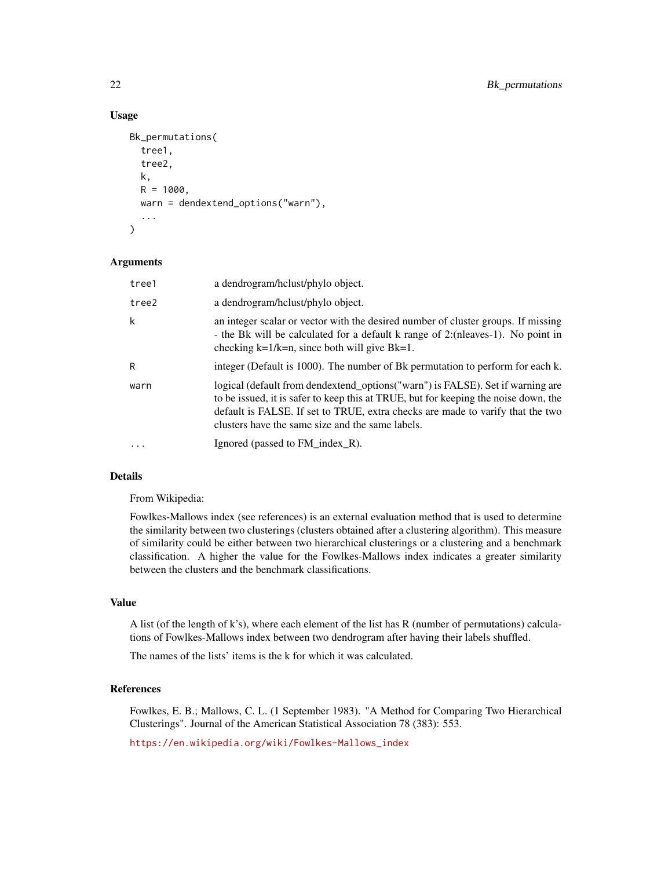# Usage

```
Bk_permutations(
  tree1,
  tree2,
 k,
 R = 1000,
 warn = dendextend_options("warn"),
  ...
)
```
#### Arguments

| tree1             | a dendrogram/hclust/phylo object.                                                                                                                                                                                                                                                                           |
|-------------------|-------------------------------------------------------------------------------------------------------------------------------------------------------------------------------------------------------------------------------------------------------------------------------------------------------------|
| tree2             | a dendrogram/hclust/phylo object.                                                                                                                                                                                                                                                                           |
| $\mathsf k$       | an integer scalar or vector with the desired number of cluster groups. If missing<br>- the Bk will be calculated for a default k range of 2: (nleaves-1). No point in<br>checking $k=1/k=n$ , since both will give $Bk=1$ .                                                                                 |
| R                 | integer (Default is 1000). The number of Bk permutation to perform for each k.                                                                                                                                                                                                                              |
| warn              | logical (default from dendextend_options("warn") is FALSE). Set if warning are<br>to be issued, it is safer to keep this at TRUE, but for keeping the noise down, the<br>default is FALSE. If set to TRUE, extra checks are made to varify that the two<br>clusters have the same size and the same labels. |
| $\cdot\cdot\cdot$ | Ignored (passed to FM_index_R).                                                                                                                                                                                                                                                                             |

# Details

From Wikipedia:

Fowlkes-Mallows index (see references) is an external evaluation method that is used to determine the similarity between two clusterings (clusters obtained after a clustering algorithm). This measure of similarity could be either between two hierarchical clusterings or a clustering and a benchmark classification. A higher the value for the Fowlkes-Mallows index indicates a greater similarity between the clusters and the benchmark classifications.

#### Value

A list (of the length of k's), where each element of the list has R (number of permutations) calculations of Fowlkes-Mallows index between two dendrogram after having their labels shuffled.

The names of the lists' items is the k for which it was calculated.

#### References

Fowlkes, E. B.; Mallows, C. L. (1 September 1983). "A Method for Comparing Two Hierarchical Clusterings". Journal of the American Statistical Association 78 (383): 553.

[https://en.wikipedia.org/wiki/Fowlkes-Mallows\\_index](https://en.wikipedia.org/wiki/Fowlkes-Mallows_index)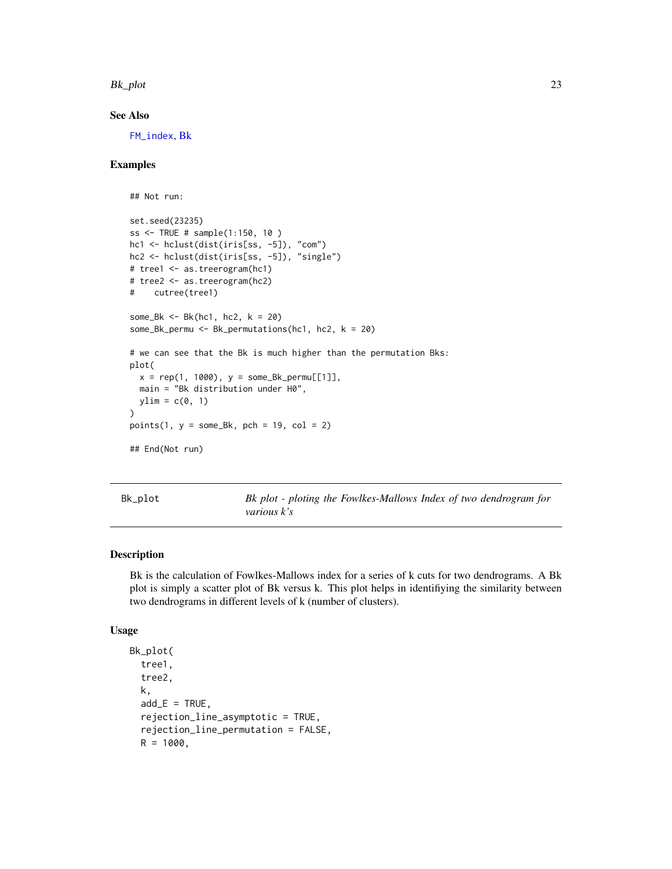<span id="page-22-0"></span>Bk\_plot 23

# See Also

[FM\\_index](#page-88-1), [Bk](#page-19-1)

#### Examples

```
## Not run:
set.seed(23235)
ss <- TRUE # sample(1:150, 10 )
hc1 <- hclust(dist(iris[ss, -5]), "com")
hc2 <- hclust(dist(iris[ss, -5]), "single")
# tree1 <- as.treerogram(hc1)
# tree2 <- as.treerogram(hc2)
# cutree(tree1)
some_Bk \leq Bk(hc1, hc2, k = 20)
some_Bk_permu <- Bk_permutations(hc1, hc2, k = 20)
# we can see that the Bk is much higher than the permutation Bks:
plot(
  x = rep(1, 1000), y = some_Bk_permu[[1]],main = "Bk distribution under H0",
  ylim = c(0, 1))
points(1, y =some_Bk, pch = 19, col = 2)
## End(Not run)
```
<span id="page-22-1"></span>Bk\_plot *Bk plot - ploting the Fowlkes-Mallows Index of two dendrogram for various k's*

#### Description

Bk is the calculation of Fowlkes-Mallows index for a series of k cuts for two dendrograms. A Bk plot is simply a scatter plot of Bk versus k. This plot helps in identifiying the similarity between two dendrograms in different levels of k (number of clusters).

#### Usage

```
Bk_plot(
  tree1,
  tree2,
 k,
  add_E = TRUE,
  rejection_line_asymptotic = TRUE,
  rejection_line_permutation = FALSE,
 R = 1000,
```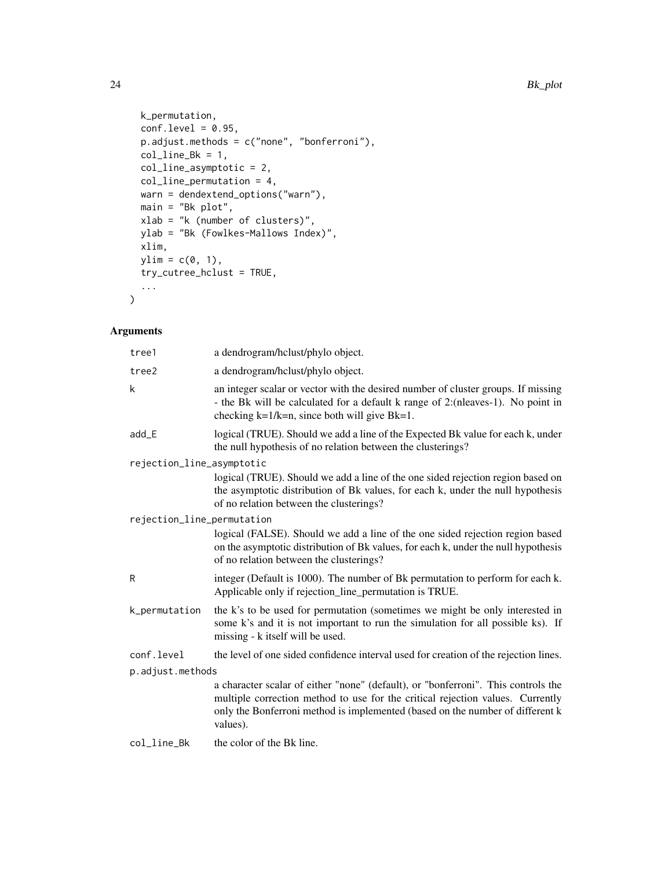```
k_permutation,
 conf. level = 0.95,p.adjust.methods = c("none", "bonferroni"),
 col\_line_Bk = 1,
  col_line_asymptotic = 2,
 col_line_permutation = 4,
 warn = dendextend_options("warn"),
 main = "Bk plot",
 xlab = "k (number of clusters)",
 ylab = "Bk (Fowlkes-Mallows Index)",
 xlim,
 ylim = c(\emptyset, 1),
 try_cutree_hclust = TRUE,
  ...
\mathcal{L}
```
# Arguments

| tree1                      | a dendrogram/hclust/phylo object.                                                                                                                                                                                                                                |  |
|----------------------------|------------------------------------------------------------------------------------------------------------------------------------------------------------------------------------------------------------------------------------------------------------------|--|
| tree2                      | a dendrogram/hclust/phylo object.                                                                                                                                                                                                                                |  |
| k                          | an integer scalar or vector with the desired number of cluster groups. If missing<br>- the Bk will be calculated for a default k range of 2: (nleaves-1). No point in<br>checking $k=1/k=n$ , since both will give $Bk=1$ .                                      |  |
| $add$ $E$                  | logical (TRUE). Should we add a line of the Expected Bk value for each k, under<br>the null hypothesis of no relation between the clusterings?                                                                                                                   |  |
| rejection_line_asymptotic  |                                                                                                                                                                                                                                                                  |  |
|                            | logical (TRUE). Should we add a line of the one sided rejection region based on<br>the asymptotic distribution of Bk values, for each k, under the null hypothesis<br>of no relation between the clusterings?                                                    |  |
| rejection_line_permutation |                                                                                                                                                                                                                                                                  |  |
|                            | logical (FALSE). Should we add a line of the one sided rejection region based<br>on the asymptotic distribution of Bk values, for each k, under the null hypothesis<br>of no relation between the clusterings?                                                   |  |
| R                          | integer (Default is 1000). The number of Bk permutation to perform for each k.<br>Applicable only if rejection_line_permutation is TRUE.                                                                                                                         |  |
| k_permutation              | the k's to be used for permutation (sometimes we might be only interested in<br>some k's and it is not important to run the simulation for all possible ks). If<br>missing - k itself will be used.                                                              |  |
| conf.level                 | the level of one sided confidence interval used for creation of the rejection lines.                                                                                                                                                                             |  |
| p.adjust.methods           |                                                                                                                                                                                                                                                                  |  |
|                            | a character scalar of either "none" (default), or "bonferroni". This controls the<br>multiple correction method to use for the critical rejection values. Currently<br>only the Bonferroni method is implemented (based on the number of different k<br>values). |  |
| col_line_Bk                | the color of the Bk line.                                                                                                                                                                                                                                        |  |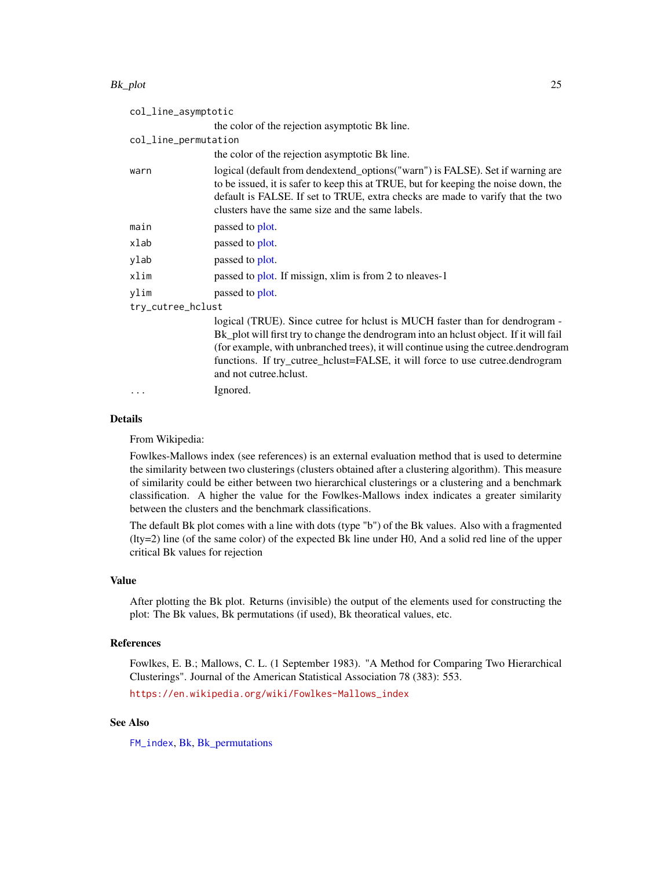#### Bk\_plot 25

| col_line_asymptotic  |                                                                                                                                                                                                                                                                                                                                                                         |  |
|----------------------|-------------------------------------------------------------------------------------------------------------------------------------------------------------------------------------------------------------------------------------------------------------------------------------------------------------------------------------------------------------------------|--|
|                      | the color of the rejection asymptotic Bk line.                                                                                                                                                                                                                                                                                                                          |  |
| col_line_permutation |                                                                                                                                                                                                                                                                                                                                                                         |  |
|                      | the color of the rejection asymptotic Bk line.                                                                                                                                                                                                                                                                                                                          |  |
| warn                 | logical (default from dendextend_options("warn") is FALSE). Set if warning are<br>to be issued, it is safer to keep this at TRUE, but for keeping the noise down, the<br>default is FALSE. If set to TRUE, extra checks are made to varify that the two<br>clusters have the same size and the same labels.                                                             |  |
| main                 | passed to plot.                                                                                                                                                                                                                                                                                                                                                         |  |
| xlab                 | passed to plot.                                                                                                                                                                                                                                                                                                                                                         |  |
| ylab                 | passed to plot.                                                                                                                                                                                                                                                                                                                                                         |  |
| xlim                 | passed to plot. If missign, xlim is from 2 to nleaves-1                                                                                                                                                                                                                                                                                                                 |  |
| ylim                 | passed to plot.                                                                                                                                                                                                                                                                                                                                                         |  |
| try_cutree_hclust    |                                                                                                                                                                                                                                                                                                                                                                         |  |
|                      | logical (TRUE). Since cutree for helust is MUCH faster than for dendrogram -<br>Bk_plot will first try to change the dendrogram into an helust object. If it will fail<br>(for example, with unbranched trees), it will continue using the cutree.dendrogram<br>functions. If try_cutree_hclust=FALSE, it will force to use cutree.dendrogram<br>and not cutree.hclust. |  |
| $\cdots$             | Ignored.                                                                                                                                                                                                                                                                                                                                                                |  |

#### Details

From Wikipedia:

Fowlkes-Mallows index (see references) is an external evaluation method that is used to determine the similarity between two clusterings (clusters obtained after a clustering algorithm). This measure of similarity could be either between two hierarchical clusterings or a clustering and a benchmark classification. A higher the value for the Fowlkes-Mallows index indicates a greater similarity between the clusters and the benchmark classifications.

The default Bk plot comes with a line with dots (type "b") of the Bk values. Also with a fragmented (lty=2) line (of the same color) of the expected Bk line under H0, And a solid red line of the upper critical Bk values for rejection

# Value

After plotting the Bk plot. Returns (invisible) the output of the elements used for constructing the plot: The Bk values, Bk permutations (if used), Bk theoratical values, etc.

#### References

Fowlkes, E. B.; Mallows, C. L. (1 September 1983). "A Method for Comparing Two Hierarchical Clusterings". Journal of the American Statistical Association 78 (383): 553.

[https://en.wikipedia.org/wiki/Fowlkes-Mallows\\_index](https://en.wikipedia.org/wiki/Fowlkes-Mallows_index)

# See Also

[FM\\_index](#page-88-1), [Bk,](#page-19-1) [Bk\\_permutations](#page-20-1)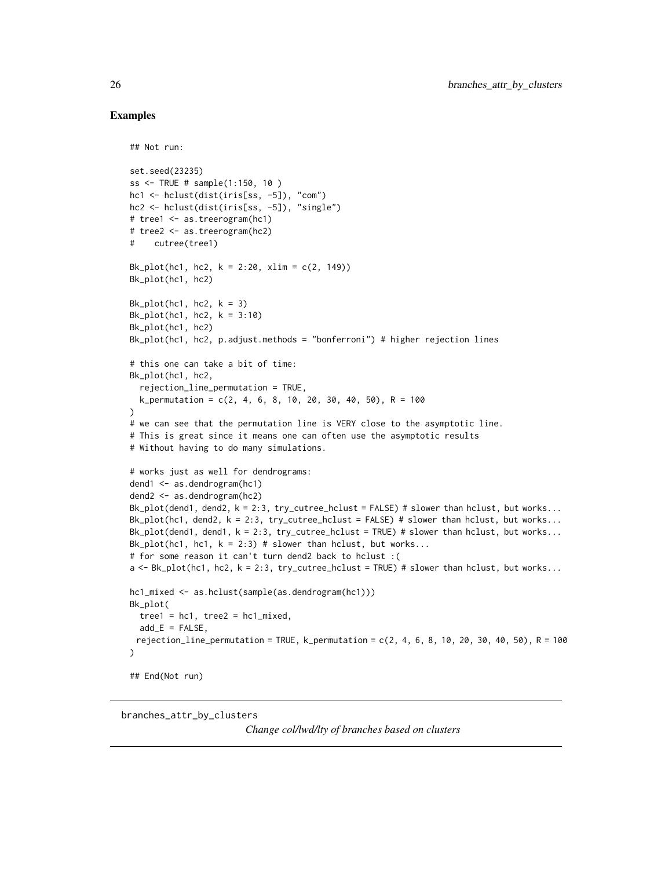#### Examples

## Not run:

```
set.seed(23235)
ss <- TRUE # sample(1:150, 10 )
hc1 <- hclust(dist(iris[ss, -5]), "com")
hc2 <- hclust(dist(iris[ss, -5]), "single")
# tree1 <- as.treerogram(hc1)
# tree2 <- as.treerogram(hc2)
# cutree(tree1)
Bk_plot(hc1, hc2, k = 2:20, xlim = c(2, 149))
Bk_plot(hc1, hc2)
Bk_plot(hc1, hc2, k = 3)Bk_plot(hc1, hc2, k = 3:10)Bk_plot(hc1, hc2)
Bk_plot(hc1, hc2, p.adjust.methods = "bonferroni") # higher rejection lines
# this one can take a bit of time:
Bk_plot(hc1, hc2,
  rejection_line_permutation = TRUE,
  k_permutation = c(2, 4, 6, 8, 10, 20, 30, 40, 50), R = 100
)
# we can see that the permutation line is VERY close to the asymptotic line.
# This is great since it means one can often use the asymptotic results
# Without having to do many simulations.
# works just as well for dendrograms:
dend1 <- as.dendrogram(hc1)
dend2 <- as.dendrogram(hc2)
Bk_plot(dend1, dend2, k = 2:3, try_cutree_hclust = FALSE) # slower than hclust, but works...
Bk_plot(hc1, dend2, k = 2:3, try_cutree_hclust = FALSE) # slower than hclust, but works...
Bk_plot(dend1, dend1, k = 2:3, try_cutree_hclust = TRUE) # slower than hclust, but works...
Bk_plot(hc1, hc1, k = 2:3) # slower than hclust, but works...
# for some reason it can't turn dend2 back to hclust :(
a \leq Bk_plot(hc1, hc2, k = 2:3, try_cutree_hclust = TRUE) # slower than hclust, but works...
hc1_mixed <- as.hclust(sample(as.dendrogram(hc1)))
Bk_plot(
 tree1 = hc1, tree2 = hc1 mixed,
  add_E = FALSE,rejection_line_permutation = TRUE, k_permutation = c(2, 4, 6, 8, 10, 20, 30, 40, 50), R = 100
\mathcal{L}## End(Not run)
```
branches\_attr\_by\_clusters

*Change col/lwd/lty of branches based on clusters*

<span id="page-25-0"></span>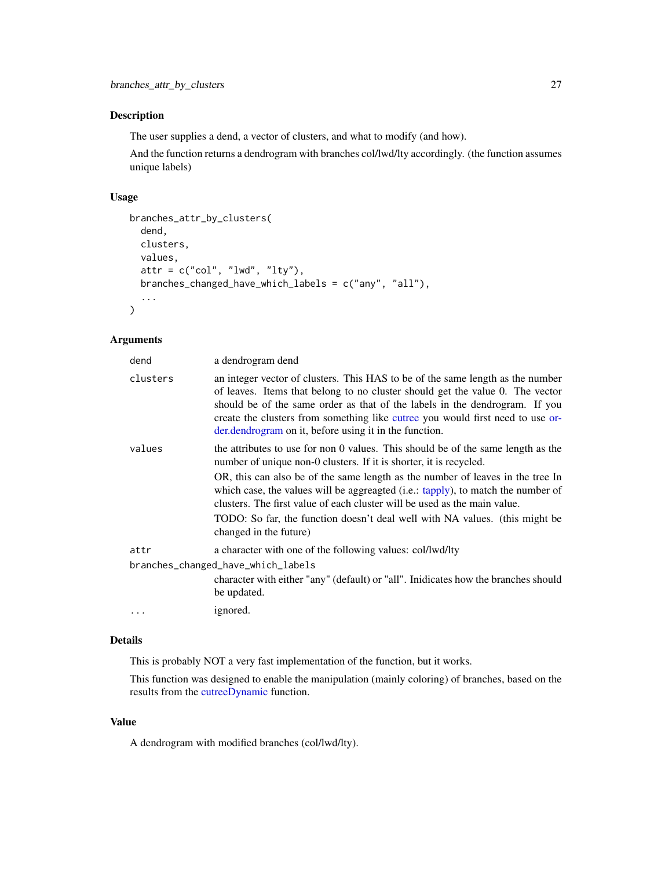The user supplies a dend, a vector of clusters, and what to modify (and how).

And the function returns a dendrogram with branches col/lwd/lty accordingly. (the function assumes unique labels)

### Usage

```
branches_attr_by_clusters(
  dend,
  clusters,
 values,
  attr = c("col", "lwd", "lty"),branches_changed_have_which_labels = c("any", "all"),
  ...
)
```
# Arguments

| dend                               | a dendrogram dend                                                                                                                                                                                                                                                                                                                                                                          |
|------------------------------------|--------------------------------------------------------------------------------------------------------------------------------------------------------------------------------------------------------------------------------------------------------------------------------------------------------------------------------------------------------------------------------------------|
| clusters                           | an integer vector of clusters. This HAS to be of the same length as the number<br>of leaves. Items that belong to no cluster should get the value 0. The vector<br>should be of the same order as that of the labels in the dendrogram. If you<br>create the clusters from something like cutree you would first need to use or-<br>der.dendrogram on it, before using it in the function. |
| values                             | the attributes to use for non 0 values. This should be of the same length as the<br>number of unique non-0 clusters. If it is shorter, it is recycled.                                                                                                                                                                                                                                     |
|                                    | OR, this can also be of the same length as the number of leaves in the tree In<br>which case, the values will be aggreagted (i.e.: tapply), to match the number of<br>clusters. The first value of each cluster will be used as the main value.<br>TODO: So far, the function doesn't deal well with NA values. (this might be                                                             |
|                                    | changed in the future)                                                                                                                                                                                                                                                                                                                                                                     |
| attr                               | a character with one of the following values: col/lwd/lty                                                                                                                                                                                                                                                                                                                                  |
| branches_changed_have_which_labels |                                                                                                                                                                                                                                                                                                                                                                                            |
|                                    | character with either "any" (default) or "all". Inidicates how the branches should<br>be updated.                                                                                                                                                                                                                                                                                          |
| $\ddots$ .                         | ignored.                                                                                                                                                                                                                                                                                                                                                                                   |

# Details

This is probably NOT a very fast implementation of the function, but it works.

This function was designed to enable the manipulation (mainly coloring) of branches, based on the results from the [cutreeDynamic](#page-0-0) function.

# Value

A dendrogram with modified branches (col/lwd/lty).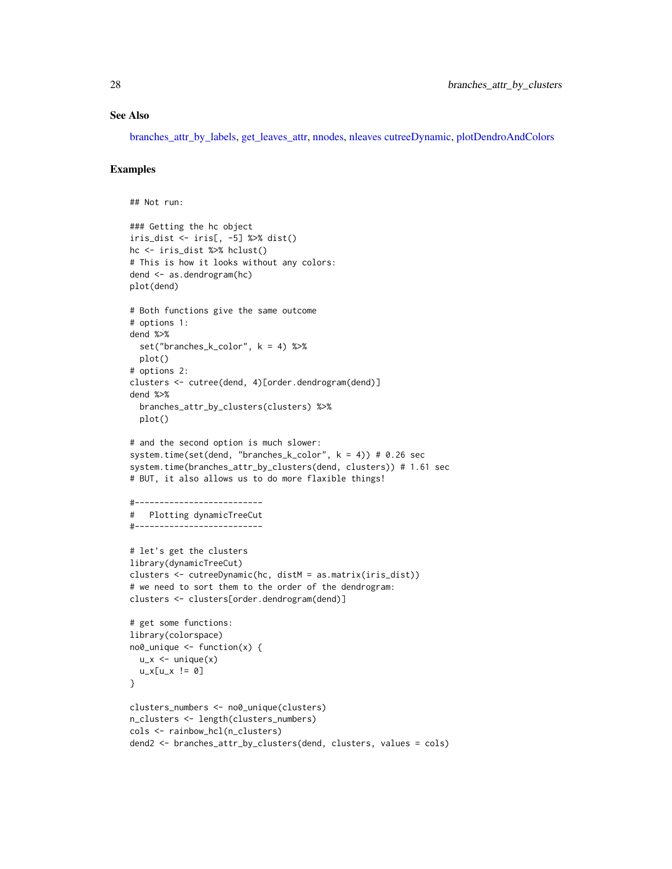#### See Also

[branches\\_attr\\_by\\_labels,](#page-28-1) [get\\_leaves\\_attr,](#page-96-1) [nnodes,](#page-138-1) [nleaves](#page-137-1) [cutreeDynamic,](#page-0-0) [plotDendroAndColors](#page-0-0)

```
## Not run:
### Getting the hc object
iris_dist <- iris[, -5] %>% dist()
hc <- iris_dist %>% hclust()
# This is how it looks without any colors:
dend <- as.dendrogram(hc)
plot(dend)
# Both functions give the same outcome
# options 1:
dend %>%
  set("branches_k_color", k = 4) %>%
  plot()
# options 2:
clusters <- cutree(dend, 4)[order.dendrogram(dend)]
dend %>%
  branches_attr_by_clusters(clusters) %>%
  plot()
# and the second option is much slower:
system.time(set(dend, "branches_k_color", k = 4)) # 0.26 sec
system.time(branches_attr_by_clusters(dend, clusters)) # 1.61 sec
# BUT, it also allows us to do more flaxible things!
#--------------------------
# Plotting dynamicTreeCut
#--------------------------
# let's get the clusters
library(dynamicTreeCut)
clusters <- cutreeDynamic(hc, distM = as.matrix(iris_dist))
# we need to sort them to the order of the dendrogram:
clusters <- clusters[order.dendrogram(dend)]
# get some functions:
library(colorspace)
no0_unique <- function(x) {
  u_x < - unique(x)u_x[u_x := 0]}
clusters_numbers <- no0_unique(clusters)
n_clusters <- length(clusters_numbers)
cols <- rainbow_hcl(n_clusters)
dend2 <- branches_attr_by_clusters(dend, clusters, values = cols)
```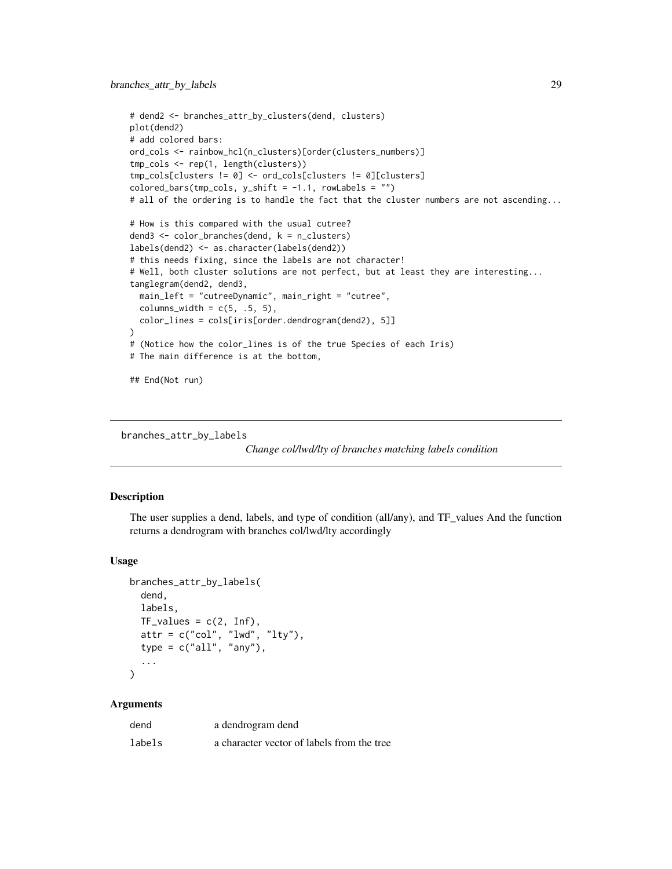```
# dend2 <- branches_attr_by_clusters(dend, clusters)
plot(dend2)
# add colored bars:
ord_cols <- rainbow_hcl(n_clusters)[order(clusters_numbers)]
tmp_cols <- rep(1, length(clusters))
tmp_cols[clusters != 0] <- ord_cols[clusters != 0][clusters]
colored_bars(tmp_cols, y_sshift = -1.1, rowLabels = "")# all of the ordering is to handle the fact that the cluster numbers are not ascending...
# How is this compared with the usual cutree?
dend3 <- color_branches(dend, k = n_clusters)
labels(dend2) <- as.character(labels(dend2))
# this needs fixing, since the labels are not character!
# Well, both cluster solutions are not perfect, but at least they are interesting...
tanglegram(dend2, dend3,
 main_left = "cutreeDynamic", main_right = "cutree",
 columns\_width = c(5, .5, 5),color_lines = cols[iris[order.dendrogram(dend2), 5]]
)
# (Notice how the color_lines is of the true Species of each Iris)
# The main difference is at the bottom,
## End(Not run)
```

```
branches_attr_by_labels
```
*Change col/lwd/lty of branches matching labels condition*

#### **Description**

The user supplies a dend, labels, and type of condition (all/any), and TF\_values And the function returns a dendrogram with branches col/lwd/lty accordingly

#### Usage

```
branches_attr_by_labels(
  dend,
  labels,
 TF_values = c(2, Inf),attr = c("col", "lwd", "lty"),type = c("all", "any"),...
)
```
#### Arguments

| dend   | a dendrogram dend                          |
|--------|--------------------------------------------|
| labels | a character vector of labels from the tree |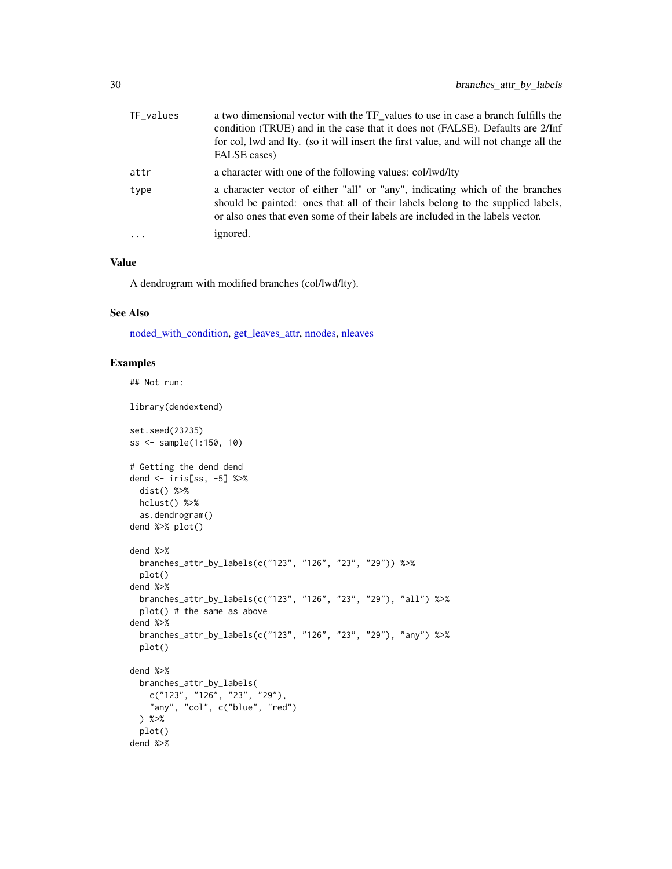| TF_values | a two dimensional vector with the TF values to use in case a branch fulfills the<br>condition (TRUE) and in the case that it does not (FALSE). Defaults are 2/Inf<br>for col, lwd and lty. (so it will insert the first value, and will not change all the<br>FALSE cases) |
|-----------|----------------------------------------------------------------------------------------------------------------------------------------------------------------------------------------------------------------------------------------------------------------------------|
| attr      | a character with one of the following values: col/lwd/lty                                                                                                                                                                                                                  |
| type      | a character vector of either "all" or "any", indicating which of the branches<br>should be painted: ones that all of their labels belong to the supplied labels,<br>or also ones that even some of their labels are included in the labels vector.                         |
| $\ddots$  | ignored.                                                                                                                                                                                                                                                                   |

#### Value

A dendrogram with modified branches (col/lwd/lty).

#### See Also

[noded\\_with\\_condition,](#page-139-1) [get\\_leaves\\_attr,](#page-96-1) [nnodes,](#page-138-1) [nleaves](#page-137-1)

```
## Not run:
library(dendextend)
set.seed(23235)
ss <- sample(1:150, 10)
# Getting the dend dend
dend <- iris[ss, -5] %>%
 dist() %>%
 hclust() %>%
  as.dendrogram()
dend %>% plot()
dend %>%
  branches_attr_by_labels(c("123", "126", "23", "29")) %>%
  plot()
dend %>%
 branches_attr_by_labels(c("123", "126", "23", "29"), "all") %>%
  plot() # the same as above
dend %>%
  branches_attr_by_labels(c("123", "126", "23", "29"), "any") %>%
  plot()
dend %>%
  branches_attr_by_labels(
    c("123", "126", "23", "29"),
    "any", "col", c("blue", "red")
  ) %>%
  plot()
dend %>%
```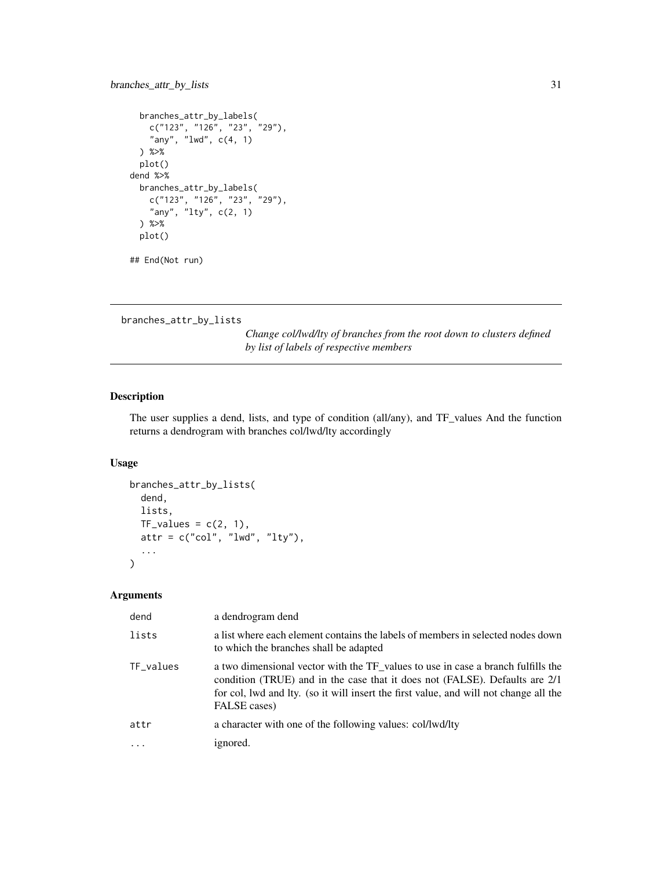# <span id="page-30-0"></span>branches\_attr\_by\_lists 31

```
branches_attr_by_labels(
   c("123", "126", "23", "29"),
    "any", "lwd", c(4, 1)
 ) %>%
 plot()
dend %>%
 branches_attr_by_labels(
   c("123", "126", "23", "29"),
   "any", "lty", c(2, 1)
 ) %>%
 plot()
```
## End(Not run)

branches\_attr\_by\_lists

*Change col/lwd/lty of branches from the root down to clusters defined by list of labels of respective members*

#### Description

The user supplies a dend, lists, and type of condition (all/any), and TF\_values And the function returns a dendrogram with branches col/lwd/lty accordingly

#### Usage

```
branches_attr_by_lists(
  dend,
  lists,
 TF_values = c(2, 1),attr = c("col", "lwd", "lty"),...
)
```
# Arguments

| dend      | a dendrogram dend                                                                                                                                                                                                                                                        |
|-----------|--------------------------------------------------------------------------------------------------------------------------------------------------------------------------------------------------------------------------------------------------------------------------|
| lists     | a list where each element contains the labels of members in selected nodes down<br>to which the branches shall be adapted                                                                                                                                                |
| TF_values | a two dimensional vector with the TF_values to use in case a branch fulfills the<br>condition (TRUE) and in the case that it does not (FALSE). Defaults are 2/1<br>for col, lwd and lty. (so it will insert the first value, and will not change all the<br>FALSE cases) |
| attr      | a character with one of the following values: col/lwd/lty                                                                                                                                                                                                                |
|           | ignored.                                                                                                                                                                                                                                                                 |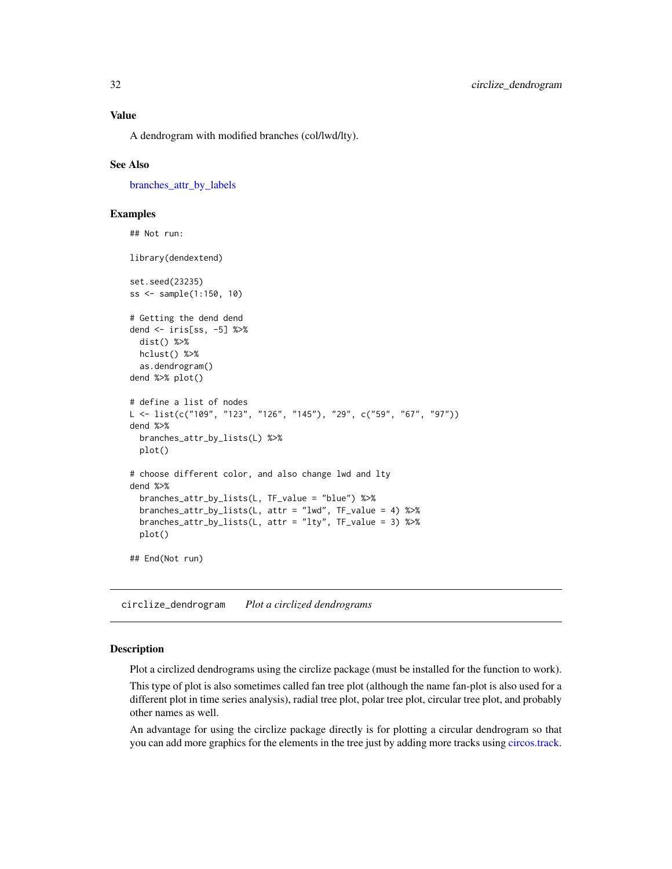<span id="page-31-0"></span>A dendrogram with modified branches (col/lwd/lty).

#### See Also

[branches\\_attr\\_by\\_labels](#page-28-1)

#### Examples

```
## Not run:
library(dendextend)
set.seed(23235)
ss <- sample(1:150, 10)
# Getting the dend dend
dend <- iris[ss, -5] %>%
  dist() %>%
  hclust() %>%
  as.dendrogram()
dend %>% plot()
# define a list of nodes
L <- list(c("109", "123", "126", "145"), "29", c("59", "67", "97"))
dend %>%
  branches_attr_by_lists(L) %>%
  plot()
# choose different color, and also change lwd and lty
dend %>%
  branches_attr_by_lists(L, TF_value = "blue") %>%
  branches_attr_by_lists(L, attr = "lwd", TF_value = 4) %>%
  branches_attr_by_lists(L, attr = "lty", TF_value = 3) %>%
  plot()
## End(Not run)
```
circlize\_dendrogram *Plot a circlized dendrograms*

#### Description

Plot a circlized dendrograms using the circlize package (must be installed for the function to work).

This type of plot is also sometimes called fan tree plot (although the name fan-plot is also used for a different plot in time series analysis), radial tree plot, polar tree plot, circular tree plot, and probably other names as well.

An advantage for using the circlize package directly is for plotting a circular dendrogram so that you can add more graphics for the elements in the tree just by adding more tracks using [circos.track.](#page-0-0)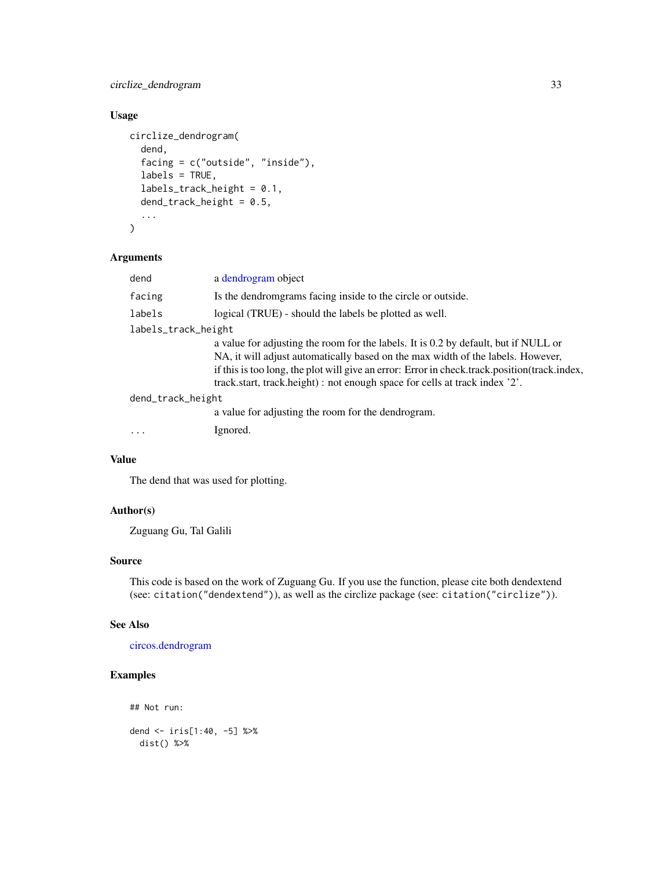# circlize\_dendrogram 33

# Usage

```
circlize_dendrogram(
  dend,
  facing = c("outside", "inside"),
  labels = TRUE,
  labels_track_height = 0.1,
  dend_trac{k_hej}height = 0.5,
  ...
\mathcal{L}
```
#### Arguments

| dend                | a dendrogram object                                                                                                                                                                                                                                                                                                                                   |
|---------------------|-------------------------------------------------------------------------------------------------------------------------------------------------------------------------------------------------------------------------------------------------------------------------------------------------------------------------------------------------------|
| facing              | Is the dendromgrams facing inside to the circle or outside.                                                                                                                                                                                                                                                                                           |
| labels              | logical (TRUE) - should the labels be plotted as well.                                                                                                                                                                                                                                                                                                |
| labels_track_height |                                                                                                                                                                                                                                                                                                                                                       |
|                     | a value for adjusting the room for the labels. It is 0.2 by default, but if NULL or<br>NA, it will adjust automatically based on the max width of the labels. However,<br>if this is too long, the plot will give an error: Error in check.track.position(track.index,<br>track.start, track.height) : not enough space for cells at track index '2'. |
| dend_track_height   |                                                                                                                                                                                                                                                                                                                                                       |
|                     | a value for adjusting the room for the dendrogram.                                                                                                                                                                                                                                                                                                    |
| .                   | Ignored.                                                                                                                                                                                                                                                                                                                                              |
|                     |                                                                                                                                                                                                                                                                                                                                                       |

# Value

The dend that was used for plotting.

# Author(s)

Zuguang Gu, Tal Galili

# Source

This code is based on the work of Zuguang Gu. If you use the function, please cite both dendextend (see: citation("dendextend")), as well as the circlize package (see: citation("circlize")).

# See Also

[circos.dendrogram](#page-0-0)

# Examples

## Not run:

dend <- iris[1:40, -5] %>% dist() %>%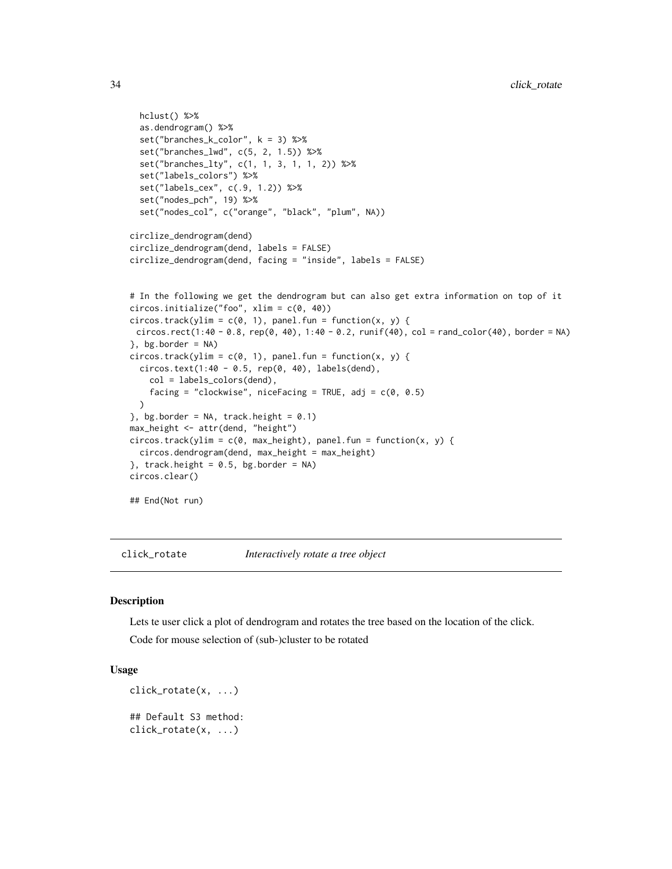```
hclust() %>%
  as.dendrogram() %>%
  set("branches_k_color", k = 3) %>%
  set("branches_lwd", c(5, 2, 1.5)) %>%
  set("branches_lty", c(1, 1, 3, 1, 1, 2)) %>%
  set("labels_colors") %>%
  set("labels_cex", c(.9, 1.2)) %>%
  set("nodes_pch", 19) %>%
  set("nodes_col", c("orange", "black", "plum", NA))
circlize_dendrogram(dend)
circlize_dendrogram(dend, labels = FALSE)
circlize_dendrogram(dend, facing = "inside", labels = FALSE)
# In the following we get the dendrogram but can also get extra information on top of it
circos.initialize("foo", xlim = c(0, 40))
circos.track(ylim = c(0, 1), panel.fun = function(x, y) {
 circos.rect(1:40 - 0.8, rep(0, 40), 1:40 - 0.2, runif(40), col = rand_color(40), border = NA)
}, bg.border = NA)
circos.track(ylim = c(\emptyset, 1), panel.fun = function(x, y) {
  circos.text(1:40 - 0.5, rep(0, 40), labels(dend),
    col = labels_colors(dend),
    facing = "clockwise", niceFacing = TRUE, adj = c(\emptyset, \emptyset.5)\lambda}, bg.border = NA, track.height = 0.1)
max_height <- attr(dend, "height")
circos.track(ylim = c(0, max_height), panel.fun = function(x, y) {
  circos.dendrogram(dend, max_height = max_height)
}, track.height = 0.5, bg.border = NA)
circos.clear()
## End(Not run)
```
click\_rotate *Interactively rotate a tree object*

#### Description

Lets te user click a plot of dendrogram and rotates the tree based on the location of the click.

Code for mouse selection of (sub-)cluster to be rotated

#### Usage

```
click_rotate(x, ...)
## Default S3 method:
click_rotate(x, ...)
```
<span id="page-33-0"></span>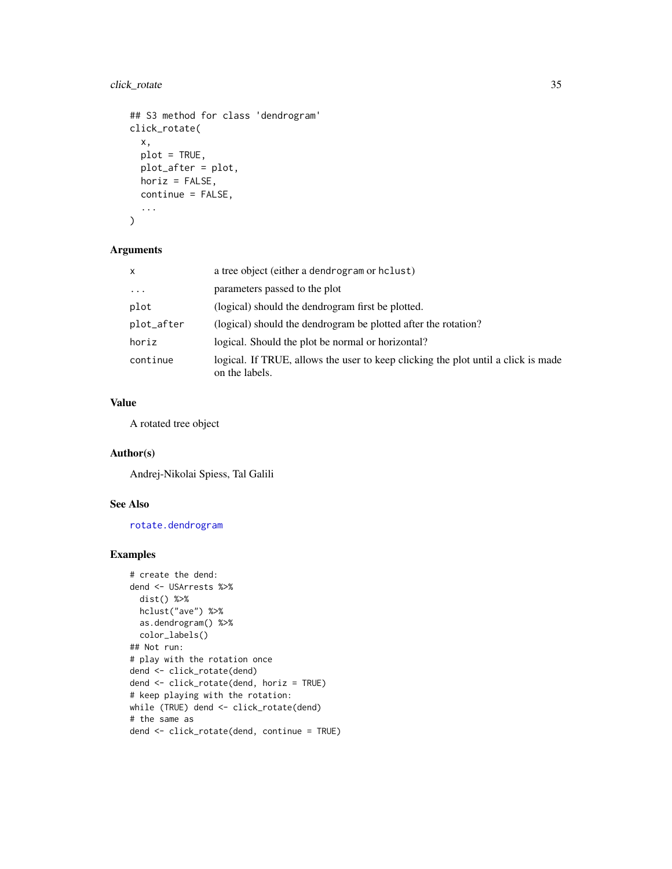# click\_rotate 35

```
## S3 method for class 'dendrogram'
click_rotate(
  x,
 plot = TRUE,
 plot_after = plot,
 horiz = FALSE,
 continue = FALSE,
  ...
```
#### )

# Arguments

| X          | a tree object (either a dendrogram or hclust)                                                       |
|------------|-----------------------------------------------------------------------------------------------------|
| $\cdots$   | parameters passed to the plot                                                                       |
| plot       | (logical) should the dendrogram first be plotted.                                                   |
| plot_after | (logical) should the dendrogram be plotted after the rotation?                                      |
| horiz      | logical. Should the plot be normal or horizontal?                                                   |
| continue   | logical. If TRUE, allows the user to keep clicking the plot until a click is made<br>on the labels. |

# Value

A rotated tree object

# Author(s)

Andrej-Nikolai Spiess, Tal Galili

#### See Also

[rotate.dendrogram](#page-165-1)

```
# create the dend:
dend <- USArrests %>%
 dist() %>%
 hclust("ave") %>%
 as.dendrogram() %>%
 color_labels()
## Not run:
# play with the rotation once
dend <- click_rotate(dend)
dend <- click_rotate(dend, horiz = TRUE)
# keep playing with the rotation:
while (TRUE) dend <- click_rotate(dend)
# the same as
dend <- click_rotate(dend, continue = TRUE)
```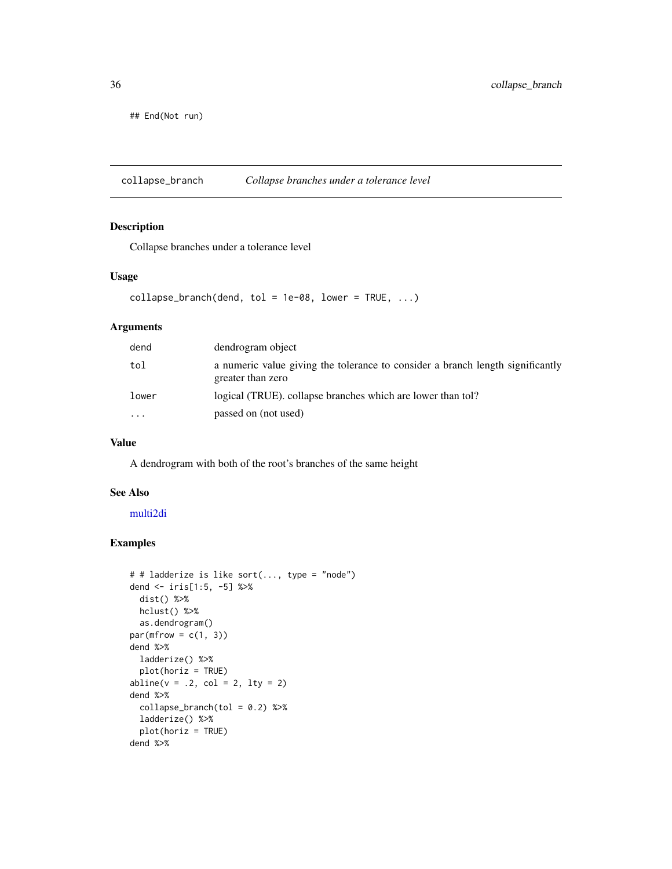<span id="page-35-0"></span>## End(Not run)

collapse\_branch *Collapse branches under a tolerance level*

# Description

Collapse branches under a tolerance level

# Usage

```
collapse_branch(dend, tol = 1e-08, lower = TRUE, ...)
```
### Arguments

| dend  | dendrogram object                                                                                   |
|-------|-----------------------------------------------------------------------------------------------------|
| tol   | a numeric value giving the tolerance to consider a branch length significantly<br>greater than zero |
| lower | logical (TRUE). collapse branches which are lower than tol?                                         |
| .     | passed on (not used)                                                                                |

# Value

A dendrogram with both of the root's branches of the same height

#### See Also

[multi2di](#page-0-0)

```
# # ladderize is like sort(..., type = "node")
dend <- iris[1:5, -5] %>%
  dist() %>%
 hclust() %>%
  as.dendrogram()
par(mfrow = c(1, 3))dend %>%
  ladderize() %>%
  plot(horiz = TRUE)
abline(v = .2, col = 2, lty = 2)dend %>%
  collapse\_branch(tol = 0.2) %>%
  ladderize() %>%
  plot(horiz = TRUE)
dend %>%
```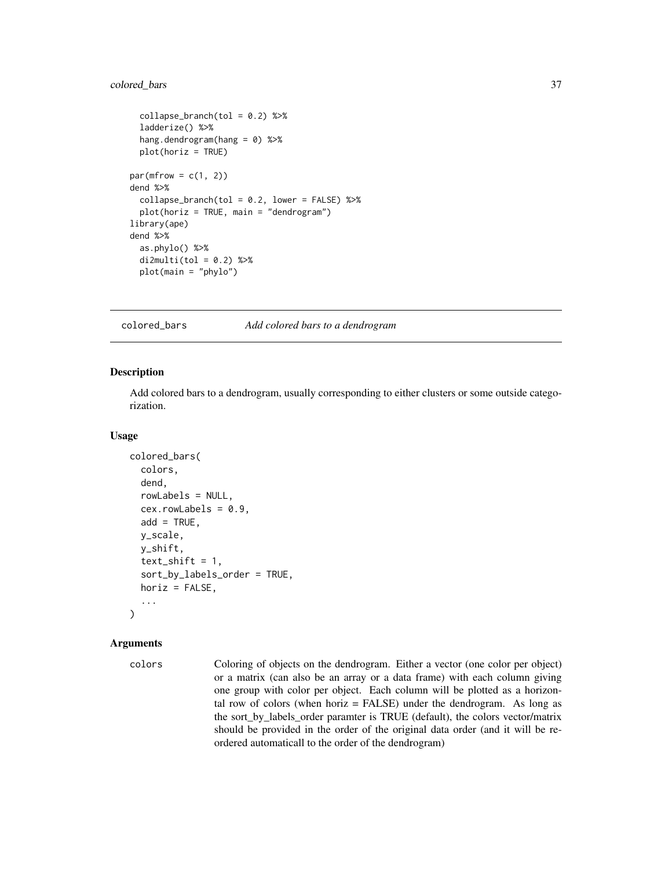## colored\_bars 37

```
collapse\_branch(tol = 0.2) %>%
 ladderize() %>%
 hang.dendrogram(hang = 0) %>%
 plot(horiz = TRUE)
par(mfrow = c(1, 2))dend %>%
 collapse\_branch(tol = 0.2, lower = FALSE) %>%
 plot(horiz = TRUE, main = "dendrogram")
library(ape)
dend %>%
 as.phylo() %>%
 di2multi(tol = 0.2) %>%
 plot(main = "phylo")
```
colored\_bars *Add colored bars to a dendrogram*

### Description

Add colored bars to a dendrogram, usually corresponding to either clusters or some outside categorization.

### Usage

```
colored_bars(
  colors,
  dend,
  rowLabels = NULL,
  cex.rowLabels = 0.9,
  add = TRUE,y_scale,
 y_shift,
  text\_shift = 1,
  sort_by_labels_order = TRUE,
 horiz = FALSE,
  ...
)
```

```
colors Coloring of objects on the dendrogram. Either a vector (one color per object)
                  or a matrix (can also be an array or a data frame) with each column giving
                  one group with color per object. Each column will be plotted as a horizon-
                 tal row of colors (when horiz = FALSE) under the dendrogram. As long as
                  the sort_by_labels_order paramter is TRUE (default), the colors vector/matrix
                  should be provided in the order of the original data order (and it will be re-
                  ordered automaticall to the order of the dendrogram)
```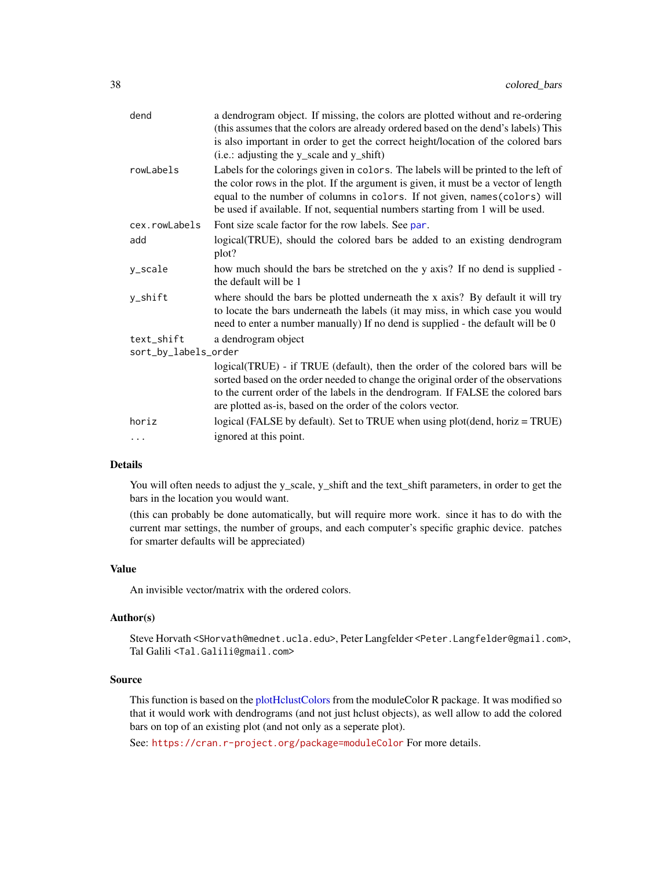| dend                 | a dendrogram object. If missing, the colors are plotted without and re-ordering<br>(this assumes that the colors are already ordered based on the dend's labels) This<br>is also important in order to get the correct height/location of the colored bars<br>(i.e.: adjusting the y_scale and y_shift)                                     |  |
|----------------------|---------------------------------------------------------------------------------------------------------------------------------------------------------------------------------------------------------------------------------------------------------------------------------------------------------------------------------------------|--|
| rowLabels            | Labels for the colorings given in colors. The labels will be printed to the left of<br>the color rows in the plot. If the argument is given, it must be a vector of length<br>equal to the number of columns in colors. If not given, names (colors) will<br>be used if available. If not, sequential numbers starting from 1 will be used. |  |
| cex.rowLabels        | Font size scale factor for the row labels. See par.                                                                                                                                                                                                                                                                                         |  |
| add                  | logical (TRUE), should the colored bars be added to an existing dendrogram<br>plot?                                                                                                                                                                                                                                                         |  |
| y_scale              | how much should the bars be stretched on the y axis? If no dend is supplied -<br>the default will be 1                                                                                                                                                                                                                                      |  |
| y_shift              | where should the bars be plotted underneath the x axis? By default it will try<br>to locate the bars underneath the labels (it may miss, in which case you would<br>need to enter a number manually) If no dend is supplied - the default will be 0                                                                                         |  |
| text_shift           | a dendrogram object                                                                                                                                                                                                                                                                                                                         |  |
| sort_by_labels_order |                                                                                                                                                                                                                                                                                                                                             |  |
|                      | logical(TRUE) - if TRUE (default), then the order of the colored bars will be<br>sorted based on the order needed to change the original order of the observations<br>to the current order of the labels in the dendrogram. If FALSE the colored bars<br>are plotted as-is, based on the order of the colors vector.                        |  |
| horiz                | logical (FALSE by default). Set to TRUE when using plot(dend, horiz = TRUE)                                                                                                                                                                                                                                                                 |  |
| $\cdots$             | ignored at this point.                                                                                                                                                                                                                                                                                                                      |  |
|                      |                                                                                                                                                                                                                                                                                                                                             |  |

## Details

You will often needs to adjust the y\_scale, y\_shift and the text\_shift parameters, in order to get the bars in the location you would want.

(this can probably be done automatically, but will require more work. since it has to do with the current mar settings, the number of groups, and each computer's specific graphic device. patches for smarter defaults will be appreciated)

## Value

An invisible vector/matrix with the ordered colors.

## Author(s)

Steve Horvath <SHorvath@mednet.ucla.edu>, Peter Langfelder <Peter.Langfelder@gmail.com>, Tal Galili <Tal.Galili@gmail.com>

## Source

This function is based on the [plotHclustColors](#page-0-0) from the moduleColor R package. It was modified so that it would work with dendrograms (and not just hclust objects), as well allow to add the colored bars on top of an existing plot (and not only as a seperate plot).

See: <https://cran.r-project.org/package=moduleColor> For more details.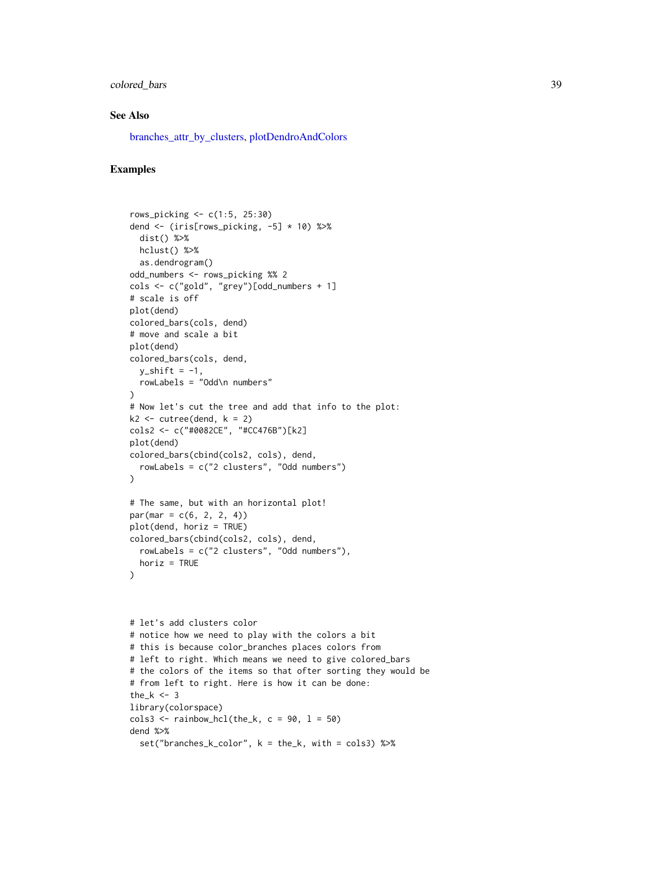## colored\_bars 39

### See Also

[branches\\_attr\\_by\\_clusters,](#page-25-0) [plotDendroAndColors](#page-0-0)

## Examples

```
rows_picking <- c(1:5, 25:30)
dend <- (iris[rows_picking, -5] * 10) %>%
 dist() %>%
 hclust() %>%
  as.dendrogram()
odd_numbers <- rows_picking %% 2
cols <- c("gold", "grey")[odd_numbers + 1]
# scale is off
plot(dend)
colored_bars(cols, dend)
# move and scale a bit
plot(dend)
colored_bars(cols, dend,
  y_shift = -1,
 rowLabels = "Odd\n numbers"
\lambda# Now let's cut the tree and add that info to the plot:
k2 \le cutree(dend, k = 2)
cols2 <- c("#0082CE", "#CC476B")[k2]
plot(dend)
colored_bars(cbind(cols2, cols), dend,
  rowLabels = c("2 clusters", "Odd numbers")
)
# The same, but with an horizontal plot!
par(max = c(6, 2, 2, 4))plot(dend, horiz = TRUE)
colored_bars(cbind(cols2, cols), dend,
  rowLabels = c("2 clusters", "Odd numbers"),
 horiz = TRUE
)
# let's add clusters color
# notice how we need to play with the colors a bit
# this is because color_branches places colors from
# left to right. Which means we need to give colored_bars
# the colors of the items so that ofter sorting they would be
# from left to right. Here is how it can be done:
the_k < -3library(colorspace)
\text{cols3} \leq \text{rainbow\_hcl(the\_k, c = 90, l = 50})dend %>%
```
set("branches\_k\_color", k = the\_k, with = cols3) %>%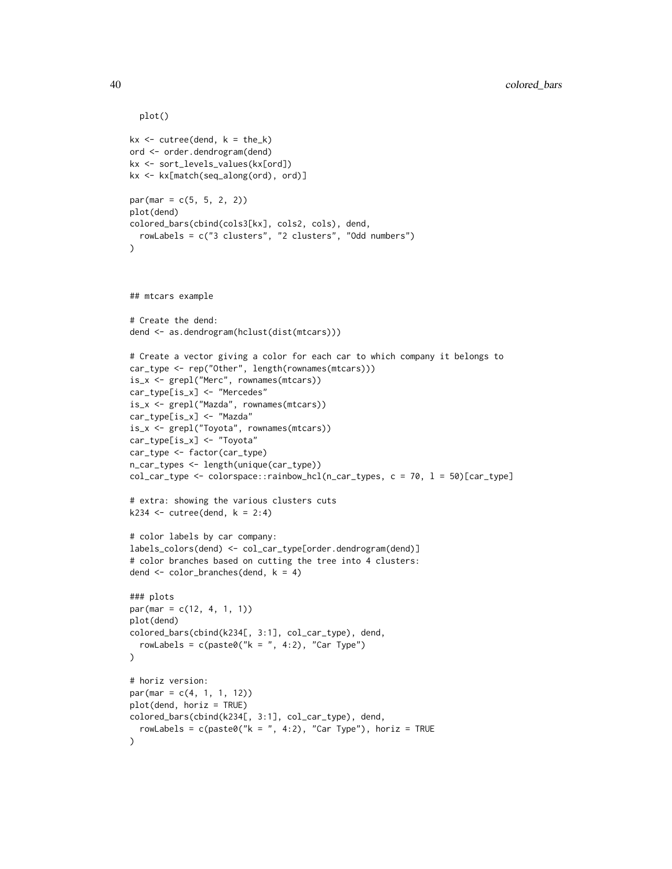```
plot()
kx \le cutree(dend, k = the_k)
ord <- order.dendrogram(dend)
kx <- sort_levels_values(kx[ord])
kx <- kx[match(seq_along(ord), ord)]
par(max = c(5, 5, 2, 2))plot(dend)
colored_bars(cbind(cols3[kx], cols2, cols), dend,
  rowLabels = c("3 clusters", "2 clusters", "Odd numbers")
\lambda## mtcars example
# Create the dend:
dend <- as.dendrogram(hclust(dist(mtcars)))
# Create a vector giving a color for each car to which company it belongs to
car_type <- rep("Other", length(rownames(mtcars)))
is_x <- grepl("Merc", rownames(mtcars))
car_type[is_x] <- "Mercedes"
is_x <- grepl("Mazda", rownames(mtcars))
car_type[is_x] <- "Mazda"
is_x <- grepl("Toyota", rownames(mtcars))
car_type[is_x] <- "Toyota"
car_type <- factor(car_type)
n_car_types <- length(unique(car_type))
col_car_type <- colorspace::rainbow_hcl(n_car_types, c = 70, l = 50)[car_type]
# extra: showing the various clusters cuts
k234 \le cutree(dend, k = 2:4)
# color labels by car company:
labels_colors(dend) <- col_car_type[order.dendrogram(dend)]
# color branches based on cutting the tree into 4 clusters:
dend \le color_branches(dend, k = 4)
### plots
par(mar = c(12, 4, 1, 1))
plot(dend)
colored_bars(cbind(k234[, 3:1], col_car_type), dend,
  rowLabels = c(paste0("k =", 4:2), "Car Type")
\lambda# horiz version:
par(max = c(4, 1, 1, 12))plot(dend, horiz = TRUE)
colored_bars(cbind(k234[, 3:1], col_car_type), dend,
  rowLabels = c(paste0("k = ", 4:2), "Car Type"), horiz = TRUE
)
```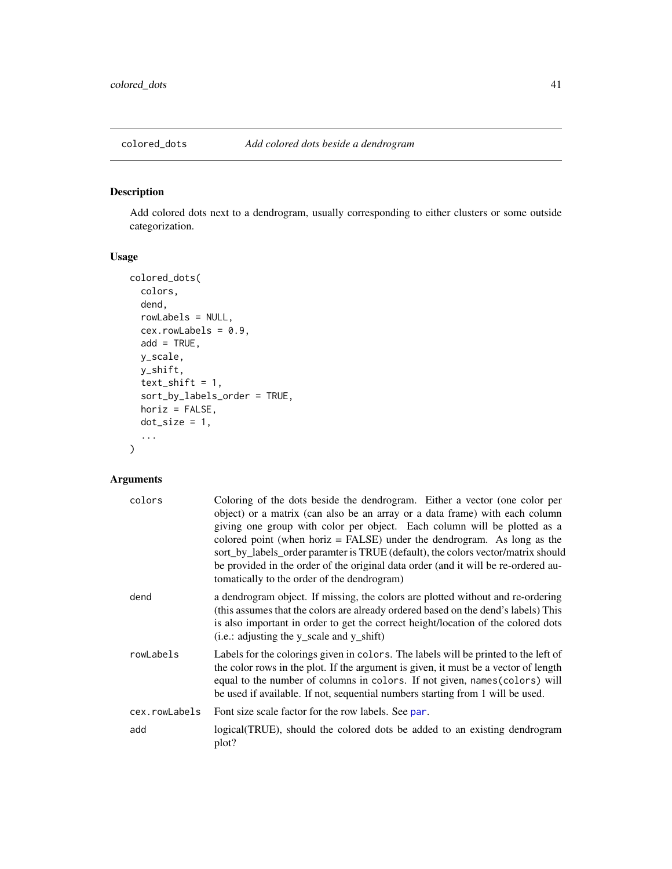Add colored dots next to a dendrogram, usually corresponding to either clusters or some outside categorization.

# Usage

```
colored_dots(
  colors,
  dend,
  rowLabels = NULL,
  cex.rowLabels = 0.9,
  add = TRUE,y_scale,
  y_shift,
  text\_shift = 1,sort_by_labels_order = TRUE,
  horiz = FALSE,dot\_size = 1,
  ...
)
```

| colors        | Coloring of the dots beside the dendrogram. Either a vector (one color per<br>object) or a matrix (can also be an array or a data frame) with each column<br>giving one group with color per object. Each column will be plotted as a<br>colored point (when horiz $=$ FALSE) under the dendrogram. As long as the<br>sort_by_labels_order paramter is TRUE (default), the colors vector/matrix should<br>be provided in the order of the original data order (and it will be re-ordered au-<br>to the order of the dendrogram) |
|---------------|---------------------------------------------------------------------------------------------------------------------------------------------------------------------------------------------------------------------------------------------------------------------------------------------------------------------------------------------------------------------------------------------------------------------------------------------------------------------------------------------------------------------------------|
| dend          | a dendrogram object. If missing, the colors are plotted without and re-ordering<br>(this assumes that the colors are already ordered based on the dend's labels) This<br>is also important in order to get the correct height/location of the colored dots<br>(i.e.: adjusting the y_scale and y_shift)                                                                                                                                                                                                                         |
| rowLabels     | Labels for the colorings given in colors. The labels will be printed to the left of<br>the color rows in the plot. If the argument is given, it must be a vector of length<br>equal to the number of columns in colors. If not given, names (colors) will<br>be used if available. If not, sequential numbers starting from 1 will be used.                                                                                                                                                                                     |
| cex.rowLabels | Font size scale factor for the row labels. See par.                                                                                                                                                                                                                                                                                                                                                                                                                                                                             |
| add           | logical (TRUE), should the colored dots be added to an existing dendrogram<br>plot?                                                                                                                                                                                                                                                                                                                                                                                                                                             |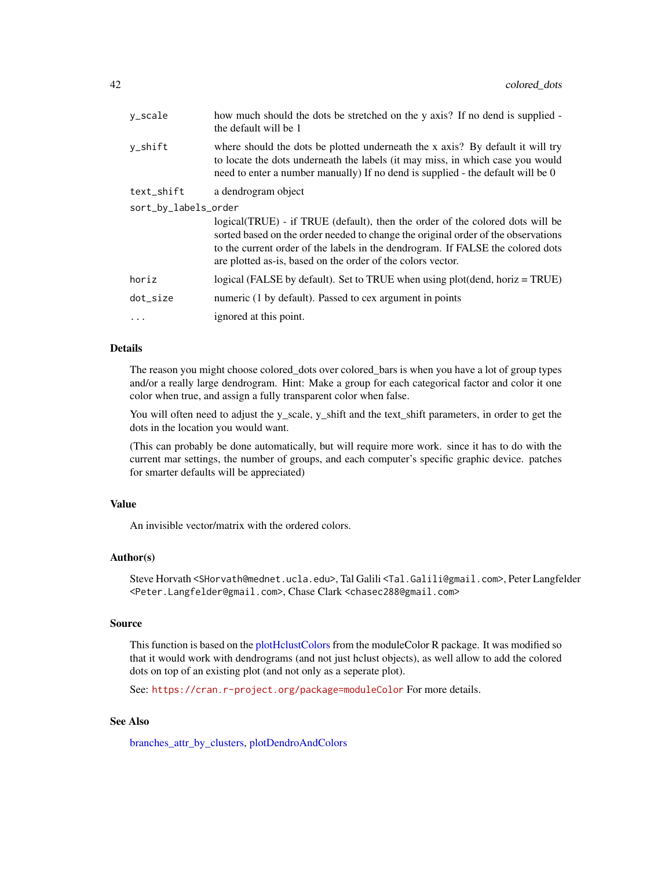| y_scale              | how much should the dots be stretched on the y axis? If no dend is supplied -<br>the default will be 1                                                                                                                                                                                                                |  |
|----------------------|-----------------------------------------------------------------------------------------------------------------------------------------------------------------------------------------------------------------------------------------------------------------------------------------------------------------------|--|
| y_shift              | where should the dots be plotted underneath the x axis? By default it will try<br>to locate the dots underneath the labels (it may miss, in which case you would<br>need to enter a number manually) If no dend is supplied - the default will be 0                                                                   |  |
| text_shift           | a dendrogram object                                                                                                                                                                                                                                                                                                   |  |
| sort_by_labels_order |                                                                                                                                                                                                                                                                                                                       |  |
|                      | logical (TRUE) - if TRUE (default), then the order of the colored dots will be<br>sorted based on the order needed to change the original order of the observations<br>to the current order of the labels in the dendrogram. If FALSE the colored dots<br>are plotted as-is, based on the order of the colors vector. |  |
| horiz                | logical (FALSE by default). Set to TRUE when using plot(dend, horiz = TRUE)                                                                                                                                                                                                                                           |  |
| dot_size             | numeric (1 by default). Passed to cex argument in points                                                                                                                                                                                                                                                              |  |
| $\ddots$             | ignored at this point.                                                                                                                                                                                                                                                                                                |  |
|                      |                                                                                                                                                                                                                                                                                                                       |  |

## Details

The reason you might choose colored\_dots over colored\_bars is when you have a lot of group types and/or a really large dendrogram. Hint: Make a group for each categorical factor and color it one color when true, and assign a fully transparent color when false.

You will often need to adjust the y\_scale, y\_shift and the text\_shift parameters, in order to get the dots in the location you would want.

(This can probably be done automatically, but will require more work. since it has to do with the current mar settings, the number of groups, and each computer's specific graphic device. patches for smarter defaults will be appreciated)

### Value

An invisible vector/matrix with the ordered colors.

## Author(s)

Steve Horvath <SHorvath@mednet.ucla.edu>, Tal Galili <Tal.Galili@gmail.com>, Peter Langfelder <Peter.Langfelder@gmail.com>, Chase Clark <chasec288@gmail.com>

## Source

This function is based on the [plotHclustColors](#page-0-0) from the moduleColor R package. It was modified so that it would work with dendrograms (and not just hclust objects), as well allow to add the colored dots on top of an existing plot (and not only as a seperate plot).

See: <https://cran.r-project.org/package=moduleColor> For more details.

# See Also

[branches\\_attr\\_by\\_clusters,](#page-25-0) [plotDendroAndColors](#page-0-0)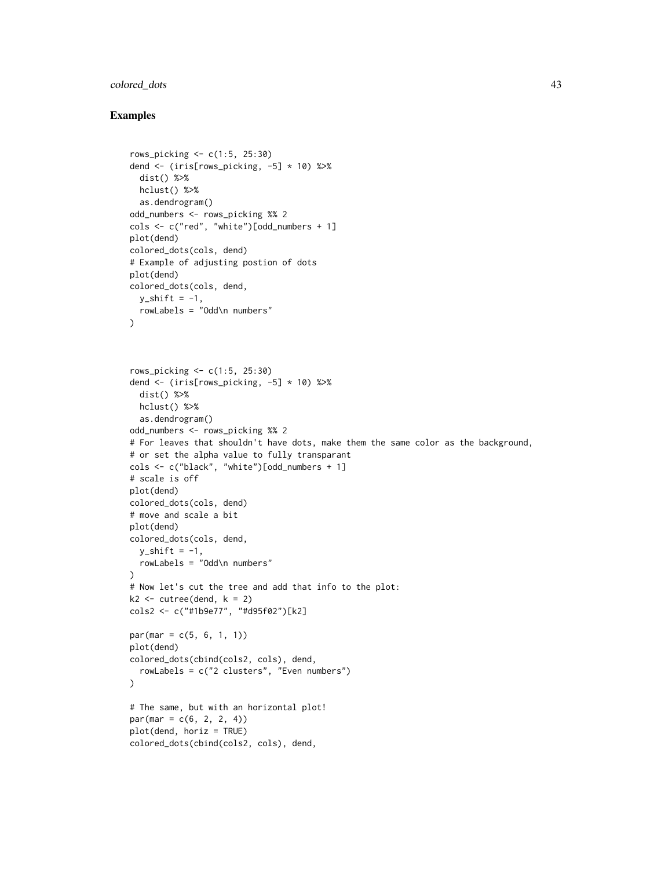## colored\_dots 43

```
rows_picking <- c(1:5, 25:30)
dend <- (iris[rows_picking, -5] * 10) %>%
  dist() %>%
 hclust() %>%
  as.dendrogram()
odd_numbers <- rows_picking %% 2
cols <- c("red", "white")[odd_numbers + 1]
plot(dend)
colored_dots(cols, dend)
# Example of adjusting postion of dots
plot(dend)
colored_dots(cols, dend,
 y_shift = -1,
 rowLabels = "Odd\n numbers"
)
rows_picking <- c(1:5, 25:30)
dend <- (iris[rows_picking, -5] * 10) %>%
 dist() %>%
 hclust() %>%
  as.dendrogram()
odd_numbers <- rows_picking %% 2
# For leaves that shouldn't have dots, make them the same color as the background,
# or set the alpha value to fully transparant
cols <- c("black", "white")[odd_numbers + 1]
# scale is off
plot(dend)
colored_dots(cols, dend)
# move and scale a bit
plot(dend)
colored_dots(cols, dend,
  y_shift = -1,
  rowLabels = "Odd\n numbers"
)
# Now let's cut the tree and add that info to the plot:
k2 \le cutree(dend, k = 2)
cols2 <- c("#1b9e77", "#d95f02")[k2]
par(max = c(5, 6, 1, 1))plot(dend)
colored_dots(cbind(cols2, cols), dend,
  rowLabels = c("2 clusters", "Even numbers")
)
# The same, but with an horizontal plot!
par(max = c(6, 2, 2, 4))plot(dend, horiz = TRUE)
colored_dots(cbind(cols2, cols), dend,
```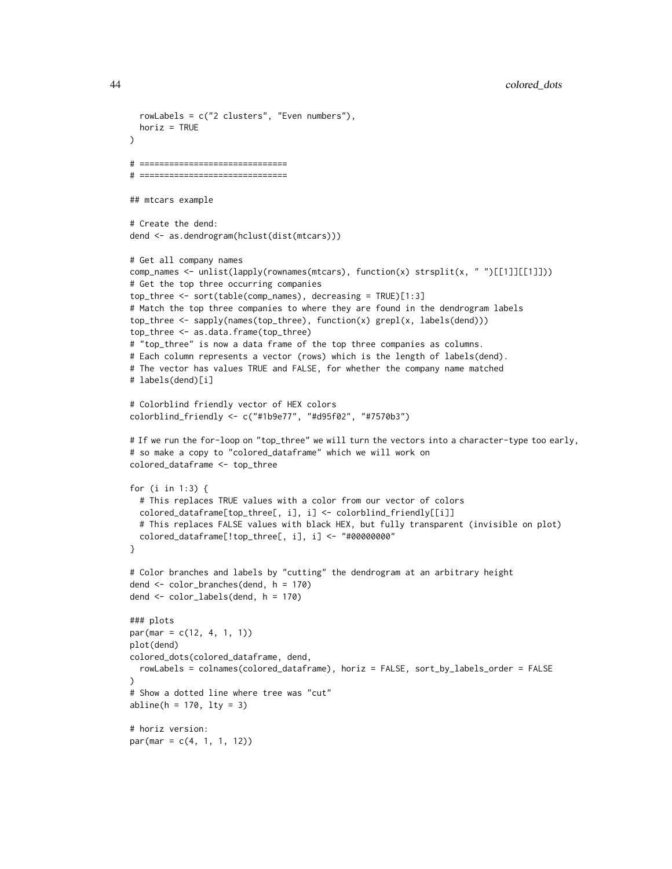```
rowLabels = c("2 clusters", "Even numbers"),
  horiz = TRUE
)
# ==============================
# ==============================
## mtcars example
# Create the dend:
dend <- as.dendrogram(hclust(dist(mtcars)))
# Get all company names
comp_names <- unlist(lapply(rownames(mtcars), function(x) strsplit(x, " ")[[1]][[1]]))
# Get the top three occurring companies
top_three <- sort(table(comp_names), decreasing = TRUE)[1:3]
# Match the top three companies to where they are found in the dendrogram labels
top_three <- sapply(names(top_three), function(x) grepl(x, labels(dend)))
top_three <- as.data.frame(top_three)
# "top_three" is now a data frame of the top three companies as columns.
# Each column represents a vector (rows) which is the length of labels(dend).
# The vector has values TRUE and FALSE, for whether the company name matched
# labels(dend)[i]
# Colorblind friendly vector of HEX colors
colorblind_friendly <- c("#1b9e77", "#d95f02", "#7570b3")
# If we run the for-loop on "top_three" we will turn the vectors into a character-type too early,
# so make a copy to "colored_dataframe" which we will work on
colored_dataframe <- top_three
for (i in 1:3) {
  # This replaces TRUE values with a color from our vector of colors
  colored_dataframe[top_three[, i], i] <- colorblind_friendly[[i]]
  # This replaces FALSE values with black HEX, but fully transparent (invisible on plot)
  colored_dataframe[!top_three[, i], i] <- "#00000000"
}
# Color branches and labels by "cutting" the dendrogram at an arbitrary height
dend <- color_branches(dend, h = 170)
dend <- color_labels(dend, h = 170)
### plots
par(mar = c(12, 4, 1, 1))
plot(dend)
colored_dots(colored_dataframe, dend,
  rowLabels = colnames(colored_dataframe), horiz = FALSE, sort_by_labels_order = FALSE
\lambda# Show a dotted line where tree was "cut"
abline(h = 170, 1ty = 3)# horiz version:
par(max = c(4, 1, 1, 12))
```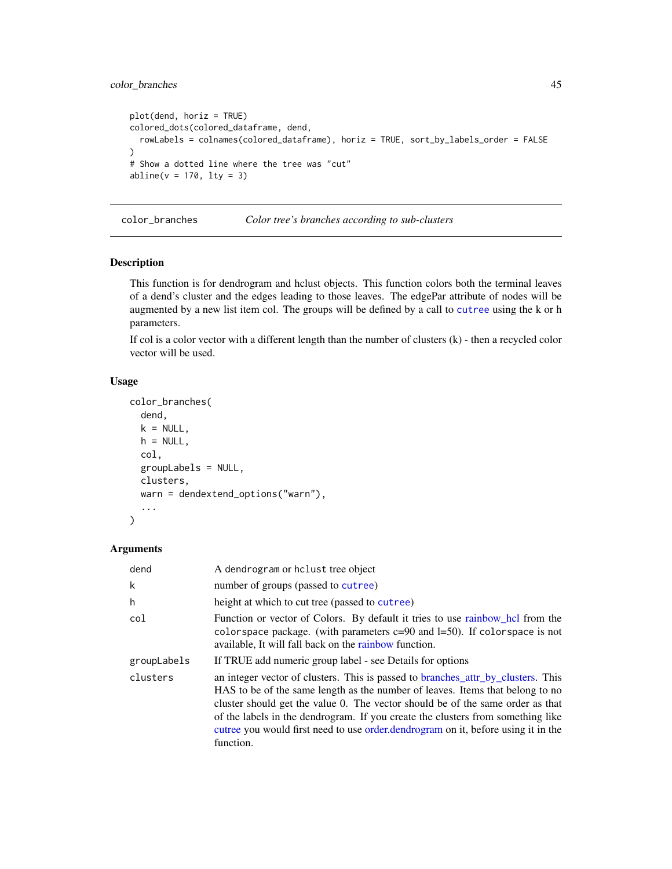# color\_branches 45

```
plot(dend, horiz = TRUE)
colored_dots(colored_dataframe, dend,
  rowLabels = colnames(colored_dataframe), horiz = TRUE, sort_by_labels_order = FALSE
)
# Show a dotted line where the tree was "cut"
abline(v = 170, lty = 3)
```
<span id="page-44-0"></span>color\_branches *Color tree's branches according to sub-clusters*

#### Description

This function is for dendrogram and hclust objects. This function colors both the terminal leaves of a dend's cluster and the edges leading to those leaves. The edgePar attribute of nodes will be augmented by a new list item col. The groups will be defined by a call to [cutree](#page-61-0) using the k or h parameters.

If col is a color vector with a different length than the number of clusters (k) - then a recycled color vector will be used.

# Usage

```
color_branches(
  dend,
  k = NULL,h = NULL,col,
  groupLabels = NULL,
  clusters,
  warn = dendextend_options("warn"),
  ...
\mathcal{L}
```

| dend        | A dendrogram or holust tree object                                                                                                                                                                                                                                                                                                                                                                                                       |  |
|-------------|------------------------------------------------------------------------------------------------------------------------------------------------------------------------------------------------------------------------------------------------------------------------------------------------------------------------------------------------------------------------------------------------------------------------------------------|--|
| k           | number of groups (passed to cutree)                                                                                                                                                                                                                                                                                                                                                                                                      |  |
| h           | height at which to cut tree (passed to cutree)                                                                                                                                                                                                                                                                                                                                                                                           |  |
| col         | Function or vector of Colors. By default it tries to use rainbow_hcl from the<br>colorspace package. (with parameters $c=90$ and $l=50$ ). If colorspace is not<br>available, It will fall back on the rainbow function.                                                                                                                                                                                                                 |  |
| groupLabels | If TRUE add numeric group label - see Details for options                                                                                                                                                                                                                                                                                                                                                                                |  |
| clusters    | an integer vector of clusters. This is passed to branches_attr_by_clusters. This<br>HAS to be of the same length as the number of leaves. Items that belong to no<br>cluster should get the value 0. The vector should be of the same order as that<br>of the labels in the dendrogram. If you create the clusters from something like<br>cutree you would first need to use order dendrogram on it, before using it in the<br>function. |  |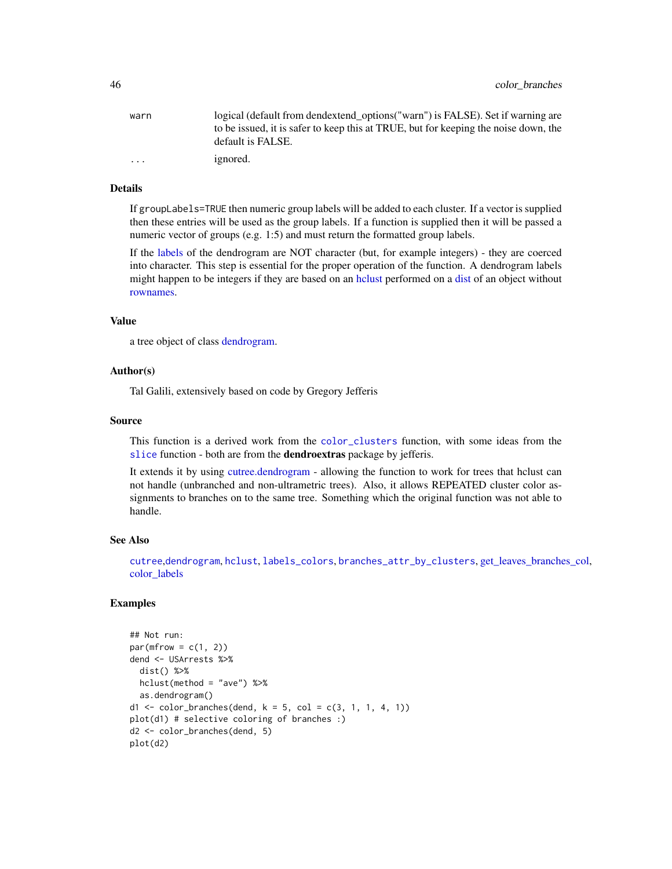| warn    | logical (default from dendextend_options("warn") is FALSE). Set if warning are      |
|---------|-------------------------------------------------------------------------------------|
|         | to be issued, it is safer to keep this at TRUE, but for keeping the noise down, the |
|         | default is FALSE.                                                                   |
| $\cdot$ | <i>ignored.</i>                                                                     |

## Details

If groupLabels=TRUE then numeric group labels will be added to each cluster. If a vector is supplied then these entries will be used as the group labels. If a function is supplied then it will be passed a numeric vector of groups (e.g. 1:5) and must return the formatted group labels.

If the [labels](#page-0-0) of the dendrogram are NOT character (but, for example integers) - they are coerced into character. This step is essential for the proper operation of the function. A dendrogram labels might happen to be integers if they are based on an [hclust](#page-0-0) performed on a [dist](#page-0-0) of an object without [rownames.](#page-0-0)

#### Value

a tree object of class [dendrogram.](#page-0-0)

#### Author(s)

Tal Galili, extensively based on code by Gregory Jefferis

## Source

This function is a derived work from the [color\\_clusters](#page-0-0) function, with some ideas from the [slice](#page-0-0) function - both are from the **dendroextras** package by jefferis.

It extends it by using [cutree.dendrogram](#page-61-1) - allowing the function to work for trees that hclust can not handle (unbranched and non-ultrametric trees). Also, it allows REPEATED cluster color assignments to branches on to the same tree. Something which the original function was not able to handle.

# See Also

[cutree](#page-61-0),[dendrogram](#page-0-0), [hclust](#page-0-0), [labels\\_colors](#page-128-0), [branches\\_attr\\_by\\_clusters](#page-25-0), [get\\_leaves\\_branches\\_col,](#page-98-0) [color\\_labels](#page-48-0)

```
## Not run:
par(mfrow = c(1, 2))dend <- USArrests %>%
 dist() %>%
 hclust(method = "ave") %>%
 as.dendrogram()
d1 <- color_branches(dend, k = 5, col = c(3, 1, 1, 4, 1))
plot(d1) # selective coloring of branches :)
d2 <- color_branches(dend, 5)
plot(d2)
```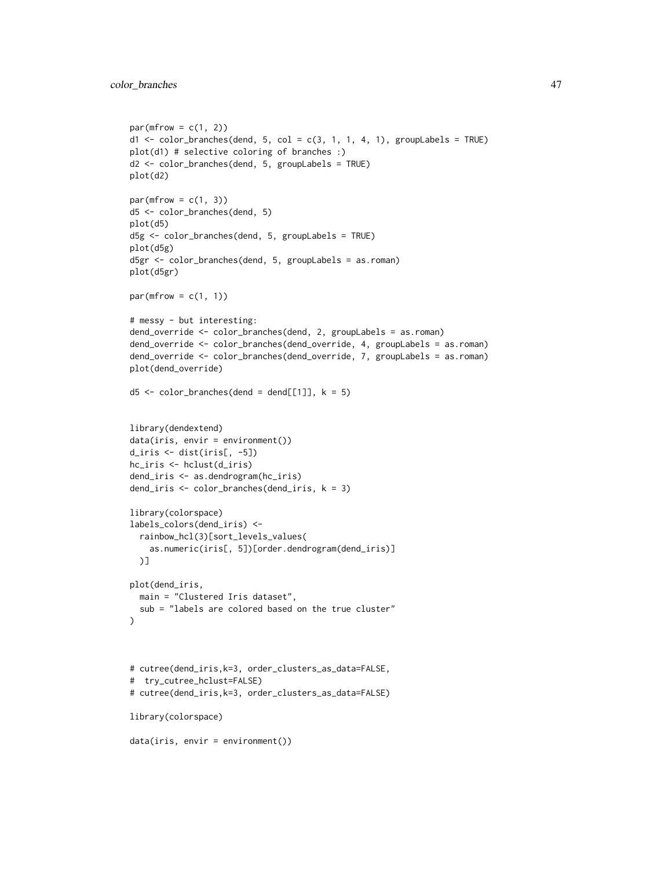```
par(mfrow = c(1, 2))d1 \leq color_branches(dend, 5, col = c(3, 1, 1, 4, 1), groupLabels = TRUE)
plot(d1) # selective coloring of branches :)
d2 <- color_branches(dend, 5, groupLabels = TRUE)
plot(d2)
par(mfrow = c(1, 3))d5 <- color_branches(dend, 5)
plot(d5)
d5g <- color_branches(dend, 5, groupLabels = TRUE)
plot(d5g)
d5gr <- color_branches(dend, 5, groupLabels = as.roman)
plot(d5gr)
par(mfrow = c(1, 1))# messy - but interesting:
dend_override <- color_branches(dend, 2, groupLabels = as.roman)
dend_override <- color_branches(dend_override, 4, groupLabels = as.roman)
dend_override <- color_branches(dend_override, 7, groupLabels = as.roman)
plot(dend_override)
d5 \le color_branches(dend = dend[[1]], k = 5)
library(dendextend)
data(iris, envir = environment())
d_iris <- dist(iris[, -5])
hc_iris <- hclust(d_iris)
dend_iris <- as.dendrogram(hc_iris)
dend_iris <- color_branches(dend_iris, k = 3)
library(colorspace)
labels_colors(dend_iris) <-
  rainbow_hcl(3)[sort_levels_values(
    as.numeric(iris[, 5])[order.dendrogram(dend_iris)]
  )]
plot(dend_iris,
  main = "Clustered Iris dataset",
  sub = "labels are colored based on the true cluster"
\lambda# cutree(dend_iris,k=3, order_clusters_as_data=FALSE,
# try_cutree_hclust=FALSE)
# cutree(dend_iris,k=3, order_clusters_as_data=FALSE)
library(colorspace)
data(iris, envir = environment())
```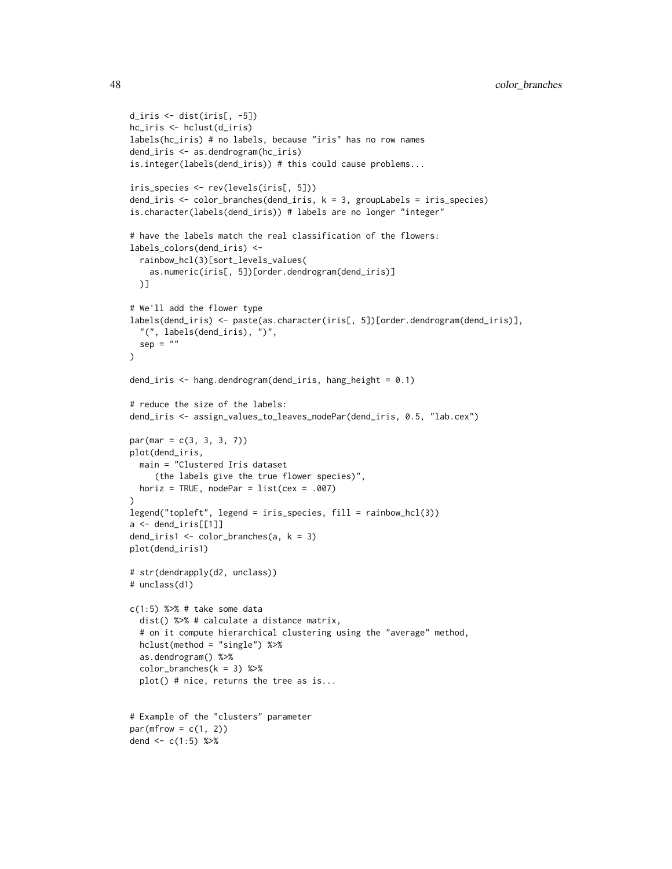```
d_iris <- dist(iris[, -5])
hc_iris <- hclust(d_iris)
labels(hc_iris) # no labels, because "iris" has no row names
dend_iris <- as.dendrogram(hc_iris)
is.integer(labels(dend_iris)) # this could cause problems...
iris_species <- rev(levels(iris[, 5]))
dend_iris <- color_branches(dend_iris, k = 3, groupLabels = iris_species)
is.character(labels(dend_iris)) # labels are no longer "integer"
# have the labels match the real classification of the flowers:
labels_colors(dend_iris) <-
  rainbow_hcl(3)[sort_levels_values(
    as.numeric(iris[, 5])[order.dendrogram(dend_iris)]
  )]
# We'll add the flower type
labels(dend_iris) <- paste(as.character(iris[, 5])[order.dendrogram(dend_iris)],
  "(", labels(dend_iris), ")",
  sep = ""\mathcal{L}dend_iris <- hang.dendrogram(dend_iris, hang_height = 0.1)
# reduce the size of the labels:
dend_iris <- assign_values_to_leaves_nodePar(dend_iris, 0.5, "lab.cex")
par(max = c(3, 3, 3, 7))plot(dend_iris,
  main = "Clustered Iris dataset
     (the labels give the true flower species)",
 horiz = TRUE, nodePar = list(cex = .007))
legend("topleft", legend = iris_species, fill = rainbow_hcl(3))
a \leftarrow dend_iris[[1]]
dend_iris1 <- color_branches(a, k = 3)
plot(dend_iris1)
# str(dendrapply(d2, unclass))
# unclass(d1)
c(1:5) %>% # take some data
  dist() %>% # calculate a distance matrix,
  # on it compute hierarchical clustering using the "average" method,
  hclust(method = "single") %>%
  as.dendrogram() %>%
  color_branches(k = 3) %>%
  plot() # nice, returns the tree as is...
# Example of the "clusters" parameter
par(mfrow = c(1, 2))dend <-c(1:5) %>%
```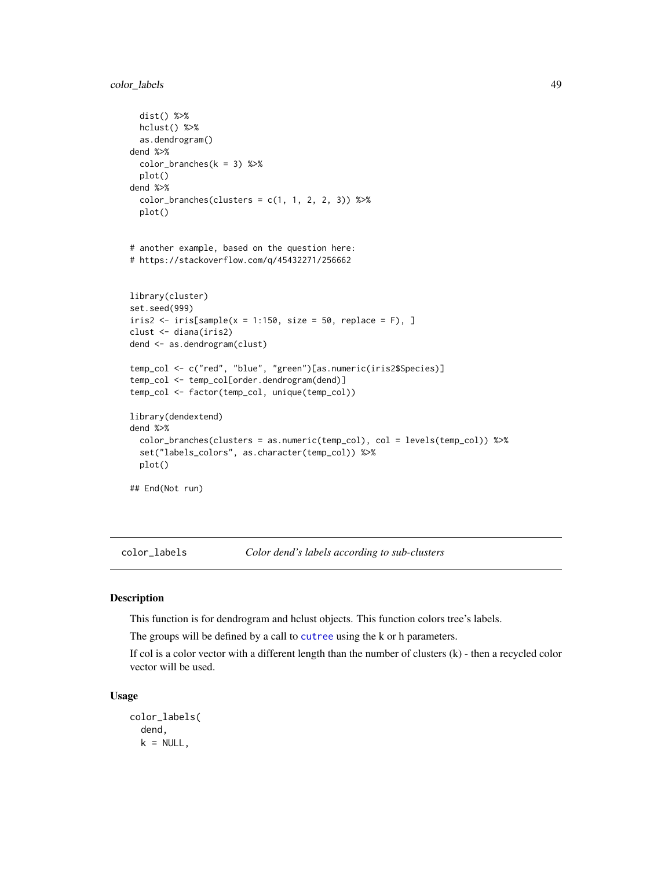# color\_labels 49

```
dist() %>%
 hclust() %>%
 as.dendrogram()
dend %>%
 color_branches(k = 3) %plot()
dend %>%
 color_eraches(clusters = c(1, 1, 2, 2, 3)) %
 plot()
# another example, based on the question here:
# https://stackoverflow.com/q/45432271/256662
library(cluster)
set.seed(999)
iris2 < -iris[sample(x = 1:150, size = 50, replace = F), ]clust <- diana(iris2)
dend <- as.dendrogram(clust)
temp_col <- c("red", "blue", "green")[as.numeric(iris2$Species)]
temp_col <- temp_col[order.dendrogram(dend)]
temp_col <- factor(temp_col, unique(temp_col))
library(dendextend)
dend %>%
 color_branches(clusters = as.numeric(temp_col), col = levels(temp_col)) %>%
 set("labels_colors", as.character(temp_col)) %>%
 plot()
## End(Not run)
```
<span id="page-48-0"></span>color\_labels *Color dend's labels according to sub-clusters*

# Description

This function is for dendrogram and hclust objects. This function colors tree's labels.

The groups will be defined by a call to [cutree](#page-61-0) using the k or h parameters.

If col is a color vector with a different length than the number of clusters (k) - then a recycled color vector will be used.

### Usage

```
color_labels(
  dend,
  k = NULL,
```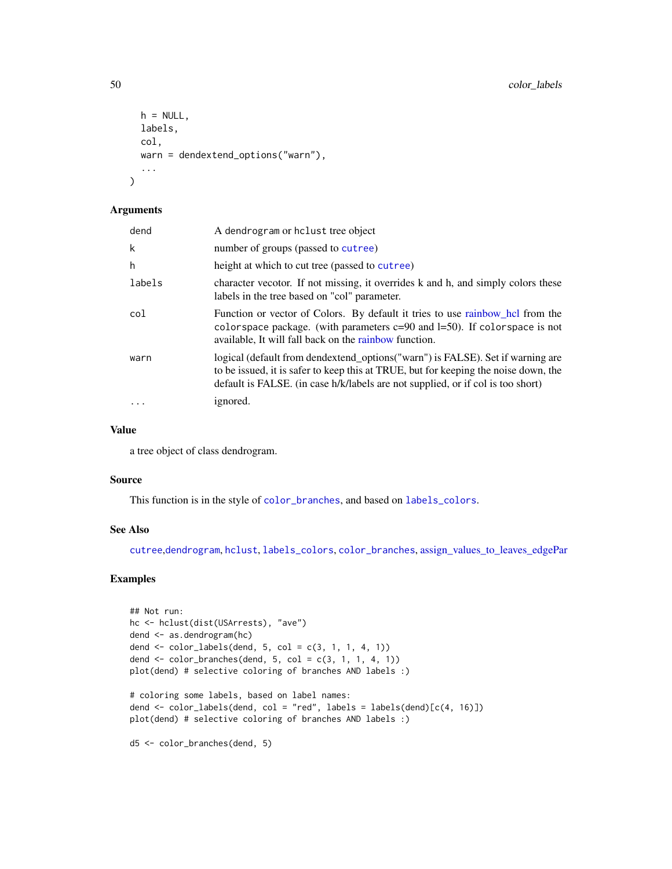```
h = NULL,labels,
 col,
 warn = dendextend_options("warn"),
  ...
\mathcal{L}
```
#### Arguments

| dend   | A dendrogram or holust tree object                                                                                                                                                                                                                       |
|--------|----------------------------------------------------------------------------------------------------------------------------------------------------------------------------------------------------------------------------------------------------------|
| k      | number of groups (passed to cutree)                                                                                                                                                                                                                      |
| h      | height at which to cut tree (passed to cutree)                                                                                                                                                                                                           |
| labels | character vecotor. If not missing, it overrides k and h, and simply colors these<br>labels in the tree based on "col" parameter.                                                                                                                         |
| col    | Function or vector of Colors. By default it tries to use rainbow_hcl from the<br>colorspace package. (with parameters $c=90$ and $l=50$ ). If colorspace is not<br>available. It will fall back on the rainbow function.                                 |
| warn   | logical (default from dendextend_options("warn") is FALSE). Set if warning are<br>to be issued, it is safer to keep this at TRUE, but for keeping the noise down, the<br>default is FALSE. (in case h/k/labels are not supplied, or if col is too short) |
|        | ignored.                                                                                                                                                                                                                                                 |

## Value

a tree object of class dendrogram.

#### Source

This function is in the style of [color\\_branches](#page-44-0), and based on [labels\\_colors](#page-128-0).

#### See Also

[cutree](#page-61-0),[dendrogram](#page-0-0), [hclust](#page-0-0), [labels\\_colors](#page-128-0), [color\\_branches](#page-44-0), [assign\\_values\\_to\\_leaves\\_edgePar](#page-13-0)

```
## Not run:
hc <- hclust(dist(USArrests), "ave")
dend <- as.dendrogram(hc)
dend <- color_labels(dend, 5, col = c(3, 1, 1, 4, 1))
dend \le color_branches(dend, 5, col = c(3, 1, 1, 4, 1))
plot(dend) # selective coloring of branches AND labels :)
# coloring some labels, based on label names:
dend <- color_labels(dend, col = "red", labels = labels(dend)[c(4, 16)])
plot(dend) # selective coloring of branches AND labels :)
d5 <- color_branches(dend, 5)
```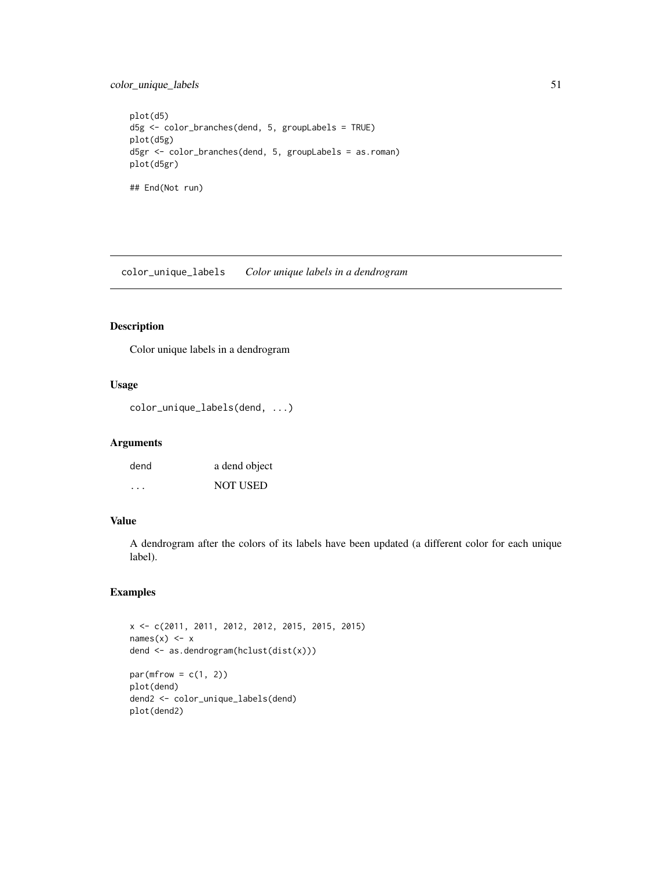# color\_unique\_labels 51

```
plot(d5)
d5g <- color_branches(dend, 5, groupLabels = TRUE)
plot(d5g)
d5gr <- color_branches(dend, 5, groupLabels = as.roman)
plot(d5gr)
## End(Not run)
```
color\_unique\_labels *Color unique labels in a dendrogram*

## Description

Color unique labels in a dendrogram

## Usage

color\_unique\_labels(dend, ...)

#### Arguments

| dend | a dend object   |
|------|-----------------|
| .    | <b>NOT USED</b> |

# Value

A dendrogram after the colors of its labels have been updated (a different color for each unique label).

```
x <- c(2011, 2011, 2012, 2012, 2015, 2015, 2015)
names(x) \leftarrow xdend <- as.dendrogram(hclust(dist(x)))
par(mfrow = c(1, 2))plot(dend)
dend2 <- color_unique_labels(dend)
plot(dend2)
```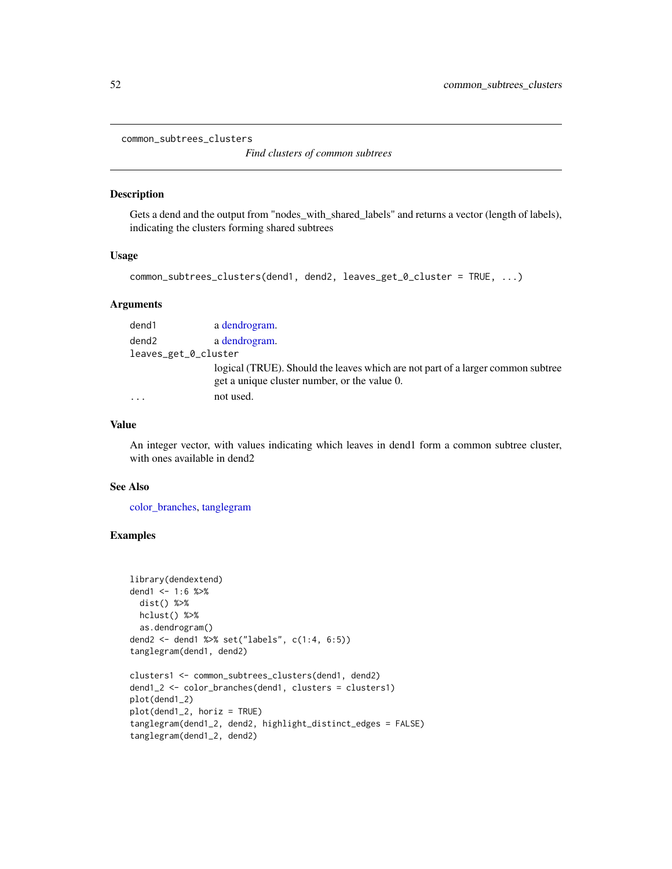common\_subtrees\_clusters

*Find clusters of common subtrees*

## Description

Gets a dend and the output from "nodes\_with\_shared\_labels" and returns a vector (length of labels), indicating the clusters forming shared subtrees

### Usage

```
common_subtrees_clusters(dend1, dend2, leaves_get_0_cluster = TRUE, ...)
```
## **Arguments**

| dend1                | a dendrogram.                                                                   |
|----------------------|---------------------------------------------------------------------------------|
| dend2                | a dendrogram.                                                                   |
| leaves_get_0_cluster |                                                                                 |
|                      | logical (TRUE). Should the leaves which are not part of a larger common subtree |
|                      | get a unique cluster number, or the value 0.                                    |
| $\cdot$              | not used.                                                                       |

## Value

An integer vector, with values indicating which leaves in dend1 form a common subtree cluster, with ones available in dend2

#### See Also

[color\\_branches,](#page-44-0) [tanglegram](#page-184-0)

```
library(dendextend)
dend1 <- 1:6 %>%
 dist() %>%
 hclust() %>%
 as.dendrogram()
dend2 <- dend1 %>% set("labels", c(1:4, 6:5))
tanglegram(dend1, dend2)
clusters1 <- common_subtrees_clusters(dend1, dend2)
dend1_2 <- color_branches(dend1, clusters = clusters1)
plot(dend1_2)
plot(dend1_2, horiz = TRUE)
tanglegram(dend1_2, dend2, highlight_distinct_edges = FALSE)
tanglegram(dend1_2, dend2)
```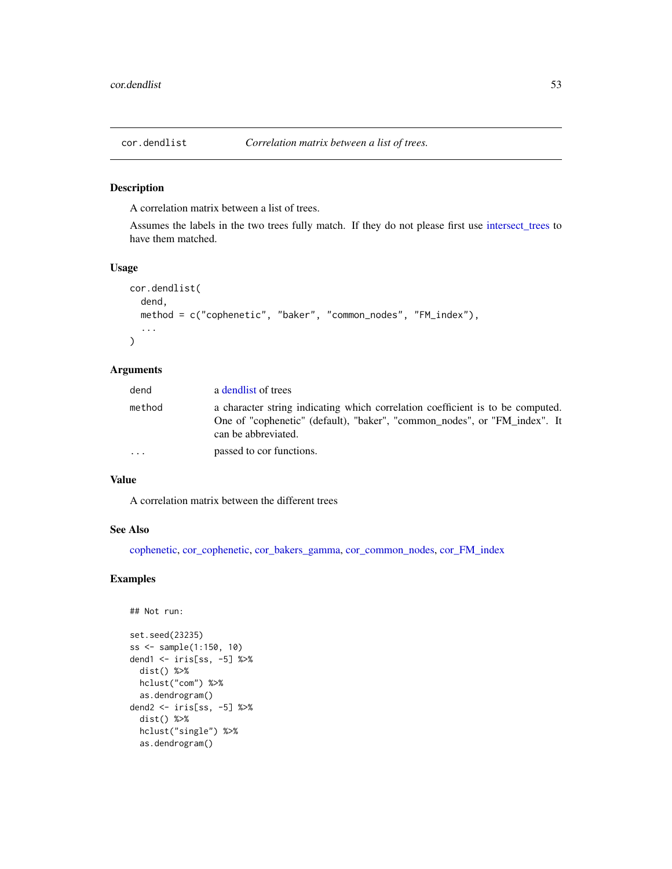<span id="page-52-0"></span>

A correlation matrix between a list of trees.

Assumes the labels in the two trees fully match. If they do not please first use [intersect\\_trees](#page-120-0) to have them matched.

## Usage

```
cor.dendlist(
  dend,
  method = c("cophenetic", "baker", "common_nodes", "FM_index"),
  ...
\lambda
```
#### Arguments

| dend   | a dendlist of trees                                                                                                                                                                |
|--------|------------------------------------------------------------------------------------------------------------------------------------------------------------------------------------|
| method | a character string indicating which correlation coefficient is to be computed.<br>One of "cophenetic" (default), "baker", "common_nodes", or "FM_index". It<br>can be abbreviated. |
| .      | passed to cor functions.                                                                                                                                                           |

#### Value

A correlation matrix between the different trees

### See Also

[cophenetic,](#page-0-0) [cor\\_cophenetic,](#page-57-0) [cor\\_bakers\\_gamma,](#page-53-0) [cor\\_common\\_nodes,](#page-56-0) [cor\\_FM\\_index](#page-59-0)

```
## Not run:
set.seed(23235)
ss <- sample(1:150, 10)
dend1 <- iris[ss, -5] %>%
 dist() %>%
 hclust("com") %>%
 as.dendrogram()
dend2 <- iris[ss, -5] %>%
 dist() %>%
 hclust("single") %>%
 as.dendrogram()
```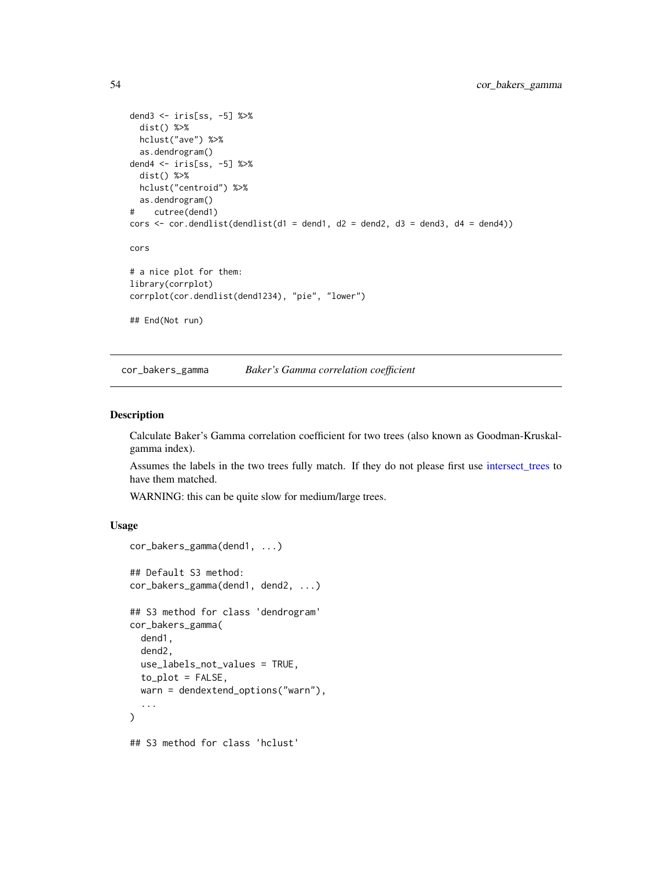```
dend3 <- iris[ss, -5] %>%
  dist() %>%
 hclust("ave") %>%
  as.dendrogram()
dend4 <- iris[ss, -5] %>%
  dist() %>%
 hclust("centroid") %>%
  as.dendrogram()
# cutree(dend1)
cors \le cor.dendlist(dendlist(d1 = dend1, d2 = dend2, d3 = dend3, d4 = dend4))
cors
# a nice plot for them:
library(corrplot)
corrplot(cor.dendlist(dend1234), "pie", "lower")
## End(Not run)
```
<span id="page-53-0"></span>cor\_bakers\_gamma *Baker's Gamma correlation coefficient*

## Description

Calculate Baker's Gamma correlation coefficient for two trees (also known as Goodman-Kruskalgamma index).

Assumes the labels in the two trees fully match. If they do not please first use [intersect\\_trees](#page-120-0) to have them matched.

WARNING: this can be quite slow for medium/large trees.

## Usage

```
cor_bakers_gamma(dend1, ...)
## Default S3 method:
cor_bakers_gamma(dend1, dend2, ...)
## S3 method for class 'dendrogram'
cor_bakers_gamma(
  dend1,
  dend2,
 use_labels_not_values = TRUE,
  to\_plot = FALSE,
 warn = dendextend_options("warn"),
  ...
)
## S3 method for class 'hclust'
```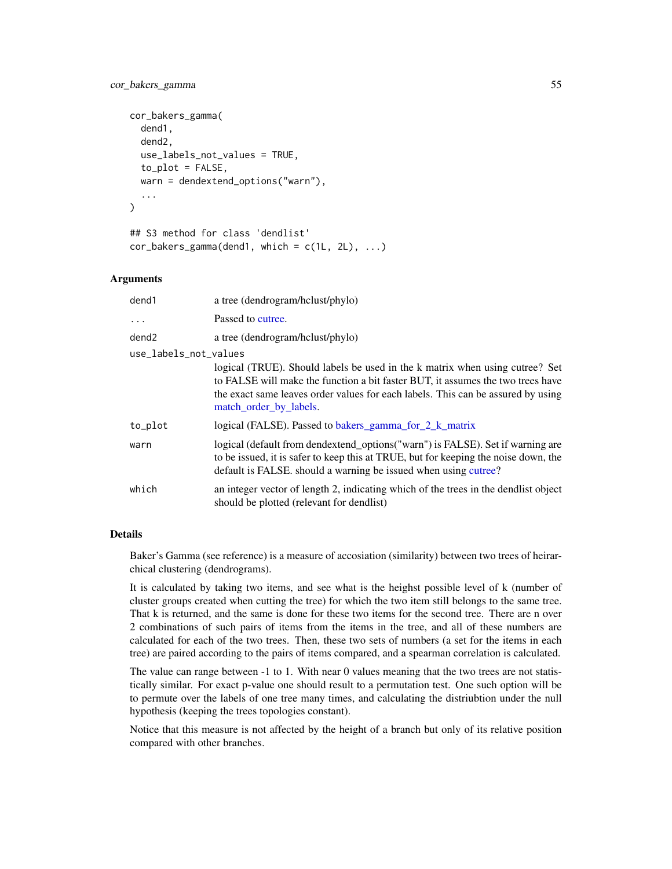# cor\_bakers\_gamma 55

```
cor_bakers_gamma(
  dend1,
  dend2,
  use_labels_not_values = TRUE,
  to\_plot = FALSE,warn = dendextend_options("warn"),
  ...
)
## S3 method for class 'dendlist'
```

```
cor_bakers_gamma(dend1, which = c(1L, 2L), ...
```
# Arguments

| dend1                 | a tree (dendrogram/hclust/phylo)                                                                                                                                                                                                                                              |
|-----------------------|-------------------------------------------------------------------------------------------------------------------------------------------------------------------------------------------------------------------------------------------------------------------------------|
| $\ddots$              | Passed to cutree.                                                                                                                                                                                                                                                             |
| dend <sub>2</sub>     | a tree (dendrogram/hclust/phylo)                                                                                                                                                                                                                                              |
| use_labels_not_values |                                                                                                                                                                                                                                                                               |
|                       | logical (TRUE). Should labels be used in the k matrix when using cutree? Set<br>to FALSE will make the function a bit faster BUT, it assumes the two trees have<br>the exact same leaves order values for each labels. This can be assured by using<br>match_order_by_labels. |
| to_plot               | logical (FALSE). Passed to bakers_gamma_for_2_k_matrix                                                                                                                                                                                                                        |
| warn                  | logical (default from dendextend_options("warn") is FALSE). Set if warning are<br>to be issued, it is safer to keep this at TRUE, but for keeping the noise down, the<br>default is FALSE. should a warning be issued when using cutree?                                      |
| which                 | an integer vector of length 2, indicating which of the trees in the dendlist object<br>should be plotted (relevant for dendlist)                                                                                                                                              |

### Details

Baker's Gamma (see reference) is a measure of accosiation (similarity) between two trees of heirarchical clustering (dendrograms).

It is calculated by taking two items, and see what is the heighst possible level of k (number of cluster groups created when cutting the tree) for which the two item still belongs to the same tree. That k is returned, and the same is done for these two items for the second tree. There are n over 2 combinations of such pairs of items from the items in the tree, and all of these numbers are calculated for each of the two trees. Then, these two sets of numbers (a set for the items in each tree) are paired according to the pairs of items compared, and a spearman correlation is calculated.

The value can range between -1 to 1. With near 0 values meaning that the two trees are not statistically similar. For exact p-value one should result to a permutation test. One such option will be to permute over the labels of one tree many times, and calculating the distriubtion under the null hypothesis (keeping the trees topologies constant).

Notice that this measure is not affected by the height of a branch but only of its relative position compared with other branches.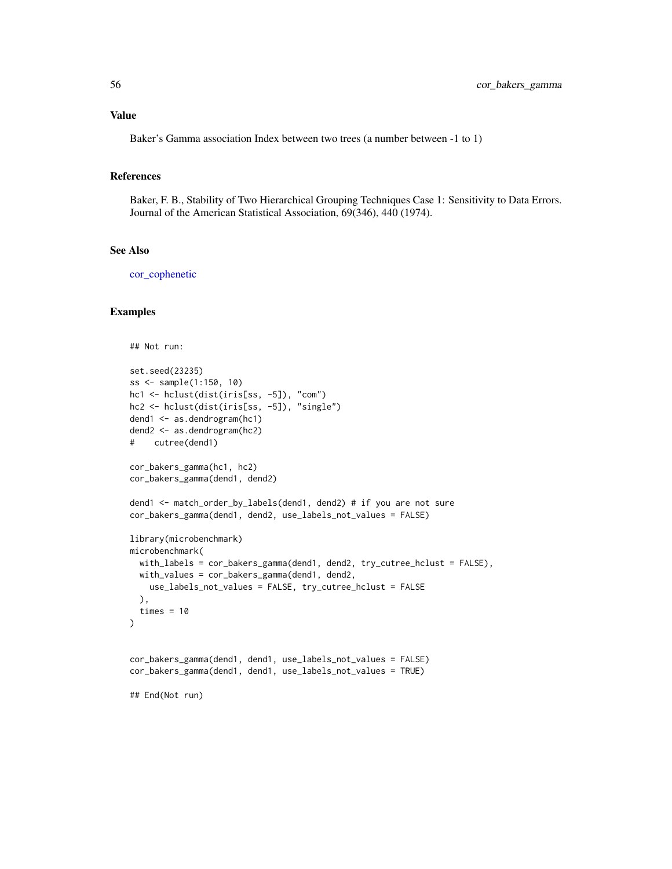## Value

Baker's Gamma association Index between two trees (a number between -1 to 1)

#### References

Baker, F. B., Stability of Two Hierarchical Grouping Techniques Case 1: Sensitivity to Data Errors. Journal of the American Statistical Association, 69(346), 440 (1974).

# See Also

[cor\\_cophenetic](#page-57-0)

```
## Not run:
set.seed(23235)
ss <- sample(1:150, 10)
hc1 <- hclust(dist(iris[ss, -5]), "com")
hc2 <- hclust(dist(iris[ss, -5]), "single")
dend1 <- as.dendrogram(hc1)
dend2 <- as.dendrogram(hc2)
# cutree(dend1)
cor_bakers_gamma(hc1, hc2)
cor_bakers_gamma(dend1, dend2)
dend1 <- match_order_by_labels(dend1, dend2) # if you are not sure
cor_bakers_gamma(dend1, dend2, use_labels_not_values = FALSE)
library(microbenchmark)
microbenchmark(
  with_labels = cor_bakers_gamma(dend1, dend2, try_cutree_hclust = FALSE),
  with_values = cor_bakers_gamma(dend1, dend2,
   use_labels_not_values = FALSE, try_cutree_hclust = FALSE
  ),
  times = 10\mathcal{L}cor_bakers_gamma(dend1, dend1, use_labels_not_values = FALSE)
cor_bakers_gamma(dend1, dend1, use_labels_not_values = TRUE)
## End(Not run)
```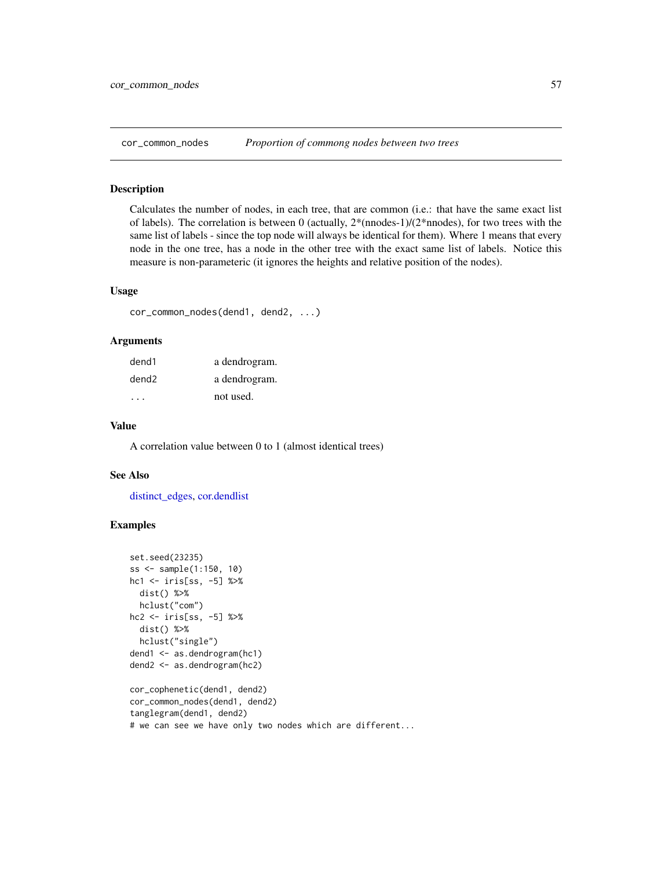<span id="page-56-0"></span>

Calculates the number of nodes, in each tree, that are common (i.e.: that have the same exact list of labels). The correlation is between 0 (actually,  $2*(\text{models-1})/(2*\text{models})$ , for two trees with the same list of labels - since the top node will always be identical for them). Where 1 means that every node in the one tree, has a node in the other tree with the exact same list of labels. Notice this measure is non-parameteric (it ignores the heights and relative position of the nodes).

## Usage

cor\_common\_nodes(dend1, dend2, ...)

#### Arguments

| dend1             | a dendrogram. |
|-------------------|---------------|
| dend <sub>2</sub> | a dendrogram. |
|                   | not used.     |

#### Value

A correlation value between 0 to 1 (almost identical trees)

#### See Also

[distinct\\_edges,](#page-77-0) [cor.dendlist](#page-52-0)

```
set.seed(23235)
ss <- sample(1:150, 10)
hc1 <- iris[ss, -5] %>%
  dist() %>%
  hclust("com")
hc2 <- iris[ss, -5] %>%
  dist() %>%
  hclust("single")
dend1 <- as.dendrogram(hc1)
dend2 <- as.dendrogram(hc2)
cor_cophenetic(dend1, dend2)
cor_common_nodes(dend1, dend2)
tanglegram(dend1, dend2)
# we can see we have only two nodes which are different...
```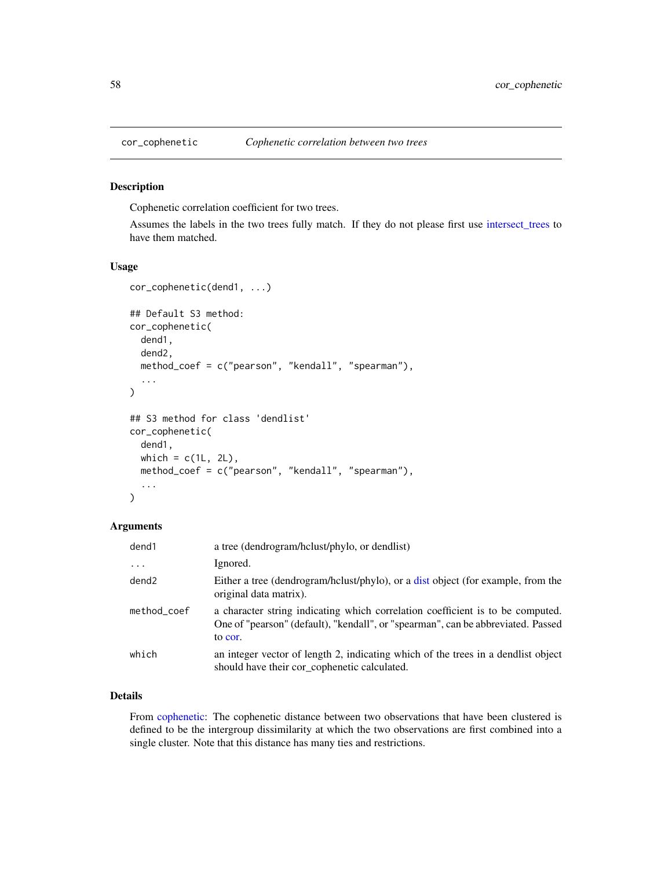<span id="page-57-0"></span>

Cophenetic correlation coefficient for two trees.

Assumes the labels in the two trees fully match. If they do not please first use [intersect\\_trees](#page-120-0) to have them matched.

## Usage

```
cor_cophenetic(dend1, ...)
## Default S3 method:
cor_cophenetic(
  dend1,
  dend2,
 method_coef = c("pearson", "kendall", "spearman"),
  ...
\mathcal{L}## S3 method for class 'dendlist'
cor_cophenetic(
  dend1,
 which = c(1L, 2L),
 method_coef = c("pearson", "kendall", "spearman"),
  ...
\mathcal{L}
```
# Arguments

| dend1       | a tree (dendrogram/hclust/phylo, or dendlist)                                                                                                                                 |
|-------------|-------------------------------------------------------------------------------------------------------------------------------------------------------------------------------|
| $\cdots$    | Ignored.                                                                                                                                                                      |
| dend2       | Either a tree (dendrogram/hclust/phylo), or a dist object (for example, from the<br>original data matrix).                                                                    |
| method_coef | a character string indicating which correlation coefficient is to be computed.<br>One of "pearson" (default), "kendall", or "spearman", can be abbreviated. Passed<br>to cor. |
| which       | an integer vector of length 2, indicating which of the trees in a dendlist object<br>should have their cor_cophenetic calculated.                                             |

# Details

From [cophenetic:](#page-0-0) The cophenetic distance between two observations that have been clustered is defined to be the intergroup dissimilarity at which the two observations are first combined into a single cluster. Note that this distance has many ties and restrictions.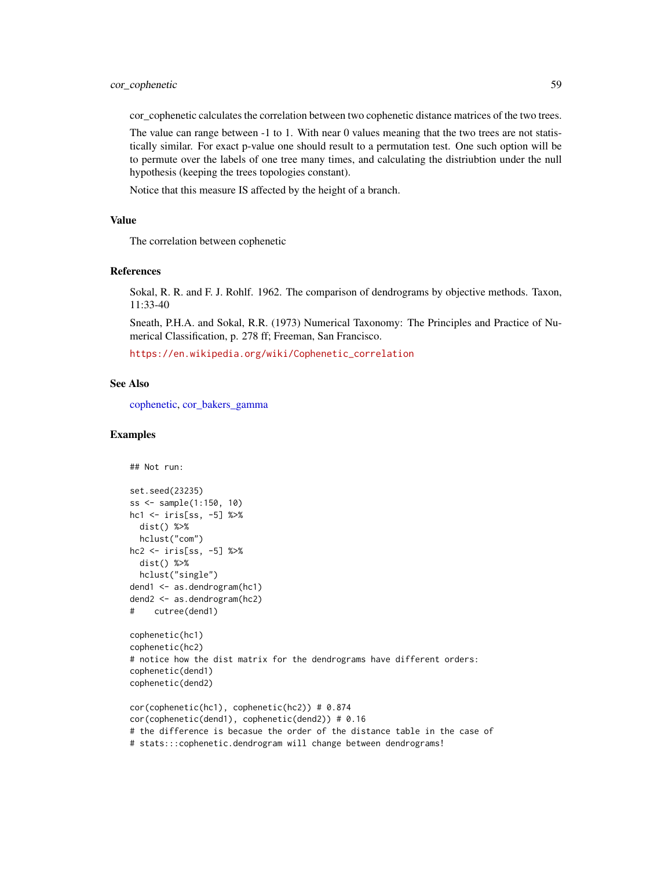cor\_cophenetic calculates the correlation between two cophenetic distance matrices of the two trees.

The value can range between -1 to 1. With near 0 values meaning that the two trees are not statistically similar. For exact p-value one should result to a permutation test. One such option will be to permute over the labels of one tree many times, and calculating the distriubtion under the null hypothesis (keeping the trees topologies constant).

Notice that this measure IS affected by the height of a branch.

### Value

The correlation between cophenetic

#### References

Sokal, R. R. and F. J. Rohlf. 1962. The comparison of dendrograms by objective methods. Taxon, 11:33-40

Sneath, P.H.A. and Sokal, R.R. (1973) Numerical Taxonomy: The Principles and Practice of Numerical Classification, p. 278 ff; Freeman, San Francisco.

[https://en.wikipedia.org/wiki/Cophenetic\\_correlation](https://en.wikipedia.org/wiki/Cophenetic_correlation)

#### See Also

[cophenetic,](#page-0-0) [cor\\_bakers\\_gamma](#page-53-0)

```
## Not run:
set.seed(23235)
ss <- sample(1:150, 10)
hc1 <- iris[ss, -5] %>%
  dist() %>%
  hclust("com")
hc2 <- iris[ss, -5] %>%
  dist() %>%
  hclust("single")
dend1 <- as.dendrogram(hc1)
dend2 <- as.dendrogram(hc2)
# cutree(dend1)
cophenetic(hc1)
cophenetic(hc2)
# notice how the dist matrix for the dendrograms have different orders:
cophenetic(dend1)
cophenetic(dend2)
cor(cophenetic(hc1), cophenetic(hc2)) # 0.874
cor(cophenetic(dend1), cophenetic(dend2)) # 0.16
# the difference is becasue the order of the distance table in the case of
# stats:::cophenetic.dendrogram will change between dendrograms!
```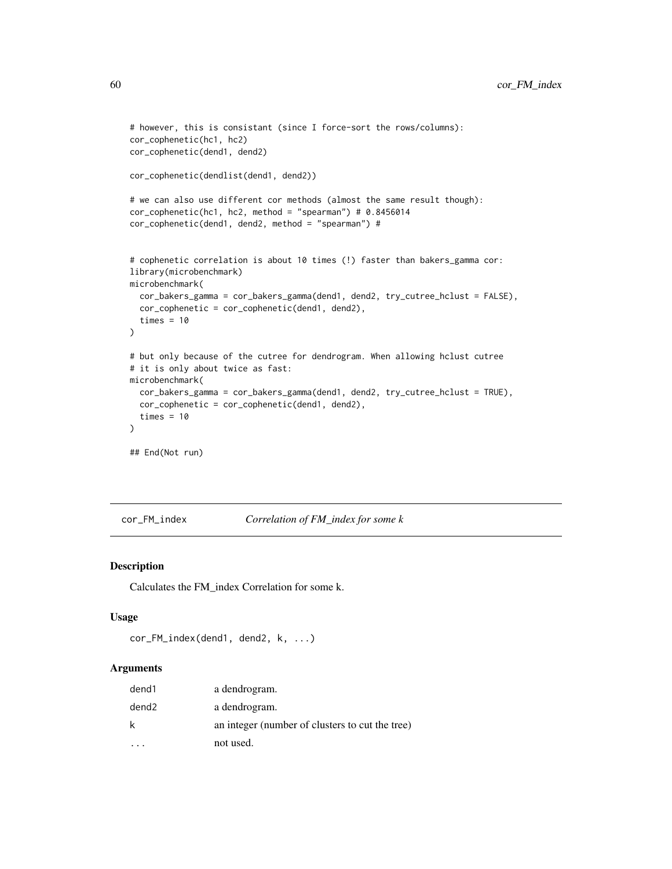```
# however, this is consistant (since I force-sort the rows/columns):
cor_cophenetic(hc1, hc2)
cor_cophenetic(dend1, dend2)
cor_cophenetic(dendlist(dend1, dend2))
# we can also use different cor methods (almost the same result though):
cor\_cophenetic(hc1, hc2, method = "spearman") # 0.8456014cor_cophenetic(dend1, dend2, method = "spearman") #
# cophenetic correlation is about 10 times (!) faster than bakers_gamma cor:
library(microbenchmark)
microbenchmark(
  cor_bakers_gamma = cor_bakers_gamma(dend1, dend2, try_cutree_hclust = FALSE),
  cor_cophenetic = cor_cophenetic(dend1, dend2),
  times = 10)
# but only because of the cutree for dendrogram. When allowing hclust cutree
# it is only about twice as fast:
microbenchmark(
  cor_bakers_gamma = cor_bakers_gamma(dend1, dend2, try_cutree_hclust = TRUE),
  cor_cophenetic = cor_cophenetic(dend1, dend2),
  times = 10)
## End(Not run)
```
<span id="page-59-0"></span>cor\_FM\_index *Correlation of FM\_index for some k*

## Description

Calculates the FM\_index Correlation for some k.

#### Usage

```
cor_FM_index(dend1, dend2, k, ...)
```

| dend1 | a dendrogram.                                   |
|-------|-------------------------------------------------|
| dend2 | a dendrogram.                                   |
| k     | an integer (number of clusters to cut the tree) |
|       | not used.                                       |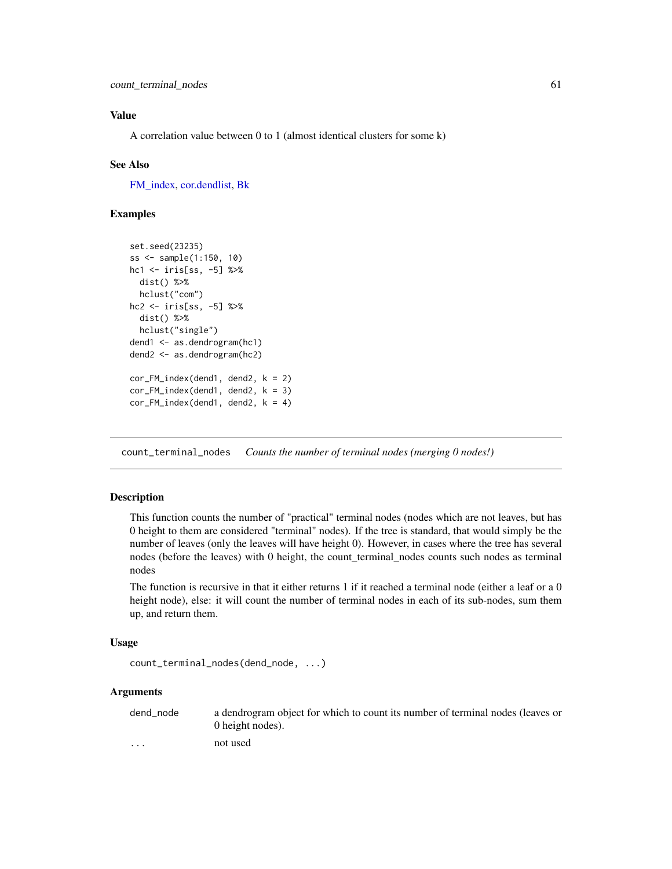# Value

A correlation value between 0 to 1 (almost identical clusters for some k)

### See Also

[FM\\_index,](#page-88-0) [cor.dendlist,](#page-52-0) [Bk](#page-19-0)

## Examples

```
set.seed(23235)
ss <- sample(1:150, 10)
hc1 <- iris[ss, -5] %>%
  dist() %>%
  hclust("com")
hc2 <- iris[ss, -5] %>%
  dist() %>%
  hclust("single")
dend1 <- as.dendrogram(hc1)
dend2 <- as.dendrogram(hc2)
cor_FM_index(dend1, dend2, k = 2)
cor_FM\_index(dend1, dend2, k = 3)cor_FM\_index(dend1, dend2, k = 4)
```
count\_terminal\_nodes *Counts the number of terminal nodes (merging 0 nodes!)*

## Description

This function counts the number of "practical" terminal nodes (nodes which are not leaves, but has 0 height to them are considered "terminal" nodes). If the tree is standard, that would simply be the number of leaves (only the leaves will have height 0). However, in cases where the tree has several nodes (before the leaves) with 0 height, the count\_terminal\_nodes counts such nodes as terminal nodes

The function is recursive in that it either returns 1 if it reached a terminal node (either a leaf or a 0 height node), else: it will count the number of terminal nodes in each of its sub-nodes, sum them up, and return them.

#### Usage

```
count_terminal_nodes(dend_node, ...)
```
#### Arguments

dend\_node a dendrogram object for which to count its number of terminal nodes (leaves or 0 height nodes). ... not used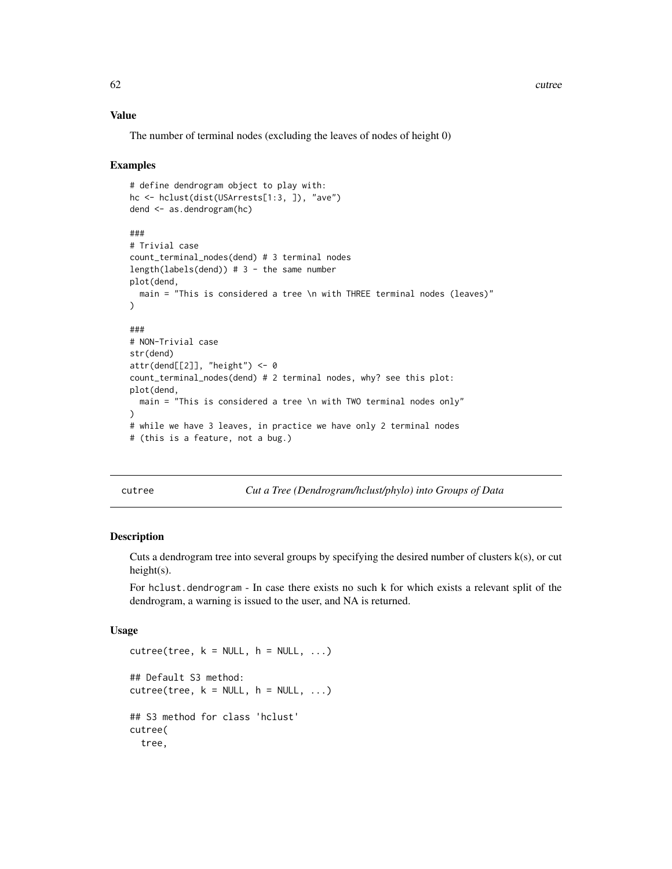## Value

The number of terminal nodes (excluding the leaves of nodes of height 0)

#### Examples

```
# define dendrogram object to play with:
hc <- hclust(dist(USArrests[1:3, ]), "ave")
dend <- as.dendrogram(hc)
###
# Trivial case
count_terminal_nodes(dend) # 3 terminal nodes
length(labels(dend)) # 3 - the same number
plot(dend,
  main = "This is considered a tree \n with THREE terminal nodes (leaves)"
\lambda###
# NON-Trivial case
str(dend)
attr(dend[[2]], "height") <- 0
count_terminal_nodes(dend) # 2 terminal nodes, why? see this plot:
plot(dend,
  main = "This is considered a tree \n with TWO terminal nodes only"
)
# while we have 3 leaves, in practice we have only 2 terminal nodes
# (this is a feature, not a bug.)
```
<span id="page-61-0"></span>cutree *Cut a Tree (Dendrogram/hclust/phylo) into Groups of Data*

# <span id="page-61-1"></span>Description

Cuts a dendrogram tree into several groups by specifying the desired number of clusters k(s), or cut height(s).

For hclust.dendrogram - In case there exists no such k for which exists a relevant split of the dendrogram, a warning is issued to the user, and NA is returned.

## Usage

```
cutree(tree, k = NULL, h = NULL, ...)## Default S3 method:
cutree(tree, k = NULL, h = NULL, ...)## S3 method for class 'hclust'
cutree(
  tree,
```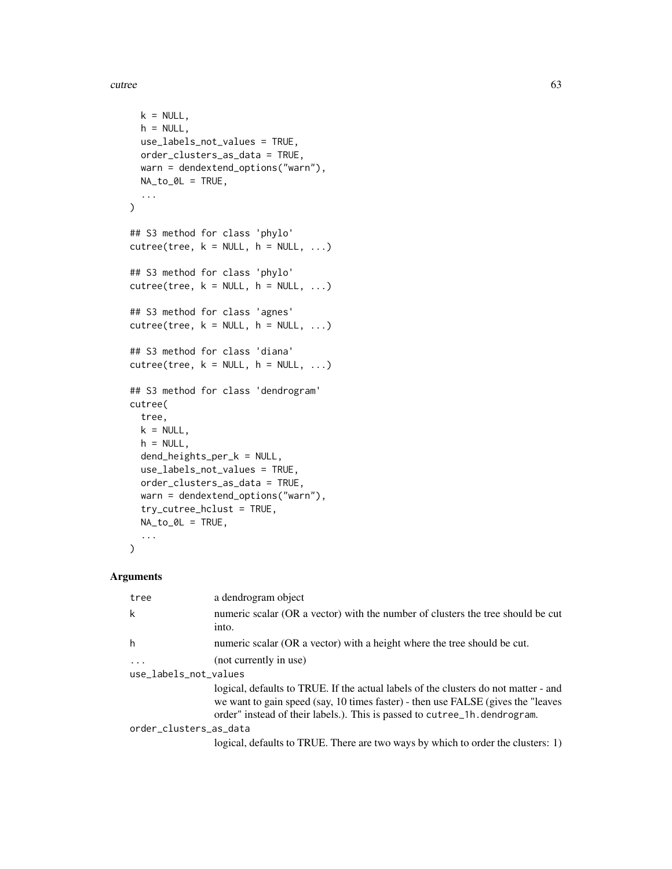cutree 63

```
k = NULL,h = NULL,
 use_labels_not_values = TRUE,
 order_clusters_as_data = TRUE,
 warn = dendextend_options("warn"),
 NA\_to\_OL = TRUE,...
\mathcal{L}## S3 method for class 'phylo'
cutree(tree, k = NULL, h = NULL, ...)## S3 method for class 'phylo'
cutree(tree, k = NULL, h = NULL, ...)## S3 method for class 'agnes'
cutree(tree, k = NULL, h = NULL, ...)## S3 method for class 'diana'
cutree(tree, k = NULL, h = NULL, ...)## S3 method for class 'dendrogram'
cutree(
  tree,
 k = NULL,h = NULL,dend_heights_per_k = NULL,
  use_labels_not_values = TRUE,
  order_clusters_as_data = TRUE,
 warn = dendextend_options("warn"),
  try_cutree_hclust = TRUE,
 NA_to_0L = TRUE,...
\mathcal{L}
```

| tree                   | a dendrogram object                                                                                                                                                                                                                                   |
|------------------------|-------------------------------------------------------------------------------------------------------------------------------------------------------------------------------------------------------------------------------------------------------|
| k                      | numeric scalar (OR a vector) with the number of clusters the tree should be cut<br>into.                                                                                                                                                              |
| h                      | numeric scalar (OR a vector) with a height where the tree should be cut.                                                                                                                                                                              |
| $\ddots$               | (not currently in use)                                                                                                                                                                                                                                |
| use_labels_not_values  |                                                                                                                                                                                                                                                       |
|                        | logical, defaults to TRUE. If the actual labels of the clusters do not matter - and<br>we want to gain speed (say, 10 times faster) - then use FALSE (gives the "leaves"<br>order" instead of their labels.). This is passed to cutree_1h.dendrogram. |
| order_clusters_as_data |                                                                                                                                                                                                                                                       |
|                        | logical, defaults to TRUE. There are two ways by which to order the clusters: 1)                                                                                                                                                                      |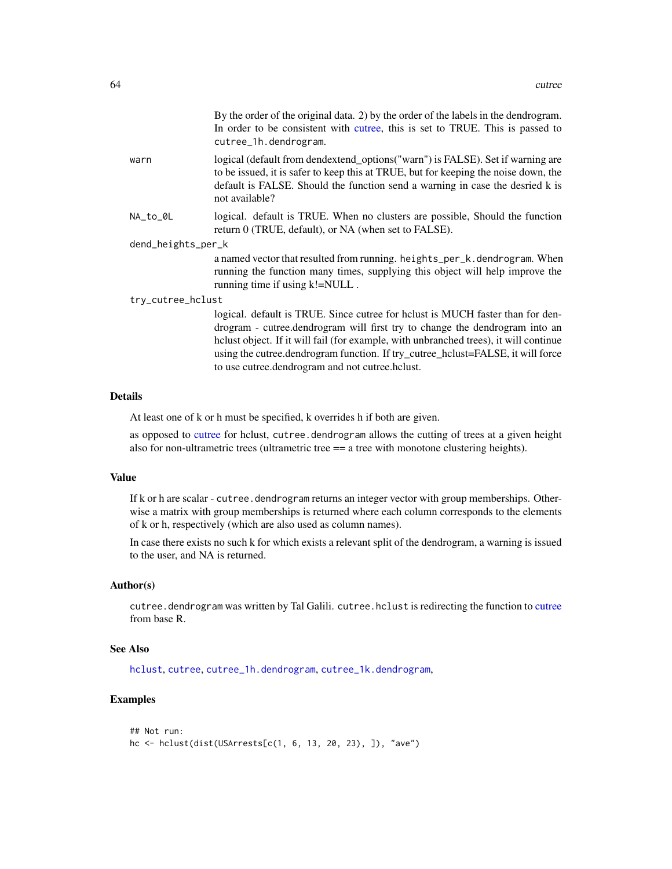By the order of the original data. 2) by the order of the labels in the dendrogram. In order to be consistent with [cutree,](#page-61-0) this is set to TRUE. This is passed to cutree\_1h.dendrogram.

warn logical (default from dendextend options("warn") is FALSE). Set if warning are to be issued, it is safer to keep this at TRUE, but for keeping the noise down, the default is FALSE. Should the function send a warning in case the desried k is not available?

NA\_to\_0L logical. default is TRUE. When no clusters are possible, Should the function return 0 (TRUE, default), or NA (when set to FALSE).

dend\_heights\_per\_k

a named vector that resulted from running. heights\_per\_k.dendrogram. When running the function many times, supplying this object will help improve the running time if using k!=NULL .

#### try\_cutree\_hclust

logical. default is TRUE. Since cutree for hclust is MUCH faster than for dendrogram - cutree.dendrogram will first try to change the dendrogram into an hclust object. If it will fail (for example, with unbranched trees), it will continue using the cutree.dendrogram function. If try\_cutree\_hclust=FALSE, it will force to use cutree.dendrogram and not cutree.hclust.

### Details

At least one of k or h must be specified, k overrides h if both are given.

as opposed to [cutree](#page-61-0) for hclust, cutree.dendrogram allows the cutting of trees at a given height also for non-ultrametric trees (ultrametric tree  $==$  a tree with monotone clustering heights).

#### Value

If k or h are scalar - cutree. dendrogram returns an integer vector with group memberships. Otherwise a matrix with group memberships is returned where each column corresponds to the elements of k or h, respectively (which are also used as column names).

In case there exists no such k for which exists a relevant split of the dendrogram, a warning is issued to the user, and NA is returned.

#### Author(s)

[cutree](#page-61-0).dendrogram was written by Tal Galili. cutree.hclust is redirecting the function to cutree from base R.

#### See Also

[hclust](#page-0-0), [cutree](#page-61-0), [cutree\\_1h.dendrogram](#page-65-0), [cutree\\_1k.dendrogram](#page-67-0),

```
## Not run:
hc <- hclust(dist(USArrests[c(1, 6, 13, 20, 23), ]), "ave")
```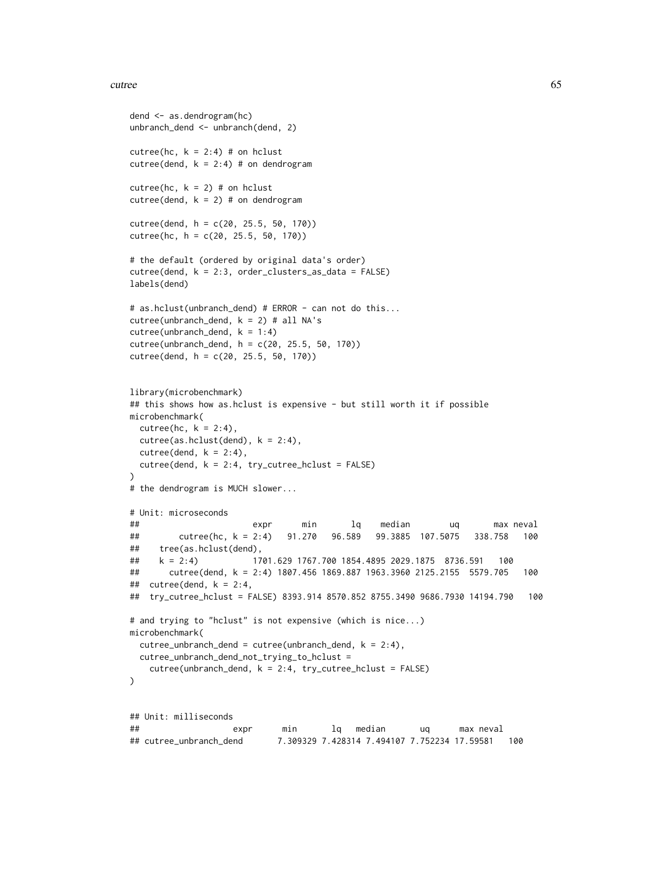#### cutree 65

```
dend <- as.dendrogram(hc)
unbranch_dend <- unbranch(dend, 2)
cutree(hc, k = 2:4) # on hclust
cutree(dend, k = 2:4) # on dendrogram
cutree(hc, k = 2) # on hclust
cutree(dend, k = 2) # on dendrogram
cutree(dend, h = c(20, 25.5, 50, 170))cutree(hc, h = c(20, 25.5, 50, 170))
# the default (ordered by original data's order)
cutree(dend, k = 2:3, order_clusters_as_data = FALSE)
labels(dend)
# as.hclust(unbranch_dend) # ERROR - can not do this...
cutree(unbranch\_dend, k = 2) # all NA'scutree(unbranch\_dend, k = 1:4)cutree(unbranch_dend, h = c(20, 25.5, 50, 170))
cutree(dend, h = c(20, 25.5, 50, 170))
library(microbenchmark)
## this shows how as.hclust is expensive - but still worth it if possible
microbenchmark(
 cutree(hc, k = 2:4),
 cutree(as.hclust(dend), k = 2:4),cutree(dend, k = 2:4),
 cutree(dend, k = 2:4, try-cutree_hclust = FALSE))
# the dendrogram is MUCH slower...
# Unit: microseconds
## expr min lq median uq max neval
## cutree(hc, k = 2:4) 91.270 96.589 99.3885 107.5075 338.758 100
## tree(as.hclust(dend),
## k = 2:4) 1701.629 1767.700 1854.4895 2029.1875 8736.591 100
## cutree(dend, k = 2:4) 1807.456 1869.887 1963.3960 2125.2155 5579.705 100
## cutree(dend, k = 2:4,
## try_cutree_hclust = FALSE) 8393.914 8570.852 8755.3490 9686.7930 14194.790 100
# and trying to "hclust" is not expensive (which is nice...)
microbenchmark(
 cutree\_unbranch\_dend = cutree(unbranch\_dend, k = 2:4),cutree_unbranch_dend_not_trying_to_hclust =
   cutree(unbranch\_dend, k = 2:4, try\_cutree\_hclust = FALSE)\mathcal{L}## Unit: milliseconds
## expr min lq median uq max neval
## cutree_unbranch_dend 7.309329 7.428314 7.494107 7.752234 17.59581 100
```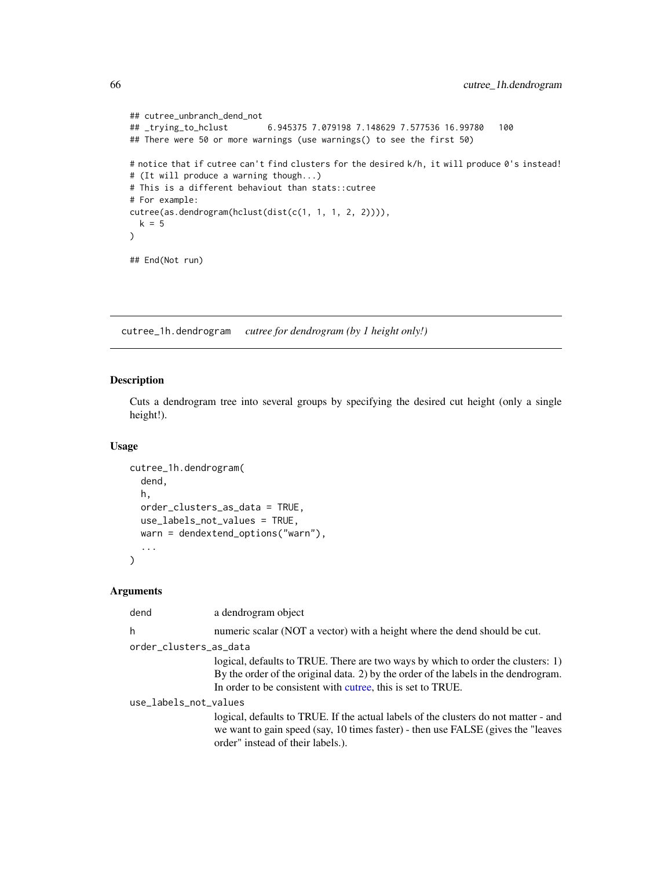```
## cutree_unbranch_dend_not
## _trying_to_hclust 6.945375 7.079198 7.148629 7.577536 16.99780 100
## There were 50 or more warnings (use warnings() to see the first 50)
# notice that if cutree can't find clusters for the desired k/h, it will produce 0's instead!
# (It will produce a warning though...)
# This is a different behaviout than stats::cutree
# For example:
cutree(as.dendrogram(hclust(dist(c(1, 1, 1, 2, 2)))),
  k = 5
)
## End(Not run)
```
<span id="page-65-0"></span>cutree\_1h.dendrogram *cutree for dendrogram (by 1 height only!)*

# Description

Cuts a dendrogram tree into several groups by specifying the desired cut height (only a single height!).

# Usage

```
cutree_1h.dendrogram(
  dend,
 h,
 order_clusters_as_data = TRUE,
 use_labels_not_values = TRUE,
 warn = dendextend_options("warn"),
  ...
)
```

| dend                   | a dendrogram object                                                                                                                                                                                                                    |
|------------------------|----------------------------------------------------------------------------------------------------------------------------------------------------------------------------------------------------------------------------------------|
| h                      | numeric scalar (NOT a vector) with a height where the dend should be cut.                                                                                                                                                              |
| order_clusters_as_data |                                                                                                                                                                                                                                        |
|                        | logical, defaults to TRUE. There are two ways by which to order the clusters: 1)<br>By the order of the original data. 2) by the order of the labels in the dendrogram.<br>In order to be consistent with cutree, this is set to TRUE. |
| use_labels_not_values  |                                                                                                                                                                                                                                        |
|                        | logical, defaults to TRUE. If the actual labels of the clusters do not matter - and<br>we want to gain speed (say, 10 times faster) - then use FALSE (gives the "leaves"<br>order" instead of their labels.).                          |
|                        |                                                                                                                                                                                                                                        |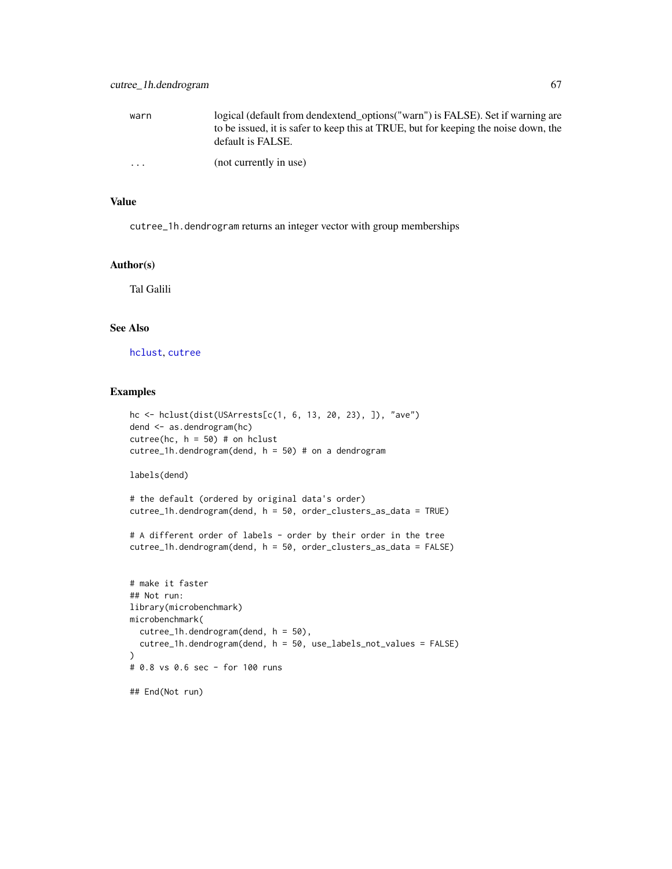| warn     | logical (default from dendextend options ("warn") is FALSE). Set if warning are<br>to be issued, it is safer to keep this at TRUE, but for keeping the noise down, the |
|----------|------------------------------------------------------------------------------------------------------------------------------------------------------------------------|
|          | default is FALSE.                                                                                                                                                      |
| $\cdots$ | (not currently in use)                                                                                                                                                 |

### Value

cutree\_1h.dendrogram returns an integer vector with group memberships

## Author(s)

Tal Galili

## See Also

[hclust](#page-0-0), [cutree](#page-61-0)

```
hc <- hclust(dist(USArrests[c(1, 6, 13, 20, 23), ]), "ave")
dend <- as.dendrogram(hc)
cutree(hc, h = 50) # on hclust
cutree_1h.dendrogram(dend, h = 50) # on a dendrogramlabels(dend)
# the default (ordered by original data's order)
cutree_1h.dendrogram(dend, h = 50, order_clusters_as_data = TRUE)
# A different order of labels - order by their order in the tree
cutree_1h.dendrogram(dend, h = 50, order_clusters_as_data = FALSE)
# make it faster
## Not run:
library(microbenchmark)
microbenchmark(
  cutree_1h.dendrogram(dend, h = 50),
  cutree_1h.dendrogram(dend, h = 50, use_labels_not_values = FALSE)
)
# 0.8 vs 0.6 sec - for 100 runs
## End(Not run)
```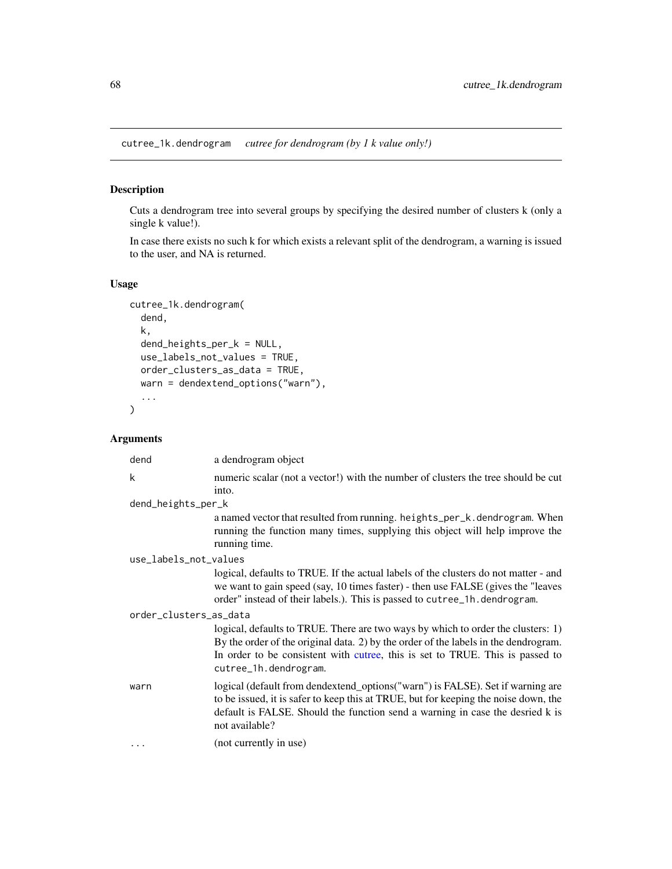<span id="page-67-0"></span>cutree\_1k.dendrogram *cutree for dendrogram (by 1 k value only!)*

# Description

Cuts a dendrogram tree into several groups by specifying the desired number of clusters k (only a single k value!).

In case there exists no such k for which exists a relevant split of the dendrogram, a warning is issued to the user, and NA is returned.

# Usage

```
cutree_1k.dendrogram(
  dend,
 k,
  dend_heights_per_k = NULL,
 use_labels_not_values = TRUE,
 order_clusters_as_data = TRUE,
 warn = dendextend_options("warn"),
  ...
\mathcal{L}
```

| dend                   | a dendrogram object                                                                                                                                                                                                                                                               |
|------------------------|-----------------------------------------------------------------------------------------------------------------------------------------------------------------------------------------------------------------------------------------------------------------------------------|
| k                      | numeric scalar (not a vector!) with the number of clusters the tree should be cut                                                                                                                                                                                                 |
|                        | into.                                                                                                                                                                                                                                                                             |
| dend_heights_per_k     |                                                                                                                                                                                                                                                                                   |
|                        | a named vector that resulted from running. heights_per_k.dendrogram. When<br>running the function many times, supplying this object will help improve the<br>running time.                                                                                                        |
| use_labels_not_values  |                                                                                                                                                                                                                                                                                   |
|                        | logical, defaults to TRUE. If the actual labels of the clusters do not matter - and<br>we want to gain speed (say, 10 times faster) - then use FALSE (gives the "leaves"<br>order" instead of their labels.). This is passed to cutree_1h.dendrogram.                             |
| order_clusters_as_data |                                                                                                                                                                                                                                                                                   |
|                        | logical, defaults to TRUE. There are two ways by which to order the clusters: 1)<br>By the order of the original data. 2) by the order of the labels in the dendrogram.<br>In order to be consistent with cutree, this is set to TRUE. This is passed to<br>cutree_1h.dendrogram. |
| warn                   | logical (default from dendextend_options("warn") is FALSE). Set if warning are<br>to be issued, it is safer to keep this at TRUE, but for keeping the noise down, the<br>default is FALSE. Should the function send a warning in case the desried k is<br>not available?          |
|                        | (not currently in use)                                                                                                                                                                                                                                                            |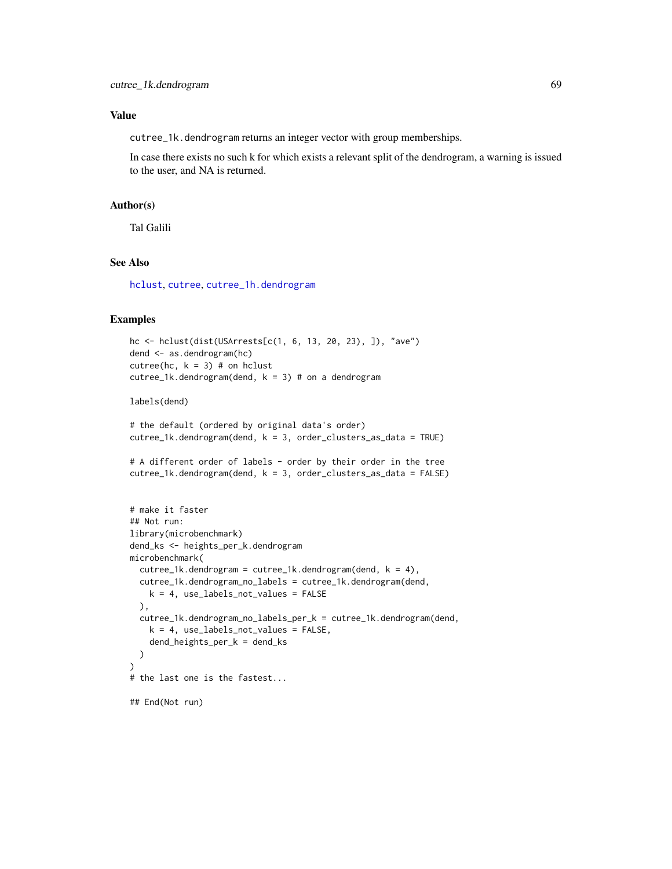## Value

cutree\_1k.dendrogram returns an integer vector with group memberships.

In case there exists no such k for which exists a relevant split of the dendrogram, a warning is issued to the user, and NA is returned.

#### Author(s)

Tal Galili

# See Also

[hclust](#page-0-0), [cutree](#page-61-0), [cutree\\_1h.dendrogram](#page-65-0)

# Examples

```
hc <- hclust(dist(USArrests[c(1, 6, 13, 20, 23), ]), "ave")
dend <- as.dendrogram(hc)
cutree(hc, k = 3) # on hclust
cutree_1k.dendrogram(dend, k = 3) # on a dendrogram
```
labels(dend)

```
# the default (ordered by original data's order)
cutree_1k.dendrogram(dend, k = 3, order_clusters_as_data = TRUE)
```

```
# A different order of labels - order by their order in the tree
cutree_1k.dendrogram(dend, k = 3, order_clusters_as_data = FALSE)
```

```
# make it faster
## Not run:
library(microbenchmark)
dend_ks <- heights_per_k.dendrogram
microbenchmark(
  cutree_1k.dendrogram = cutree_1k.dendrogram(dend, k = 4),cutree_1k.dendrogram_no_labels = cutree_1k.dendrogram(dend,
   k = 4, use_labels_not_values = FALSE
  ),
  cutree_1k.dendrogram_no_labels_per_k = cutree_1k.dendrogram(dend,
   k = 4, use_labels_not_values = FALSE,
    dend_heights_per_k = dend_ks
  )
)
# the last one is the fastest...
## End(Not run)
```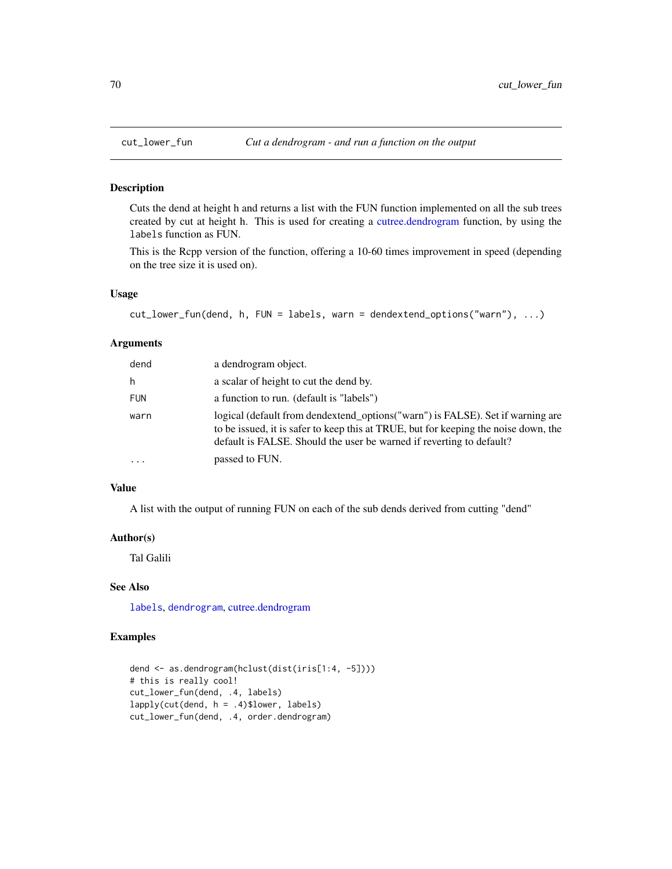Cuts the dend at height h and returns a list with the FUN function implemented on all the sub trees created by cut at height h. This is used for creating a [cutree.dendrogram](#page-61-1) function, by using the labels function as FUN.

This is the Rcpp version of the function, offering a 10-60 times improvement in speed (depending on the tree size it is used on).

## Usage

```
cut_lower_fun(dend, h, FUN = labels, warn = dendextend_options("warn"), ...)
```
### Arguments

| dend       | a dendrogram object.                                                                                                                                                                                                                          |
|------------|-----------------------------------------------------------------------------------------------------------------------------------------------------------------------------------------------------------------------------------------------|
| h          | a scalar of height to cut the dend by.                                                                                                                                                                                                        |
| <b>FUN</b> | a function to run. (default is "labels")                                                                                                                                                                                                      |
| warn       | logical (default from dendextend_options("warn") is FALSE). Set if warning are<br>to be issued, it is safer to keep this at TRUE, but for keeping the noise down, the<br>default is FALSE. Should the user be warned if reverting to default? |
| .          | passed to FUN.                                                                                                                                                                                                                                |

## Value

A list with the output of running FUN on each of the sub dends derived from cutting "dend"

#### Author(s)

Tal Galili

## See Also

[labels](#page-0-0), [dendrogram](#page-0-0), [cutree.dendrogram](#page-61-1)

```
dend <- as.dendrogram(hclust(dist(iris[1:4, -5])))
# this is really cool!
cut_lower_fun(dend, .4, labels)
lapply(cut(dend, h = .4)$lower, labels)
cut_lower_fun(dend, .4, order.dendrogram)
```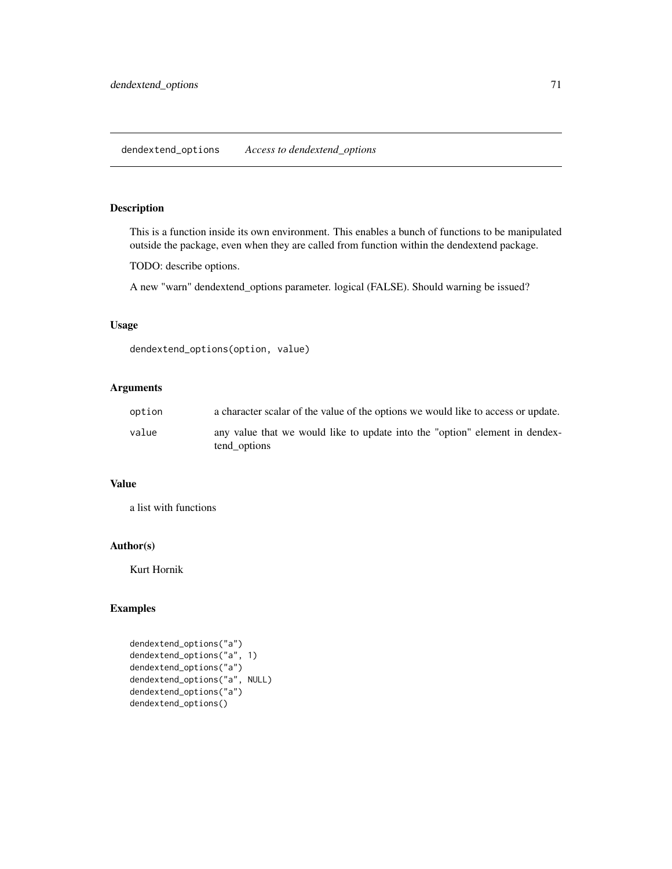This is a function inside its own environment. This enables a bunch of functions to be manipulated outside the package, even when they are called from function within the dendextend package.

TODO: describe options.

A new "warn" dendextend\_options parameter. logical (FALSE). Should warning be issued?

# Usage

```
dendextend_options(option, value)
```
# Arguments

| option | a character scalar of the value of the options we would like to access or update.           |
|--------|---------------------------------------------------------------------------------------------|
| value  | any value that we would like to update into the "option" element in dendex-<br>tend_options |

## Value

a list with functions

## Author(s)

Kurt Hornik

```
dendextend_options("a")
dendextend_options("a", 1)
dendextend_options("a")
dendextend_options("a", NULL)
dendextend_options("a")
dendextend_options()
```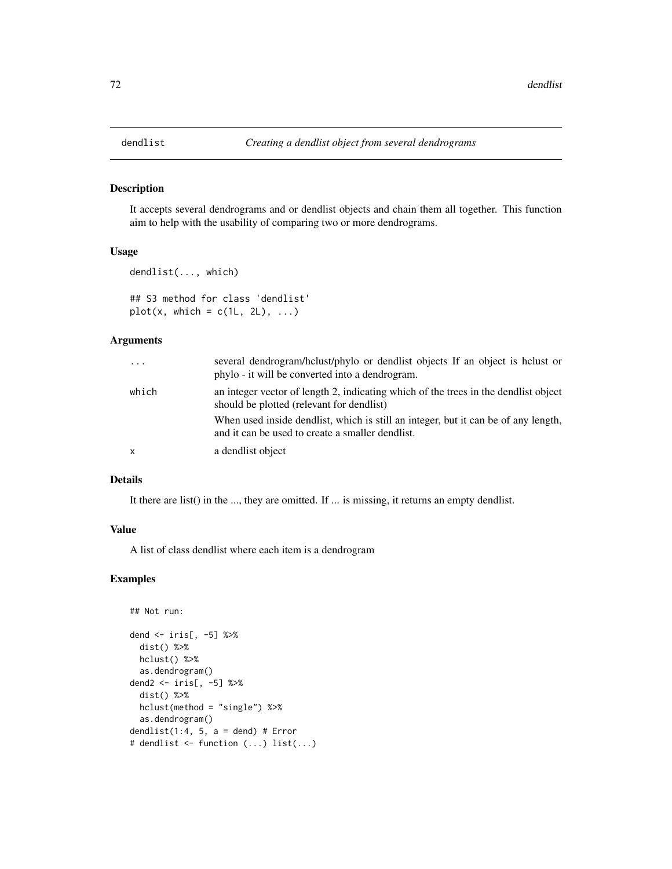<span id="page-71-0"></span>

It accepts several dendrograms and or dendlist objects and chain them all together. This function aim to help with the usability of comparing two or more dendrograms.

#### Usage

```
dendlist(..., which)
## S3 method for class 'dendlist'
plot(x, which = c(1L, 2L), ...)
```
## Arguments

| $\cdots$     | several dendrogram/holust/phylo or dendlist objects If an object is holust or<br>phylo - it will be converted into a dendrogram.       |
|--------------|----------------------------------------------------------------------------------------------------------------------------------------|
| which        | an integer vector of length 2, indicating which of the trees in the dendlist object<br>should be plotted (relevant for dendlist)       |
|              | When used inside dendlist, which is still an integer, but it can be of any length,<br>and it can be used to create a smaller dendlist. |
| $\mathsf{x}$ | a dendlist object                                                                                                                      |

# Details

It there are list() in the ..., they are omitted. If ... is missing, it returns an empty dendlist.

#### Value

A list of class dendlist where each item is a dendrogram

```
## Not run:
dend <- iris[, -5] %>%
  dist() %>%
  hclust() %>%
  as.dendrogram()
dend2 <- iris[, -5] %>%
  dist() %>%
  hclust(method = "single") %>%
  as.dendrogram()
dendlist(1:4, 5, a = dend) # Error
# dendlist <- function (...) list(...)
```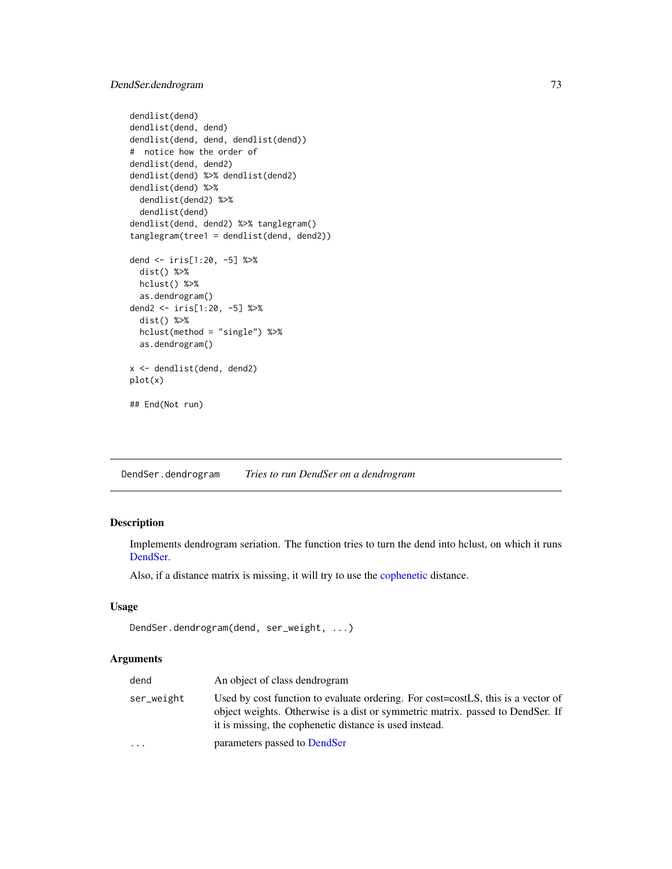# DendSer.dendrogram 73

```
dendlist(dend)
dendlist(dend, dend)
dendlist(dend, dend, dendlist(dend))
# notice how the order of
dendlist(dend, dend2)
dendlist(dend) %>% dendlist(dend2)
dendlist(dend) %>%
 dendlist(dend2) %>%
 dendlist(dend)
dendlist(dend, dend2) %>% tanglegram()
tanglegram(tree1 = dendlist(dend, dend2))
dend <- iris[1:20, -5] %>%
 dist() %>%
 hclust() %>%
 as.dendrogram()
dend2 <- iris[1:20, -5] %>%
 dist() %>%
 hclust(method = "single") %>%
 as.dendrogram()
x <- dendlist(dend, dend2)
plot(x)
## End(Not run)
```
<span id="page-72-0"></span>DendSer.dendrogram *Tries to run DendSer on a dendrogram*

## Description

Implements dendrogram seriation. The function tries to turn the dend into hclust, on which it runs [DendSer.](#page-0-0)

Also, if a distance matrix is missing, it will try to use the [cophenetic](#page-0-0) distance.

## Usage

```
DendSer.dendrogram(dend, ser_weight, ...)
```

| dend       | An object of class dendrogram                                                                                                                                                                                                 |
|------------|-------------------------------------------------------------------------------------------------------------------------------------------------------------------------------------------------------------------------------|
| ser_weight | Used by cost function to evaluate ordering. For cost=costLS, this is a vector of<br>object weights. Otherwise is a dist or symmetric matrix, passed to DendSer. If<br>it is missing, the cophenetic distance is used instead. |
| $\ddotsc$  | parameters passed to DendSer                                                                                                                                                                                                  |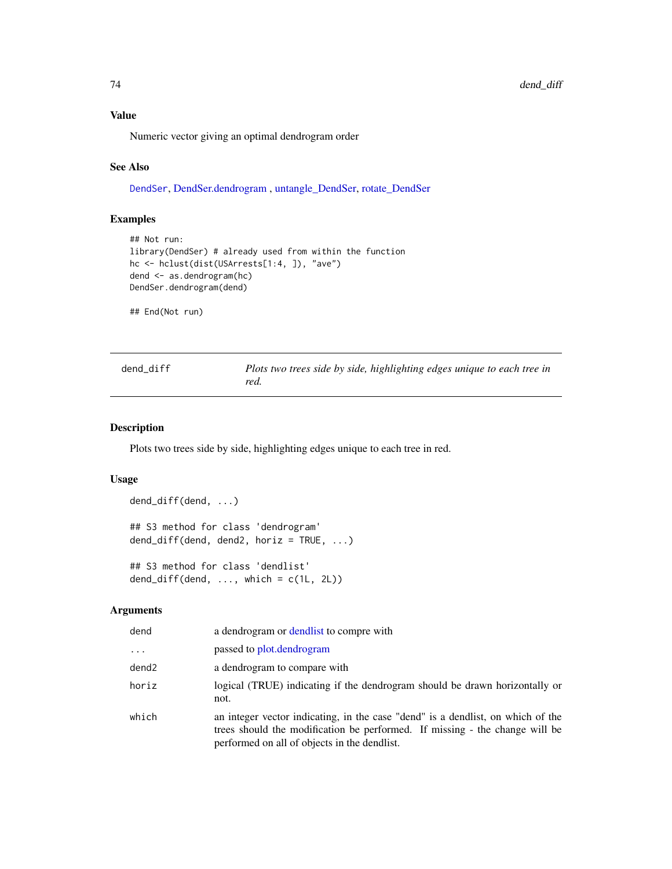## Value

Numeric vector giving an optimal dendrogram order

# See Also

[DendSer](#page-0-0), [DendSer.dendrogram](#page-72-0) , [untangle\\_DendSer,](#page-196-0) [rotate\\_DendSer](#page-168-0)

## Examples

```
## Not run:
library(DendSer) # already used from within the function
hc <- hclust(dist(USArrests[1:4, ]), "ave")
dend <- as.dendrogram(hc)
DendSer.dendrogram(dend)
```
## End(Not run)

| dend diff | Plots two trees side by side, highlighting edges unique to each tree in |
|-----------|-------------------------------------------------------------------------|
|           | red.                                                                    |

# Description

Plots two trees side by side, highlighting edges unique to each tree in red.

### Usage

```
dend_diff(dend, ...)
## S3 method for class 'dendrogram'
dend_diff(dend, dend2, horiz = TRUE, ...)
## S3 method for class 'dendlist'
```

```
dend_diff(dend, \ldots, which = c(1L, 2L))
```

| dend     | a dendrogram or dendlist to compre with                                                                                                                                                                        |
|----------|----------------------------------------------------------------------------------------------------------------------------------------------------------------------------------------------------------------|
| $\cdots$ | passed to plot.dendrogram                                                                                                                                                                                      |
| dend2    | a dendrogram to compare with                                                                                                                                                                                   |
| horiz    | logical (TRUE) indicating if the dendrogram should be drawn horizontally or<br>not.                                                                                                                            |
| which    | an integer vector indicating, in the case "dend" is a dendlist, on which of the<br>trees should the modification be performed. If missing - the change will be<br>performed on all of objects in the dendlist. |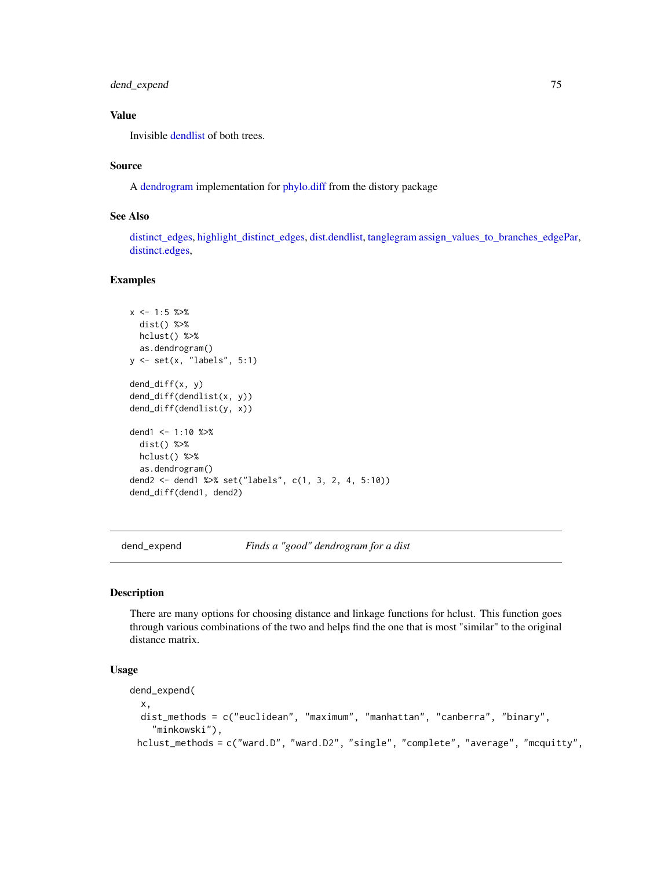# dend\_expend 75

# Value

Invisible [dendlist](#page-71-0) of both trees.

### Source

A [dendrogram](#page-0-0) implementation for [phylo.diff](#page-0-0) from the distory package

# See Also

[distinct\\_edges,](#page-77-0) [highlight\\_distinct\\_edges,](#page-116-0) [dist.dendlist,](#page-75-0) [tanglegram](#page-184-0) [assign\\_values\\_to\\_branches\\_edgePar,](#page-11-0) [distinct.edges,](#page-0-0)

### Examples

```
x \le -1:5 \text{ %>}xdist() %>%
 hclust() %>%
 as.dendrogram()
y <- set(x, "labels", 5:1)
dend_diff(x, y)
dend_diff(dendlist(x, y))
dend_diff(dendlist(y, x))
dend1 <- 1:10 %>%
 dist() %>%
 hclust() %>%
 as.dendrogram()
dend2 <- dend1 %>% set("labels", c(1, 3, 2, 4, 5:10))
dend_diff(dend1, dend2)
```
dend\_expend *Finds a "good" dendrogram for a dist*

#### Description

There are many options for choosing distance and linkage functions for hclust. This function goes through various combinations of the two and helps find the one that is most "similar" to the original distance matrix.

# Usage

```
dend_expend(
  x,
 dist_methods = c("euclidean", "maximum", "manhattan", "canberra", "binary",
    "minkowski"),
 hclust_methods = c("ward.D", "ward.D2", "single", "complete", "average", "mcquitty",
```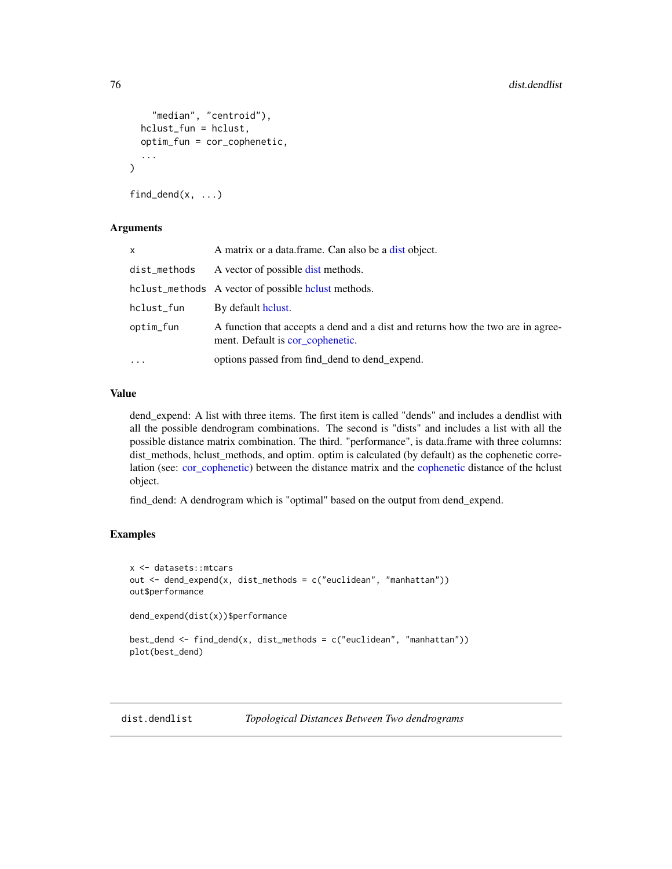```
"median", "centroid"),
  hclust_fun = hclust,
  optim_fun = cor_cophenetic,
  ...
\mathcal{L}find_dend(x, \ldots)
```
#### **Arguments**

| x            | A matrix or a data.frame. Can also be a dist object.                                                                |
|--------------|---------------------------------------------------------------------------------------------------------------------|
| dist_methods | A vector of possible dist methods.                                                                                  |
|              | hclust_methods A vector of possible helust methods.                                                                 |
| hclust_fun   | By default holust.                                                                                                  |
| optim_fun    | A function that accepts a dend and a dist and returns how the two are in agree-<br>ment. Default is cor_cophenetic. |
| $\ddots$     | options passed from find_dend to dend_expend.                                                                       |
|              |                                                                                                                     |

# Value

dend\_expend: A list with three items. The first item is called "dends" and includes a dendlist with all the possible dendrogram combinations. The second is "dists" and includes a list with all the possible distance matrix combination. The third. "performance", is data.frame with three columns: dist methods, hclust methods, and optim. optim is calculated (by default) as the cophenetic correlation (see: [cor\\_cophenetic\)](#page-57-0) between the distance matrix and the [cophenetic](#page-0-0) distance of the hclust object.

find\_dend: A dendrogram which is "optimal" based on the output from dend\_expend.

### Examples

```
x <- datasets::mtcars
out \leq dend_expend(x, dist_methods = c("euclidean", "manhattan"))
out$performance
dend_expend(dist(x))$performance
best_dend <- find_dend(x, dist_methods = c("euclidean", "manhattan"))
plot(best_dend)
```
<span id="page-75-0"></span>dist.dendlist *Topological Distances Between Two dendrograms*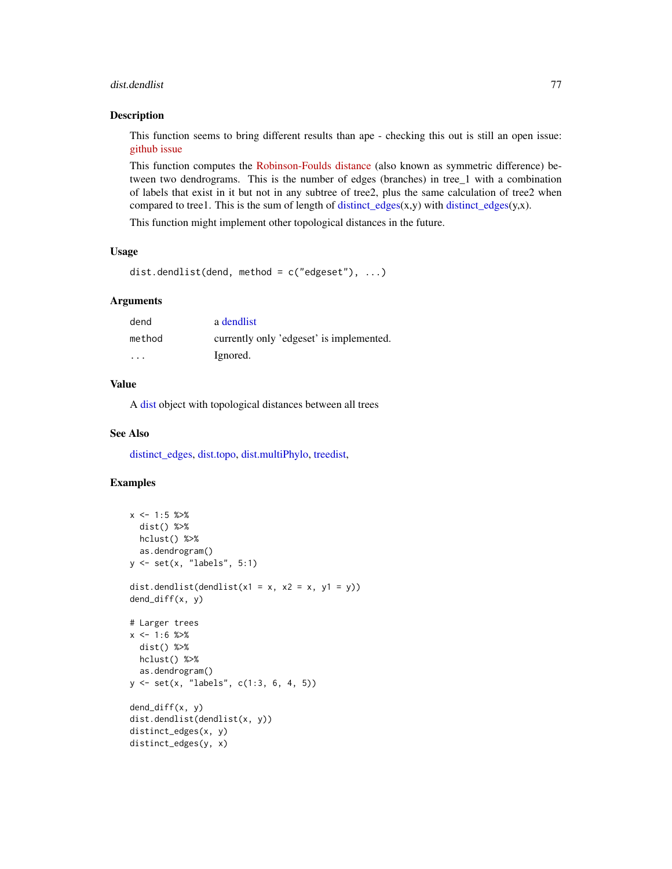#### dist.dendlist 77

#### Description

This function seems to bring different results than ape - checking this out is still an open issue: [github issue](https://github.com/talgalili/dendextend/issues/97)

This function computes the [Robinson-Foulds distance](https://en.wikipedia.org/wiki/Robinson\T1\textendash Foulds_metric) (also known as symmetric difference) between two dendrograms. This is the number of edges (branches) in tree\_1 with a combination of labels that exist in it but not in any subtree of tree2, plus the same calculation of tree2 when compared to tree1. This is the sum of length of distinct\_edges $(x,y)$  with distinct\_edges $(y,x)$ .

This function might implement other topological distances in the future.

### Usage

```
dist.dendlist(dend, method = c("edgeset"), ...)
```
### Arguments

| dend    | a dendlist                               |
|---------|------------------------------------------|
| method  | currently only 'edgeset' is implemented. |
| $\cdot$ | Ignored.                                 |

### Value

A [dist](#page-0-0) object with topological distances between all trees

#### See Also

[distinct\\_edges,](#page-77-0) [dist.topo,](#page-0-0) [dist.multiPhylo,](#page-0-0) [treedist,](#page-0-0)

```
x \le -1:5 \frac{9}{28}dist() %>%
 hclust() %>%
  as.dendrogram()
y <- set(x, "labels", 5:1)
dist.dendlist(dendlist(x1 = x, x2 = x, y1 = y))
dend_diff(x, y)
# Larger trees
x \le -1:6 \text{ %}dist() %>%
 hclust() %>%
  as.dendrogram()
y <- set(x, "labels", c(1:3, 6, 4, 5))
dend_diff(x, y)
dist.dendlist(dendlist(x, y))
distinct_edges(x, y)
distinct_edges(y, x)
```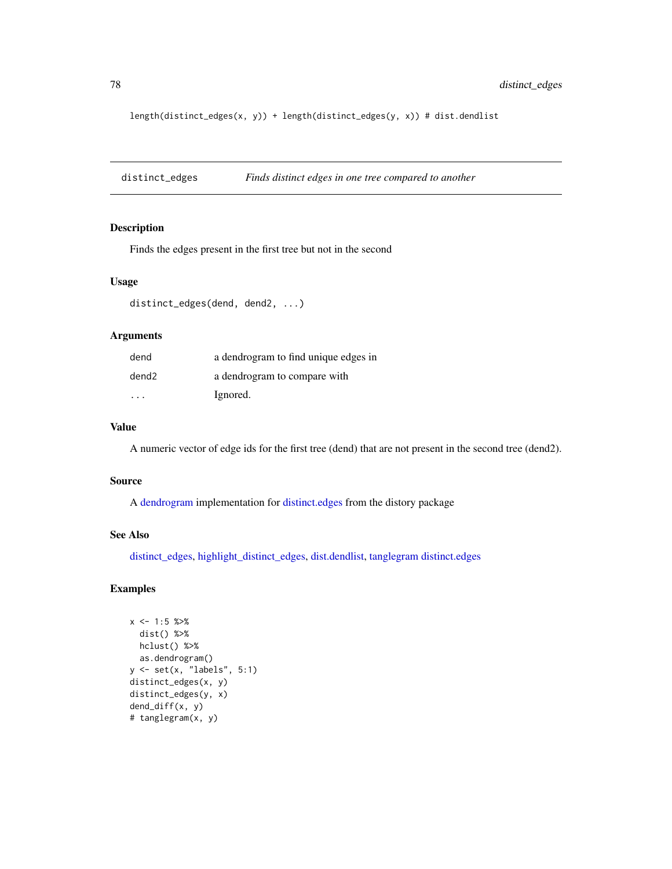length(distinct\_edges(x, y)) + length(distinct\_edges(y, x)) # dist.dendlist

<span id="page-77-0"></span>distinct\_edges *Finds distinct edges in one tree compared to another*

## Description

Finds the edges present in the first tree but not in the second

#### Usage

```
distinct_edges(dend, dend2, ...)
```
### Arguments

| dend  | a dendrogram to find unique edges in |
|-------|--------------------------------------|
| dend2 | a dendrogram to compare with         |
| .     | Ignored.                             |

## Value

A numeric vector of edge ids for the first tree (dend) that are not present in the second tree (dend2).

#### Source

A [dendrogram](#page-0-0) implementation for [distinct.edges](#page-0-0) from the distory package

# See Also

[distinct\\_edges,](#page-77-0) [highlight\\_distinct\\_edges,](#page-116-0) [dist.dendlist,](#page-75-0) [tanglegram](#page-184-0) [distinct.edges](#page-0-0)

```
x \le -1:5 \text{ %>}xdist() %>%
 hclust() %>%
 as.dendrogram()
y <- set(x, "labels", 5:1)
distinct_edges(x, y)
distinct_edges(y, x)
dend_diff(x, y)
# tanglegram(x, y)
```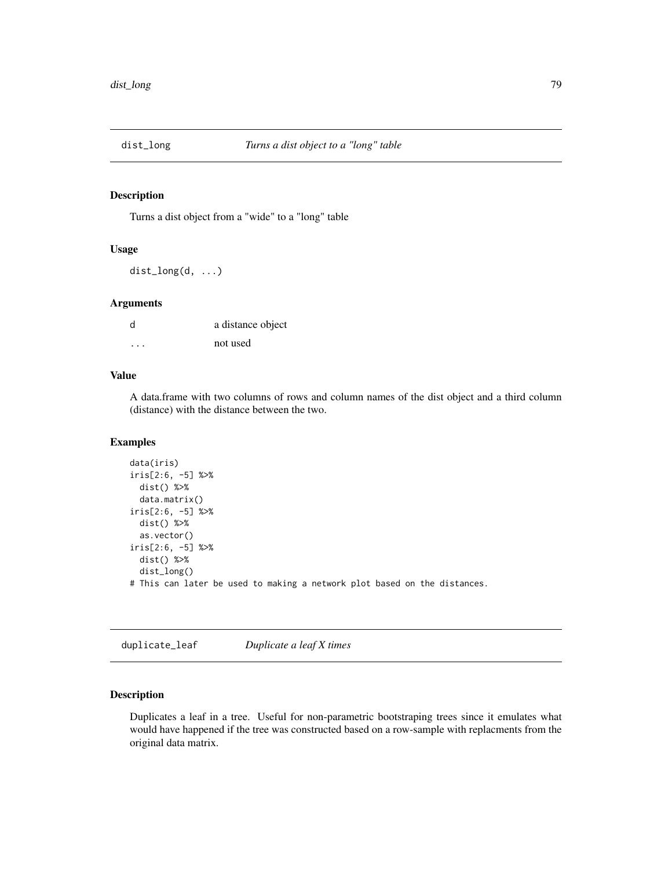## Description

Turns a dist object from a "wide" to a "long" table

#### Usage

dist\_long(d, ...)

## Arguments

| d        | a distance object |
|----------|-------------------|
| $\cdots$ | not used          |

## Value

A data.frame with two columns of rows and column names of the dist object and a third column (distance) with the distance between the two.

## Examples

```
data(iris)
iris[2:6, -5] %>%
 dist() %>%
 data.matrix()
iris[2:6, -5] %>%
 dist() %>%
 as.vector()
iris[2:6, -5] %>%
 dist() %>%
 dist_long()
# This can later be used to making a network plot based on the distances.
```
duplicate\_leaf *Duplicate a leaf X times*

## Description

Duplicates a leaf in a tree. Useful for non-parametric bootstraping trees since it emulates what would have happened if the tree was constructed based on a row-sample with replacments from the original data matrix.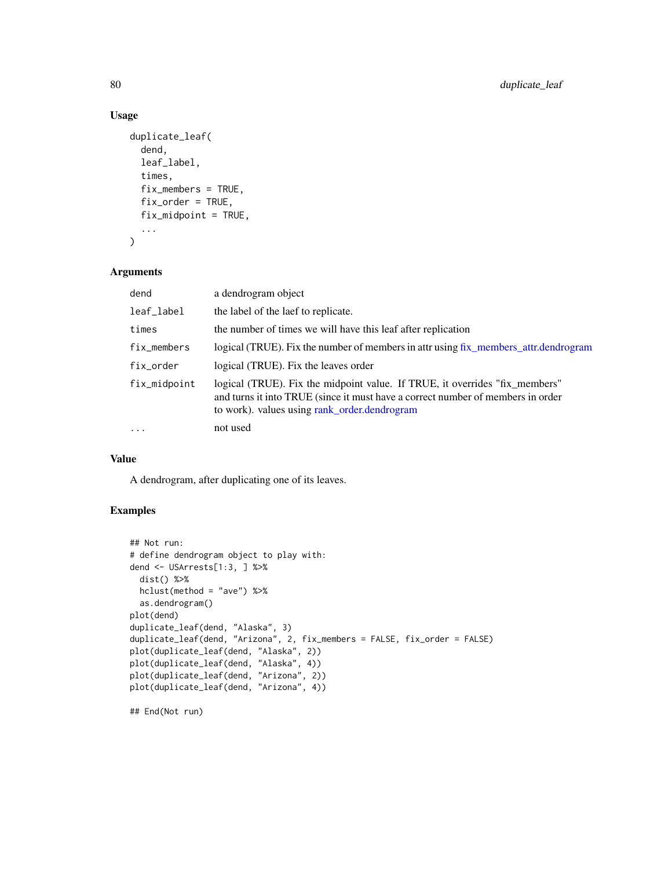# Usage

```
duplicate_leaf(
  dend,
  leaf_label,
  times,
  fix_members = TRUE,
  fix\_order = TRUE,fix_midpoint = TRUE,
  ...
)
```
# Arguments

| dend         | a dendrogram object                                                                                                                                                                                            |
|--------------|----------------------------------------------------------------------------------------------------------------------------------------------------------------------------------------------------------------|
| leaf_label   | the label of the laef to replicate.                                                                                                                                                                            |
| times        | the number of times we will have this leaf after replication                                                                                                                                                   |
| fix_members  | logical (TRUE). Fix the number of members in attr using fix_members_attr.dendrogram                                                                                                                            |
| fix_order    | logical (TRUE). Fix the leaves order                                                                                                                                                                           |
| fix_midpoint | logical (TRUE). Fix the midpoint value. If TRUE, it overrides "fix_members"<br>and turns it into TRUE (since it must have a correct number of members in order<br>to work). values using rank_order.dendrogram |
| $\ddots$     | not used                                                                                                                                                                                                       |

# Value

A dendrogram, after duplicating one of its leaves.

# Examples

```
## Not run:
# define dendrogram object to play with:
dend <- USArrests[1:3, ] %>%
  dist() %>%
 hclust(method = "ave") %>%
  as.dendrogram()
plot(dend)
duplicate_leaf(dend, "Alaska", 3)
duplicate_leaf(dend, "Arizona", 2, fix_members = FALSE, fix_order = FALSE)
plot(duplicate_leaf(dend, "Alaska", 2))
plot(duplicate_leaf(dend, "Alaska", 4))
plot(duplicate_leaf(dend, "Arizona", 2))
plot(duplicate_leaf(dend, "Arizona", 4))
```
## End(Not run)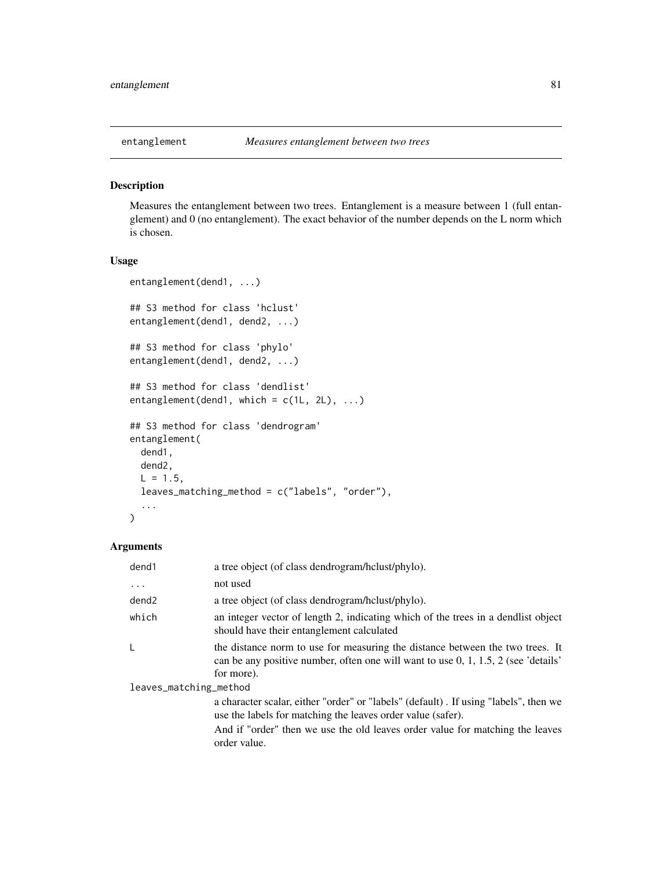<span id="page-80-0"></span>

### Description

Measures the entanglement between two trees. Entanglement is a measure between 1 (full entanglement) and 0 (no entanglement). The exact behavior of the number depends on the L norm which is chosen.

### Usage

```
entanglement(dend1, ...)
## S3 method for class 'hclust'
entanglement(dend1, dend2, ...)
## S3 method for class 'phylo'
entanglement(dend1, dend2, ...)
## S3 method for class 'dendlist'
entanglement(dend1, which = c(1L, 2L), ...)
## S3 method for class 'dendrogram'
entanglement(
 dend1,
 dend2,
 L = 1.5,
  leaves_matching_method = c("labels", "order"),
  ...
)
```

| dend1                  | a tree object (of class dendrogram/hclust/phylo).                                                                                                                                   |
|------------------------|-------------------------------------------------------------------------------------------------------------------------------------------------------------------------------------|
| $\cdots$               | not used                                                                                                                                                                            |
| dend <sub>2</sub>      | a tree object (of class dendrogram/hclust/phylo).                                                                                                                                   |
| which                  | an integer vector of length 2, indicating which of the trees in a dendlist object<br>should have their entanglement calculated                                                      |
|                        | the distance norm to use for measuring the distance between the two trees. It<br>can be any positive number, often one will want to use $0, 1, 1.5, 2$ (see 'details'<br>for more). |
| leaves_matching_method |                                                                                                                                                                                     |
|                        | a character scalar, either "order" or "labels" (default). If using "labels", then we<br>use the labels for matching the leaves order value (safer).                                 |
|                        | And if "order" then we use the old leaves order value for matching the leaves<br>order value.                                                                                       |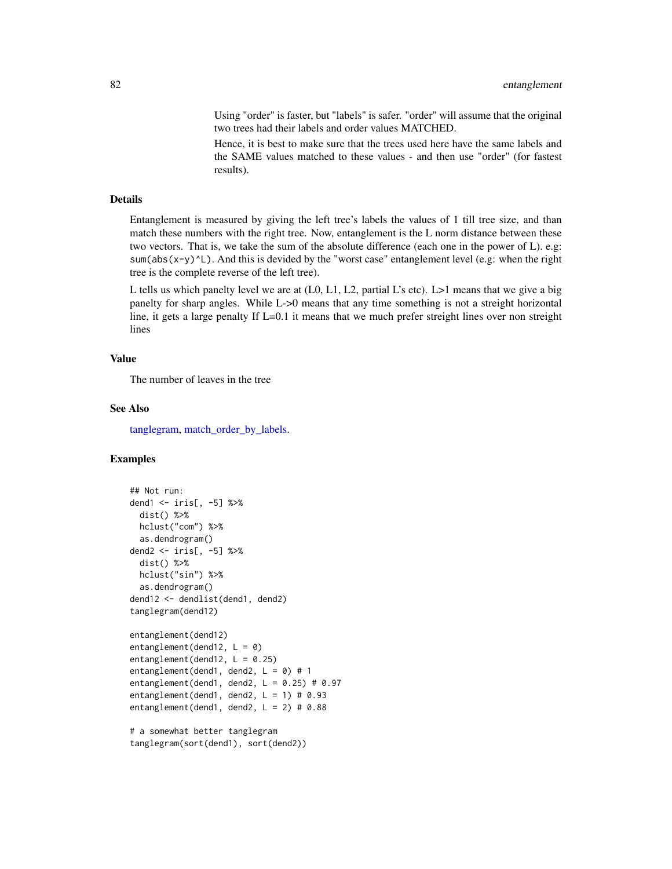Using "order" is faster, but "labels" is safer. "order" will assume that the original two trees had their labels and order values MATCHED.

Hence, it is best to make sure that the trees used here have the same labels and the SAME values matched to these values - and then use "order" (for fastest results).

#### Details

Entanglement is measured by giving the left tree's labels the values of 1 till tree size, and than match these numbers with the right tree. Now, entanglement is the L norm distance between these two vectors. That is, we take the sum of the absolute difference (each one in the power of L). e.g: sum(abs(x-y)^L). And this is devided by the "worst case" entanglement level (e.g: when the right tree is the complete reverse of the left tree).

L tells us which panelty level we are at (L0, L1, L2, partial L's etc). L>1 means that we give a big panelty for sharp angles. While L->0 means that any time something is not a streight horizontal line, it gets a large penalty If L=0.1 it means that we much prefer streight lines over non streight lines

#### Value

The number of leaves in the tree

#### See Also

[tanglegram,](#page-184-0) [match\\_order\\_by\\_labels.](#page-132-0)

```
## Not run:
dend1 <- iris[, -5] %>%
 dist() %>%
 hclust("com") %>%
 as.dendrogram()
dend2 <- iris[, -5] %>%
 dist() %>%
 hclust("sin") %>%
 as.dendrogram()
dend12 <- dendlist(dend1, dend2)
tanglegram(dend12)
entanglement(dend12)
entanglement(dend12, L = 0)
entanglement(dend12, L = 0.25)
entanglement(dend1, dend2, L = 0) # 1
entanglement(dend1, dend2, L = 0.25) # 0.97
entanglement(dend1, dend2, L = 1) # 0.93
entanglement(dend1, dend2, L = 2) # 0.88
# a somewhat better tanglegram
tanglegram(sort(dend1), sort(dend2))
```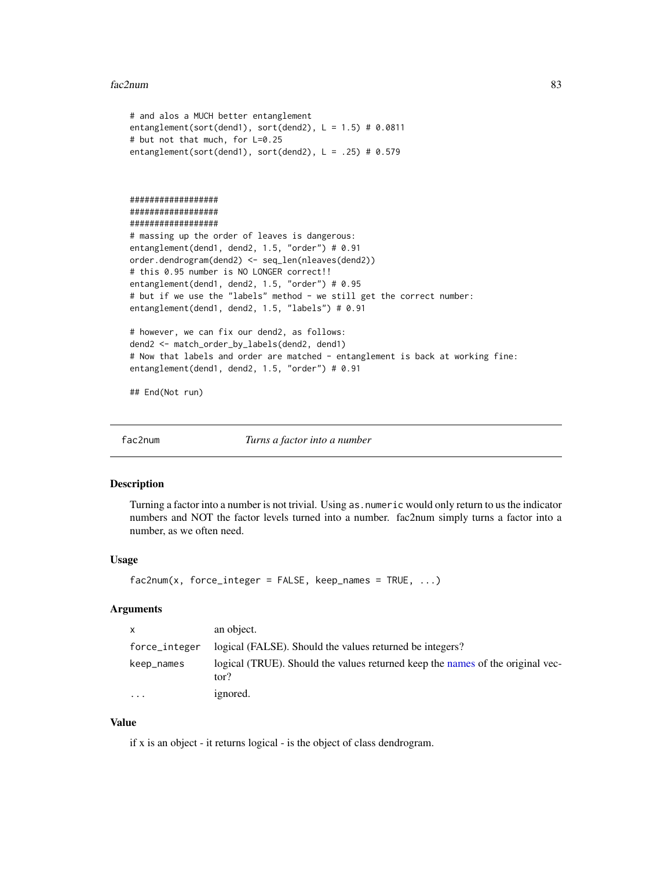#### fac2num 83

```
# and alos a MUCH better entanglement
entanglement(sort(dend1), sort(dend2), L = 1.5) # 0.0811
# but not that much, for L=0.25
entanglement(sort(dend1), sort(dend2), L = .25) # 0.579
##################
##################
##################
# massing up the order of leaves is dangerous:
entanglement(dend1, dend2, 1.5, "order") # 0.91
order.dendrogram(dend2) <- seq_len(nleaves(dend2))
# this 0.95 number is NO LONGER correct!!
entanglement(dend1, dend2, 1.5, "order") # 0.95
# but if we use the "labels" method - we still get the correct number:
entanglement(dend1, dend2, 1.5, "labels") # 0.91
# however, we can fix our dend2, as follows:
dend2 <- match_order_by_labels(dend2, dend1)
# Now that labels and order are matched - entanglement is back at working fine:
entanglement(dend1, dend2, 1.5, "order") # 0.91
## End(Not run)
```
fac2num *Turns a factor into a number*

#### Description

Turning a factor into a number is not trivial. Using as.numeric would only return to us the indicator numbers and NOT the factor levels turned into a number. fac2num simply turns a factor into a number, as we often need.

## Usage

```
fac2num(x, force\_integer = FALSE, keep\_names = TRUE, ...)
```
# Arguments

| $\mathsf{x}$  | an object.                                                                             |
|---------------|----------------------------------------------------------------------------------------|
| force_integer | logical (FALSE). Should the values returned be integers?                               |
| keep_names    | logical (TRUE). Should the values returned keep the names of the original vec-<br>tor? |
| .             | ignored.                                                                               |

#### Value

if x is an object - it returns logical - is the object of class dendrogram.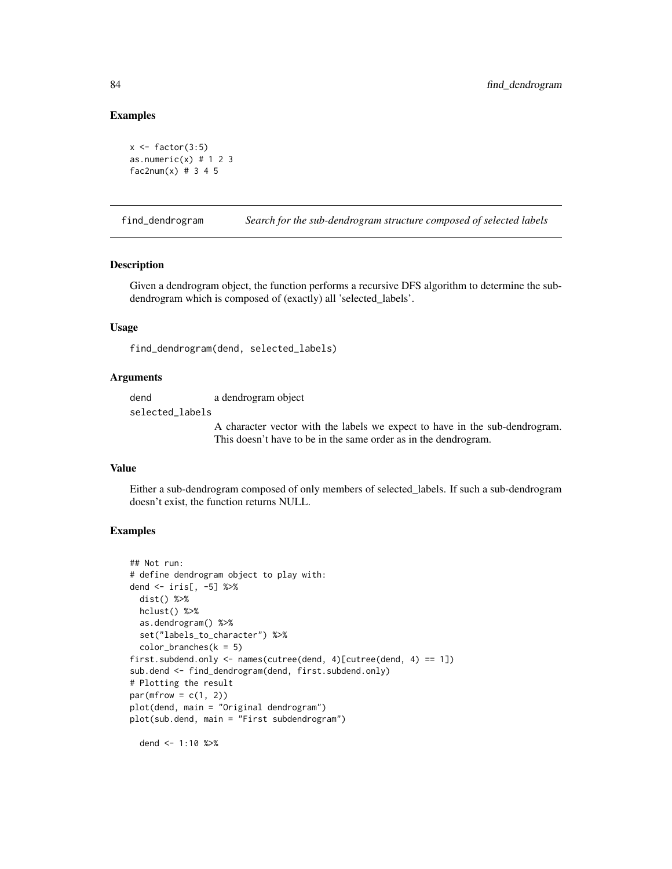### Examples

```
x \leftarrow factor(3:5)
as.numeric(x) # 1 2 3fac2num(x) # 3 4 5
```
find\_dendrogram *Search for the sub-dendrogram structure composed of selected labels*

## Description

Given a dendrogram object, the function performs a recursive DFS algorithm to determine the subdendrogram which is composed of (exactly) all 'selected\_labels'.

### Usage

find\_dendrogram(dend, selected\_labels)

### Arguments

dend a dendrogram object selected\_labels

> A character vector with the labels we expect to have in the sub-dendrogram. This doesn't have to be in the same order as in the dendrogram.

#### Value

Either a sub-dendrogram composed of only members of selected\_labels. If such a sub-dendrogram doesn't exist, the function returns NULL.

## Examples

```
## Not run:
# define dendrogram object to play with:
dend <- iris[, -5] %>%
  dist() %>%
 hclust() %>%
  as.dendrogram() %>%
  set("labels_to_character") %>%
  color_branches(k = 5)first.subdend.only <- names(cutree(dend, 4)[cutree(dend, 4) == 1])
sub.dend <- find_dendrogram(dend, first.subdend.only)
# Plotting the result
par(mfrow = c(1, 2))plot(dend, main = "Original dendrogram")
plot(sub.dend, main = "First subdendrogram")
```
dend <- 1:10 %>%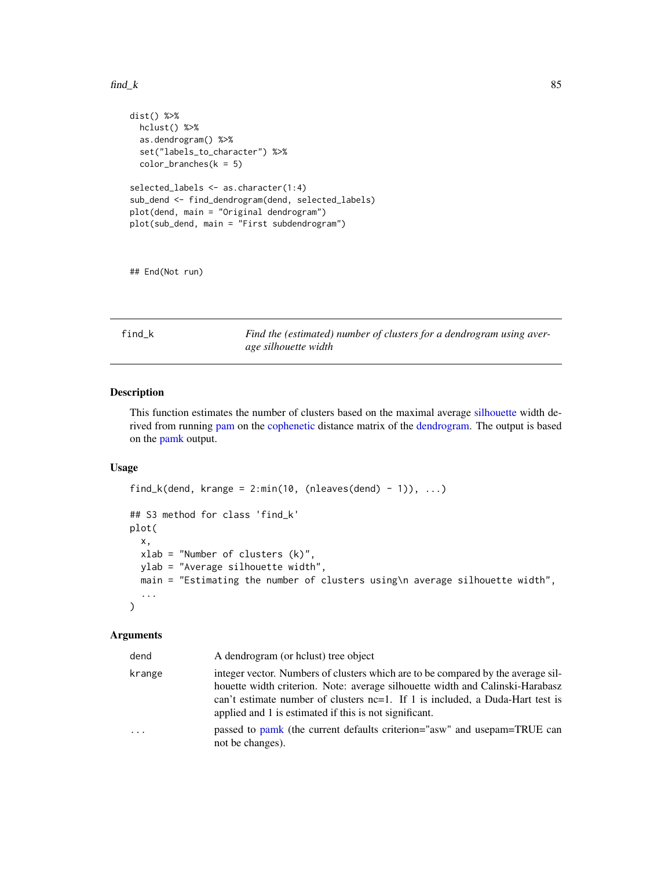#### $\text{find}\_k$  85

```
dist() %>%
 hclust() %>%
 as.dendrogram() %>%
 set("labels_to_character") %>%
 color_branches(k = 5)selected_labels <- as.character(1:4)
sub_dend <- find_dendrogram(dend, selected_labels)
plot(dend, main = "Original dendrogram")
plot(sub_dend, main = "First subdendrogram")
```
## End(Not run)

find\_k *Find the (estimated) number of clusters for a dendrogram using average silhouette width*

# Description

This function estimates the number of clusters based on the maximal average [silhouette](#page-0-0) width derived from running [pam](#page-0-0) on the [cophenetic](#page-0-0) distance matrix of the [dendrogram.](#page-0-0) The output is based on the [pamk](#page-0-0) output.

### Usage

```
find_k(dend, krange = 2:min(10, (nleaves(dend) - 1)), ...)
## S3 method for class 'find_k'
plot(
  x,
 xlab = "Number of clusters (k)",
 ylab = "Average silhouette width",
 main = "Estimating the number of clusters using\n average silhouette width",
  ...
\mathcal{L}
```

| dend   | A dendrogram (or holust) tree object                                                                                                                                                                                                                                                                         |
|--------|--------------------------------------------------------------------------------------------------------------------------------------------------------------------------------------------------------------------------------------------------------------------------------------------------------------|
| krange | integer vector. Numbers of clusters which are to be compared by the average sil-<br>houette width criterion. Note: average silhouette width and Calinski-Harabasz<br>can't estimate number of clusters nc=1. If 1 is included, a Duda-Hart test is<br>applied and 1 is estimated if this is not significant. |
| .      | passed to pamk (the current defaults criterion="asw" and usepam=TRUE can<br>not be changes).                                                                                                                                                                                                                 |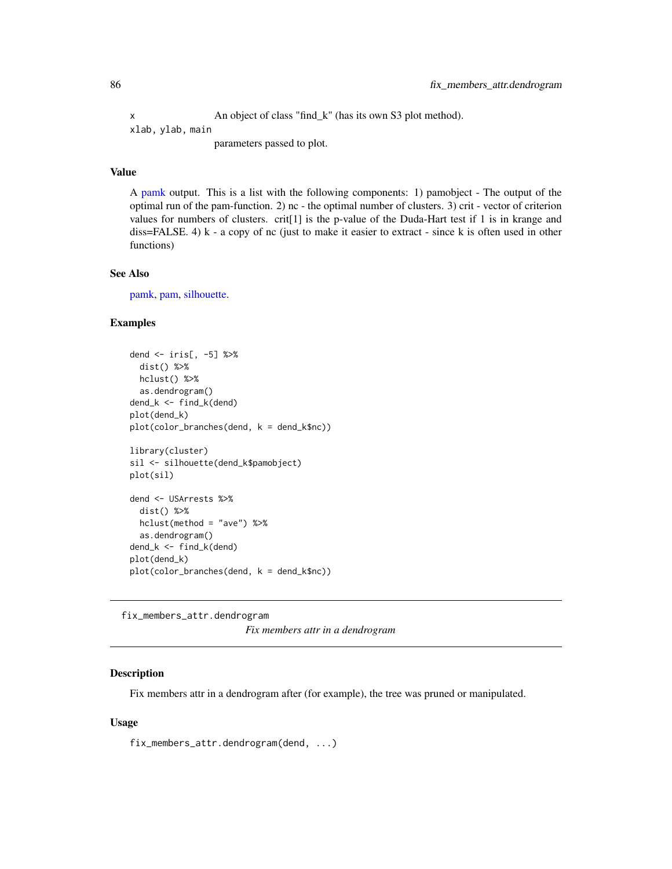x An object of class "find\_k" (has its own S3 plot method). xlab, ylab, main parameters passed to plot.

# Value

A [pamk](#page-0-0) output. This is a list with the following components: 1) pamobject - The output of the optimal run of the pam-function. 2) nc - the optimal number of clusters. 3) crit - vector of criterion values for numbers of clusters. crit<sup>[1]</sup> is the p-value of the Duda-Hart test if 1 is in krange and diss=FALSE. 4) k - a copy of nc (just to make it easier to extract - since k is often used in other functions)

## See Also

[pamk,](#page-0-0) [pam,](#page-0-0) [silhouette.](#page-0-0)

### Examples

```
dend <- iris[, -5] %>%
 dist() %>%
 hclust() %>%
 as.dendrogram()
dend_k <- find_k(dend)
plot(dend_k)
plot(color_branches(dend, k = dend_k$nc))
library(cluster)
sil <- silhouette(dend_k$pamobject)
plot(sil)
dend <- USArrests %>%
 dist() %>%
 hclust(method = "ave") %>%
 as.dendrogram()
dend_k <- find_k(dend)
plot(dend_k)
plot(color_branches(dend, k = dend_k$nc))
```
<span id="page-85-0"></span>fix\_members\_attr.dendrogram *Fix members attr in a dendrogram*

# Description

Fix members attr in a dendrogram after (for example), the tree was pruned or manipulated.

### Usage

fix\_members\_attr.dendrogram(dend, ...)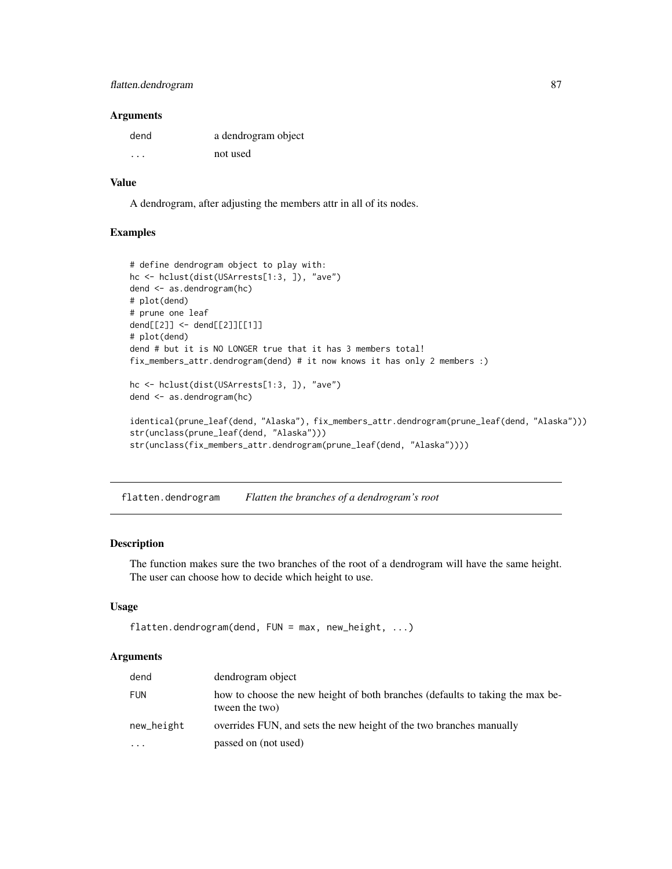# flatten.dendrogram 87

#### **Arguments**

| dend    | a dendrogram object |
|---------|---------------------|
| $\cdot$ | not used            |

## Value

A dendrogram, after adjusting the members attr in all of its nodes.

### Examples

```
# define dendrogram object to play with:
hc <- hclust(dist(USArrests[1:3, ]), "ave")
dend <- as.dendrogram(hc)
# plot(dend)
# prune one leaf
dend[[2]] <- dend[[2]][[1]]
# plot(dend)
dend # but it is NO LONGER true that it has 3 members total!
fix_members_attr.dendrogram(dend) # it now knows it has only 2 members :)
hc <- hclust(dist(USArrests[1:3, ]), "ave")
dend <- as.dendrogram(hc)
identical(prune_leaf(dend, "Alaska"), fix_members_attr.dendrogram(prune_leaf(dend, "Alaska")))
str(unclass(prune_leaf(dend, "Alaska")))
str(unclass(fix_members_attr.dendrogram(prune_leaf(dend, "Alaska"))))
```
flatten.dendrogram *Flatten the branches of a dendrogram's root*

## Description

The function makes sure the two branches of the root of a dendrogram will have the same height. The user can choose how to decide which height to use.

### Usage

```
flatten.dendrogram(dend, FUN = max, new_height, ...)
```

| dend                    | dendrogram object                                                                               |
|-------------------------|-------------------------------------------------------------------------------------------------|
| <b>FUN</b>              | how to choose the new height of both branches (defaults to taking the max be-<br>tween the two) |
| new_height              | overrides FUN, and sets the new height of the two branches manually                             |
| $\cdot$ $\cdot$ $\cdot$ | passed on (not used)                                                                            |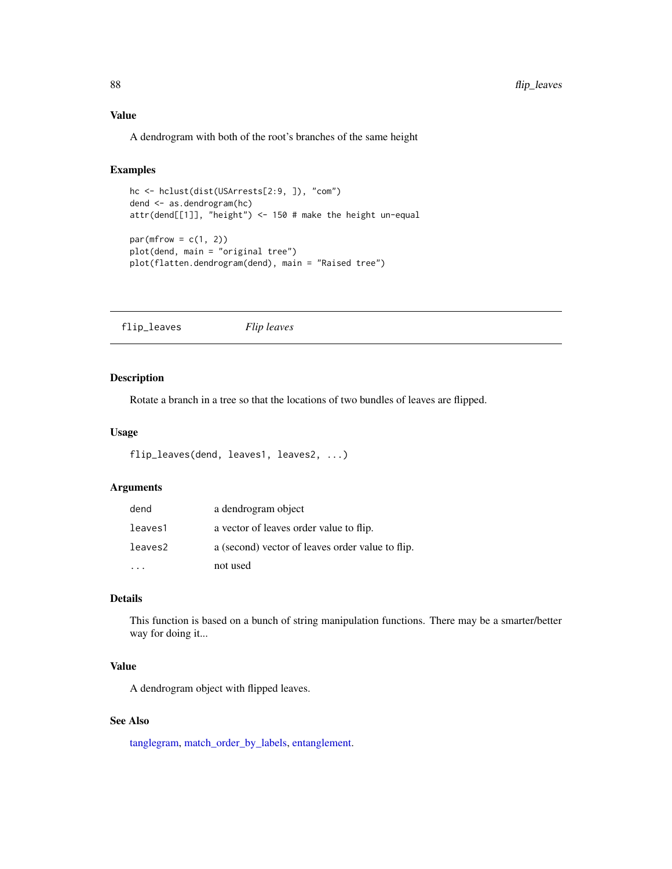# Value

A dendrogram with both of the root's branches of the same height

## Examples

```
hc <- hclust(dist(USArrests[2:9, ]), "com")
dend <- as.dendrogram(hc)
attr(dend[[1]], "height") <- 150 # make the height un-equal
par(mfrow = c(1, 2))plot(dend, main = "original tree")
plot(flatten.dendrogram(dend), main = "Raised tree")
```
flip\_leaves *Flip leaves*

# Description

Rotate a branch in a tree so that the locations of two bundles of leaves are flipped.

#### Usage

```
flip_leaves(dend, leaves1, leaves2, ...)
```
## Arguments

| dend    | a dendrogram object                              |
|---------|--------------------------------------------------|
| leaves1 | a vector of leaves order value to flip.          |
| leaves2 | a (second) vector of leaves order value to flip. |
|         | not used                                         |

## Details

This function is based on a bunch of string manipulation functions. There may be a smarter/better way for doing it...

### Value

A dendrogram object with flipped leaves.

### See Also

[tanglegram,](#page-184-0) [match\\_order\\_by\\_labels,](#page-132-0) [entanglement.](#page-80-0)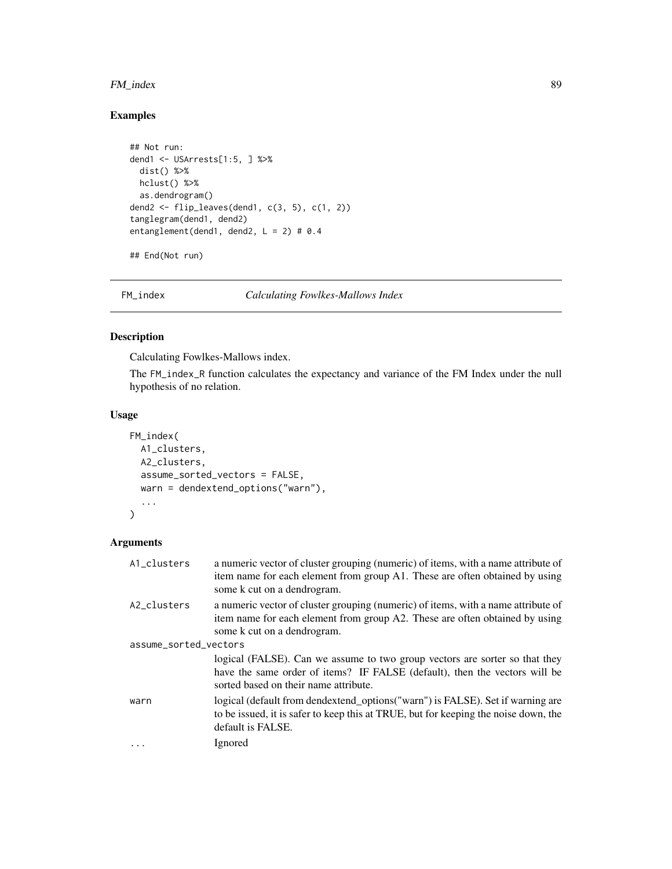# FM\_index 89

# Examples

```
## Not run:
dend1 <- USArrests[1:5, ] %>%
 dist() %>%
 hclust() %>%
 as.dendrogram()
dend2 <- flip_leaves(dend1, c(3, 5), c(1, 2))
tanglegram(dend1, dend2)
entanglement(dend1, dend2, L = 2) # 0.4
```
## End(Not run)

<span id="page-88-0"></span>FM\_index *Calculating Fowlkes-Mallows Index*

# Description

Calculating Fowlkes-Mallows index.

The FM\_index\_R function calculates the expectancy and variance of the FM Index under the null hypothesis of no relation.

# Usage

```
FM_index(
  A1_clusters,
  A2_clusters,
  assume_sorted_vectors = FALSE,
  warn = dendextend_options("warn"),
  ...
\mathcal{L}
```

| A1_clusters           | a numeric vector of cluster grouping (numeric) of items, with a name attribute of<br>item name for each element from group A1. These are often obtained by using<br>some k cut on a dendrogram.    |  |
|-----------------------|----------------------------------------------------------------------------------------------------------------------------------------------------------------------------------------------------|--|
| A2_clusters           | a numeric vector of cluster grouping (numeric) of items, with a name attribute of<br>item name for each element from group A2. These are often obtained by using<br>some k cut on a dendrogram.    |  |
| assume_sorted_vectors |                                                                                                                                                                                                    |  |
|                       | logical (FALSE). Can we assume to two group vectors are sorter so that they<br>have the same order of items? IF FALSE (default), then the vectors will be<br>sorted based on their name attribute. |  |
| warn                  | logical (default from dendextend_options("warn") is FALSE). Set if warning are<br>to be issued, it is safer to keep this at TRUE, but for keeping the noise down, the<br>default is FALSE.         |  |
| $\ddots$              | Ignored                                                                                                                                                                                            |  |
|                       |                                                                                                                                                                                                    |  |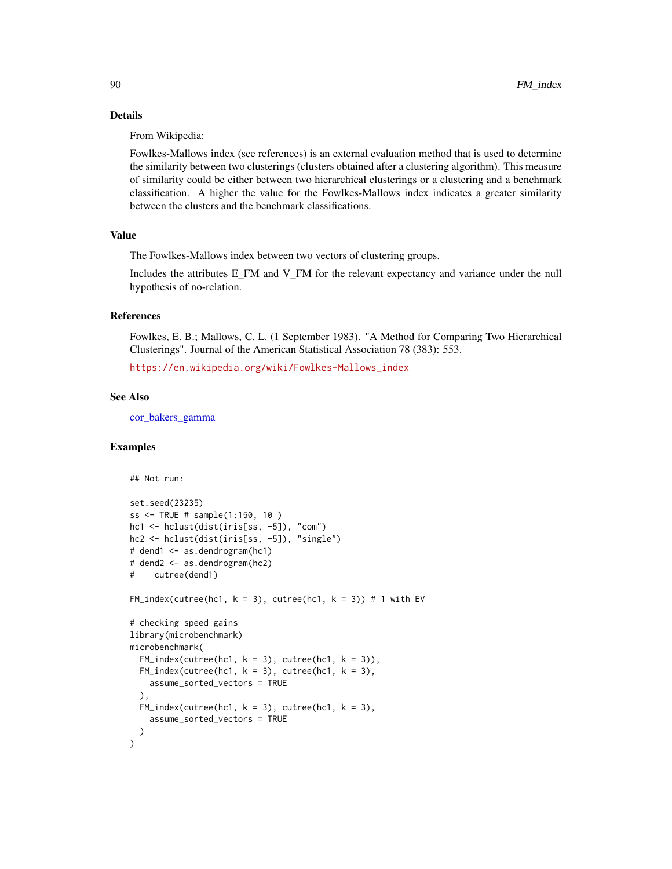## Details

From Wikipedia:

Fowlkes-Mallows index (see references) is an external evaluation method that is used to determine the similarity between two clusterings (clusters obtained after a clustering algorithm). This measure of similarity could be either between two hierarchical clusterings or a clustering and a benchmark classification. A higher the value for the Fowlkes-Mallows index indicates a greater similarity between the clusters and the benchmark classifications.

## Value

The Fowlkes-Mallows index between two vectors of clustering groups.

Includes the attributes E\_FM and V\_FM for the relevant expectancy and variance under the null hypothesis of no-relation.

## References

Fowlkes, E. B.; Mallows, C. L. (1 September 1983). "A Method for Comparing Two Hierarchical Clusterings". Journal of the American Statistical Association 78 (383): 553.

[https://en.wikipedia.org/wiki/Fowlkes-Mallows\\_index](https://en.wikipedia.org/wiki/Fowlkes-Mallows_index)

# See Also

[cor\\_bakers\\_gamma](#page-53-0)

```
## Not run:
set.seed(23235)
ss <- TRUE # sample(1:150, 10 )
hc1 <- hclust(dist(iris[ss, -5]), "com")
hc2 <- hclust(dist(iris[ss, -5]), "single")
# dend1 <- as.dendrogram(hc1)
# dend2 <- as.dendrogram(hc2)
# cutree(dend1)
FM\_index(cutree(hc1, k = 3), cutree(hc1, k = 3)) # 1 with EV# checking speed gains
library(microbenchmark)
microbenchmark(
 FM\_index(cutree(hc1, k = 3), cutree(hc1, k = 3)),FM\_index(cutree(hc1, k = 3), cutree(hc1, k = 3),assume_sorted_vectors = TRUE
 ),
 FM\_index(cutree(hc1, k = 3), cutree(hc1, k = 3),assume_sorted_vectors = TRUE
 )
)
```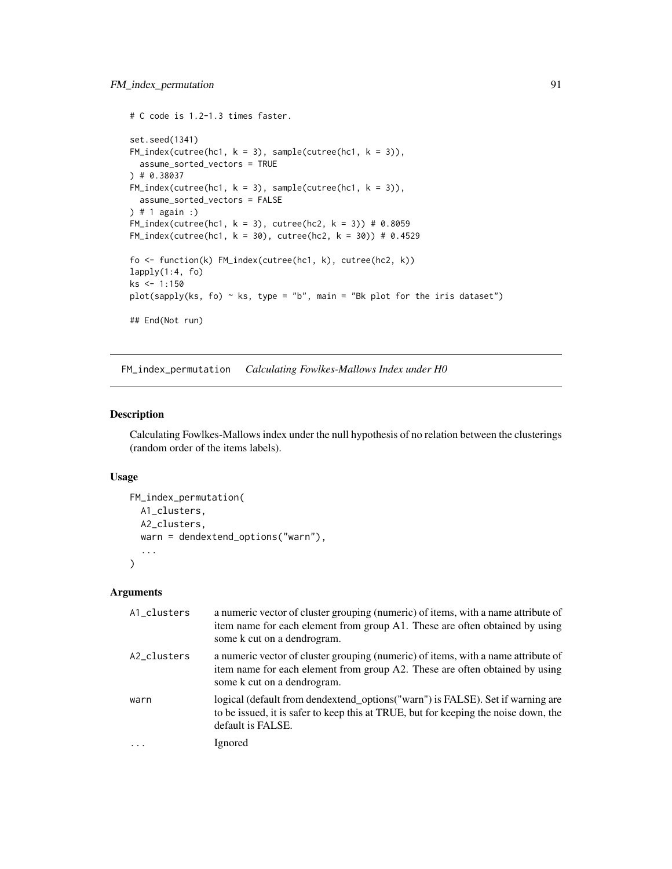```
# C code is 1.2-1.3 times faster.
set.seed(1341)
FM\_index(cutree(hc1, k = 3), sample(cutree(hc1, k = 3)),assume_sorted_vectors = TRUE
) # 0.38037
FM\_index(cutree(hc1, k = 3), sample(cutree(hc1, k = 3)),assume_sorted_vectors = FALSE
) # 1 again :)
FM\_index(cutree(hc1, k = 3), cutree(hc2, k = 3)) # 0.8059FM\_index(cutree(hc1, k = 30), cutree(hc2, k = 30)) # 0.4529fo <- function(k) FM_index(cutree(hc1, k), cutree(hc2, k))
lapply(1:4, fo)ks <- 1:150
plot(sapply(ks, fo) \sim ks, type = "b", main = "Bk plot for the iris dataset")
## End(Not run)
```
FM\_index\_permutation *Calculating Fowlkes-Mallows Index under H0*

### Description

Calculating Fowlkes-Mallows index under the null hypothesis of no relation between the clusterings (random order of the items labels).

### Usage

```
FM_index_permutation(
 A1_clusters,
 A2_clusters,
 warn = dendextend_options("warn"),
  ...
)
```

| A1_clusters | a numeric vector of cluster grouping (numeric) of items, with a name attribute of<br>item name for each element from group A1. These are often obtained by using<br>some k cut on a dendrogram. |
|-------------|-------------------------------------------------------------------------------------------------------------------------------------------------------------------------------------------------|
| A2_clusters | a numeric vector of cluster grouping (numeric) of items, with a name attribute of<br>item name for each element from group A2. These are often obtained by using<br>some k cut on a dendrogram. |
| warn        | logical (default from dendextend_options("warn") is FALSE). Set if warning are<br>to be issued, it is safer to keep this at TRUE, but for keeping the noise down, the<br>default is FALSE.      |
|             | Ignored                                                                                                                                                                                         |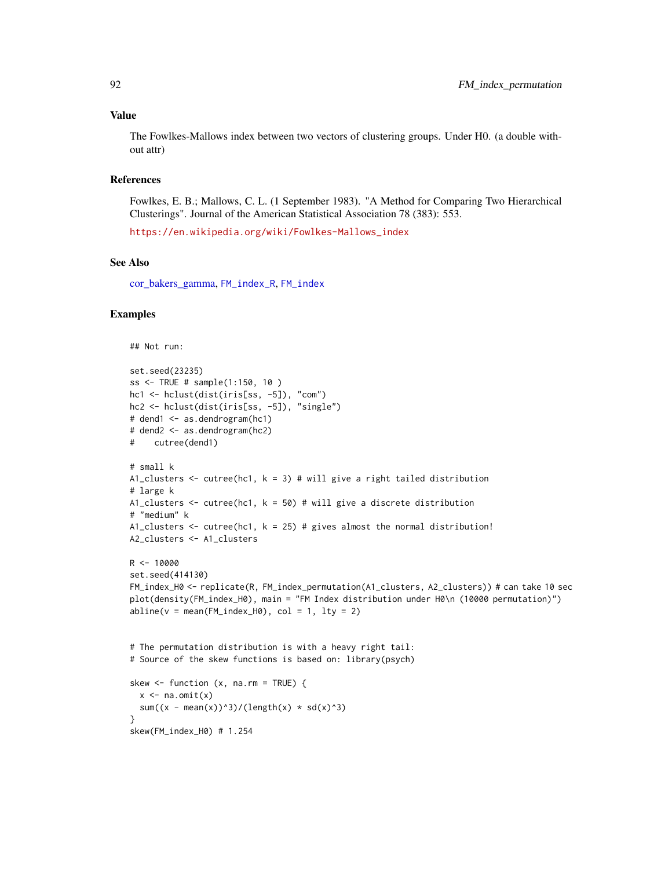#### Value

The Fowlkes-Mallows index between two vectors of clustering groups. Under H0. (a double without attr)

## References

Fowlkes, E. B.; Mallows, C. L. (1 September 1983). "A Method for Comparing Two Hierarchical Clusterings". Journal of the American Statistical Association 78 (383): 553.

[https://en.wikipedia.org/wiki/Fowlkes-Mallows\\_index](https://en.wikipedia.org/wiki/Fowlkes-Mallows_index)

# See Also

[cor\\_bakers\\_gamma,](#page-53-0) [FM\\_index\\_R](#page-92-0), [FM\\_index](#page-88-0)

```
## Not run:
```

```
set.seed(23235)
ss <- TRUE # sample(1:150, 10 )
hc1 <- hclust(dist(iris[ss, -5]), "com")
hc2 <- hclust(dist(iris[ss, -5]), "single")
# dend1 <- as.dendrogram(hc1)
# dend2 <- as.dendrogram(hc2)
# cutree(dend1)
# small k
A1_clusters <- cutree(hc1, k = 3) # will give a right tailed distribution
# large k
A1_clusters \le cutree(hc1, k = 50) # will give a discrete distribution
# "medium" k
A1_clusters \le cutree(hc1, k = 25) # gives almost the normal distribution!
A2_clusters <- A1_clusters
R < - 10000set.seed(414130)
FM_index_H0 <- replicate(R, FM_index_permutation(A1_clusters, A2_clusters)) # can take 10 sec
plot(density(FM_index_H0), main = "FM Index distribution under H0\n (10000 permutation)")
abline(v = mean(FM_index_H0), col = 1, lty = 2)# The permutation distribution is with a heavy right tail:
# Source of the skew functions is based on: library(psych)
skew \leq function (x, na.rm = TRUE) {
  x \leq -na.omit(x)sum((x - \text{mean}(x))^3)/(length(x) * sd(x)^3)
}
skew(FM_index_H0) # 1.254
```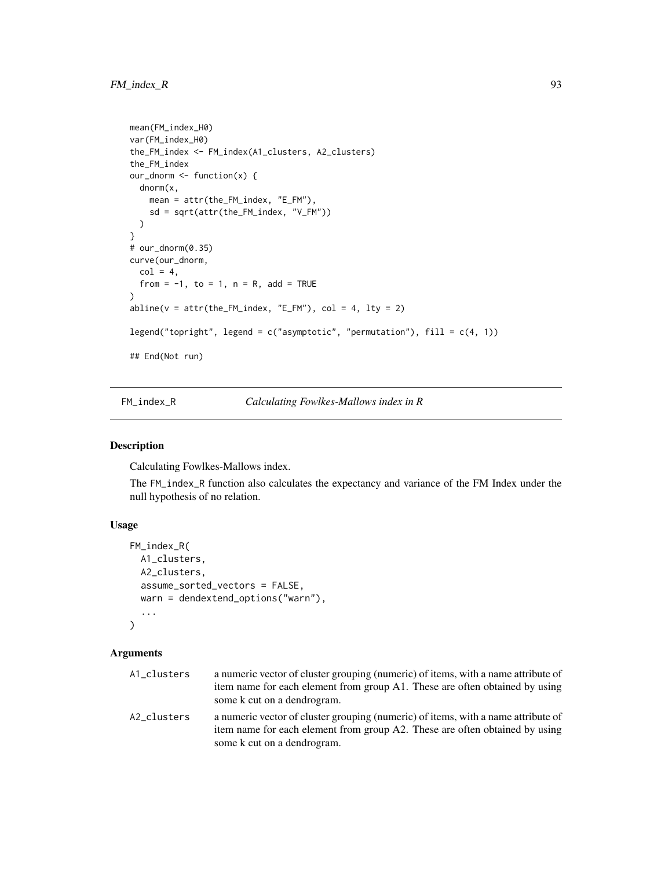```
mean(FM_index_H0)
var(FM_index_H0)
the_FM_index <- FM_index(A1_clusters, A2_clusters)
the_FM_index
our_dnorm <- function(x) {
 dnorm(x,
    mean = attr(the_FM_index, "E_FM"),
    sd = sqrt(attr(the_FM_index, "V_FM"))
  )
}
# our_dnorm(0.35)
curve(our_dnorm,
  col = 4,
  from = -1, to = 1, n = R, add = TRUE
)
abline(v = attr(the_FM_index, "E_FM"), col = 4, lty = 2)legend("topright", legend = c("asymptotic", "permutation"), fill = <math>c(4, 1)</math>)## End(Not run)
```
<span id="page-92-0"></span>FM\_index\_R *Calculating Fowlkes-Mallows index in R*

## Description

Calculating Fowlkes-Mallows index.

The FM\_index\_R function also calculates the expectancy and variance of the FM Index under the null hypothesis of no relation.

# Usage

```
FM_index_R(
  A1_clusters,
  A2_clusters,
  assume_sorted_vectors = FALSE,
  warn = dendextend_options("warn"),
  ...
\mathcal{L}
```

| A1_clusters | a numeric vector of cluster grouping (numeric) of items, with a name attribute of<br>item name for each element from group A1. These are often obtained by using<br>some k cut on a dendrogram. |
|-------------|-------------------------------------------------------------------------------------------------------------------------------------------------------------------------------------------------|
| A2 clusters | a numeric vector of cluster grouping (numeric) of items, with a name attribute of<br>item name for each element from group A2. These are often obtained by using<br>some k cut on a dendrogram. |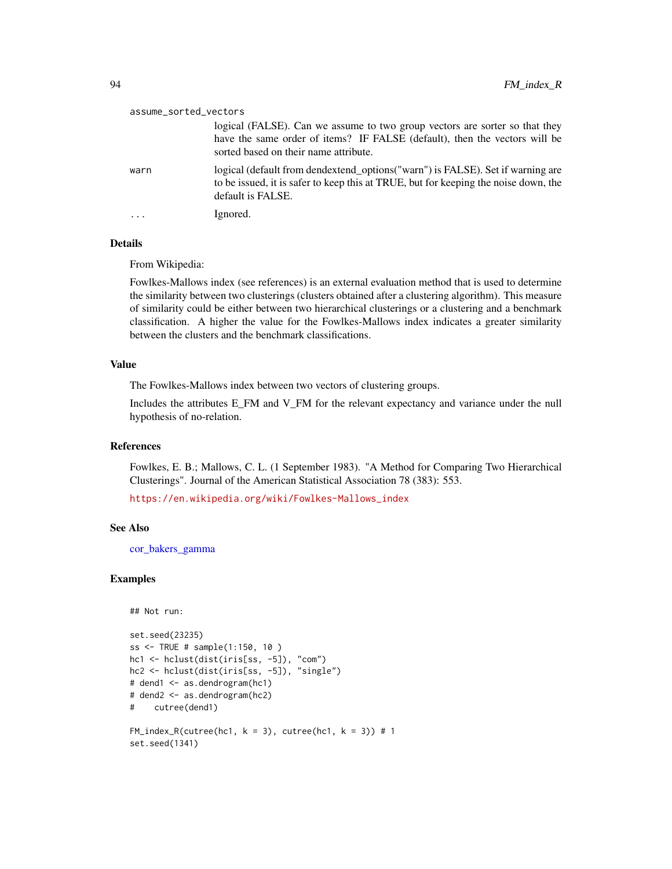| assume_sorted_vectors |                                                                                                                                                                                                    |  |
|-----------------------|----------------------------------------------------------------------------------------------------------------------------------------------------------------------------------------------------|--|
|                       | logical (FALSE). Can we assume to two group vectors are sorter so that they<br>have the same order of items? IF FALSE (default), then the vectors will be<br>sorted based on their name attribute. |  |
| warn                  | logical (default from dendextend_options("warn") is FALSE). Set if warning are<br>to be issued, it is safer to keep this at TRUE, but for keeping the noise down, the<br>default is FALSE.         |  |
| .                     | Ignored.                                                                                                                                                                                           |  |

## Details

From Wikipedia:

Fowlkes-Mallows index (see references) is an external evaluation method that is used to determine the similarity between two clusterings (clusters obtained after a clustering algorithm). This measure of similarity could be either between two hierarchical clusterings or a clustering and a benchmark classification. A higher the value for the Fowlkes-Mallows index indicates a greater similarity between the clusters and the benchmark classifications.

### Value

The Fowlkes-Mallows index between two vectors of clustering groups.

Includes the attributes E\_FM and V\_FM for the relevant expectancy and variance under the null hypothesis of no-relation.

## References

Fowlkes, E. B.; Mallows, C. L. (1 September 1983). "A Method for Comparing Two Hierarchical Clusterings". Journal of the American Statistical Association 78 (383): 553.

[https://en.wikipedia.org/wiki/Fowlkes-Mallows\\_index](https://en.wikipedia.org/wiki/Fowlkes-Mallows_index)

## See Also

[cor\\_bakers\\_gamma](#page-53-0)

```
## Not run:
```

```
set.seed(23235)
ss <- TRUE # sample(1:150, 10 )
hc1 <- hclust(dist(iris[ss, -5]), "com")
hc2 <- hclust(dist(iris[ss, -5]), "single")
# dend1 <- as.dendrogram(hc1)
# dend2 <- as.dendrogram(hc2)
# cutree(dend1)
FM\_index_R(cutree(hc1, k = 3), cutree(hc1, k = 3)) # 1set.seed(1341)
```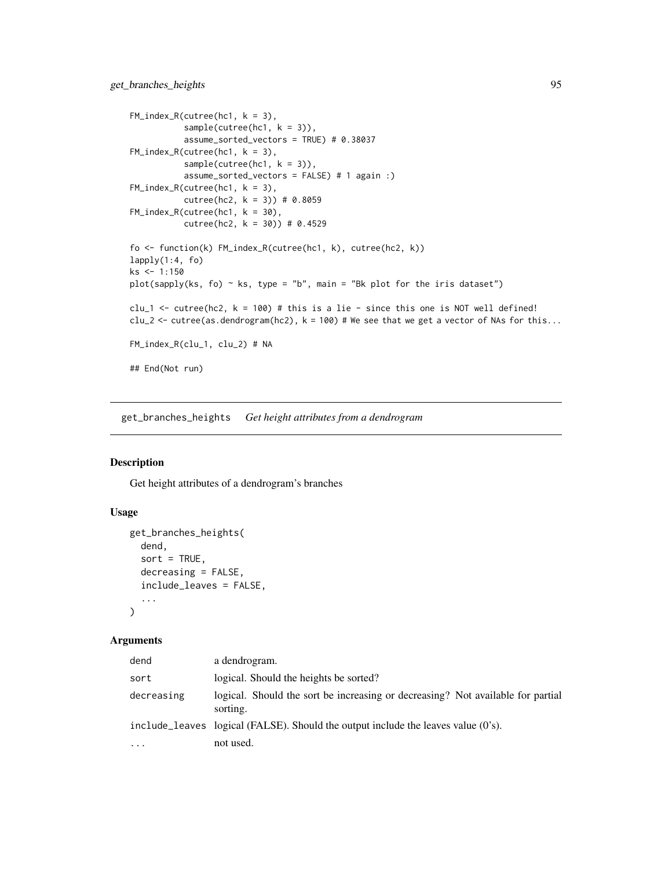```
FM\_index_R(cutree(hc1, k = 3),sample(cutree(hc1, k = 3)),assume_sorted_vectors = TRUE) # 0.38037
FM\_index_R(cutree(hc1, k = 3),sample(cutree(hc1, k = 3)),assume_sorted_vectors = FALSE) # 1 again :)
FM\_index_R(cutree(hc1, k = 3),cutree(hc2, k = 3)) # 0.8059
FM_index_R(cutree(hc1, k = 30),
           cutree(hc2, k = 30) # 0.4529
fo <- function(k) FM_index_R(cutree(hc1, k), cutree(hc2, k))
lapply(1:4, fo)ks <- 1:150
plot(sapply(ks, fo) \sim ks, type = "b", main = "Bk plot for the iris dataset")
clu_1 <- cutree(hc2, k = 100) # this is a lie - since this one is NOT well defined!
clu<sub>-2</sub> \le cutree(as.dendrogram(hc2), k = 100) # We see that we get a vector of NAs for this...
FM_index_R(clu_1, clu_2) # NA
## End(Not run)
```
<span id="page-94-0"></span>get\_branches\_heights *Get height attributes from a dendrogram*

## Description

Get height attributes of a dendrogram's branches

### Usage

```
get_branches_heights(
  dend,
  sort = TRUE,decreasing = FALSE,
  include_leaves = FALSE,
  ...
\lambda
```

| dend       | a dendrogram.                                                                               |
|------------|---------------------------------------------------------------------------------------------|
| sort       | logical. Should the heights be sorted?                                                      |
| decreasing | logical. Should the sort be increasing or decreasing? Not available for partial<br>sorting. |
|            | include leaves logical ( $FALEE$ ). Should the output include the leaves value ( $0's$ ).   |
| $\ddotsc$  | not used.                                                                                   |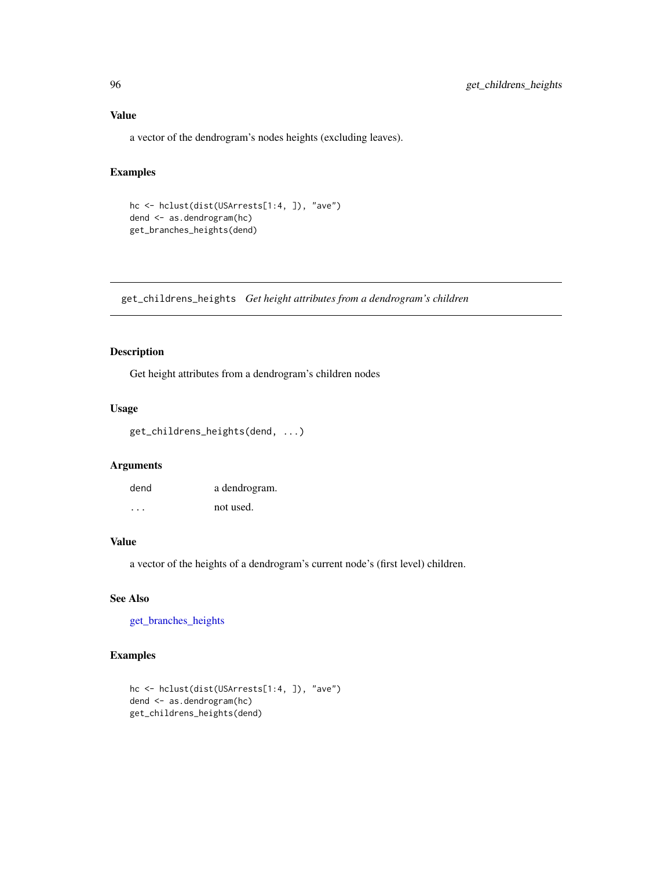# Value

a vector of the dendrogram's nodes heights (excluding leaves).

# Examples

```
hc <- hclust(dist(USArrests[1:4, ]), "ave")
dend <- as.dendrogram(hc)
get_branches_heights(dend)
```
get\_childrens\_heights *Get height attributes from a dendrogram's children*

## Description

Get height attributes from a dendrogram's children nodes

#### Usage

```
get_childrens_heights(dend, ...)
```
# Arguments

| dend | a dendrogram. |
|------|---------------|
| .    | not used.     |

## Value

a vector of the heights of a dendrogram's current node's (first level) children.

# See Also

[get\\_branches\\_heights](#page-94-0)

```
hc <- hclust(dist(USArrests[1:4, ]), "ave")
dend <- as.dendrogram(hc)
get_childrens_heights(dend)
```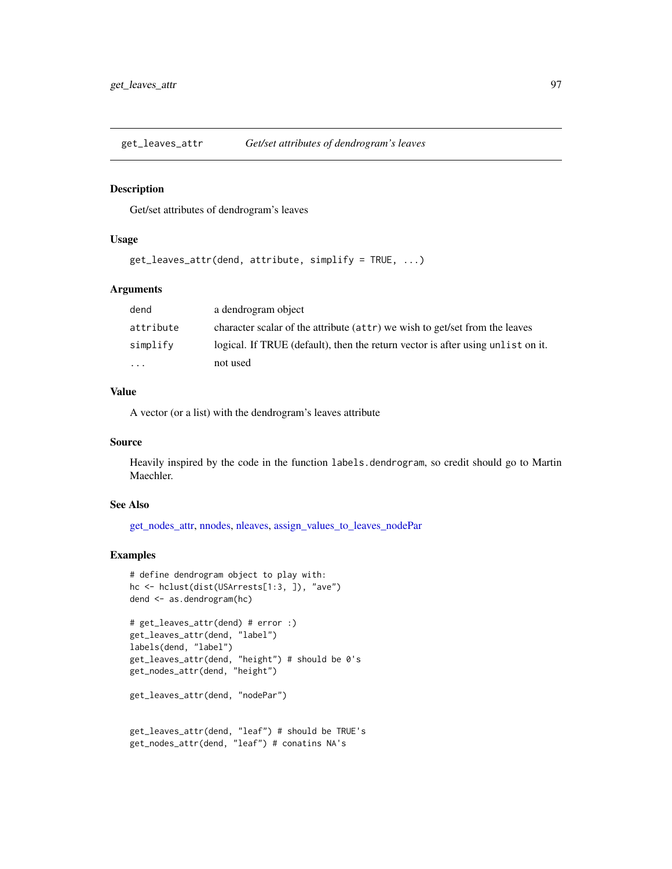<span id="page-96-0"></span>

#### Description

Get/set attributes of dendrogram's leaves

## Usage

```
get_leaves_attr(dend, attribute, simplify = TRUE, ...)
```
# Arguments

| dend                    | a dendrogram object                                                             |
|-------------------------|---------------------------------------------------------------------------------|
| attribute               | character scalar of the attribute (attr) we wish to get/set from the leaves     |
| simplify                | logical. If TRUE (default), then the return vector is after using unlist on it. |
| $\cdot$ $\cdot$ $\cdot$ | not used                                                                        |

## Value

A vector (or a list) with the dendrogram's leaves attribute

## Source

Heavily inspired by the code in the function labels.dendrogram, so credit should go to Martin Maechler.

## See Also

[get\\_nodes\\_attr,](#page-101-0) [nnodes,](#page-138-0) [nleaves,](#page-137-0) [assign\\_values\\_to\\_leaves\\_nodePar](#page-14-0)

#### Examples

```
# define dendrogram object to play with:
hc <- hclust(dist(USArrests[1:3, ]), "ave")
dend <- as.dendrogram(hc)
```

```
# get_leaves_attr(dend) # error :)
get_leaves_attr(dend, "label")
labels(dend, "label")
get_leaves_attr(dend, "height") # should be 0's
get_nodes_attr(dend, "height")
```
get\_leaves\_attr(dend, "nodePar")

```
get_leaves_attr(dend, "leaf") # should be TRUE's
get_nodes_attr(dend, "leaf") # conatins NA's
```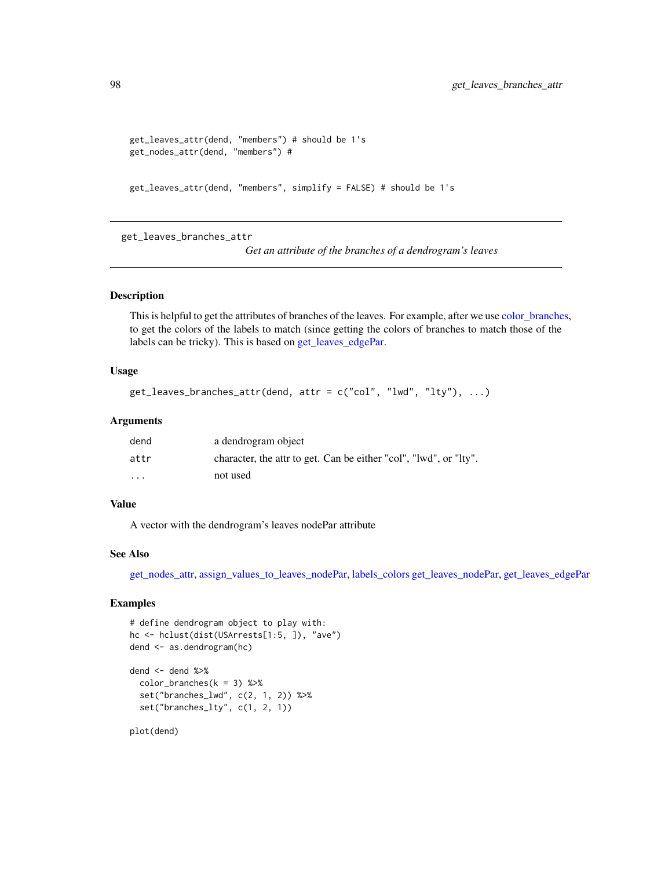```
get_leaves_attr(dend, "members") # should be 1's
get_nodes_attr(dend, "members") #
```

```
get_leaves_attr(dend, "members", simplify = FALSE) # should be 1's
```
<span id="page-97-0"></span>get\_leaves\_branches\_attr

*Get an attribute of the branches of a dendrogram's leaves*

## Description

This is helpful to get the attributes of branches of the leaves. For example, after we use [color\\_branches,](#page-44-0) to get the colors of the labels to match (since getting the colors of branches to match those of the labels can be tricky). This is based on [get\\_leaves\\_edgePar.](#page-99-0)

#### Usage

```
get_leaves_branches_attr(dend, attr = c("col", "lwd", "lty"), ...)
```
#### Arguments

| dend                    | a dendrogram object                                               |
|-------------------------|-------------------------------------------------------------------|
| attr                    | character, the attr to get. Can be either "col", "lwd", or "lty". |
| $\cdot$ $\cdot$ $\cdot$ | not used                                                          |

## Value

A vector with the dendrogram's leaves nodePar attribute

### See Also

[get\\_nodes\\_attr,](#page-101-0) [assign\\_values\\_to\\_leaves\\_nodePar,](#page-14-0) [labels\\_colors](#page-128-0) [get\\_leaves\\_nodePar,](#page-100-0) [get\\_leaves\\_edgePar](#page-99-0)

# Examples

```
# define dendrogram object to play with:
hc <- hclust(dist(USArrests[1:5, ]), "ave")
dend <- as.dendrogram(hc)
```

```
dend <- dend \gg\color_branches(k = 3) %set("branches_lwd", c(2, 1, 2)) %>%
 set("branches_lty", c(1, 2, 1))
```
plot(dend)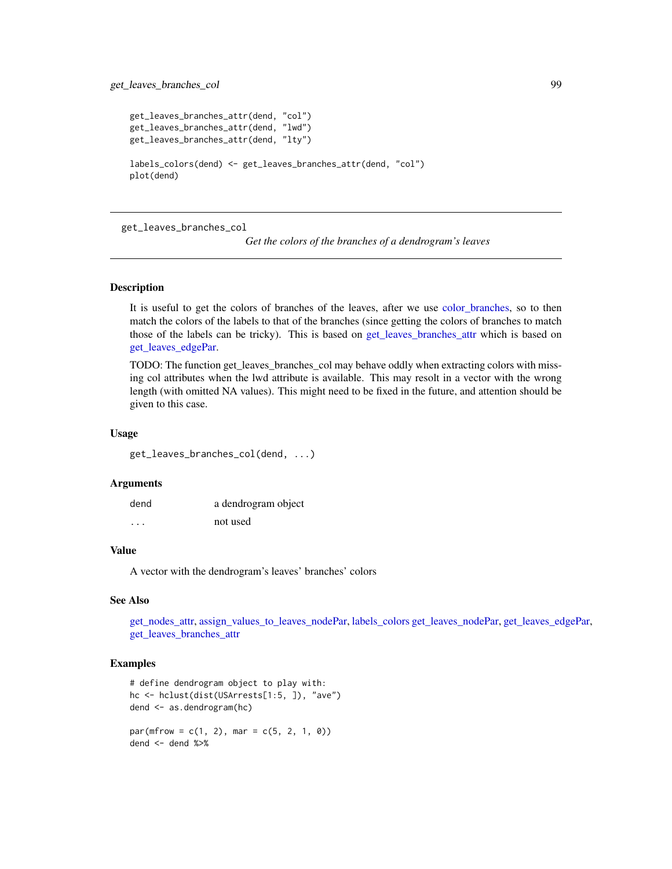```
get_leaves_branches_attr(dend, "col")
get_leaves_branches_attr(dend, "lwd")
get_leaves_branches_attr(dend, "lty")
labels_colors(dend) <- get_leaves_branches_attr(dend, "col")
plot(dend)
```
get\_leaves\_branches\_col

```
Get the colors of the branches of a dendrogram's leaves
```
### Description

It is useful to get the colors of branches of the leaves, after we use [color\\_branches,](#page-44-0) so to then match the colors of the labels to that of the branches (since getting the colors of branches to match those of the labels can be tricky). This is based on [get\\_leaves\\_branches\\_attr](#page-97-0) which is based on [get\\_leaves\\_edgePar.](#page-99-0)

TODO: The function get\_leaves\_branches\_col may behave oddly when extracting colors with missing col attributes when the lwd attribute is available. This may resolt in a vector with the wrong length (with omitted NA values). This might need to be fixed in the future, and attention should be given to this case.

#### Usage

get\_leaves\_branches\_col(dend, ...)

### Arguments

| dend | a dendrogram object |
|------|---------------------|
| .    | not used            |

## Value

A vector with the dendrogram's leaves' branches' colors

#### See Also

[get\\_nodes\\_attr,](#page-101-0) [assign\\_values\\_to\\_leaves\\_nodePar,](#page-14-0) [labels\\_colors](#page-128-0) [get\\_leaves\\_nodePar,](#page-100-0) [get\\_leaves\\_edgePar,](#page-99-0) [get\\_leaves\\_branches\\_attr](#page-97-0)

```
# define dendrogram object to play with:
hc <- hclust(dist(USArrests[1:5, ]), "ave")
dend <- as.dendrogram(hc)
par(mfrow = c(1, 2), mar = c(5, 2, 1, 0))
```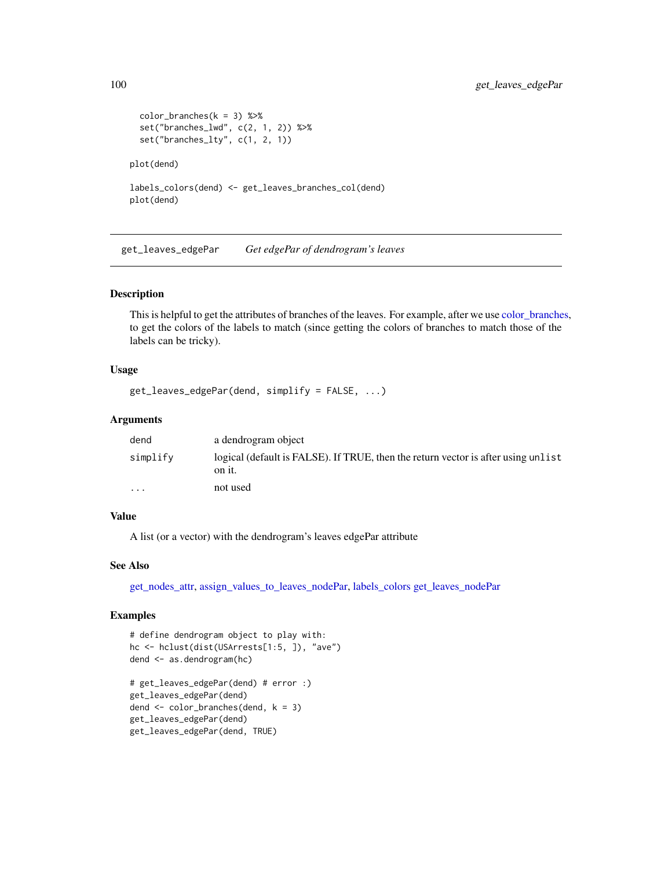```
color_branches(k = 3) %set("branches_lwd", c(2, 1, 2)) %>%
 set("branches_lty", c(1, 2, 1))
plot(dend)
labels_colors(dend) <- get_leaves_branches_col(dend)
plot(dend)
```
<span id="page-99-0"></span>get\_leaves\_edgePar *Get edgePar of dendrogram's leaves*

### Description

This is helpful to get the attributes of branches of the leaves. For example, after we use [color\\_branches,](#page-44-0) to get the colors of the labels to match (since getting the colors of branches to match those of the labels can be tricky).

### Usage

```
get_leaves_edgePar(dend, simplify = FALSE, ...)
```
## Arguments

| dend                    | a dendrogram object                                                                         |
|-------------------------|---------------------------------------------------------------------------------------------|
| simplify                | logical (default is FALSE). If TRUE, then the return vector is after using unlist<br>on it. |
| $\cdot$ $\cdot$ $\cdot$ | not used                                                                                    |

## Value

A list (or a vector) with the dendrogram's leaves edgePar attribute

# See Also

[get\\_nodes\\_attr,](#page-101-0) [assign\\_values\\_to\\_leaves\\_nodePar,](#page-14-0) [labels\\_colors](#page-128-0) [get\\_leaves\\_nodePar](#page-100-0)

```
# define dendrogram object to play with:
hc <- hclust(dist(USArrests[1:5, ]), "ave")
dend <- as.dendrogram(hc)
# get_leaves_edgePar(dend) # error :)
```

```
get_leaves_edgePar(dend)
dend \le color_branches(dend, k = 3)
get_leaves_edgePar(dend)
get_leaves_edgePar(dend, TRUE)
```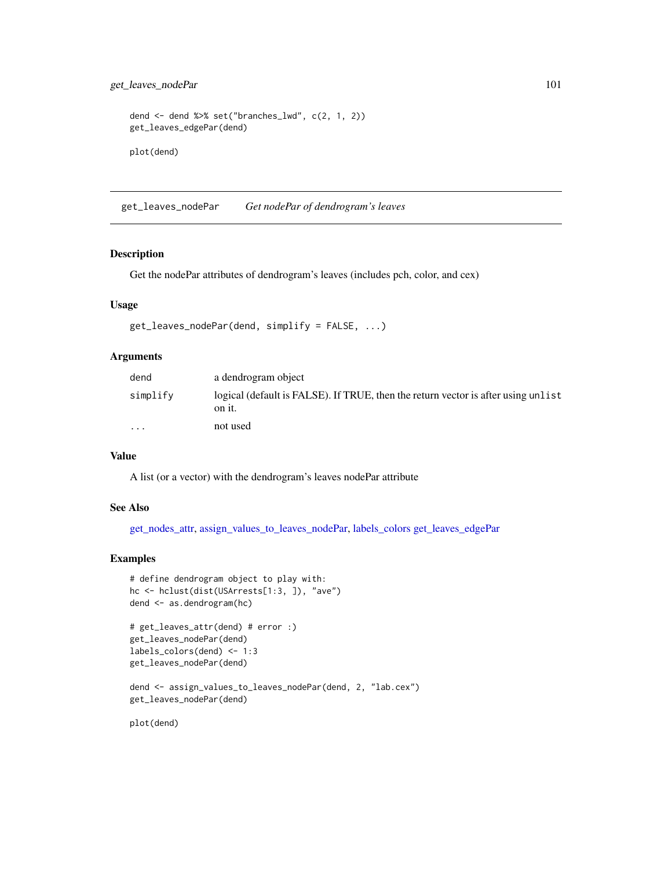get\_leaves\_nodePar 101

```
dend <- dend %>% set("branches_lwd", c(2, 1, 2))
get_leaves_edgePar(dend)
plot(dend)
```
<span id="page-100-0"></span>get\_leaves\_nodePar *Get nodePar of dendrogram's leaves*

## Description

Get the nodePar attributes of dendrogram's leaves (includes pch, color, and cex)

## Usage

```
get_leaves_nodePar(dend, simplify = FALSE, ...)
```
# Arguments

| dend     | a dendrogram object                                                                         |
|----------|---------------------------------------------------------------------------------------------|
| simplify | logical (default is FALSE). If TRUE, then the return vector is after using unlist<br>on it. |
| $\cdot$  | not used                                                                                    |

### Value

A list (or a vector) with the dendrogram's leaves nodePar attribute

## See Also

[get\\_nodes\\_attr,](#page-101-0) [assign\\_values\\_to\\_leaves\\_nodePar,](#page-14-0) [labels\\_colors](#page-128-0) [get\\_leaves\\_edgePar](#page-99-0)

## Examples

```
# define dendrogram object to play with:
hc <- hclust(dist(USArrests[1:3, ]), "ave")
dend <- as.dendrogram(hc)
```

```
# get_leaves_attr(dend) # error :)
get_leaves_nodePar(dend)
labels_colors(dend) <- 1:3
get_leaves_nodePar(dend)
```

```
dend <- assign_values_to_leaves_nodePar(dend, 2, "lab.cex")
get_leaves_nodePar(dend)
```
plot(dend)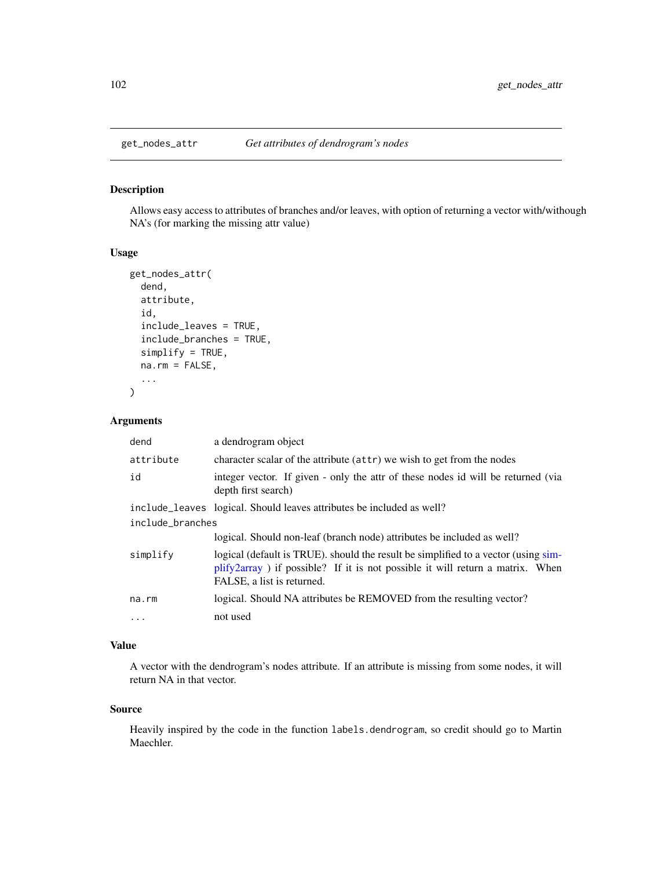<span id="page-101-0"></span>

# Description

Allows easy access to attributes of branches and/or leaves, with option of returning a vector with/withough NA's (for marking the missing attr value)

# Usage

```
get_nodes_attr(
  dend,
  attribute,
  id,
  include_leaves = TRUE,
  include_branches = TRUE,
  simplify = TRUE,
  na.rm = FALSE,
  ...
)
```
### Arguments

| dend             | a dendrogram object                                                                                                                                                                               |  |
|------------------|---------------------------------------------------------------------------------------------------------------------------------------------------------------------------------------------------|--|
| attribute        | character scalar of the attribute (attr) we wish to get from the nodes                                                                                                                            |  |
| id               | integer vector. If given - only the attr of these nodes id will be returned (via<br>depth first search)                                                                                           |  |
|                  | include leaves logical. Should leaves attributes be included as well?                                                                                                                             |  |
| include_branches |                                                                                                                                                                                                   |  |
|                  | logical. Should non-leaf (branch node) attributes be included as well?                                                                                                                            |  |
| simplify         | logical (default is TRUE). should the result be simplified to a vector (using sim-<br>plify2array) if possible? If it is not possible it will return a matrix. When<br>FALSE, a list is returned. |  |
| na.rm            | logical. Should NA attributes be REMOVED from the resulting vector?                                                                                                                               |  |
| $\ddotsc$        | not used                                                                                                                                                                                          |  |

## Value

A vector with the dendrogram's nodes attribute. If an attribute is missing from some nodes, it will return NA in that vector.

#### Source

Heavily inspired by the code in the function labels.dendrogram, so credit should go to Martin Maechler.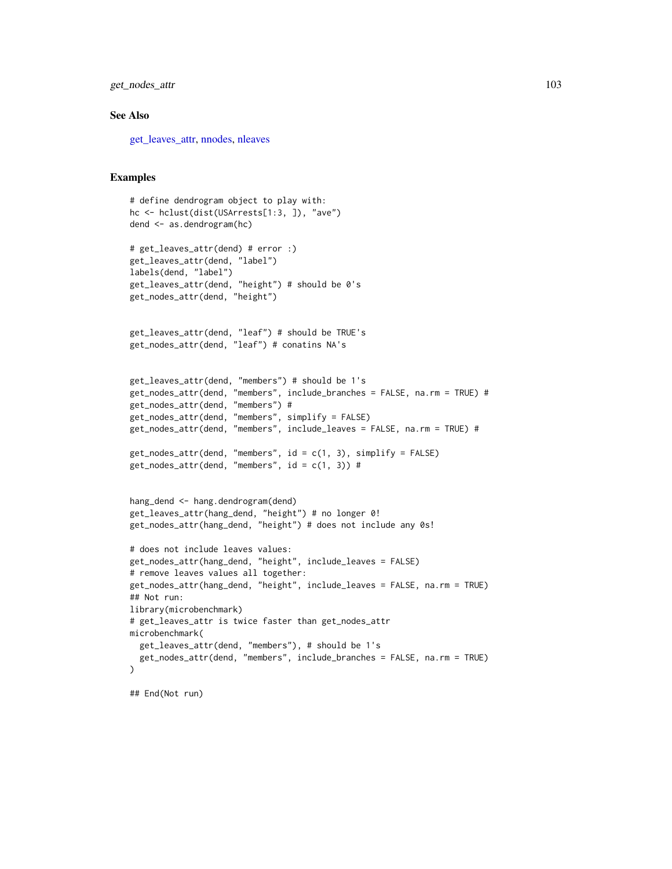get\_nodes\_attr 103

#### See Also

[get\\_leaves\\_attr,](#page-96-0) [nnodes,](#page-138-0) [nleaves](#page-137-0)

#### Examples

```
# define dendrogram object to play with:
hc <- hclust(dist(USArrests[1:3, ]), "ave")
dend <- as.dendrogram(hc)
# get_leaves_attr(dend) # error :)
get_leaves_attr(dend, "label")
labels(dend, "label")
get_leaves_attr(dend, "height") # should be 0's
get_nodes_attr(dend, "height")
get_leaves_attr(dend, "leaf") # should be TRUE's
get_nodes_attr(dend, "leaf") # conatins NA's
get_leaves_attr(dend, "members") # should be 1's
get_nodes_attr(dend, "members", include_branches = FALSE, na.rm = TRUE) #
get_nodes_attr(dend, "members") #
get_nodes_attr(dend, "members", simplify = FALSE)
get_nodes_attr(dend, "members", include_leaves = FALSE, na.rm = TRUE) #
get\_nodes\_attr(dend, "members", id = c(1, 3), simplify = FALSE)get\_nodes\_attr(dend, "members", id = c(1, 3)) #hang_dend <- hang.dendrogram(dend)
get_leaves_attr(hang_dend, "height") # no longer 0!
get_nodes_attr(hang_dend, "height") # does not include any 0s!
# does not include leaves values:
get_nodes_attr(hang_dend, "height", include_leaves = FALSE)
# remove leaves values all together:
get_nodes_attr(hang_dend, "height", include_leaves = FALSE, na.rm = TRUE)
## Not run:
library(microbenchmark)
# get_leaves_attr is twice faster than get_nodes_attr
microbenchmark(
  get_leaves_attr(dend, "members"), # should be 1's
  get_nodes_attr(dend, "members", include_branches = FALSE, na.rm = TRUE)
\lambda
```
## End(Not run)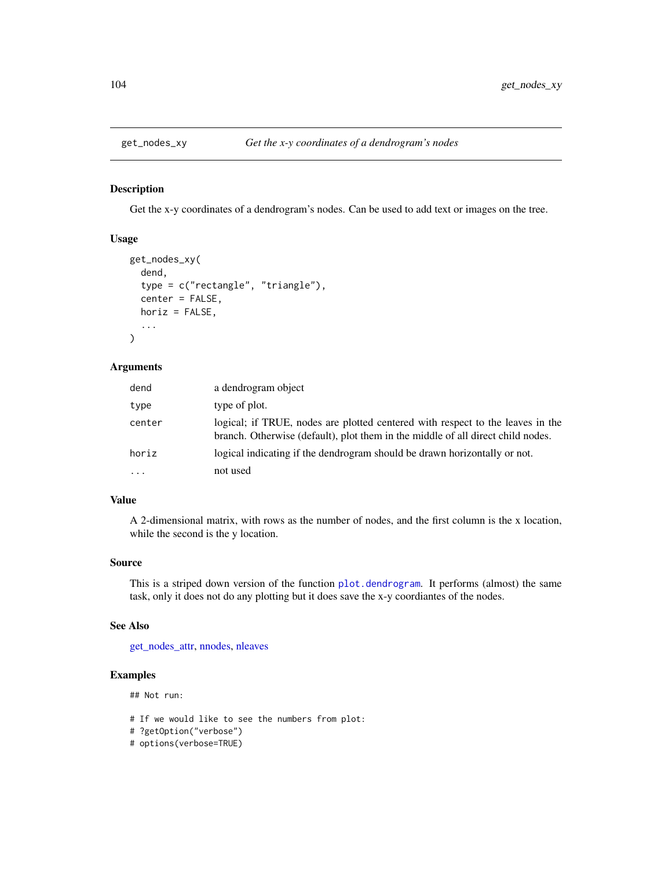### Description

Get the x-y coordinates of a dendrogram's nodes. Can be used to add text or images on the tree.

### Usage

```
get_nodes_xy(
  dend,
  type = c("rectangle", "triangle"),
  center = FALSE,
  horiz = FALSE,
  ...
\mathcal{L}
```
#### Arguments

| dend                    | a dendrogram object                                                                                                                                               |
|-------------------------|-------------------------------------------------------------------------------------------------------------------------------------------------------------------|
| type                    | type of plot.                                                                                                                                                     |
| center                  | logical; if TRUE, nodes are plotted centered with respect to the leaves in the<br>branch. Otherwise (default), plot them in the middle of all direct child nodes. |
| horiz                   | logical indicating if the dendrogram should be drawn horizontally or not.                                                                                         |
| $\cdot$ $\cdot$ $\cdot$ | not used                                                                                                                                                          |

## Value

A 2-dimensional matrix, with rows as the number of nodes, and the first column is the x location, while the second is the y location.

## Source

This is a striped down version of the function [plot.dendrogram](#page-0-0). It performs (almost) the same task, only it does not do any plotting but it does save the x-y coordiantes of the nodes.

#### See Also

[get\\_nodes\\_attr,](#page-101-0) [nnodes,](#page-138-0) [nleaves](#page-137-0)

## Examples

## Not run:

# If we would like to see the numbers from plot:

- # ?getOption("verbose")
- # options(verbose=TRUE)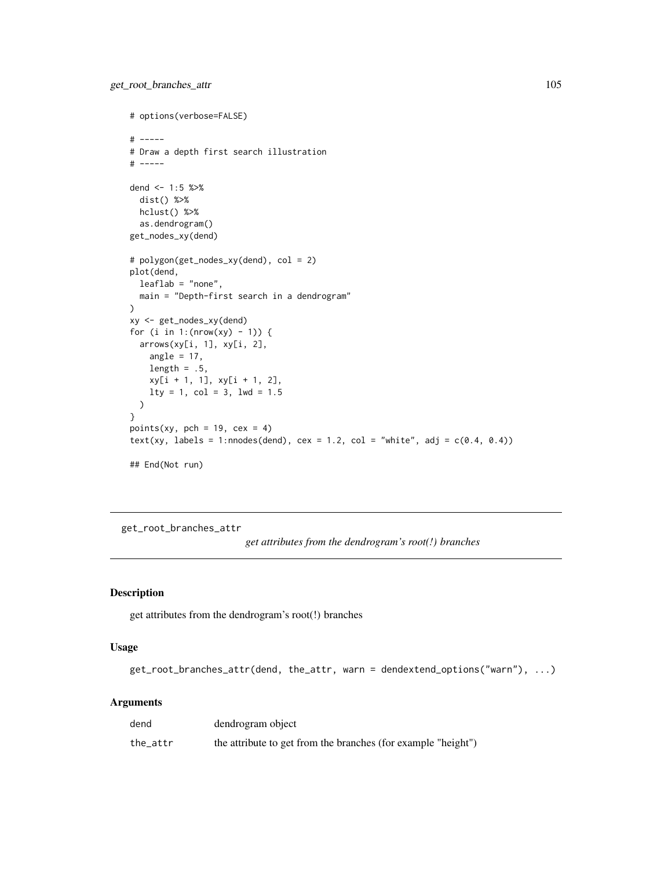```
# options(verbose=FALSE)
# -----
# Draw a depth first search illustration
# -----
dend <- 1:5 %>%
 dist() %>%
 hclust() %>%
  as.dendrogram()
get_nodes_xy(dend)
# polygon(get_nodes_xy(dend), col = 2)
plot(dend,
  leaflab = "none",
 main = "Depth-first search in a dendrogram"
)
xy <- get_nodes_xy(dend)
for (i in 1: (nrow(xy) - 1)) {
  arrows(xy[i, 1], xy[i, 2],
   angle = 17,
   length = .5,
   xy[i + 1, 1], xy[i + 1, 2],
   lty = 1, col = 3, lwd = 1.5)
}
points(xy, pch = 19, cex = 4)
text(xy, labels = 1:nnodes(dend), cex = 1.2, col = "white", adj = c(0.4, 0.4))
## End(Not run)
```
get\_root\_branches\_attr

*get attributes from the dendrogram's root(!) branches*

## Description

get attributes from the dendrogram's root(!) branches

# Usage

```
get_root_branches_attr(dend, the_attr, warn = dendextend_options("warn"), ...)
```

| dend     | dendrogram object                                             |
|----------|---------------------------------------------------------------|
| the_attr | the attribute to get from the branches (for example "height") |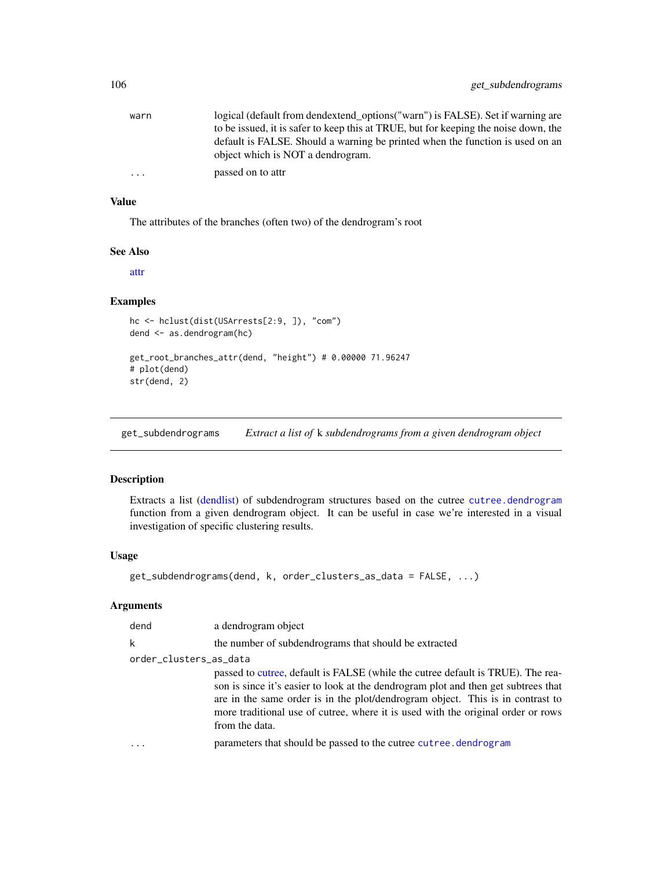| warn      | logical (default from dendextend_options("warn") is FALSE). Set if warning are                                     |
|-----------|--------------------------------------------------------------------------------------------------------------------|
|           | to be issued, it is safer to keep this at TRUE, but for keeping the noise down, the                                |
|           | default is FALSE. Should a warning be printed when the function is used on an<br>object which is NOT a dendrogram. |
| $\ddotsc$ | passed on to attr                                                                                                  |

## Value

The attributes of the branches (often two) of the dendrogram's root

#### See Also

[attr](#page-0-0)

## Examples

```
hc <- hclust(dist(USArrests[2:9, ]), "com")
dend <- as.dendrogram(hc)
get_root_branches_attr(dend, "height") # 0.00000 71.96247
# plot(dend)
str(dend, 2)
```
get\_subdendrograms *Extract a list of* k *subdendrograms from a given dendrogram object*

## Description

Extracts a list [\(dendlist\)](#page-71-0) of subdendrogram structures based on the cutree [cutree.dendrogram](#page-61-0) function from a given dendrogram object. It can be useful in case we're interested in a visual investigation of specific clustering results.

### Usage

```
get_subdendrograms(dend, k, order_clusters_as_data = FALSE, ...)
```

| dend                   | a dendrogram object                                                                                                                                                                                                                                                                                                                                           |
|------------------------|---------------------------------------------------------------------------------------------------------------------------------------------------------------------------------------------------------------------------------------------------------------------------------------------------------------------------------------------------------------|
| k                      | the number of subdendrograms that should be extracted                                                                                                                                                                                                                                                                                                         |
| order_clusters_as_data |                                                                                                                                                                                                                                                                                                                                                               |
|                        | passed to cutree, default is FALSE (while the cutree default is TRUE). The rea-<br>son is since it's easier to look at the dendrogram plot and then get subtrees that<br>are in the same order is in the plot/dendrogram object. This is in contrast to<br>more traditional use of cutree, where it is used with the original order or rows<br>from the data. |
|                        | parameters that should be passed to the cutree cutree. dendrogram                                                                                                                                                                                                                                                                                             |
|                        |                                                                                                                                                                                                                                                                                                                                                               |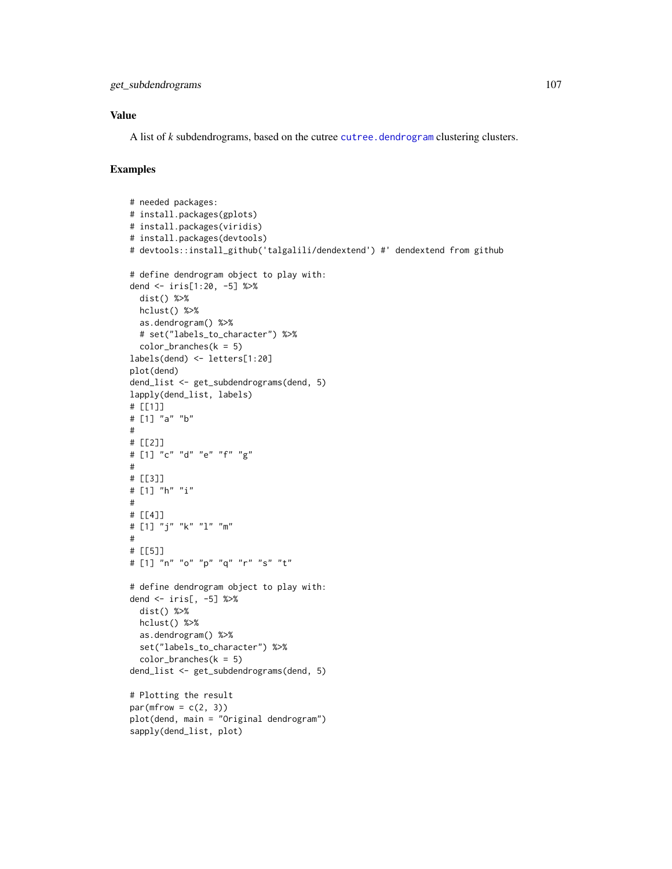## Value

A list of *k* subdendrograms, based on the cutree [cutree.dendrogram](#page-61-0) clustering clusters.

```
# needed packages:
# install.packages(gplots)
# install.packages(viridis)
# install.packages(devtools)
# devtools::install_github('talgalili/dendextend') #' dendextend from github
# define dendrogram object to play with:
dend <- iris[1:20, -5] %>%
  dist() %>%
 hclust() %>%
  as.dendrogram() %>%
  # set("labels_to_character") %>%
  color_branches(k = 5)labels(dend) <- letters[1:20]
plot(dend)
dend_list <- get_subdendrograms(dend, 5)
lapply(dend_list, labels)
# [[1]]
# [1] "a" "b"
#
# [[2]]
# [1] "c" "d" "e" "f" "g"
#
# [[3]]
# [1] "h" "i"
#
# [[4]]
# [1] "j" "k" "l" "m"
#
# [[5]]
# [1] "n" "o" "p" "q" "r" "s" "t"
# define dendrogram object to play with:
dend <- iris[, -5] %>%
  dist() %>%
 hclust() %>%
  as.dendrogram() %>%
  set("labels_to_character") %>%
  color_branches(k = 5)dend_list <- get_subdendrograms(dend, 5)
# Plotting the result
par(mfrow = c(2, 3))plot(dend, main = "Original dendrogram")
sapply(dend_list, plot)
```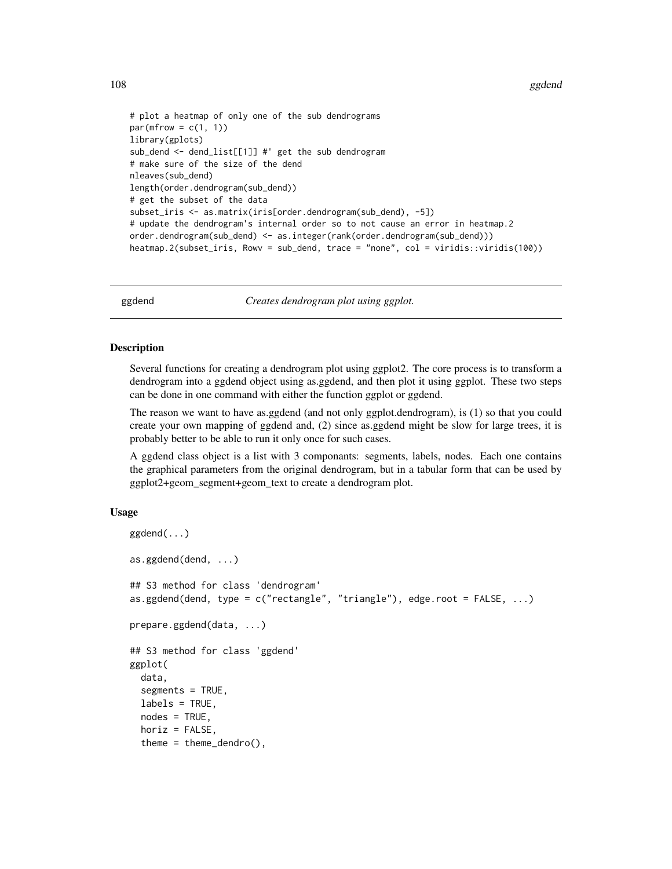```
# plot a heatmap of only one of the sub dendrograms
par(mfrow = c(1, 1))library(gplots)
sub_dend <- dend_list[[1]] #' get the sub dendrogram
# make sure of the size of the dend
nleaves(sub_dend)
length(order.dendrogram(sub_dend))
# get the subset of the data
subset_iris <- as.matrix(iris[order.dendrogram(sub_dend), -5])
# update the dendrogram's internal order so to not cause an error in heatmap.2
order.dendrogram(sub_dend) <- as.integer(rank(order.dendrogram(sub_dend)))
heatmap.2(subset_iris, Rowv = sub_dend, trace = "none", col = viridis::viridis(100))
```
ggdend *Creates dendrogram plot using ggplot.*

## **Description**

Several functions for creating a dendrogram plot using ggplot2. The core process is to transform a dendrogram into a ggdend object using as.ggdend, and then plot it using ggplot. These two steps can be done in one command with either the function ggplot or ggdend.

The reason we want to have as.ggdend (and not only ggplot.dendrogram), is (1) so that you could create your own mapping of ggdend and, (2) since as.ggdend might be slow for large trees, it is probably better to be able to run it only once for such cases.

A ggdend class object is a list with 3 componants: segments, labels, nodes. Each one contains the graphical parameters from the original dendrogram, but in a tabular form that can be used by ggplot2+geom\_segment+geom\_text to create a dendrogram plot.

### Usage

```
ggdend(...)
as.ggdend(dend, ...)
## S3 method for class 'dendrogram'
as.ggdend(dend, type = c("rectangle", "triangle"), edge.root = FALSE, ...)
prepare.ggdend(data, ...)
## S3 method for class 'ggdend'
ggplot(
  data,
  segments = TRUE,labels = TRUE,
  nodes = TRUE,
  horiz = FALSE,
  theme = theme_dendro(),
```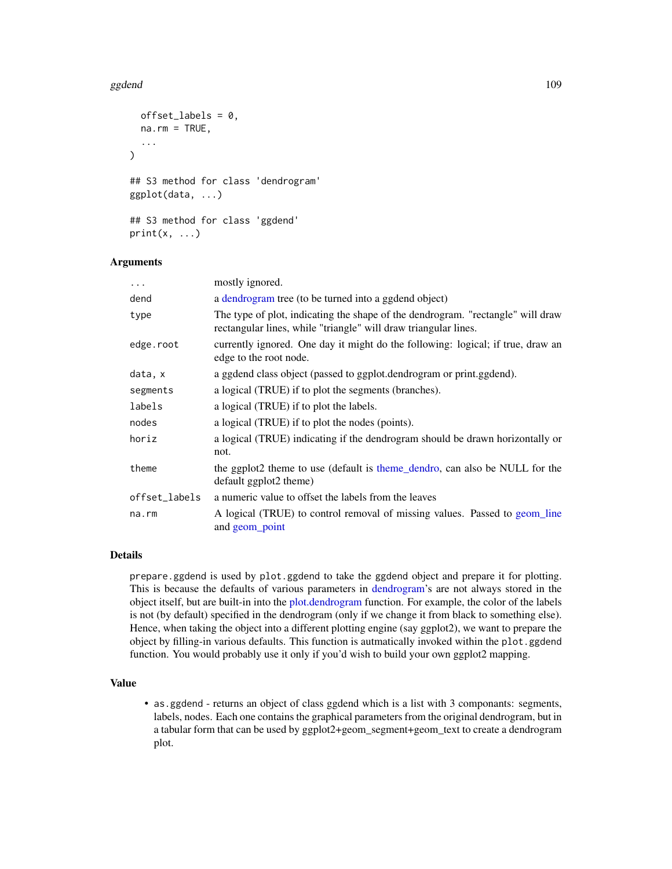#### ggdend to the control of the control of the control of the control of the control of the control of the control of the control of the control of the control of the control of the control of the control of the control of th

```
offset_labels = 0,na.rm = TRUE,...
\lambda## S3 method for class 'dendrogram'
ggplot(data, ...)
## S3 method for class 'ggdend'
print(x, \ldots)
```
# Arguments

| $\ddots$ .    | mostly ignored.                                                                                                                                    |
|---------------|----------------------------------------------------------------------------------------------------------------------------------------------------|
| dend          | a dendrogram tree (to be turned into a ggdend object)                                                                                              |
| type          | The type of plot, indicating the shape of the dendrogram. "rectangle" will draw<br>rectangular lines, while "triangle" will draw triangular lines. |
| edge.root     | currently ignored. One day it might do the following: logical; if true, draw an<br>edge to the root node.                                          |
| data, x       | a ggdend class object (passed to ggplot.dendrogram or print.ggdend).                                                                               |
| segments      | a logical (TRUE) if to plot the segments (branches).                                                                                               |
| labels        | a logical (TRUE) if to plot the labels.                                                                                                            |
| nodes         | a logical (TRUE) if to plot the nodes (points).                                                                                                    |
| horiz         | a logical (TRUE) indicating if the dendrogram should be drawn horizontally or<br>not.                                                              |
| theme         | the ggplot2 theme to use (default is theme_dendro, can also be NULL for the<br>default ggplot2 theme)                                              |
| offset_labels | a numeric value to offset the labels from the leaves                                                                                               |
| na.rm         | A logical (TRUE) to control removal of missing values. Passed to geom_line<br>and geom point                                                       |

# Details

prepare.ggdend is used by plot.ggdend to take the ggdend object and prepare it for plotting. This is because the defaults of various parameters in [dendrogram'](#page-0-0)s are not always stored in the object itself, but are built-in into the [plot.dendrogram](#page-0-0) function. For example, the color of the labels is not (by default) specified in the dendrogram (only if we change it from black to something else). Hence, when taking the object into a different plotting engine (say ggplot2), we want to prepare the object by filling-in various defaults. This function is autmatically invoked within the plot.ggdend function. You would probably use it only if you'd wish to build your own ggplot2 mapping.

## Value

• as.ggdend - returns an object of class ggdend which is a list with 3 componants: segments, labels, nodes. Each one contains the graphical parameters from the original dendrogram, but in a tabular form that can be used by ggplot2+geom\_segment+geom\_text to create a dendrogram plot.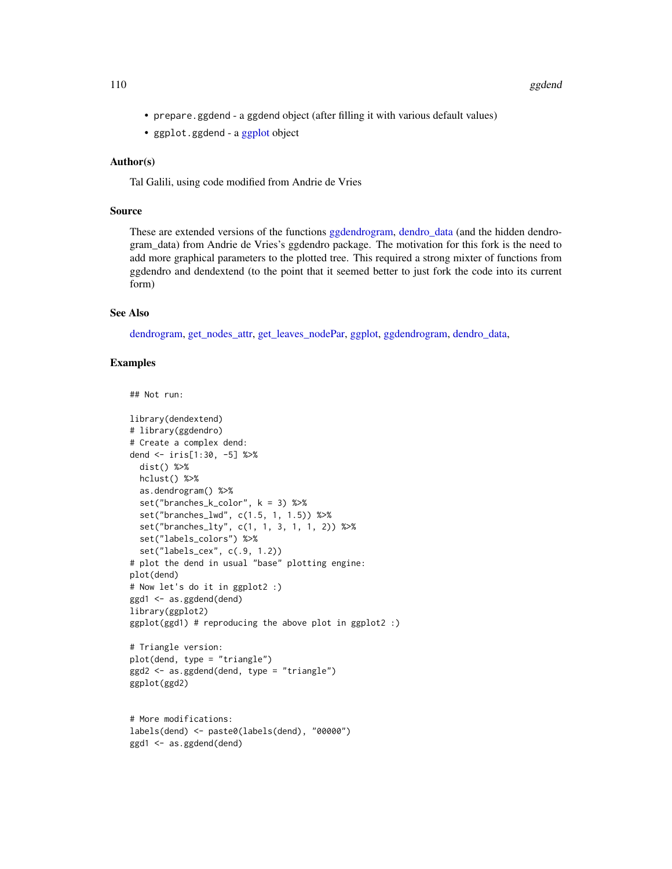- prepare.ggdend a ggdend object (after filling it with various default values)
- ggplot.ggdend a [ggplot](#page-0-0) object

#### Author(s)

Tal Galili, using code modified from Andrie de Vries

## Source

These are extended versions of the functions [ggdendrogram,](#page-0-0) [dendro\\_data](#page-0-0) (and the hidden dendrogram\_data) from Andrie de Vries's ggdendro package. The motivation for this fork is the need to add more graphical parameters to the plotted tree. This required a strong mixter of functions from ggdendro and dendextend (to the point that it seemed better to just fork the code into its current form)

# See Also

[dendrogram,](#page-0-0) [get\\_nodes\\_attr,](#page-101-0) [get\\_leaves\\_nodePar,](#page-100-0) [ggplot,](#page-0-0) [ggdendrogram,](#page-0-0) [dendro\\_data,](#page-0-0)

```
## Not run:
```

```
library(dendextend)
# library(ggdendro)
# Create a complex dend:
dend <- iris[1:30, -5] %>%
 dist() %>%
 hclust() %>%
  as.dendrogram() %>%
  set("branches_k_color", k = 3) %>%
  set("branches_lwd", c(1.5, 1, 1.5)) %>%
  set("branches_lty", c(1, 1, 3, 1, 1, 2)) %>%
  set("labels_colors") %>%
  set("labels_cex", c(.9, 1.2))
# plot the dend in usual "base" plotting engine:
plot(dend)
# Now let's do it in ggplot2 :)
ggd1 <- as.ggdend(dend)
library(ggplot2)
ggplot(ggd1) # reproducing the above plot in ggplot2 :)
# Triangle version:
plot(dend, type = "triangle")
ggd2 <- as.ggdend(dend, type = "triangle")
ggplot(ggd2)
```

```
# More modifications:
labels(dend) <- paste0(labels(dend), "00000")
ggd1 <- as.ggdend(dend)
```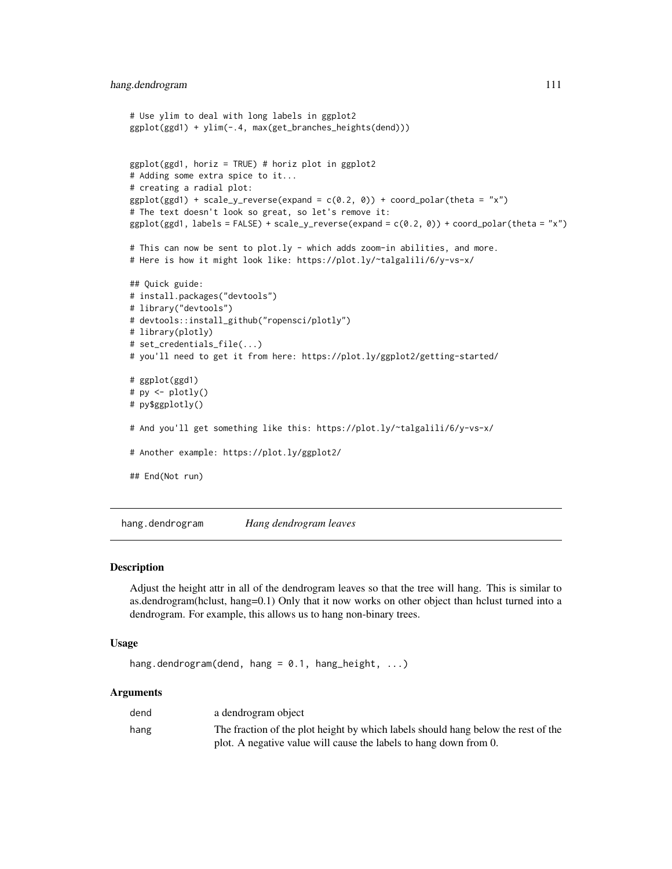```
# Use ylim to deal with long labels in ggplot2
ggplot(ggd1) + ylim(-.4, max(get_branches_heights(dend)))
ggplot(ggd1, horiz = TRUE) # horiz plot in ggplot2
# Adding some extra spice to it...
# creating a radial plot:
ggplot(ggd1) + scale_y_reverse(expand = c(0.2, 0)) + coord_polar(theta = "x")# The text doesn't look so great, so let's remove it:
ggplot(ggd1, labels = FALSE) + scale_y-reverse(expand = c(0.2, 0)) + coord_polar(theta = "x")# This can now be sent to plot.ly - which adds zoom-in abilities, and more.
# Here is how it might look like: https://plot.ly/~talgalili/6/y-vs-x/
## Quick guide:
# install.packages("devtools")
# library("devtools")
# devtools::install_github("ropensci/plotly")
# library(plotly)
# set_credentials_file(...)
# you'll need to get it from here: https://plot.ly/ggplot2/getting-started/
# ggplot(ggd1)
# py <- plotly()
# py$ggplotly()
# And you'll get something like this: https://plot.ly/~talgalili/6/y-vs-x/
# Another example: https://plot.ly/ggplot2/
## End(Not run)
```
hang.dendrogram *Hang dendrogram leaves*

#### Description

Adjust the height attr in all of the dendrogram leaves so that the tree will hang. This is similar to as.dendrogram(hclust, hang=0.1) Only that it now works on other object than hclust turned into a dendrogram. For example, this allows us to hang non-binary trees.

#### Usage

```
hang.dendrogram(dend, hang = 0.1, hang_height, ...)
```
#### Arguments

| dend | a dendrogram object                                                               |
|------|-----------------------------------------------------------------------------------|
| hang | The fraction of the plot height by which labels should hang below the rest of the |
|      | plot. A negative value will cause the labels to hang down from 0.                 |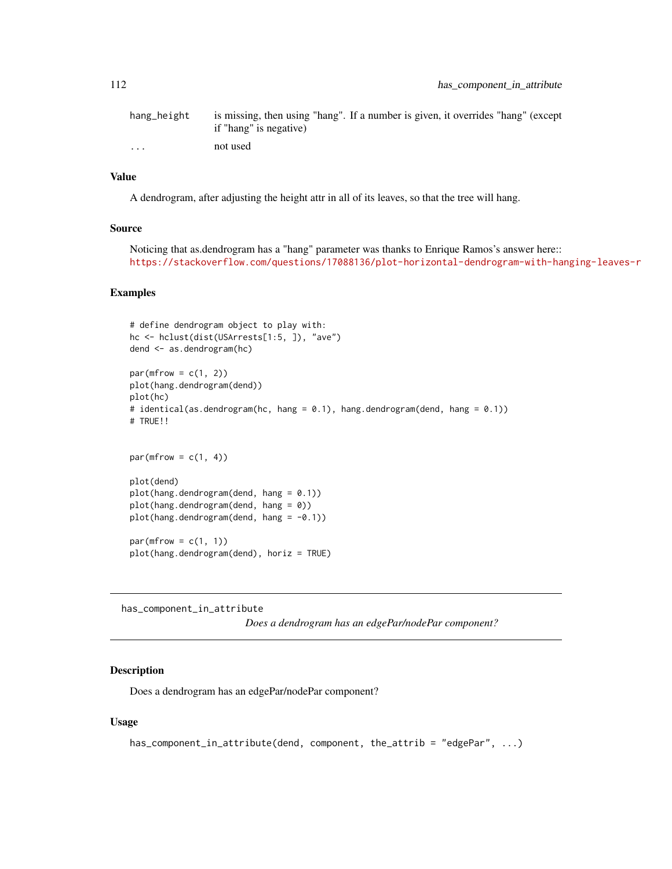| hang_height | is missing, then using "hang". If a number is given, it overrides "hang" (except |
|-------------|----------------------------------------------------------------------------------|
|             | if "hang" is negative)                                                           |
| $\cdots$    | not used                                                                         |

#### Value

A dendrogram, after adjusting the height attr in all of its leaves, so that the tree will hang.

#### Source

Noticing that as.dendrogram has a "hang" parameter was thanks to Enrique Ramos's answer here:: <https://stackoverflow.com/questions/17088136/plot-horizontal-dendrogram-with-hanging-leaves-r>

## Examples

```
# define dendrogram object to play with:
hc <- hclust(dist(USArrests[1:5, ]), "ave")
dend <- as.dendrogram(hc)
par(mfrow = c(1, 2))plot(hang.dendrogram(dend))
plot(hc)
# identical(as.dendrogram(hc, hang = 0.1), hang.dendrogram(dend, hang = 0.1))
# TRUE!!
par(mfrow = c(1, 4))
plot(dend)
plot(hang.dendrogram(dend, hang = 0.1))plot(hang.dendrogram(dend, hang = 0))
plot(hang.dendrogram(dend, hang = -0.1))par(mfrow = c(1, 1))plot(hang.dendrogram(dend), horiz = TRUE)
```
has\_component\_in\_attribute

*Does a dendrogram has an edgePar/nodePar component?*

# Description

Does a dendrogram has an edgePar/nodePar component?

```
has_component_in_attribute(dend, component, the_attrib = "edgePar", ...)
```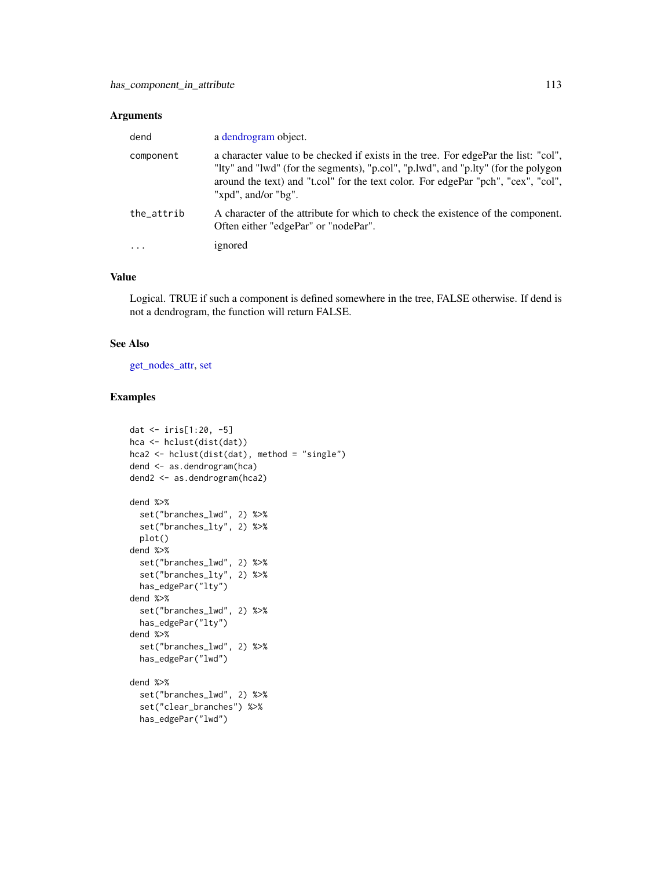## Arguments

| dend       | a dendrogram object.                                                                                                                                                                                                                                                                  |
|------------|---------------------------------------------------------------------------------------------------------------------------------------------------------------------------------------------------------------------------------------------------------------------------------------|
| component  | a character value to be checked if exists in the tree. For edgePar the list: "col",<br>"Ity" and "lwd" (for the segments), "p.col", "p.lwd", and "p.lty" (for the polygon<br>around the text) and "t.col" for the text color. For edgePar "pch", "cex", "col",<br>"xpd", and/or "bg". |
| the_attrib | A character of the attribute for which to check the existence of the component.<br>Often either "edgePar" or "nodePar".                                                                                                                                                               |
| $\cdots$   | ignored                                                                                                                                                                                                                                                                               |

# Value

Logical. TRUE if such a component is defined somewhere in the tree, FALSE otherwise. If dend is not a dendrogram, the function will return FALSE.

## See Also

[get\\_nodes\\_attr,](#page-101-0) [set](#page-171-0)

```
dat <- iris[1:20, -5]
hca <- hclust(dist(dat))
hca2 <- hclust(dist(dat), method = "single")
dend <- as.dendrogram(hca)
dend2 <- as.dendrogram(hca2)
dend %>%
  set("branches_lwd", 2) %>%
  set("branches_lty", 2) %>%
  plot()
dend %>%
  set("branches_lwd", 2) %>%
  set("branches_lty", 2) %>%
  has_edgePar("lty")
dend %>%
  set("branches_lwd", 2) %>%
  has_edgePar("lty")
dend %>%
  set("branches_lwd", 2) %>%
  has_edgePar("lwd")
dend %>%
  set("branches_lwd", 2) %>%
  set("clear_branches") %>%
  has_edgePar("lwd")
```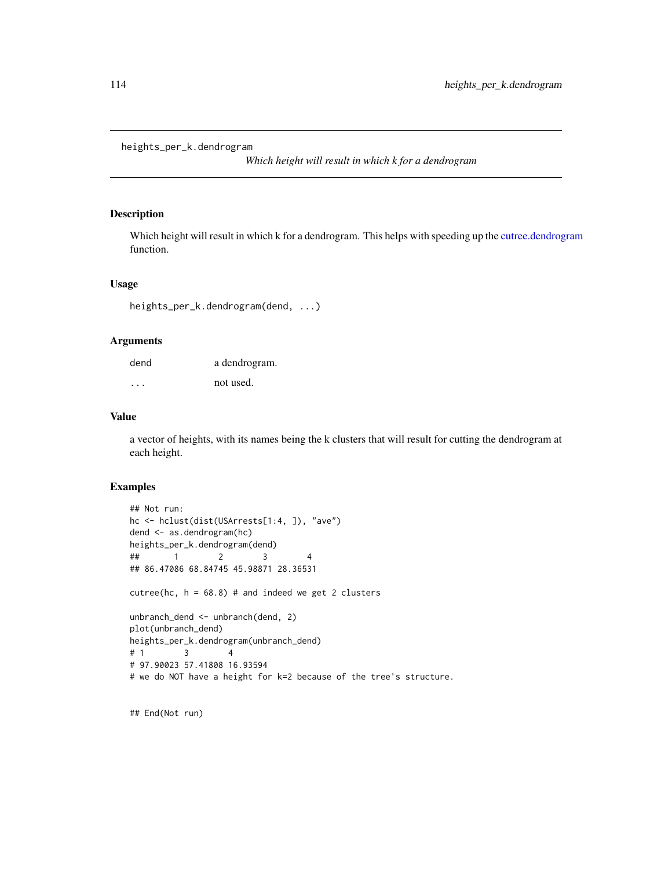```
heights_per_k.dendrogram
```
*Which height will result in which k for a dendrogram*

#### Description

Which height will result in which k for a dendrogram. This helps with speeding up the [cutree.dendrogram](#page-61-0) function.

## Usage

heights\_per\_k.dendrogram(dend, ...)

#### Arguments

| dend    | a dendrogram. |
|---------|---------------|
| $\cdot$ | not used.     |

#### Value

a vector of heights, with its names being the k clusters that will result for cutting the dendrogram at each height.

## Examples

```
## Not run:
hc <- hclust(dist(USArrests[1:4, ]), "ave")
dend <- as.dendrogram(hc)
heights_per_k.dendrogram(dend)
## 1 2 3 4
## 86.47086 68.84745 45.98871 28.36531
cutree(hc, h = 68.8) # and indeed we get 2 clusters
unbranch_dend <- unbranch(dend, 2)
plot(unbranch_dend)
heights_per_k.dendrogram(unbranch_dend)
# 1 3 4
# 97.90023 57.41808 16.93594
# we do NOT have a height for k=2 because of the tree's structure.
```
## End(Not run)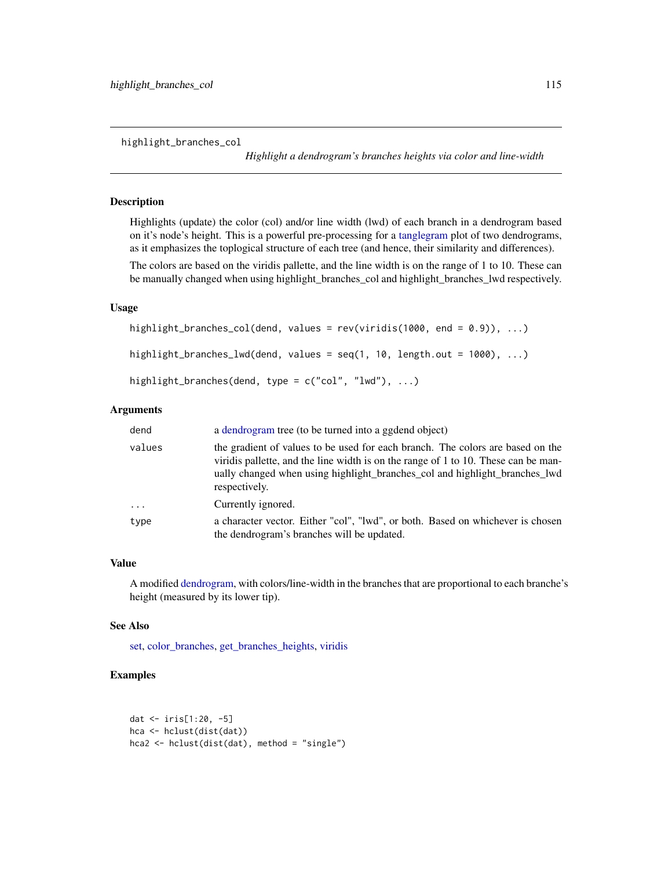highlight\_branches\_col

*Highlight a dendrogram's branches heights via color and line-width*

# Description

Highlights (update) the color (col) and/or line width (lwd) of each branch in a dendrogram based on it's node's height. This is a powerful pre-processing for a [tanglegram](#page-184-0) plot of two dendrograms, as it emphasizes the toplogical structure of each tree (and hence, their similarity and differences).

The colors are based on the viridis pallette, and the line width is on the range of 1 to 10. These can be manually changed when using highlight\_branches\_col and highlight\_branches\_lwd respectively.

# Usage

```
highlight_branches_col(dend, values = rev(viridis(1000, end = 0.9)), ...)
highlight_branches_lwd(dend, values = seq(1, 10, length.out = 1000), ...)
highlight_branches(dend, type = c("col", "lwd"), ...)
```
# Arguments

| dend     | a dendrogram tree (to be turned into a ggdend object)                                                                                                                                                                                                               |
|----------|---------------------------------------------------------------------------------------------------------------------------------------------------------------------------------------------------------------------------------------------------------------------|
| values   | the gradient of values to be used for each branch. The colors are based on the<br>viridis pallette, and the line width is on the range of 1 to 10. These can be man-<br>ually changed when using highlight_branches_col and highlight_branches_lwd<br>respectively. |
| $\ddots$ | Currently ignored.                                                                                                                                                                                                                                                  |
| type     | a character vector. Either "col", "lwd", or both. Based on whichever is chosen<br>the dendrogram's branches will be updated.                                                                                                                                        |

# Value

A modified [dendrogram,](#page-0-0) with colors/line-width in the branches that are proportional to each branche's height (measured by its lower tip).

#### See Also

[set,](#page-171-0) [color\\_branches,](#page-44-0) [get\\_branches\\_heights,](#page-94-0) [viridis](#page-0-0)

```
dat <- iris[1:20, -5]
hca <- hclust(dist(dat))
hca2 <- hclust(dist(dat), method = "single")
```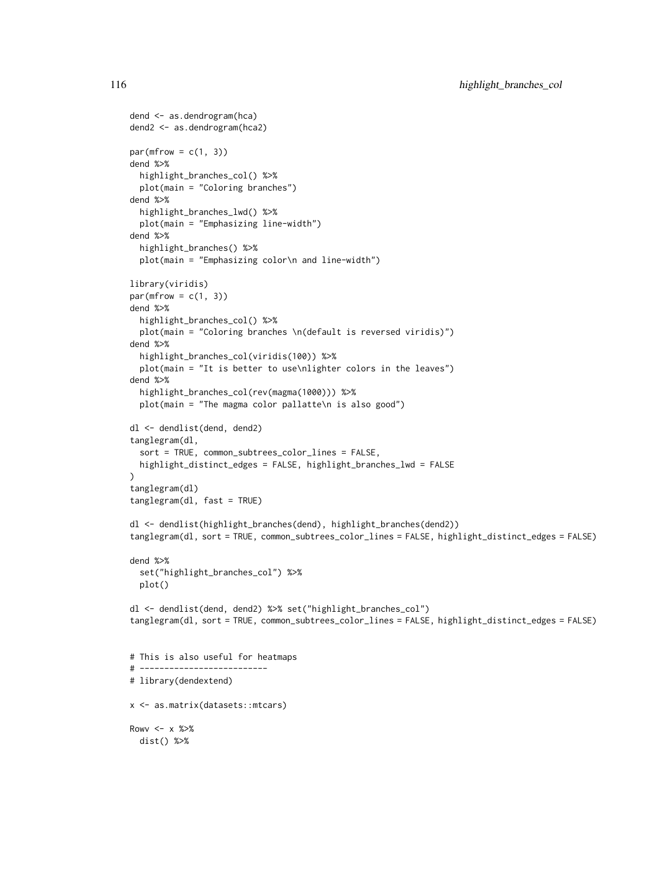```
dend <- as.dendrogram(hca)
dend2 <- as.dendrogram(hca2)
par(mfrow = c(1, 3))dend %>%
 highlight_branches_col() %>%
 plot(main = "Coloring branches")
dend %>%
 highlight_branches_lwd() %>%
 plot(main = "Emphasizing line-width")
dend %>%
 highlight_branches() %>%
 plot(main = "Emphasizing color\n and line-width")
library(viridis)
par(mfrow = c(1, 3))dend %>%
 highlight_branches_col() %>%
 plot(main = "Coloring branches \n(default is reversed viridis)")
dend %>%
 highlight_branches_col(viridis(100)) %>%
 plot(main = "It is better to use\nlighter colors in the leaves")
dend %>%
 highlight_branches_col(rev(magma(1000))) %>%
 plot(main = "The magma color pallatte\n is also good")
dl <- dendlist(dend, dend2)
tanglegram(dl,
 sort = TRUE, common_subtrees_color_lines = FALSE,
 highlight_distinct_edges = FALSE, highlight_branches_lwd = FALSE
)
tanglegram(dl)
tanglegram(dl, fast = TRUE)
dl <- dendlist(highlight_branches(dend), highlight_branches(dend2))
tanglegram(dl, sort = TRUE, common_subtrees_color_lines = FALSE, highlight_distinct_edges = FALSE)
dend %>%
 set("highlight_branches_col") %>%
 plot()
dl <- dendlist(dend, dend2) %>% set("highlight_branches_col")
tanglegram(dl, sort = TRUE, common_subtrees_color_lines = FALSE, highlight_distinct_edges = FALSE)
# This is also useful for heatmaps
# --------------------------
# library(dendextend)
x <- as.matrix(datasets::mtcars)
Rowv \leq x \times 2dist() %>%
```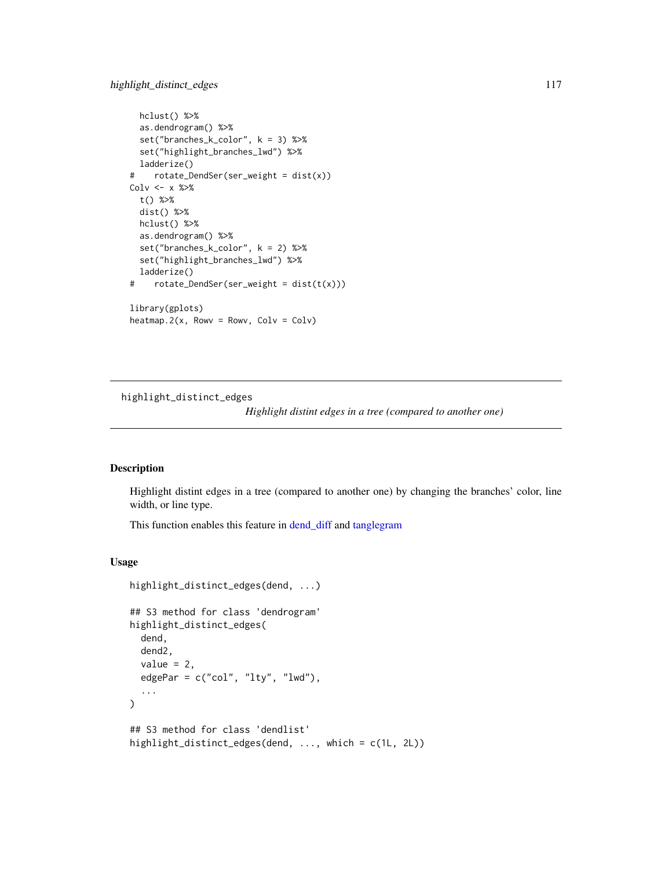# highlight\_distinct\_edges 117

```
hclust() %>%
  as.dendrogram() %>%
  set("branches_k_color", k = 3) %>%
  set("highlight_branches_lwd") %>%
  ladderize()
# rotate_DendSer(ser_weight = dist(x))
Colv \leftarrow x %>>t() %>%
  dist() %>%
  hclust() %>%
  as.dendrogram() %>%
  set("branches_k_color", k = 2) %>%
  set("highlight_branches_lwd") %>%
  ladderize()
# rotate_DendSer(ser_weight = dist(t(x)))
library(gplots)
heatmap.2(x, Rowv = Rowv, Colv = Colv)
```
<span id="page-116-0"></span>highlight\_distinct\_edges

*Highlight distint edges in a tree (compared to another one)*

# Description

Highlight distint edges in a tree (compared to another one) by changing the branches' color, line width, or line type.

This function enables this feature in [dend\\_diff](#page-73-0) and [tanglegram](#page-184-0)

```
highlight_distinct_edges(dend, ...)
## S3 method for class 'dendrogram'
highlight_distinct_edges(
  dend,
 dend2,
 value = 2,
  edgePar = c("col", "lty", "lwd"),
  ...
\lambda## S3 method for class 'dendlist'
highlight_distinct_edges(dend, ..., which = c(1L, 2L))
```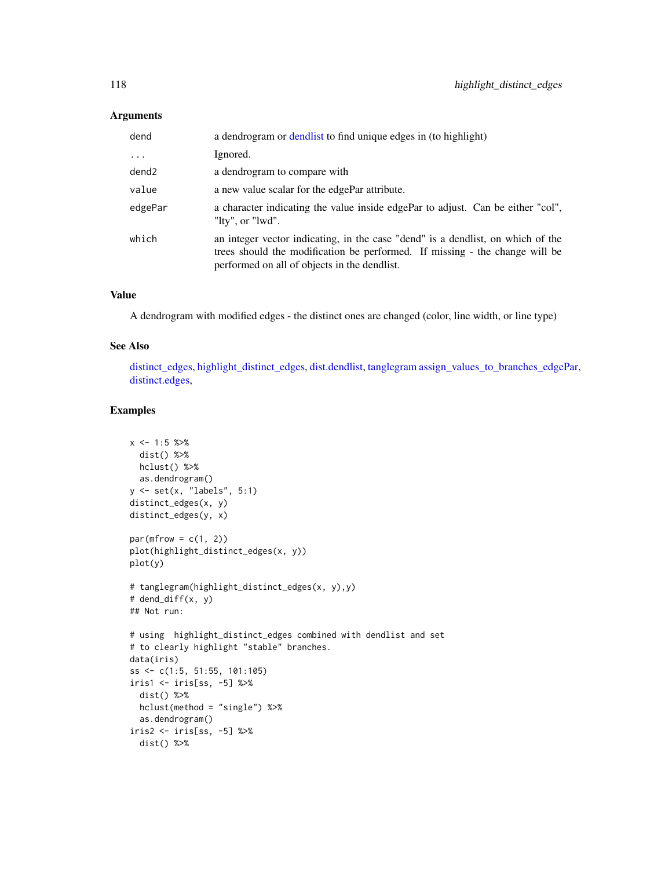# Arguments

| dend     | a dendrogram or dendlist to find unique edges in (to highlight)                                                                                                                                                |
|----------|----------------------------------------------------------------------------------------------------------------------------------------------------------------------------------------------------------------|
| $\cdots$ | Ignored.                                                                                                                                                                                                       |
| dend2    | a dendrogram to compare with                                                                                                                                                                                   |
| value    | a new value scalar for the edgePar attribute.                                                                                                                                                                  |
| edgePar  | a character indicating the value inside edgePar to adjust. Can be either "col",<br>"lty", or "lwd".                                                                                                            |
| which    | an integer vector indicating, in the case "dend" is a dendlist, on which of the<br>trees should the modification be performed. If missing - the change will be<br>performed on all of objects in the dendlist. |

# Value

A dendrogram with modified edges - the distinct ones are changed (color, line width, or line type)

# See Also

[distinct\\_edges,](#page-77-0) [highlight\\_distinct\\_edges,](#page-116-0) [dist.dendlist,](#page-75-0) [tanglegram](#page-184-0) [assign\\_values\\_to\\_branches\\_edgePar,](#page-11-0) [distinct.edges,](#page-0-0)

```
x \le -1:5 \text{ %>}xdist() %>%
 hclust() %>%
  as.dendrogram()
y <- set(x, "labels", 5:1)
distinct_edges(x, y)
distinct_edges(y, x)
par(mfrow = c(1, 2))plot(highlight_distinct_edges(x, y))
plot(y)
# tanglegram(highlight_distinct_edges(x, y),y)
# dend_diff(x, y)
## Not run:
# using highlight_distinct_edges combined with dendlist and set
# to clearly highlight "stable" branches.
data(iris)
ss <- c(1:5, 51:55, 101:105)
iris1 <- iris[ss, -5] %>%
  dist() %>%
  hclust(method = "single") %>%
  as.dendrogram()
iris2 \leftarrow iris[ss, -5] %>%
  dist() %>%
```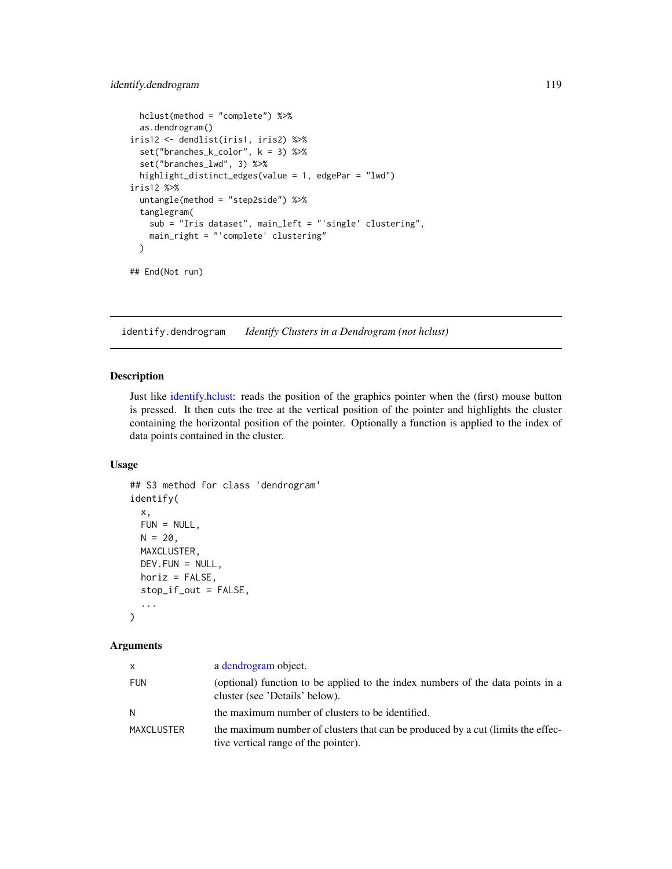# identify.dendrogram 119

```
hclust(method = "complete") %>%
 as.dendrogram()
iris12 <- dendlist(iris1, iris2) %>%
 set("branches_k_color", k = 3) %>%
 set("branches_lwd", 3) %>%
 highlight_distinct_edges(value = 1, edgePar = "lwd")
iris12 %>%
 untangle(method = "step2side") %>%
 tanglegram(
   sub = "Iris dataset", main_left = "'single' clustering",
   main_right = "'complete' clustering"
 \lambda## End(Not run)
```
identify.dendrogram *Identify Clusters in a Dendrogram (not hclust)*

#### Description

Just like [identify.hclust:](#page-0-0) reads the position of the graphics pointer when the (first) mouse button is pressed. It then cuts the tree at the vertical position of the pointer and highlights the cluster containing the horizontal position of the pointer. Optionally a function is applied to the index of data points contained in the cluster.

# Usage

```
## S3 method for class 'dendrogram'
identify(
  x,
  FUN = NULL,
 N = 20,
 MAXCLUSTER,
 DEFU. FUN = NULL,
 horiz = FALSE,stop_if_out = FALSE,
  ...
\mathcal{L}
```
#### Arguments

| X          | a dendrogram object.                                                                                                    |
|------------|-------------------------------------------------------------------------------------------------------------------------|
| <b>FUN</b> | (optional) function to be applied to the index numbers of the data points in a<br>cluster (see 'Details' below).        |
| N          | the maximum number of clusters to be identified.                                                                        |
| MAXCLUSTER | the maximum number of clusters that can be produced by a cut (limits the effec-<br>tive vertical range of the pointer). |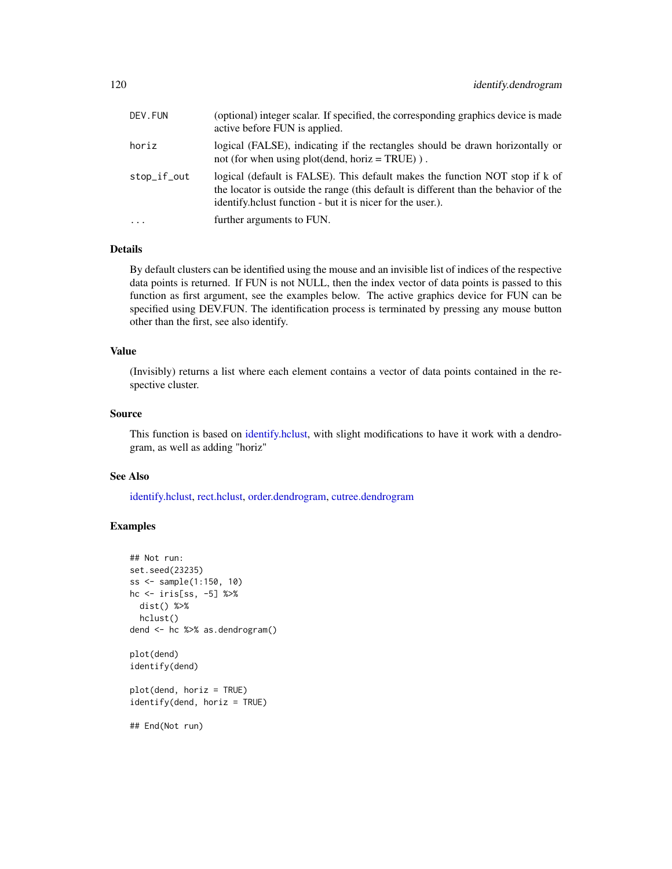| DEV.FUN     | (optional) integer scalar. If specified, the corresponding graphics device is made<br>active before FUN is applied.                                                                                                                |
|-------------|------------------------------------------------------------------------------------------------------------------------------------------------------------------------------------------------------------------------------------|
| horiz       | logical (FALSE), indicating if the rectangles should be drawn horizontally or<br>not (for when using plot(dend, horiz = TRUE)).                                                                                                    |
| stop_if_out | logical (default is FALSE). This default makes the function NOT stop if k of<br>the locator is outside the range (this default is different than the behavior of the<br>identify.helust function - but it is nicer for the user.). |
| .           | further arguments to FUN.                                                                                                                                                                                                          |
|             |                                                                                                                                                                                                                                    |

## Details

By default clusters can be identified using the mouse and an invisible list of indices of the respective data points is returned. If FUN is not NULL, then the index vector of data points is passed to this function as first argument, see the examples below. The active graphics device for FUN can be specified using DEV.FUN. The identification process is terminated by pressing any mouse button other than the first, see also identify.

## Value

(Invisibly) returns a list where each element contains a vector of data points contained in the respective cluster.

## Source

This function is based on [identify.hclust,](#page-0-0) with slight modifications to have it work with a dendrogram, as well as adding "horiz"

# See Also

[identify.hclust,](#page-0-0) [rect.hclust,](#page-0-0) [order.dendrogram,](#page-0-0) [cutree.dendrogram](#page-61-0)

```
## Not run:
set.seed(23235)
ss <- sample(1:150, 10)
hc <- iris[ss, -5] %>%
 dist() %>%
  hclust()
dend <- hc %>% as.dendrogram()
plot(dend)
identify(dend)
plot(dend, horiz = TRUE)
identify(dend, horiz = TRUE)
## End(Not run)
```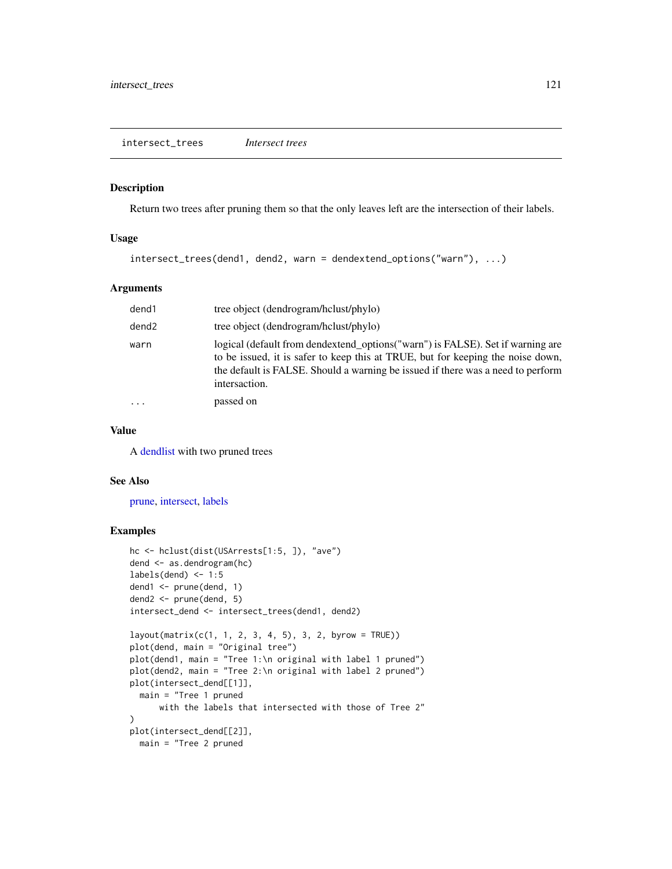#### Description

Return two trees after pruning them so that the only leaves left are the intersection of their labels.

## Usage

```
intersect_trees(dend1, dend2, warn = dendextend_options("warn"), ...)
```
# Arguments

| dend1             | tree object (dendrogram/hclust/phylo)                                                                                                                                                                                                                                 |
|-------------------|-----------------------------------------------------------------------------------------------------------------------------------------------------------------------------------------------------------------------------------------------------------------------|
| dend <sub>2</sub> | tree object (dendrogram/hclust/phylo)                                                                                                                                                                                                                                 |
| warn              | logical (default from dendextend_options("warn") is FALSE). Set if warning are<br>to be issued, it is safer to keep this at TRUE, but for keeping the noise down,<br>the default is FALSE. Should a warning be issued if there was a need to perform<br>intersaction. |
| .                 | passed on                                                                                                                                                                                                                                                             |
|                   |                                                                                                                                                                                                                                                                       |

#### Value

A [dendlist](#page-71-0) with two pruned trees

## See Also

[prune,](#page-145-0) [intersect,](#page-0-0) [labels](#page-0-0)

```
hc <- hclust(dist(USArrests[1:5, ]), "ave")
dend <- as.dendrogram(hc)
labels(dend) < -1:5dend1 <- prune(dend, 1)
dend2 <- prune(dend, 5)
intersect_dend <- intersect_trees(dend1, dend2)
layout(matrix(c(1, 1, 2, 3, 4, 5), 3, 2, byrow = TRUE))
plot(dend, main = "Original tree")
plot(dend1, main = "Tree 1:\n original with label 1 pruned")
plot(dend2, main = "Tree 2:\n original with label 2 pruned")
plot(intersect_dend[[1]],
  main = "Tree 1 pruned
     with the labels that intersected with those of Tree 2"
)
plot(intersect_dend[[2]],
 main = "Tree 2 pruned
```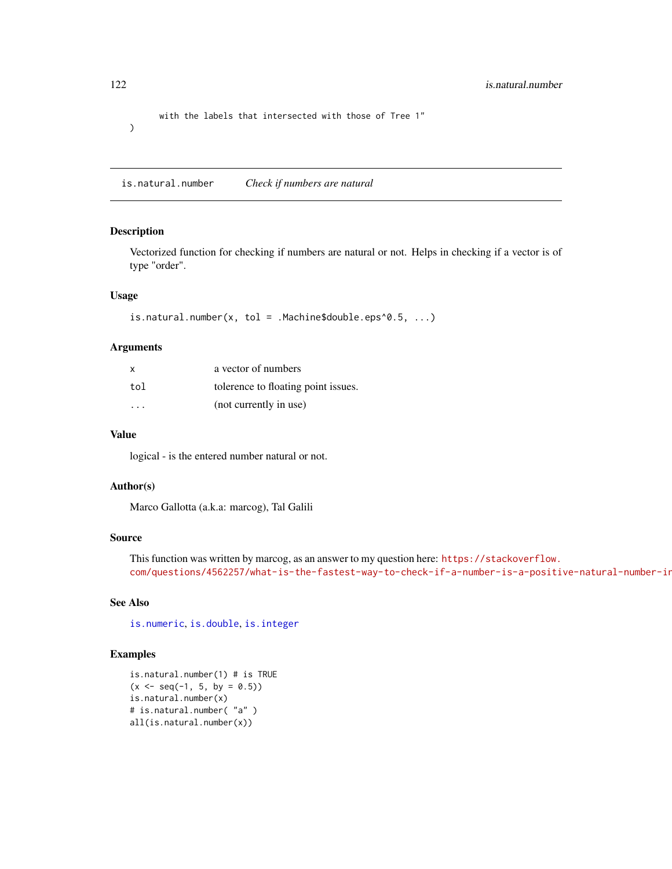with the labels that intersected with those of Tree 1"  $\mathcal{L}$ 

is.natural.number *Check if numbers are natural*

#### Description

Vectorized function for checking if numbers are natural or not. Helps in checking if a vector is of type "order".

# Usage

```
is.natural.number(x, tol = .Machine$double.eps^0.5, \dots)
```
#### Arguments

| x                       | a vector of numbers                 |
|-------------------------|-------------------------------------|
| tol                     | tolerence to floating point issues. |
| $\cdot$ $\cdot$ $\cdot$ | (not currently in use)              |

## Value

logical - is the entered number natural or not.

## Author(s)

Marco Gallotta (a.k.a: marcog), Tal Galili

# Source

```
This function was written by marcog, as an answer to my question here: https://stackoverflow.
com/questions/4562257/what-is-the-fastest-way-to-check-if-a-number-is-a-positive-natural-number-in
```
# See Also

[is.numeric](#page-0-0), [is.double](#page-0-0), [is.integer](#page-0-0)

```
is.natural.number(1) # is TRUE
(x \leq -\text{seq}(-1, 5, \text{ by } = 0.5))is.natural.number(x)
# is.natural.number( "a" )
all(is.natural.number(x))
```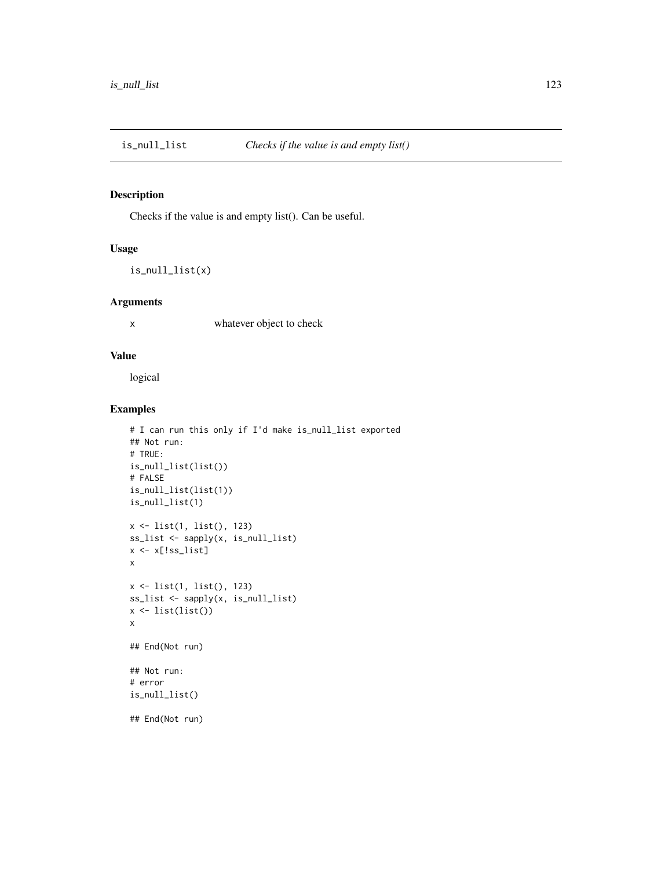# Description

Checks if the value is and empty list(). Can be useful.

# Usage

is\_null\_list(x)

# Arguments

x whatever object to check

# Value

logical

```
# I can run this only if I'd make is_null_list exported
## Not run:
# TRUE:
is_null_list(list())
# FALSE
is_null_list(list(1))
is_null_list(1)
x <- list(1, list(), 123)
ss_list <- sapply(x, is_null_list)
x \leftarrow x[:ss\_list]x
x <- list(1, list(), 123)
ss_list <- sapply(x, is_null_list)
x \leftarrow list(list())
x
## End(Not run)
## Not run:
# error
is_null_list()
## End(Not run)
```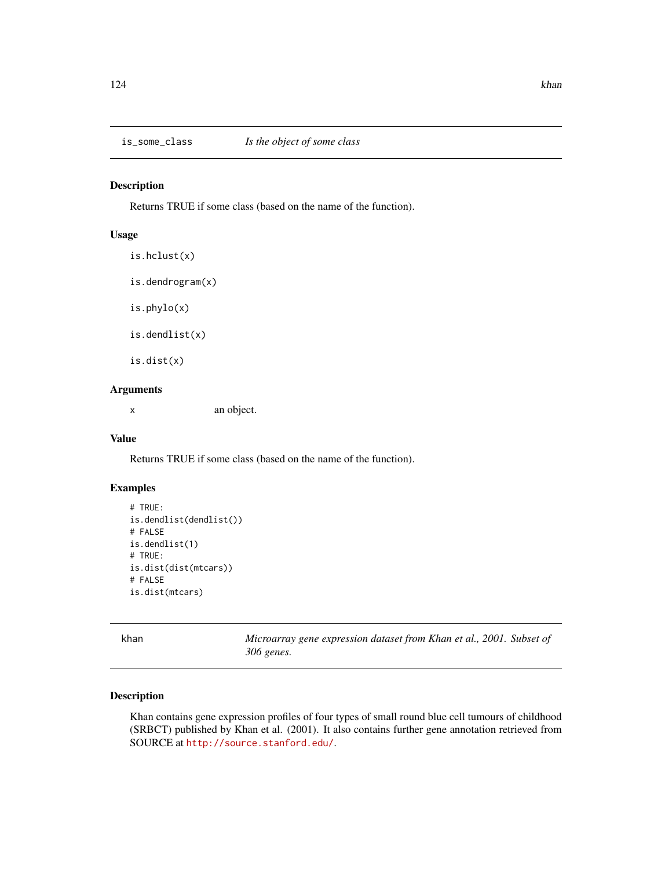## Description

Returns TRUE if some class (based on the name of the function).

# Usage

is.hclust(x) is.dendrogram(x) is.phylo(x) is.dendlist(x) is.dist(x)

# Arguments

x an object.

# Value

Returns TRUE if some class (based on the name of the function).

# Examples

```
# TRUE:
is.dendlist(dendlist())
# FALSE
is.dendlist(1)
# TRUE:
is.dist(dist(mtcars))
# FALSE
is.dist(mtcars)
```
khan *Microarray gene expression dataset from Khan et al., 2001. Subset of 306 genes.*

## Description

Khan contains gene expression profiles of four types of small round blue cell tumours of childhood (SRBCT) published by Khan et al. (2001). It also contains further gene annotation retrieved from SOURCE at <http://source.stanford.edu/>.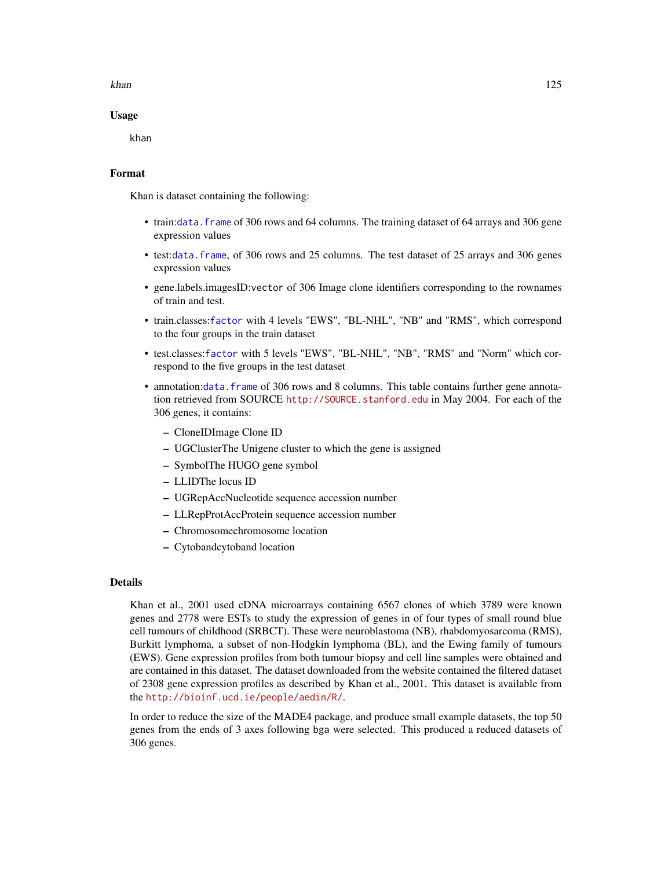#### khan 125

### Usage

khan

## Format

Khan is dataset containing the following:

- train:[data.frame](#page-0-0) of 306 rows and 64 columns. The training dataset of 64 arrays and 306 gene expression values
- test:[data.frame](#page-0-0), of 306 rows and 25 columns. The test dataset of 25 arrays and 306 genes expression values
- gene.labels.imagesID:vector of 306 Image clone identifiers corresponding to the rownames of train and test.
- train.classes:[factor](#page-0-0) with 4 levels "EWS", "BL-NHL", "NB" and "RMS", which correspond to the four groups in the train dataset
- test.classes:[factor](#page-0-0) with 5 levels "EWS", "BL-NHL", "NB", "RMS" and "Norm" which correspond to the five groups in the test dataset
- annotation:[data.frame](#page-0-0) of 306 rows and 8 columns. This table contains further gene annotation retrieved from SOURCE <http://SOURCE.stanford.edu> in May 2004. For each of the 306 genes, it contains:
	- CloneIDImage Clone ID
	- UGClusterThe Unigene cluster to which the gene is assigned
	- SymbolThe HUGO gene symbol
	- LLIDThe locus ID
	- UGRepAccNucleotide sequence accession number
	- LLRepProtAccProtein sequence accession number
	- Chromosomechromosome location
	- Cytobandcytoband location

#### Details

Khan et al., 2001 used cDNA microarrays containing 6567 clones of which 3789 were known genes and 2778 were ESTs to study the expression of genes in of four types of small round blue cell tumours of childhood (SRBCT). These were neuroblastoma (NB), rhabdomyosarcoma (RMS), Burkitt lymphoma, a subset of non-Hodgkin lymphoma (BL), and the Ewing family of tumours (EWS). Gene expression profiles from both tumour biopsy and cell line samples were obtained and are contained in this dataset. The dataset downloaded from the website contained the filtered dataset of 2308 gene expression profiles as described by Khan et al., 2001. This dataset is available from the <http://bioinf.ucd.ie/people/aedin/R/>.

In order to reduce the size of the MADE4 package, and produce small example datasets, the top 50 genes from the ends of 3 axes following bga were selected. This produced a reduced datasets of 306 genes.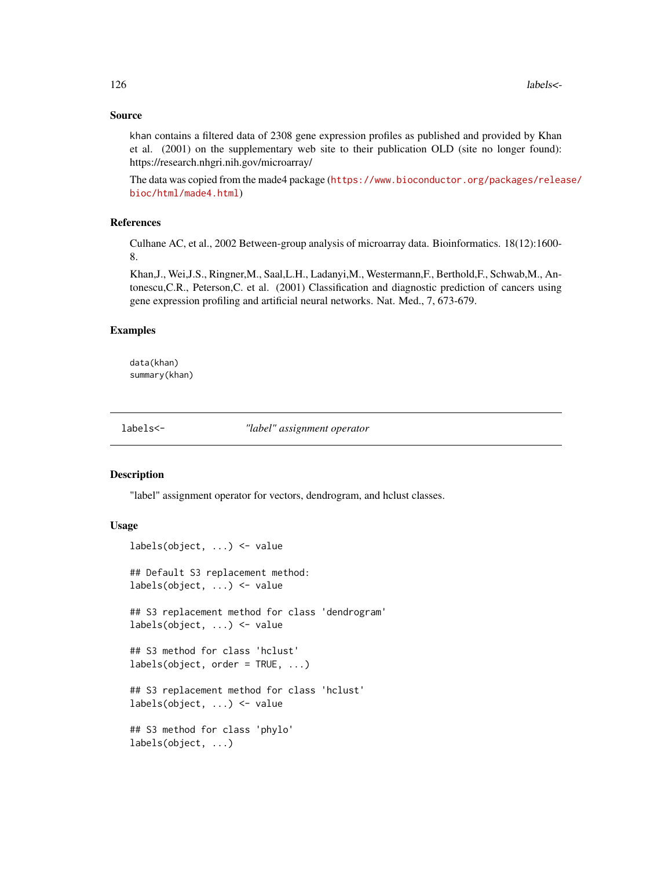## Source

khan contains a filtered data of 2308 gene expression profiles as published and provided by Khan et al. (2001) on the supplementary web site to their publication OLD (site no longer found): https://research.nhgri.nih.gov/microarray/

The data was copied from the made4 package ([https://www.bioconductor.org/packages/relea](https://www.bioconductor.org/packages/release/bioc/html/made4.html)se/ [bioc/html/made4.html](https://www.bioconductor.org/packages/release/bioc/html/made4.html))

#### References

Culhane AC, et al., 2002 Between-group analysis of microarray data. Bioinformatics. 18(12):1600- 8.

Khan,J., Wei,J.S., Ringner,M., Saal,L.H., Ladanyi,M., Westermann,F., Berthold,F., Schwab,M., Antonescu,C.R., Peterson,C. et al. (2001) Classification and diagnostic prediction of cancers using gene expression profiling and artificial neural networks. Nat. Med., 7, 673-679.

## Examples

data(khan) summary(khan)

<span id="page-125-0"></span>labels<- *"label" assignment operator*

# Description

"label" assignment operator for vectors, dendrogram, and hclust classes.

```
labels(object, ...) <- value
## Default S3 replacement method:
labels(object, ...) <- value
## S3 replacement method for class 'dendrogram'
labels(object, ...) <- value
## S3 method for class 'hclust'
labels(object, order = TRUE, ...)## S3 replacement method for class 'hclust'
labels(object, ...) <- value
## S3 method for class 'phylo'
labels(object, ...)
```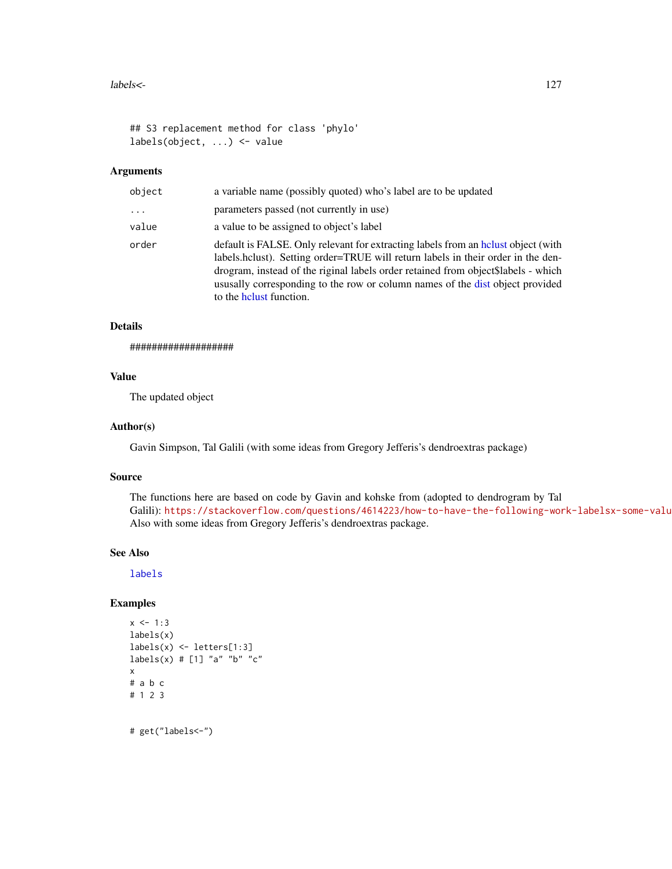#### labels<- 127

```
## S3 replacement method for class 'phylo'
labels(object, ...) <- value
```
# Arguments

| object   | a variable name (possibly quoted) who's label are to be updated                                                                                                                                                                                                                                                                                                         |
|----------|-------------------------------------------------------------------------------------------------------------------------------------------------------------------------------------------------------------------------------------------------------------------------------------------------------------------------------------------------------------------------|
| $\cdots$ | parameters passed (not currently in use)                                                                                                                                                                                                                                                                                                                                |
| value    | a value to be assigned to object's label                                                                                                                                                                                                                                                                                                                                |
| order    | default is FALSE. Only relevant for extracting labels from an holyst object (with<br>labels.hclust). Setting order=TRUE will return labels in their order in the den-<br>drogram, instead of the riginal labels order retained from object\$labels - which<br>usus ally corresponding to the row or column names of the dist object provided<br>to the helust function. |

# Details

###################

#### Value

The updated object

## Author(s)

Gavin Simpson, Tal Galili (with some ideas from Gregory Jefferis's dendroextras package)

#### Source

The functions here are based on code by Gavin and kohske from (adopted to dendrogram by Tal Galili): https://stackoverflow.com/questions/4614223/how-to-have-the-following-work-labelsx-some-valu Also with some ideas from Gregory Jefferis's dendroextras package.

#### See Also

[labels](#page-0-0)

```
x < -1:3labels(x)
labels(x) <- letters[1:3]
labels(x) # [1] "a" "b" "c"x
# a b c
# 1 2 3
# get("labels<-")
```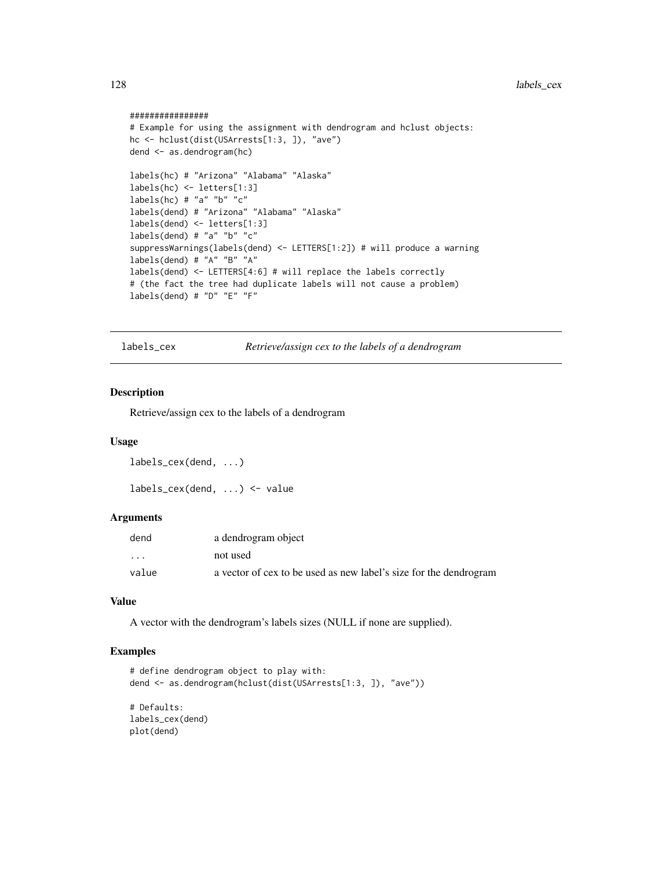#### ################

```
# Example for using the assignment with dendrogram and hclust objects:
hc <- hclust(dist(USArrests[1:3, ]), "ave")
dend <- as.dendrogram(hc)
labels(hc) # "Arizona" "Alabama" "Alaska"
labels(hc) <- letters[1:3]
labels(hc) # "a" "b" "c"
labels(dend) # "Arizona" "Alabama" "Alaska"
labels(dend) <- letters[1:3]
labels(dend) # "a" "b" "c"
suppressWarnings(labels(dend) <- LETTERS[1:2]) # will produce a warning
labels(dend) # "A" "B" "A"
labels(dend) <- LETTERS[4:6] # will replace the labels correctly
# (the fact the tree had duplicate labels will not cause a problem)
labels(dend) # "D" "E" "F"
```
labels\_cex *Retrieve/assign cex to the labels of a dendrogram*

#### Description

Retrieve/assign cex to the labels of a dendrogram

#### Usage

labels\_cex(dend, ...)

labels\_cex(dend, ...) <- value

## Arguments

| dend  | a dendrogram object                                               |
|-------|-------------------------------------------------------------------|
| .     | not used                                                          |
| value | a vector of cex to be used as new label's size for the dendrogram |

## Value

A vector with the dendrogram's labels sizes (NULL if none are supplied).

```
# define dendrogram object to play with:
dend <- as.dendrogram(hclust(dist(USArrests[1:3, ]), "ave"))
```

```
# Defaults:
labels_cex(dend)
plot(dend)
```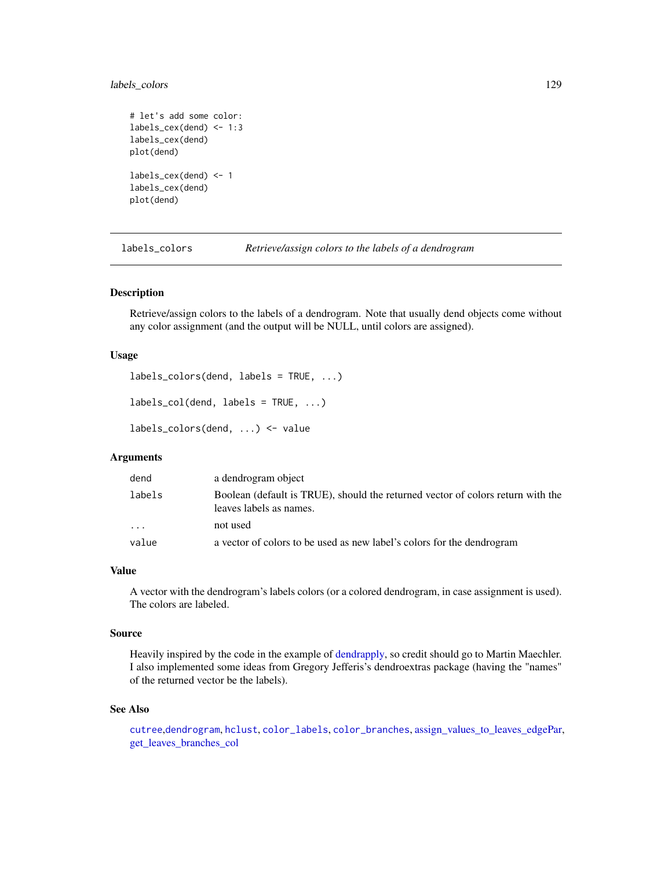# labels\_colors 129

```
# let's add some color:
labels_cex(dend) <- 1:3
labels_cex(dend)
plot(dend)
labels_cex(dend) <- 1
labels_cex(dend)
plot(dend)
```
labels\_colors *Retrieve/assign colors to the labels of a dendrogram*

#### Description

Retrieve/assign colors to the labels of a dendrogram. Note that usually dend objects come without any color assignment (and the output will be NULL, until colors are assigned).

# Usage

```
labels_colors(dend, labels = TRUE, ...)
```

```
labels\_col(dend, labels = TRUE, ...)
```

```
labels_colors(dend, ...) <- value
```
# Arguments

| dend   | a dendrogram object                                                                                        |
|--------|------------------------------------------------------------------------------------------------------------|
| labels | Boolean (default is TRUE), should the returned vector of colors return with the<br>leaves labels as names. |
| .      | not used                                                                                                   |
| value  | a vector of colors to be used as new label's colors for the dendrogram                                     |

#### Value

A vector with the dendrogram's labels colors (or a colored dendrogram, in case assignment is used). The colors are labeled.

# Source

Heavily inspired by the code in the example of [dendrapply,](#page-0-0) so credit should go to Martin Maechler. I also implemented some ideas from Gregory Jefferis's dendroextras package (having the "names" of the returned vector be the labels).

#### See Also

[cutree](#page-61-1),[dendrogram](#page-0-0), [hclust](#page-0-0), [color\\_labels](#page-48-0), [color\\_branches](#page-44-0), [assign\\_values\\_to\\_leaves\\_edgePar,](#page-13-0) [get\\_leaves\\_branches\\_col](#page-98-0)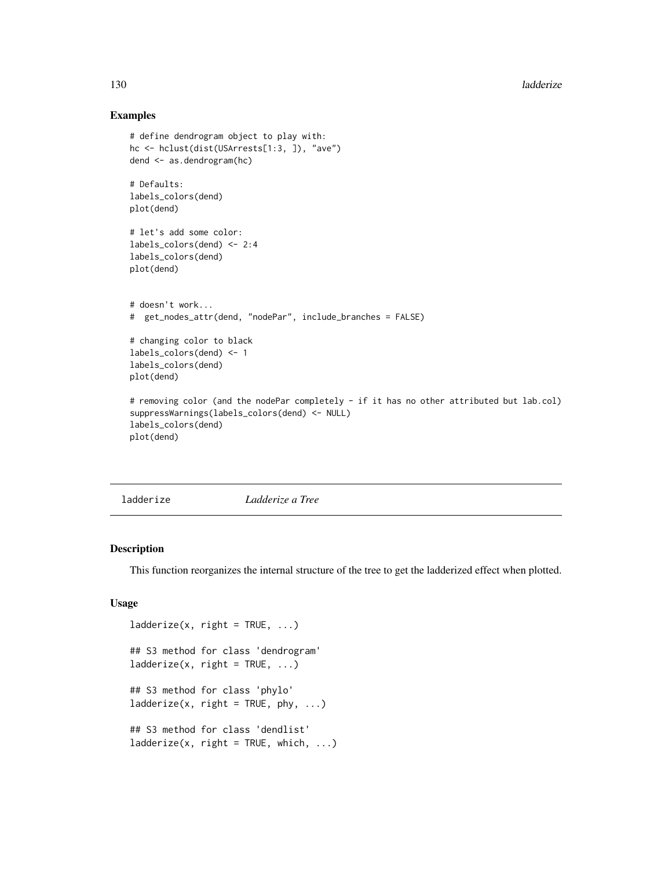## Examples

```
# define dendrogram object to play with:
hc <- hclust(dist(USArrests[1:3, ]), "ave")
dend <- as.dendrogram(hc)
# Defaults:
labels_colors(dend)
plot(dend)
# let's add some color:
labels_colors(dend) <- 2:4
labels_colors(dend)
plot(dend)
# doesn't work...
# get_nodes_attr(dend, "nodePar", include_branches = FALSE)
# changing color to black
labels_colors(dend) <- 1
labels_colors(dend)
plot(dend)
# removing color (and the nodePar completely - if it has no other attributed but lab.col)
suppressWarnings(labels_colors(dend) <- NULL)
labels_colors(dend)
plot(dend)
```
<span id="page-129-0"></span>

ladderize *Ladderize a Tree*

# Description

This function reorganizes the internal structure of the tree to get the ladderized effect when plotted.

```
ladderize(x, right = TRUE, ...)## S3 method for class 'dendrogram'
ladderize(x, right = TRUE, ...)## S3 method for class 'phylo'
ladderize(x, right = TRUE, phy, ...)## S3 method for class 'dendlist'
ladderize(x, right = TRUE, which, ...)
```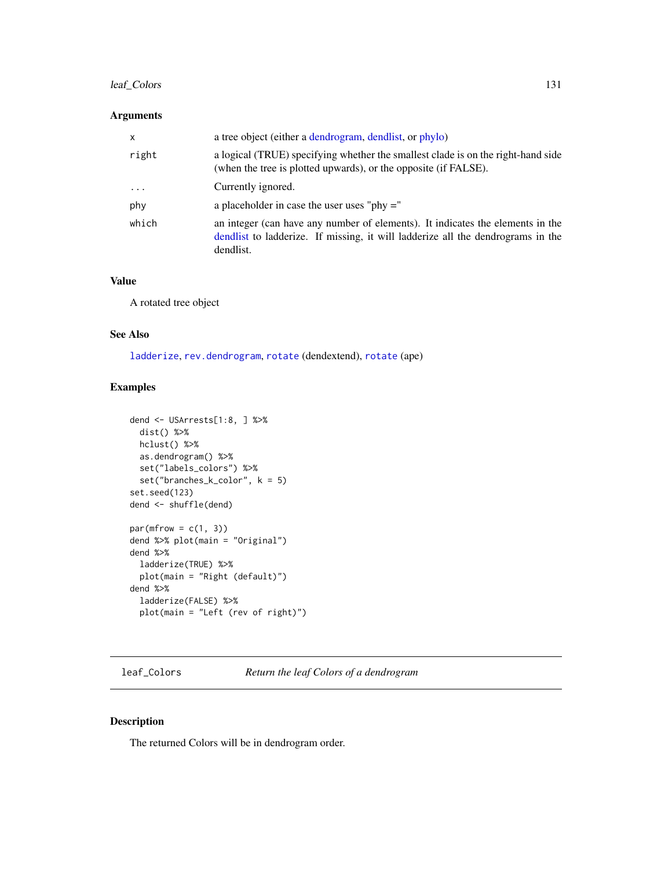# leaf\_Colors 131

## Arguments

| $\mathsf{x}$ | a tree object (either a dendrogram, dendlist, or phylo)                                                                                                                        |
|--------------|--------------------------------------------------------------------------------------------------------------------------------------------------------------------------------|
| right        | a logical (TRUE) specifying whether the smallest clade is on the right-hand side<br>(when the tree is plotted upwards), or the opposite (if FALSE).                            |
| $\ddotsc$    | Currently ignored.                                                                                                                                                             |
| phy          | a placeholder in case the user uses "phy $=$ "                                                                                                                                 |
| which        | an integer (can have any number of elements). It indicates the elements in the<br>dendlist to ladderize. If missing, it will ladderize all the dendrograms in the<br>dendlist. |

#### Value

A rotated tree object

# See Also

[ladderize](#page-129-0), [rev.dendrogram](#page-0-0), [rotate](#page-165-0) (dendextend), [rotate](#page-165-0) (ape)

# Examples

```
dend <- USArrests[1:8, ] %>%
 dist() %>%
 hclust() %>%
 as.dendrogram() %>%
  set("labels_colors") %>%
  set("branches_k_color", k = 5)
set.seed(123)
dend <- shuffle(dend)
par(mfrow = c(1, 3))dend %>% plot(main = "Original")
dend %>%
  ladderize(TRUE) %>%
  plot(main = "Right (default)")
dend %>%
  ladderize(FALSE) %>%
  plot(main = "Left (rev of right)")
```
leaf\_Colors *Return the leaf Colors of a dendrogram*

# Description

The returned Colors will be in dendrogram order.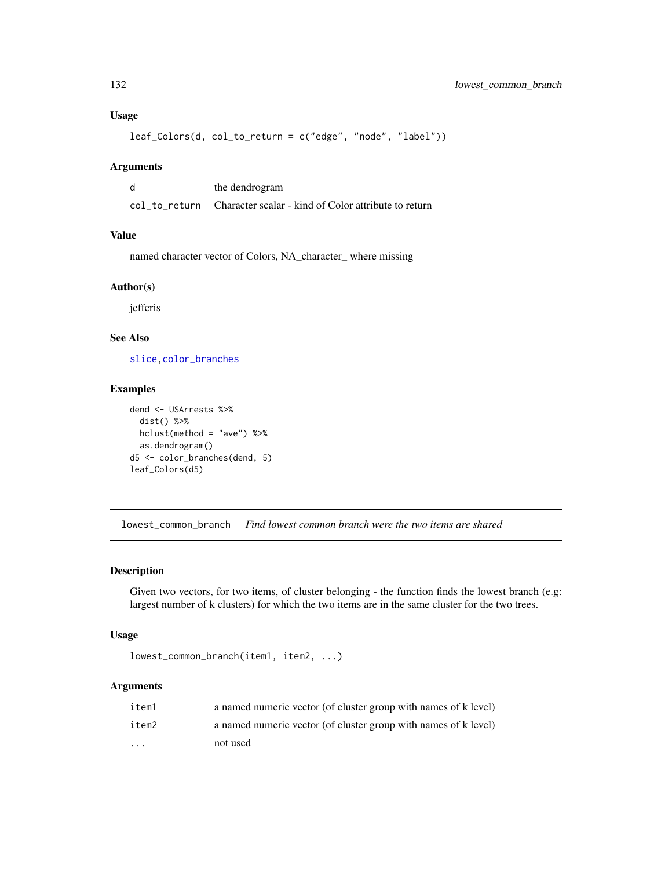# Usage

```
leaf_Colors(d, col_to_return = c("edge", "node", "label"))
```
#### Arguments

| the dendrogram                                                     |
|--------------------------------------------------------------------|
| col to return Character scalar - kind of Color attribute to return |

# Value

named character vector of Colors, NA\_character\_ where missing

# Author(s)

jefferis

# See Also

[slice](#page-0-0)[,color\\_branches](#page-44-0)

# Examples

```
dend <- USArrests %>%
  dist() %>%
  hclust(method = "ave") %>%
  as.dendrogram()
d5 <- color_branches(dend, 5)
leaf_Colors(d5)
```
lowest\_common\_branch *Find lowest common branch were the two items are shared*

#### Description

Given two vectors, for two items, of cluster belonging - the function finds the lowest branch (e.g: largest number of k clusters) for which the two items are in the same cluster for the two trees.

# Usage

```
lowest_common_branch(item1, item2, ...)
```
## Arguments

| item1    | a named numeric vector (of cluster group with names of k level) |
|----------|-----------------------------------------------------------------|
| item2    | a named numeric vector (of cluster group with names of k level) |
| $\cdots$ | not used                                                        |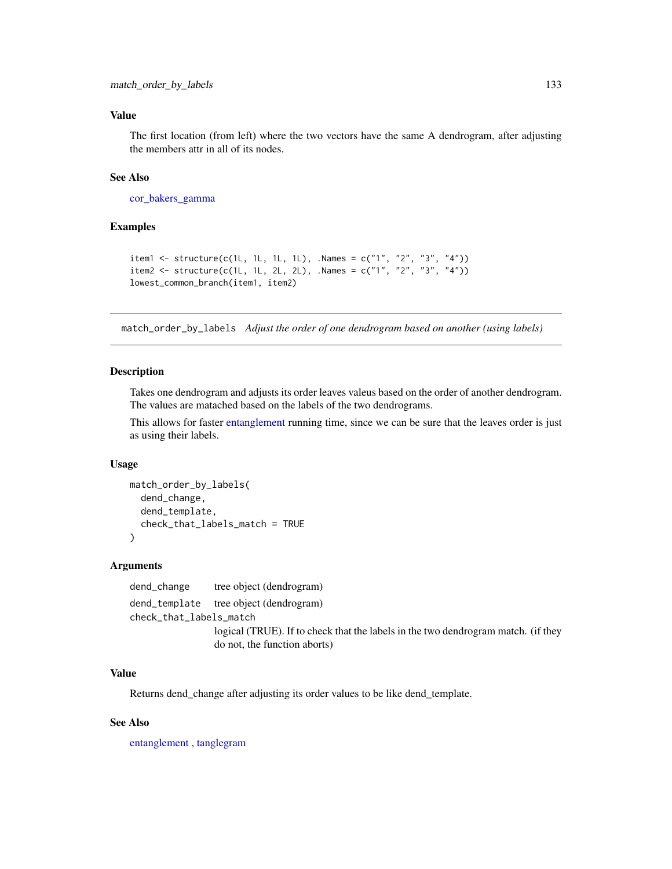# Value

The first location (from left) where the two vectors have the same A dendrogram, after adjusting the members attr in all of its nodes.

## See Also

[cor\\_bakers\\_gamma](#page-53-0)

# Examples

```
item1 <- structure(c(1L, 1L, 1L, 1L), .Names = c("1", "2", "3", "4"))
item2 <- structure(c(1L, 1L, 2L, 2L), .Names = c("1", "2", "3", "4"))
lowest_common_branch(item1, item2)
```
<span id="page-132-0"></span>match\_order\_by\_labels *Adjust the order of one dendrogram based on another (using labels)*

## Description

Takes one dendrogram and adjusts its order leaves valeus based on the order of another dendrogram. The values are matached based on the labels of the two dendrograms.

This allows for faster [entanglement](#page-80-0) running time, since we can be sure that the leaves order is just as using their labels.

#### Usage

```
match_order_by_labels(
  dend_change,
  dend_template,
  check_that_labels_match = TRUE
\mathcal{E}
```
#### Arguments

dend\_change tree object (dendrogram) dend\_template tree object (dendrogram) check\_that\_labels\_match logical (TRUE). If to check that the labels in the two dendrogram match. (if they do not, the function aborts)

# Value

Returns dend\_change after adjusting its order values to be like dend\_template.

## See Also

[entanglement](#page-80-0) , [tanglegram](#page-184-0)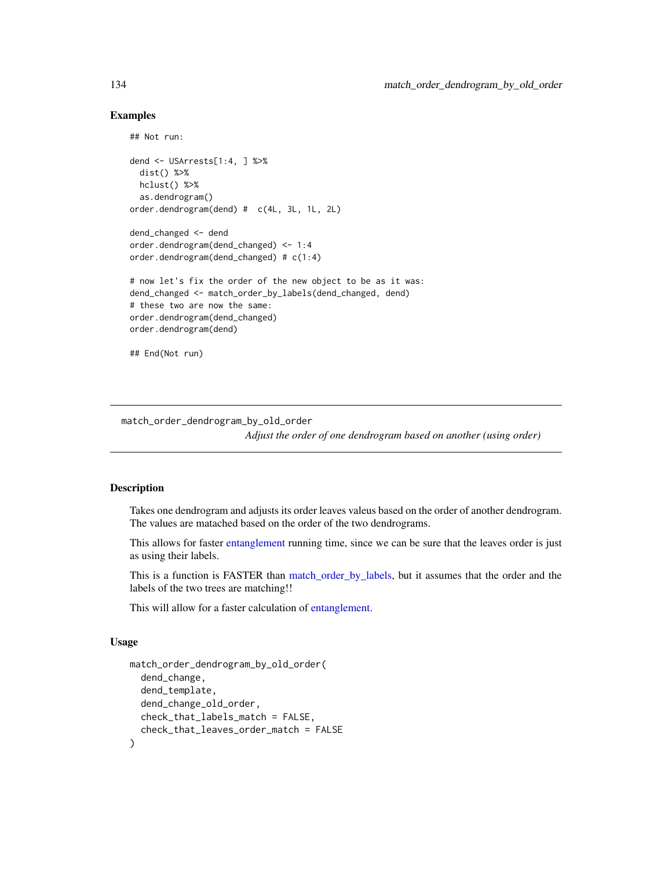## Examples

```
## Not run:
dend <- USArrests[1:4, ] %>%
 dist() %>%
 hclust() %>%
 as.dendrogram()
order.dendrogram(dend) # c(4L, 3L, 1L, 2L)
dend_changed <- dend
order.dendrogram(dend_changed) <- 1:4
order.dendrogram(dend_changed) # c(1:4)
# now let's fix the order of the new object to be as it was:
dend_changed <- match_order_by_labels(dend_changed, dend)
# these two are now the same:
order.dendrogram(dend_changed)
order.dendrogram(dend)
## End(Not run)
```
match\_order\_dendrogram\_by\_old\_order

*Adjust the order of one dendrogram based on another (using order)*

# **Description**

Takes one dendrogram and adjusts its order leaves valeus based on the order of another dendrogram. The values are matached based on the order of the two dendrograms.

This allows for faster [entanglement](#page-80-0) running time, since we can be sure that the leaves order is just as using their labels.

This is a function is FASTER than [match\\_order\\_by\\_labels,](#page-132-0) but it assumes that the order and the labels of the two trees are matching!!

This will allow for a faster calculation of [entanglement.](#page-80-0)

```
match_order_dendrogram_by_old_order(
  dend_change,
  dend_template,
  dend_change_old_order,
  check_that_labels_match = FALSE,
  check_that_leaves_order_match = FALSE
)
```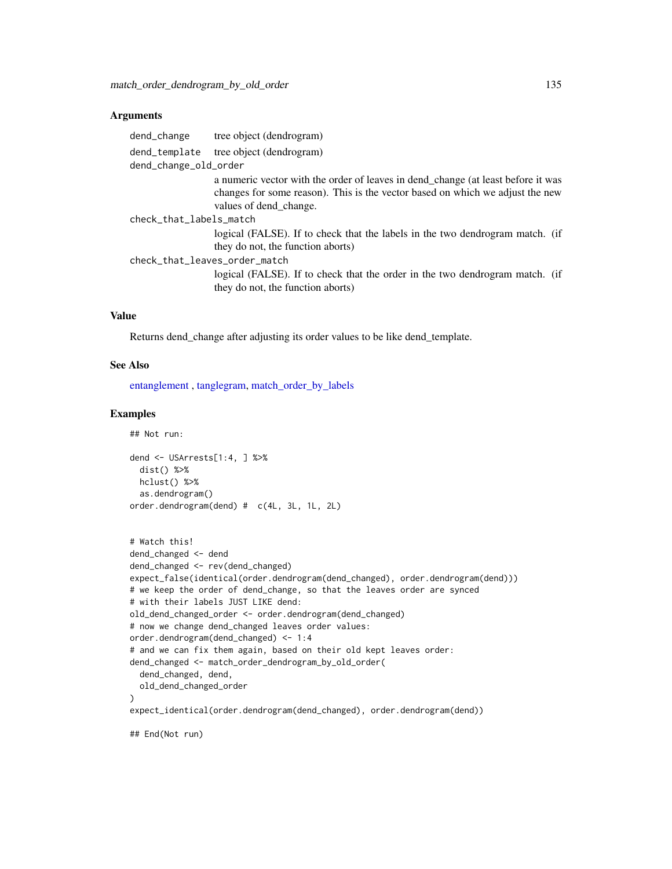#### **Arguments**

| dend_change                   | tree object (dendrogram)                                                                                          |
|-------------------------------|-------------------------------------------------------------------------------------------------------------------|
| dend_template                 | tree object (dendrogram)                                                                                          |
| dend_change_old_order         |                                                                                                                   |
|                               | a numeric vector with the order of leaves in dend_change (at least before it was                                  |
|                               | changes for some reason). This is the vector based on which we adjust the new                                     |
|                               | values of dend_change.                                                                                            |
| check_that_labels_match       |                                                                                                                   |
|                               | logical (FALSE). If to check that the labels in the two dendrogram match. (if                                     |
|                               | they do not, the function aborts)                                                                                 |
| check_that_leaves_order_match |                                                                                                                   |
|                               | logical (FALSE). If to check that the order in the two dendrogram match. (if<br>they do not, the function aborts) |
|                               |                                                                                                                   |

### Value

Returns dend\_change after adjusting its order values to be like dend\_template.

#### See Also

[entanglement](#page-80-0) , [tanglegram,](#page-184-0) [match\\_order\\_by\\_labels](#page-132-0)

#### Examples

## Not run:

```
dend <- USArrests[1:4, ] %>%
  dist() %>%
  hclust() %>%
  as.dendrogram()
order.dendrogram(dend) # c(4L, 3L, 1L, 2L)
# Watch this!
dend_changed <- dend
dend_changed <- rev(dend_changed)
expect_false(identical(order.dendrogram(dend_changed), order.dendrogram(dend)))
# we keep the order of dend_change, so that the leaves order are synced
# with their labels JUST LIKE dend:
old_dend_changed_order <- order.dendrogram(dend_changed)
# now we change dend_changed leaves order values:
order.dendrogram(dend_changed) <- 1:4
# and we can fix them again, based on their old kept leaves order:
dend_changed <- match_order_dendrogram_by_old_order(
  dend_changed, dend,
  old_dend_changed_order
\lambdaexpect_identical(order.dendrogram(dend_changed), order.dendrogram(dend))
## End(Not run)
```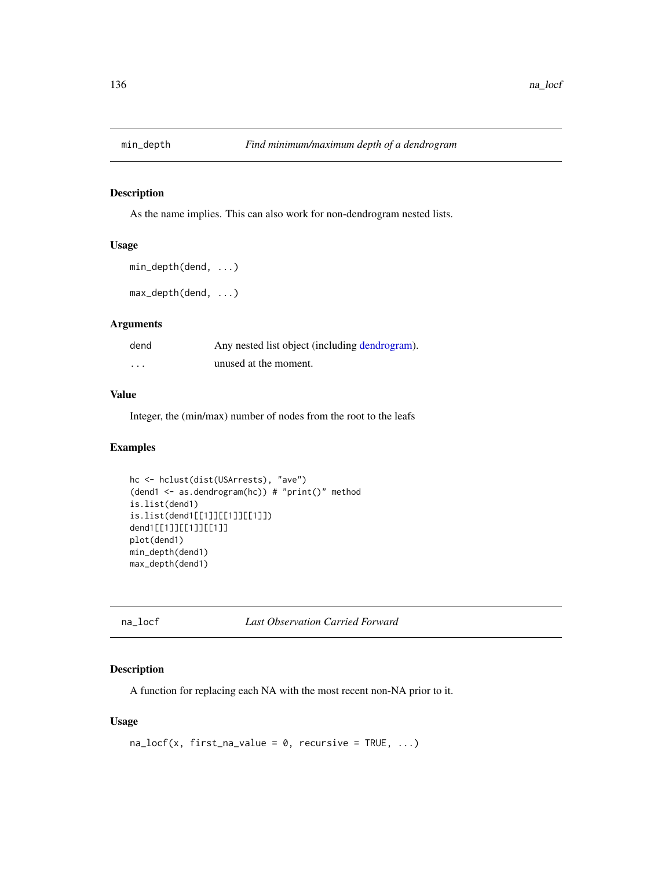# Description

As the name implies. This can also work for non-dendrogram nested lists.

#### Usage

```
min_depth(dend, ...)
max_depth(dend, ...)
```
#### Arguments

| dend    | Any nested list object (including dendrogram). |
|---------|------------------------------------------------|
| $\cdot$ | unused at the moment.                          |

# Value

Integer, the (min/max) number of nodes from the root to the leafs

# Examples

```
hc <- hclust(dist(USArrests), "ave")
(dend1 <- as.dendrogram(hc)) # "print()" method
is.list(dend1)
is.list(dend1[[1]][[1]][[1]])
dend1[[1]][[1]][[1]]
plot(dend1)
min_depth(dend1)
max_depth(dend1)
```
na\_locf *Last Observation Carried Forward*

# Description

A function for replacing each NA with the most recent non-NA prior to it.

```
na\_locf(x, first\_na\_value = 0, recursive = TRUE, ...)
```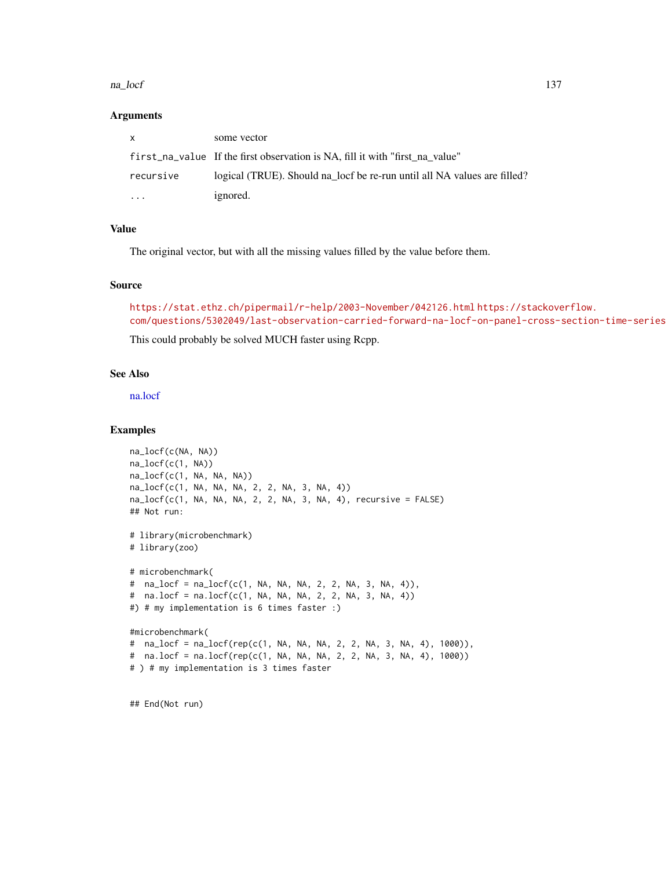#### na\_locf 137

#### Arguments

| X         | some vector                                                                  |
|-----------|------------------------------------------------------------------------------|
|           | first_na_value If the first observation is NA, fill it with "first na value" |
| recursive | logical (TRUE). Should na locf be re-run until all NA values are filled?     |
| $\cdots$  | ignored.                                                                     |

# Value

The original vector, but with all the missing values filled by the value before them.

# Source

```
https://stat.ethz.ch/pipermail/r-help/2003-November/042126.html https://stackoverflow.
com/questions/5302049/last-observation-carried-forward-na-locf-on-panel-cross-section-time-series
```
This could probably be solved MUCH faster using Rcpp.

# See Also

[na.locf](#page-0-0)

## Examples

```
na_locf(c(NA, NA))
na_locf(c(1, NA))
na_locf(c(1, NA, NA, NA))
na_locf(c(1, NA, NA, NA, 2, 2, NA, 3, NA, 4))
na\_locf(c(1, NA, NA, NA, 2, 2, NA, 3, NA, 4), recursive = FALSE)## Not run:
# library(microbenchmark)
# library(zoo)
# microbenchmark(
# na_locf = na_locf(c(1, NA, NA, NA, 2, 2, NA, 3, NA, 4)),
# na.locf = na.locf(c(1, NA, NA, NA, 2, 2, NA, 3, NA, 4))
#) # my implementation is 6 times faster :)
#microbenchmark(
# na_locf = na_locf(rep(c(1, NA, NA, NA, 2, 2, NA, 3, NA, 4), 1000)),
# na.locf = na.locf(rep(c(1, NA, NA, NA, 2, 2, NA, 3, NA, 4), 1000))
# ) # my implementation is 3 times faster
```
## End(Not run)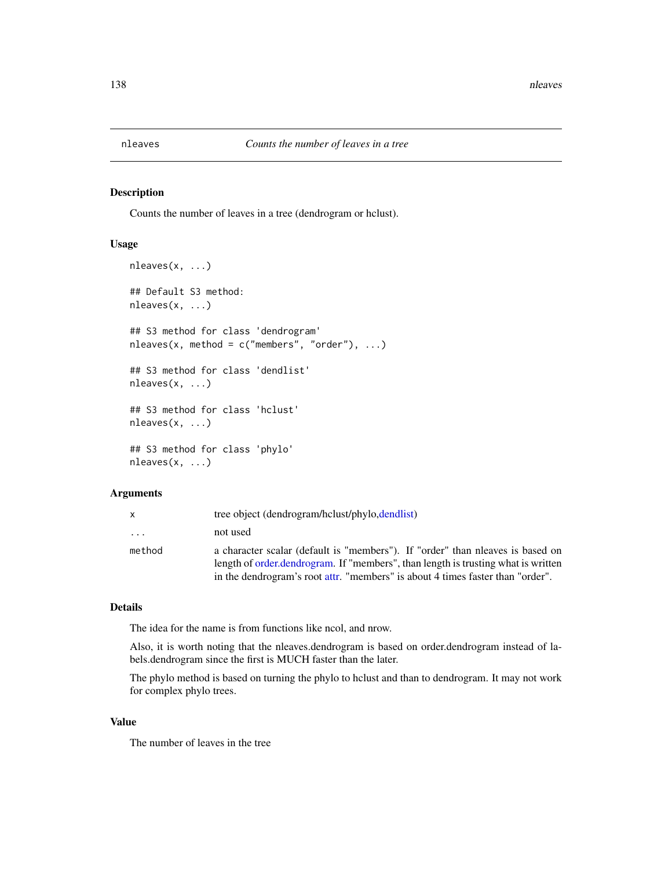<span id="page-137-0"></span>

# Description

Counts the number of leaves in a tree (dendrogram or hclust).

#### Usage

```
nleaves(x, ...)
## Default S3 method:
nleaves(x, ...)
## S3 method for class 'dendrogram'
nleaves(x, method = c("members", "order"), ...)## S3 method for class 'dendlist'
nleaves(x, ...)
## S3 method for class 'hclust'
nleaves(x, ...)
## S3 method for class 'phylo'
nleaves(x, ...)
```
## Arguments

|                         | tree object (dendrogram/hclust/phylo.dendlist)                                                                                                                                                                                                       |
|-------------------------|------------------------------------------------------------------------------------------------------------------------------------------------------------------------------------------------------------------------------------------------------|
| $\cdot$ $\cdot$ $\cdot$ | not used                                                                                                                                                                                                                                             |
| method                  | a character scalar (default is "members"). If "order" than neaves is based on<br>length of order dendrogram. If "members", than length is trusting what is written<br>in the dendrogram's root attr. "members" is about 4 times faster than "order". |

# Details

The idea for the name is from functions like ncol, and nrow.

Also, it is worth noting that the nleaves.dendrogram is based on order.dendrogram instead of labels.dendrogram since the first is MUCH faster than the later.

The phylo method is based on turning the phylo to hclust and than to dendrogram. It may not work for complex phylo trees.

#### Value

The number of leaves in the tree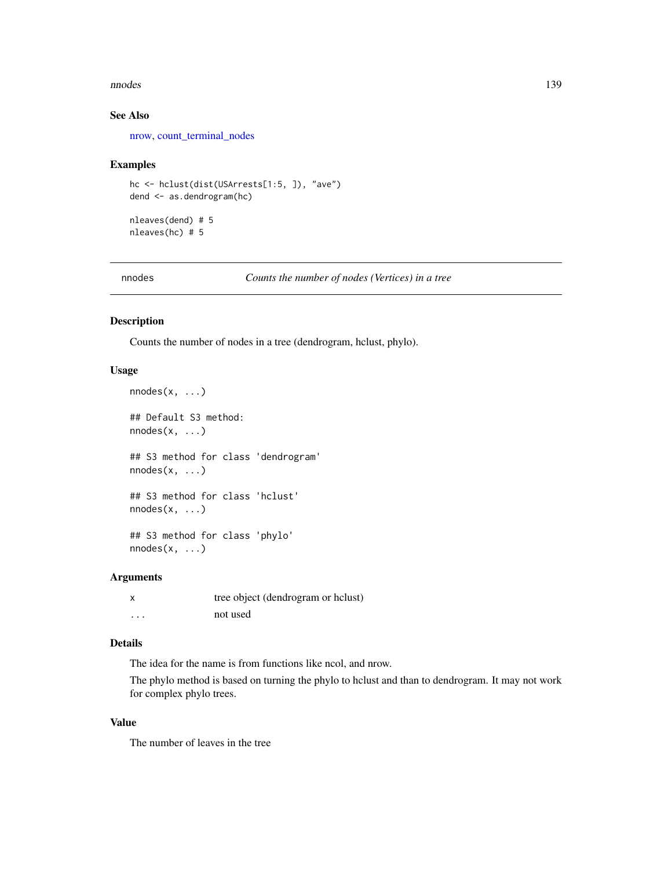#### nnodes and the set of the set of the set of the set of the set of the set of the set of the set of the set of the set of the set of the set of the set of the set of the set of the set of the set of the set of the set of th

# See Also

[nrow,](#page-0-0) [count\\_terminal\\_nodes](#page-60-0)

#### Examples

```
hc <- hclust(dist(USArrests[1:5, ]), "ave")
dend <- as.dendrogram(hc)
```
nleaves(dend) # 5 nleaves(hc) # 5

<span id="page-138-0"></span>nnodes *Counts the number of nodes (Vertices) in a tree*

## Description

Counts the number of nodes in a tree (dendrogram, hclust, phylo).

## Usage

```
nnodes(x, ...)
## Default S3 method:
nnodes(x, \ldots)## S3 method for class 'dendrogram'
nnodes(x, ...)
## S3 method for class 'hclust'
nnodes(x, \ldots)## S3 method for class 'phylo'
nnodes(x, ...)
```
# Arguments

| x       | tree object (dendrogram or holust) |
|---------|------------------------------------|
| $\cdot$ | not used                           |

## Details

The idea for the name is from functions like ncol, and nrow.

The phylo method is based on turning the phylo to hclust and than to dendrogram. It may not work for complex phylo trees.

## Value

The number of leaves in the tree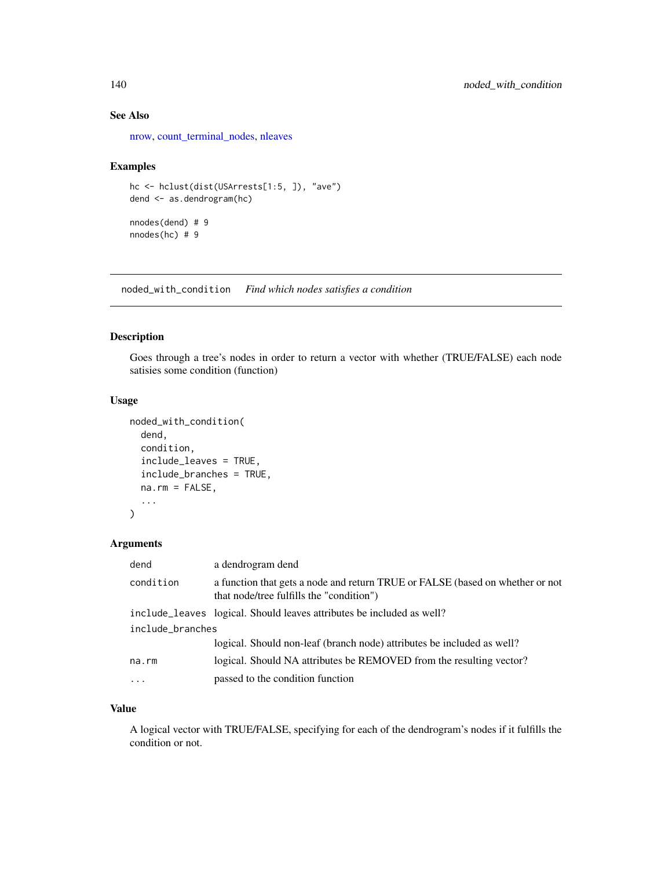# See Also

[nrow,](#page-0-0) [count\\_terminal\\_nodes,](#page-60-0) [nleaves](#page-137-0)

# Examples

```
hc <- hclust(dist(USArrests[1:5, ]), "ave")
dend <- as.dendrogram(hc)
nnodes(dend) # 9
nnodes(hc) # 9
```
noded\_with\_condition *Find which nodes satisfies a condition*

# Description

Goes through a tree's nodes in order to return a vector with whether (TRUE/FALSE) each node satisies some condition (function)

# Usage

```
noded_with_condition(
  dend,
  condition,
  include_leaves = TRUE,
  include_branches = TRUE,
  na.rm = FALSE,
  ...
\mathcal{L}
```
# Arguments

| dend             | a dendrogram dend                                                                                                         |  |
|------------------|---------------------------------------------------------------------------------------------------------------------------|--|
| condition        | a function that gets a node and return TRUE or FALSE (based on whether or not<br>that node/tree fulfills the "condition") |  |
|                  | include_leaves logical. Should leaves attributes be included as well?                                                     |  |
| include_branches |                                                                                                                           |  |
|                  | logical. Should non-leaf (branch node) attributes be included as well?                                                    |  |
| na.rm            | logical. Should NA attributes be REMOVED from the resulting vector?                                                       |  |
| $\ddots$         | passed to the condition function                                                                                          |  |

### Value

A logical vector with TRUE/FALSE, specifying for each of the dendrogram's nodes if it fulfills the condition or not.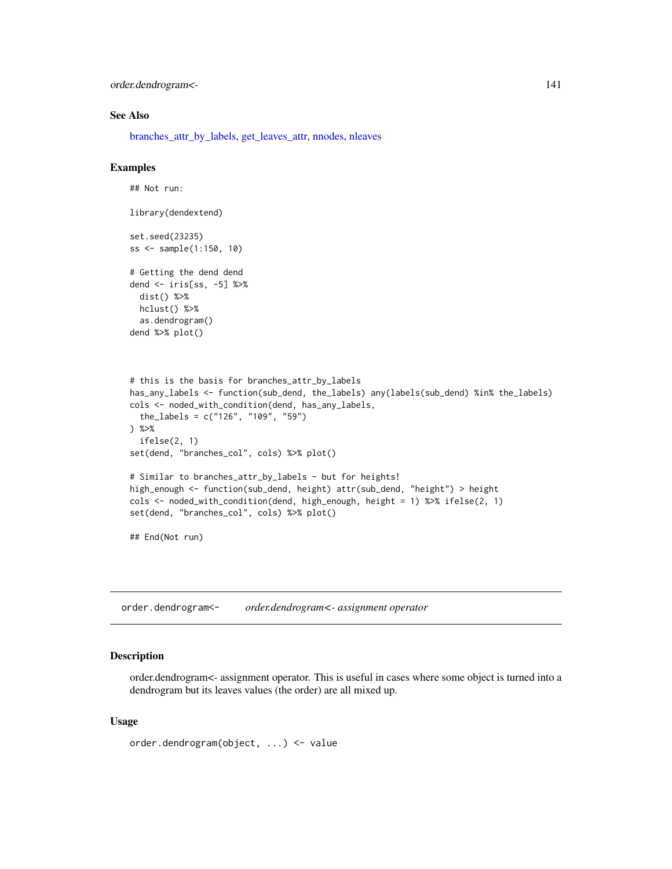order.dendrogram<- 141

#### See Also

[branches\\_attr\\_by\\_labels,](#page-28-0) [get\\_leaves\\_attr,](#page-96-0) [nnodes,](#page-138-0) [nleaves](#page-137-0)

## Examples

```
## Not run:
library(dendextend)
set.seed(23235)
ss <- sample(1:150, 10)
# Getting the dend dend
dend <- iris[ss, -5] %>%
  dist() %>%
 hclust() %>%
  as.dendrogram()
dend %>% plot()
# this is the basis for branches_attr_by_labels
has_any_labels <- function(sub_dend, the_labels) any(labels(sub_dend) %in% the_labels)
cols <- noded_with_condition(dend, has_any_labels,
  the_labels = c("126", "109", "59")
) %>%
  ifelse(2, 1)
set(dend, "branches_col", cols) %>% plot()
# Similar to branches_attr_by_labels - but for heights!
high_enough <- function(sub_dend, height) attr(sub_dend, "height") > height
cols <- noded_with_condition(dend, high_enough, height = 1) %>% ifelse(2, 1)
set(dend, "branches_col", cols) %>% plot()
## End(Not run)
```
order.dendrogram<- *order.dendrogram<- assignment operator*

#### Description

order.dendrogram<- assignment operator. This is useful in cases where some object is turned into a dendrogram but its leaves values (the order) are all mixed up.

## Usage

order.dendrogram(object, ...) <- value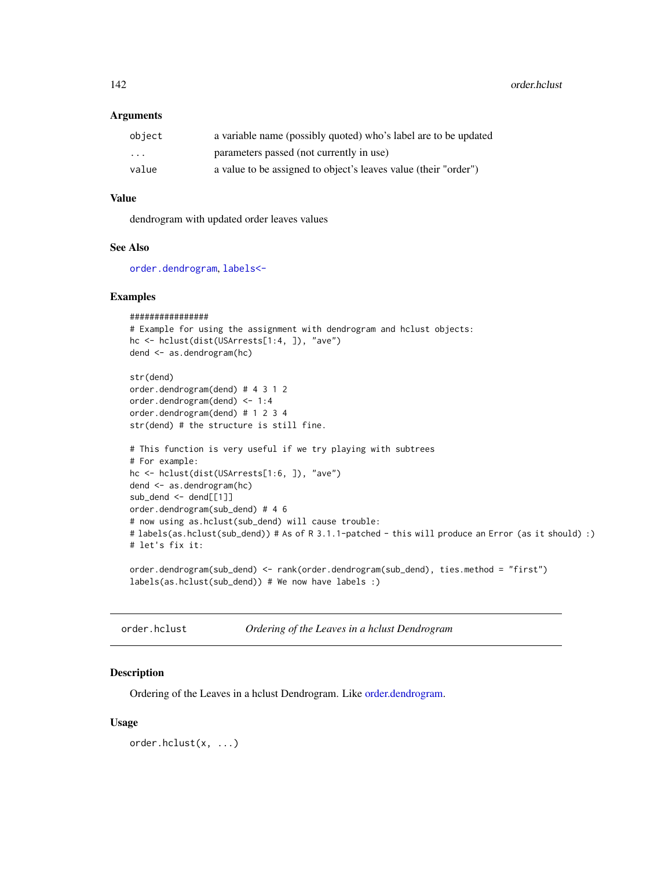142 order.hclust

#### **Arguments**

| object   | a variable name (possibly quoted) who's label are to be updated |
|----------|-----------------------------------------------------------------|
| $\cdots$ | parameters passed (not currently in use)                        |
| value    | a value to be assigned to object's leaves value (their "order") |

# Value

dendrogram with updated order leaves values

# See Also

[order.dendrogram](#page-0-0), [labels<-](#page-125-0)

# Examples

```
################
# Example for using the assignment with dendrogram and hclust objects:
hc <- hclust(dist(USArrests[1:4, ]), "ave")
dend <- as.dendrogram(hc)
```

```
str(dend)
order.dendrogram(dend) # 4 3 1 2
order.dendrogram(dend) <- 1:4
order.dendrogram(dend) # 1 2 3 4
str(dend) # the structure is still fine.
```

```
# This function is very useful if we try playing with subtrees
# For example:
hc <- hclust(dist(USArrests[1:6, ]), "ave")
dend <- as.dendrogram(hc)
sub_dend <- dend[[1]]
order.dendrogram(sub_dend) # 4 6
# now using as.hclust(sub_dend) will cause trouble:
# labels(as.hclust(sub_dend)) # As of R 3.1.1-patched - this will produce an Error (as it should) :)
# let's fix it:
```

```
order.dendrogram(sub_dend) <- rank(order.dendrogram(sub_dend), ties.method = "first")
labels(as.hclust(sub_dend)) # We now have labels :)
```
order.hclust *Ordering of the Leaves in a hclust Dendrogram*

## Description

Ordering of the Leaves in a hclust Dendrogram. Like [order.dendrogram.](#page-0-0)

## Usage

order.hclust(x, ...)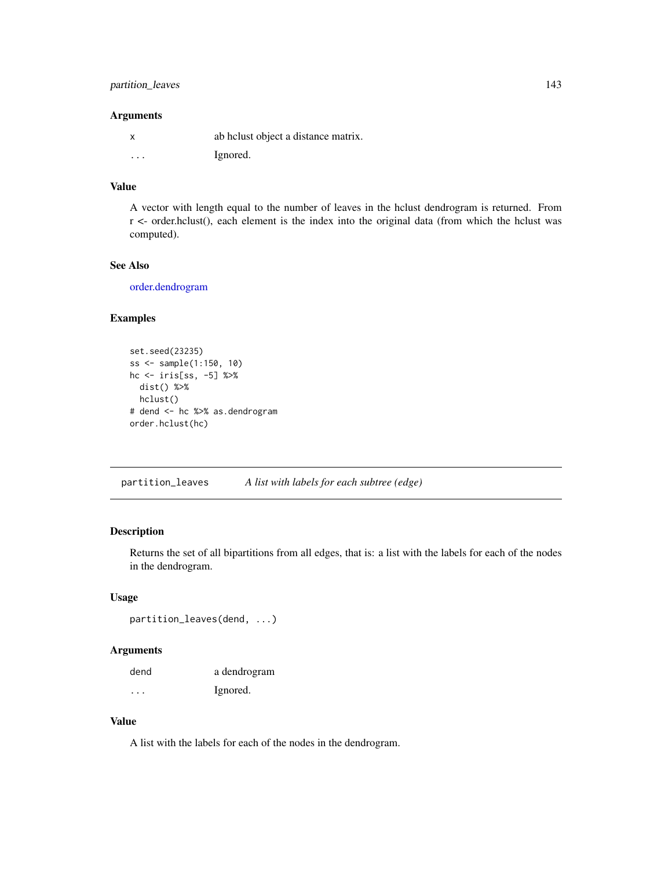# partition\_leaves 143

## Arguments

|          | ab helust object a distance matrix. |
|----------|-------------------------------------|
| $\cdots$ | Ignored.                            |

# Value

A vector with length equal to the number of leaves in the hclust dendrogram is returned. From r <- order.hclust(), each element is the index into the original data (from which the hclust was computed).

# See Also

[order.dendrogram](#page-0-0)

## Examples

```
set.seed(23235)
ss <- sample(1:150, 10)
hc <- iris[ss, -5] %>%
 dist() %>%
  hclust()
# dend <- hc %>% as.dendrogram
order.hclust(hc)
```
partition\_leaves *A list with labels for each subtree (edge)*

# Description

Returns the set of all bipartitions from all edges, that is: a list with the labels for each of the nodes in the dendrogram.

# Usage

```
partition_leaves(dend, ...)
```
# Arguments

| dend    | a dendrogram |
|---------|--------------|
| $\cdot$ | Ignored.     |

#### Value

A list with the labels for each of the nodes in the dendrogram.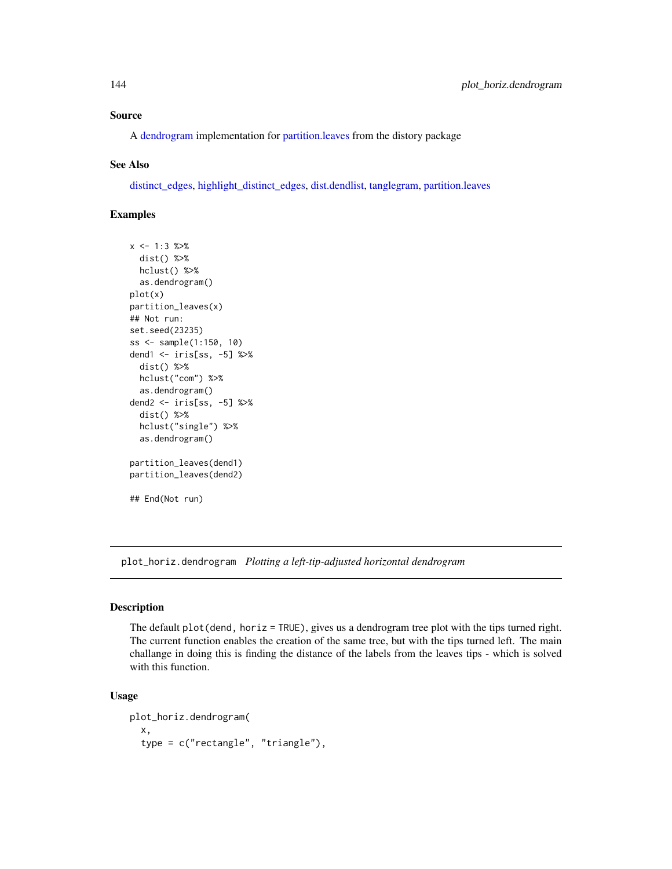## Source

A [dendrogram](#page-0-0) implementation for [partition.leaves](#page-0-0) from the distory package

## See Also

[distinct\\_edges,](#page-77-0) [highlight\\_distinct\\_edges,](#page-116-0) [dist.dendlist,](#page-75-0) [tanglegram,](#page-184-0) [partition.leaves](#page-0-0)

# Examples

```
x \le -1:3 %>%
 dist() %>%
 hclust() %>%
 as.dendrogram()
plot(x)
partition_leaves(x)
## Not run:
set.seed(23235)
ss <- sample(1:150, 10)
dend1 <- iris[ss, -5] %>%
 dist() %>%
 hclust("com") %>%
 as.dendrogram()
dend2 <- iris[ss, -5] %>%
 dist() %>%
 hclust("single") %>%
 as.dendrogram()
partition_leaves(dend1)
partition_leaves(dend2)
## End(Not run)
```
plot\_horiz.dendrogram *Plotting a left-tip-adjusted horizontal dendrogram*

## Description

The default plot(dend, horiz = TRUE), gives us a dendrogram tree plot with the tips turned right. The current function enables the creation of the same tree, but with the tips turned left. The main challange in doing this is finding the distance of the labels from the leaves tips - which is solved with this function.

```
plot_horiz.dendrogram(
  x,
  type = c("rectangle", "triangle"),
```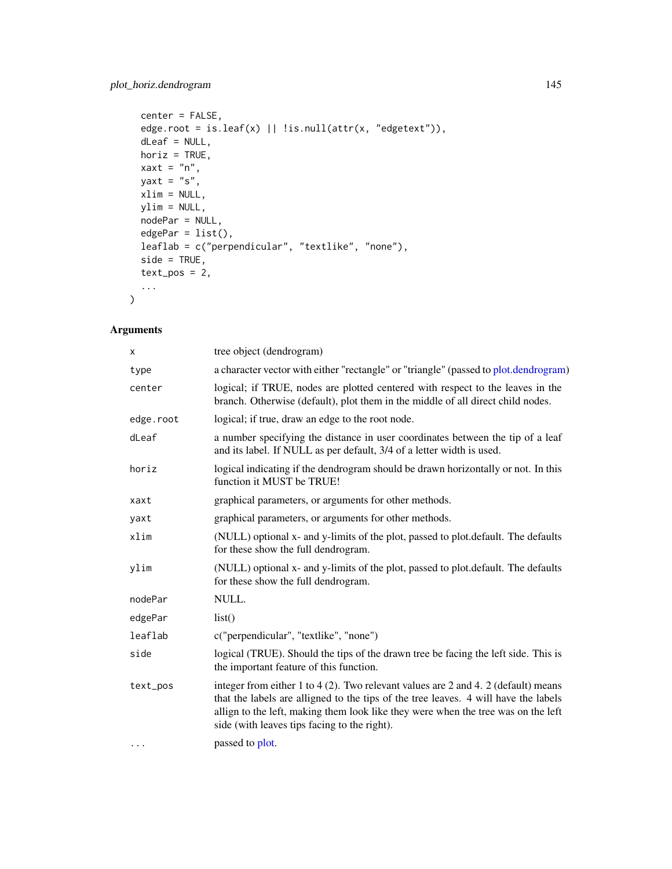```
center = FALSE,
edge.root = is.leaf(x) || !is.null(attr(x, "edgetext")),
dLeaf = NULL,
horiz = TRUE,
xaxt = "n",yaxt = "s",xlim = NULL,
ylim = NULL,
nodePar = NULL,
edgePar = list(),
leaflab = c("perpendicular", "textlike", "none"),
side = TRUE,text_pos = 2,
...
```
# Arguments

 $\mathcal{L}$ 

| X         | tree object (dendrogram)                                                                                                                                                                                                                                                                                       |
|-----------|----------------------------------------------------------------------------------------------------------------------------------------------------------------------------------------------------------------------------------------------------------------------------------------------------------------|
| type      | a character vector with either "rectangle" or "triangle" (passed to plot.dendrogram)                                                                                                                                                                                                                           |
| center    | logical; if TRUE, nodes are plotted centered with respect to the leaves in the<br>branch. Otherwise (default), plot them in the middle of all direct child nodes.                                                                                                                                              |
| edge.root | logical; if true, draw an edge to the root node.                                                                                                                                                                                                                                                               |
| dLeaf     | a number specifying the distance in user coordinates between the tip of a leaf<br>and its label. If NULL as per default, 3/4 of a letter width is used.                                                                                                                                                        |
| horiz     | logical indicating if the dendrogram should be drawn horizontally or not. In this<br>function it MUST be TRUE!                                                                                                                                                                                                 |
| xaxt      | graphical parameters, or arguments for other methods.                                                                                                                                                                                                                                                          |
| yaxt      | graphical parameters, or arguments for other methods.                                                                                                                                                                                                                                                          |
| xlim      | (NULL) optional x- and y-limits of the plot, passed to plot.default. The defaults<br>for these show the full dendrogram.                                                                                                                                                                                       |
| ylim      | (NULL) optional x- and y-limits of the plot, passed to plot.default. The defaults<br>for these show the full dendrogram.                                                                                                                                                                                       |
| nodePar   | NULL.                                                                                                                                                                                                                                                                                                          |
| edgePar   | list()                                                                                                                                                                                                                                                                                                         |
| leaflab   | c("perpendicular", "textlike", "none")                                                                                                                                                                                                                                                                         |
| side      | logical (TRUE). Should the tips of the drawn tree be facing the left side. This is<br>the important feature of this function.                                                                                                                                                                                  |
| text_pos  | integer from either 1 to 4 (2). Two relevant values are 2 and 4. 2 (default) means<br>that the labels are alligned to the tips of the tree leaves. 4 will have the labels<br>allign to the left, making them look like they were when the tree was on the left<br>side (with leaves tips facing to the right). |
| $\cdots$  | passed to plot.                                                                                                                                                                                                                                                                                                |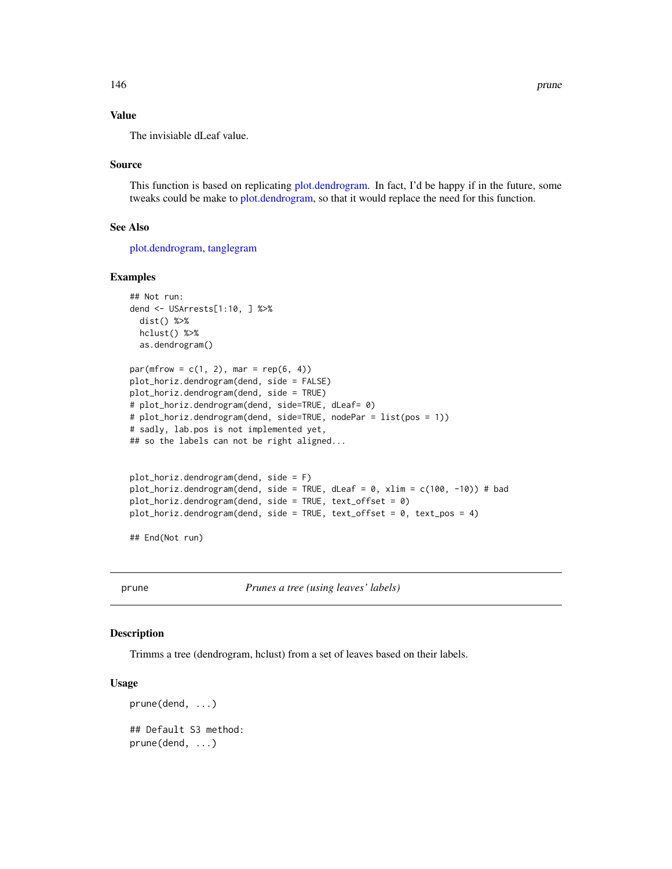# Value

The invisiable dLeaf value.

## Source

This function is based on replicating [plot.dendrogram.](#page-0-0) In fact, I'd be happy if in the future, some tweaks could be make to [plot.dendrogram,](#page-0-0) so that it would replace the need for this function.

## See Also

[plot.dendrogram,](#page-0-0) [tanglegram](#page-184-0)

## Examples

```
## Not run:
dend <- USArrests[1:10, ] %>%
 dist() %>%
 hclust() %>%
 as.dendrogram()
par(mfrow = c(1, 2), mar = rep(6, 4))plot_horiz.dendrogram(dend, side = FALSE)
plot_horiz.dendrogram(dend, side = TRUE)
# plot_horiz.dendrogram(dend, side=TRUE, dLeaf= 0)
# plot_horiz.dendrogram(dend, side=TRUE, nodePar = list(pos = 1))
# sadly, lab.pos is not implemented yet,
## so the labels can not be right aligned...
plot_horiz.dendrogram(dend, side = F)
plot_horiz.dendrogram(dend, side = TRUE, dLeaf = 0, xlim = c(100, -10)) # bad
plot_horiz.dendrogram(dend, side = TRUE, text_offset = 0)
plot_horiz.dendrogram(dend, side = TRUE, text_offset = 0, text_pos = 4)
```
## End(Not run)

<span id="page-145-0"></span>prune *Prunes a tree (using leaves' labels)*

# Description

Trimms a tree (dendrogram, hclust) from a set of leaves based on their labels.

## Usage

```
prune(dend, ...)
## Default S3 method:
prune(dend, ...)
```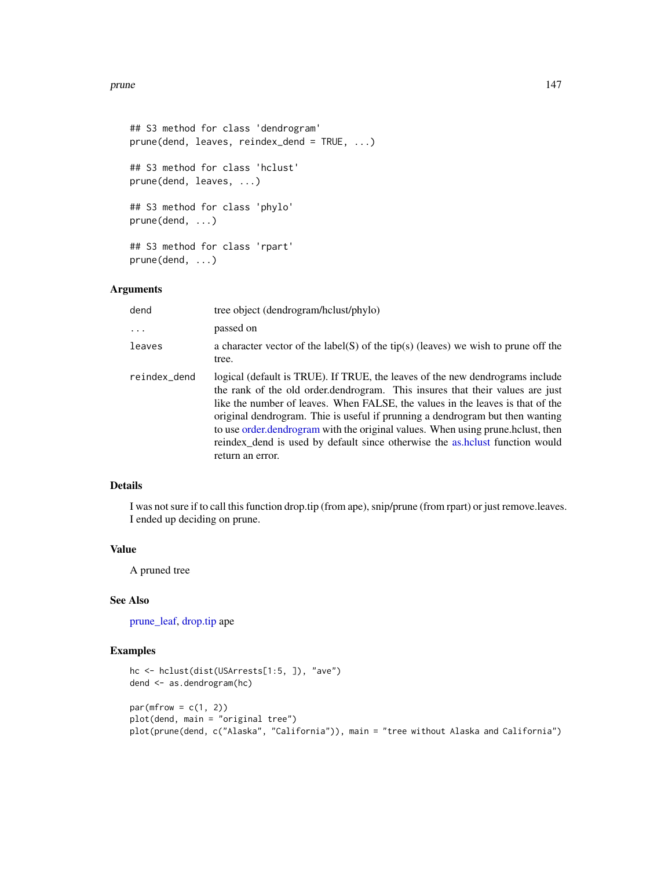## prune that the set of the set of the set of the set of the set of the set of the set of the set of the set of the set of the set of the set of the set of the set of the set of the set of the set of the set of the set of th

```
## S3 method for class 'dendrogram'
prune(dend, leaves, reindex_dend = TRUE, ...)
## S3 method for class 'hclust'
prune(dend, leaves, ...)
## S3 method for class 'phylo'
prune(dend, ...)
## S3 method for class 'rpart'
prune(dend, ...)
```
# Arguments

| dend         | tree object (dendrogram/hclust/phylo)                                                                                                                                                                                                                                                                                                                                                                                                                                                                                    |
|--------------|--------------------------------------------------------------------------------------------------------------------------------------------------------------------------------------------------------------------------------------------------------------------------------------------------------------------------------------------------------------------------------------------------------------------------------------------------------------------------------------------------------------------------|
| .            | passed on                                                                                                                                                                                                                                                                                                                                                                                                                                                                                                                |
| leaves       | a character vector of the label(S) of the tip(s) (leaves) we wish to prune off the<br>tree.                                                                                                                                                                                                                                                                                                                                                                                                                              |
| reindex_dend | logical (default is TRUE). If TRUE, the leaves of the new dendrograms include<br>the rank of the old order dendrogram. This insures that their values are just<br>like the number of leaves. When FALSE, the values in the leaves is that of the<br>original dendrogram. Thie is useful if prunning a dendrogram but then wanting<br>to use order dendrogram with the original values. When using prune holust, then<br>reindex_dend is used by default since otherwise the as.holust function would<br>return an error. |

# Details

I was not sure if to call this function drop.tip (from ape), snip/prune (from rpart) or just remove.leaves. I ended up deciding on prune.

## Value

A pruned tree

# See Also

[prune\\_leaf,](#page-148-0) [drop.tip](#page-0-0) ape

```
hc <- hclust(dist(USArrests[1:5, ]), "ave")
dend <- as.dendrogram(hc)
par(mfrow = c(1, 2))plot(dend, main = "original tree")
plot(prune(dend, c("Alaska", "California")), main = "tree without Alaska and California")
```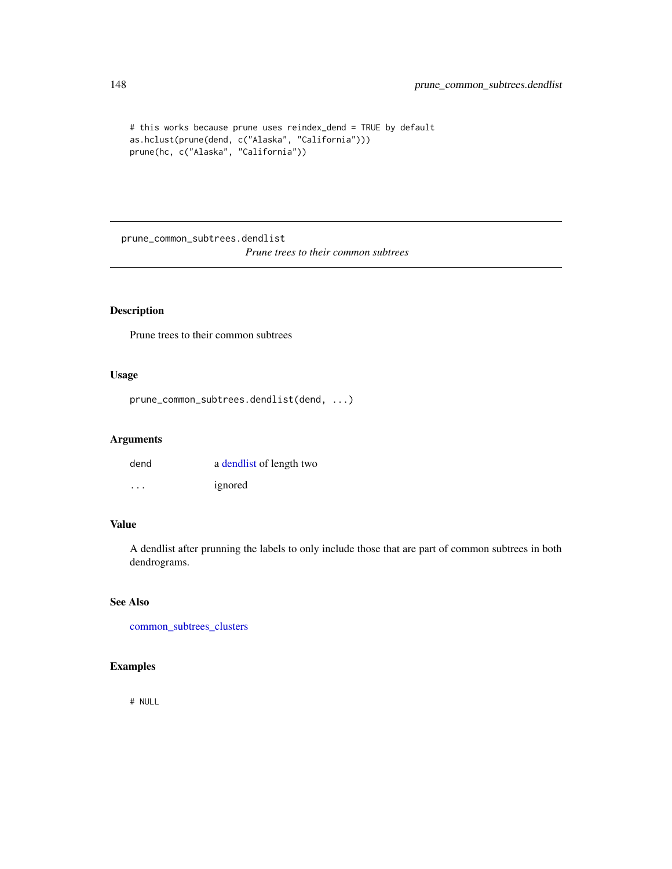```
# this works because prune uses reindex_dend = TRUE by default
as.hclust(prune(dend, c("Alaska", "California")))
prune(hc, c("Alaska", "California"))
```
prune\_common\_subtrees.dendlist *Prune trees to their common subtrees*

# Description

Prune trees to their common subtrees

# Usage

```
prune_common_subtrees.dendlist(dend, ...)
```
## Arguments

| dend    | a dendlist of length two |
|---------|--------------------------|
| $\cdot$ | ignored                  |

# Value

A dendlist after prunning the labels to only include those that are part of common subtrees in both dendrograms.

## See Also

[common\\_subtrees\\_clusters](#page-51-0)

# Examples

# NULL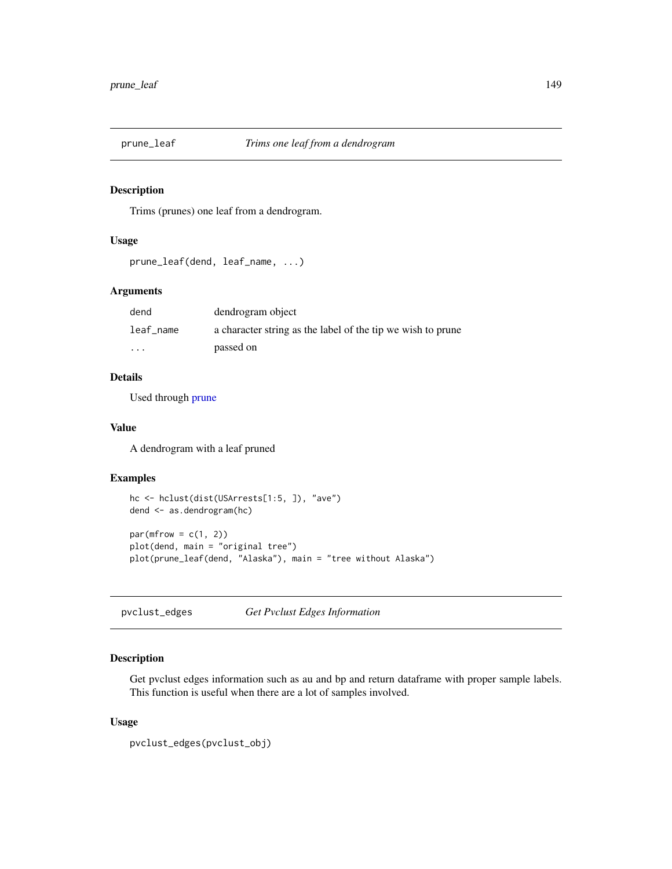<span id="page-148-0"></span>

# Description

Trims (prunes) one leaf from a dendrogram.

# Usage

```
prune_leaf(dend, leaf_name, ...)
```
# Arguments

| dend                    | dendrogram object                                           |
|-------------------------|-------------------------------------------------------------|
| leaf name               | a character string as the label of the tip we wish to prune |
| $\cdot$ $\cdot$ $\cdot$ | passed on                                                   |

# Details

Used through [prune](#page-145-0)

## Value

A dendrogram with a leaf pruned

## Examples

```
hc <- hclust(dist(USArrests[1:5, ]), "ave")
dend <- as.dendrogram(hc)
par(mfrow = c(1, 2))plot(dend, main = "original tree")
plot(prune_leaf(dend, "Alaska"), main = "tree without Alaska")
```
pvclust\_edges *Get Pvclust Edges Information*

# Description

Get pvclust edges information such as au and bp and return dataframe with proper sample labels. This function is useful when there are a lot of samples involved.

## Usage

```
pvclust_edges(pvclust_obj)
```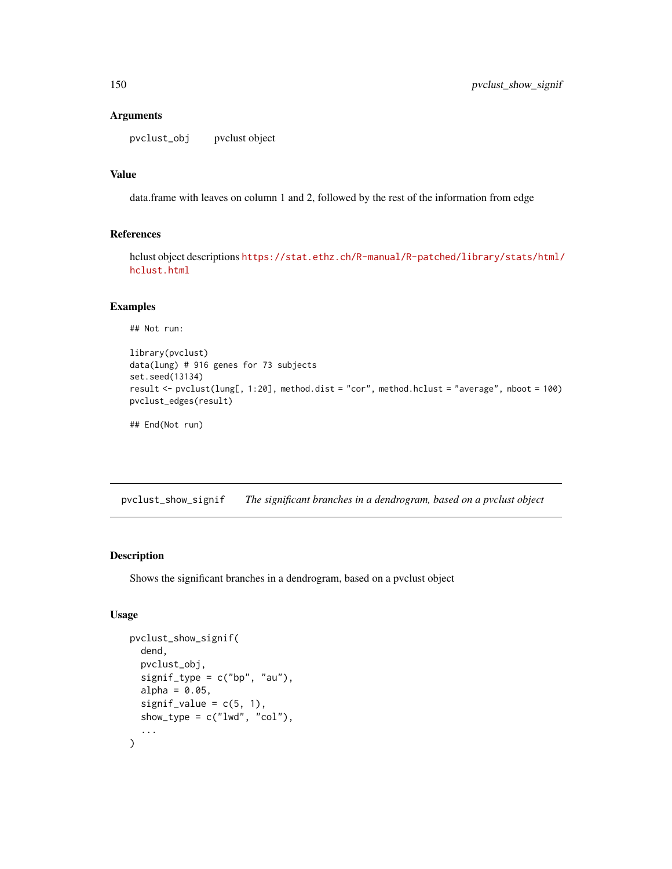## Arguments

pvclust\_obj pvclust object

# Value

data.frame with leaves on column 1 and 2, followed by the rest of the information from edge

# References

hclust object descriptions [https://stat.ethz.ch/R-manual/R-patched/library/stats/html/](https://stat.ethz.ch/R-manual/R-patched/library/stats/html/hclust.html) [hclust.html](https://stat.ethz.ch/R-manual/R-patched/library/stats/html/hclust.html)

# Examples

## Not run:

```
library(pvclust)
data(lung) # 916 genes for 73 subjects
set.seed(13134)
result <- pvclust(lung[, 1:20], method.dist = "cor", method.hclust = "average", nboot = 100)
pvclust_edges(result)
```
## End(Not run)

<span id="page-149-0"></span>pvclust\_show\_signif *The significant branches in a dendrogram, based on a pvclust object*

# Description

Shows the significant branches in a dendrogram, based on a pvclust object

# Usage

```
pvclust_show_signif(
  dend,
  pvclust_obj,
  signif_type = c("bp", "au"),alpha = 0.05,
  signif_value = c(5, 1),
  show_type = c("lwd", "col"),...
\mathcal{E}
```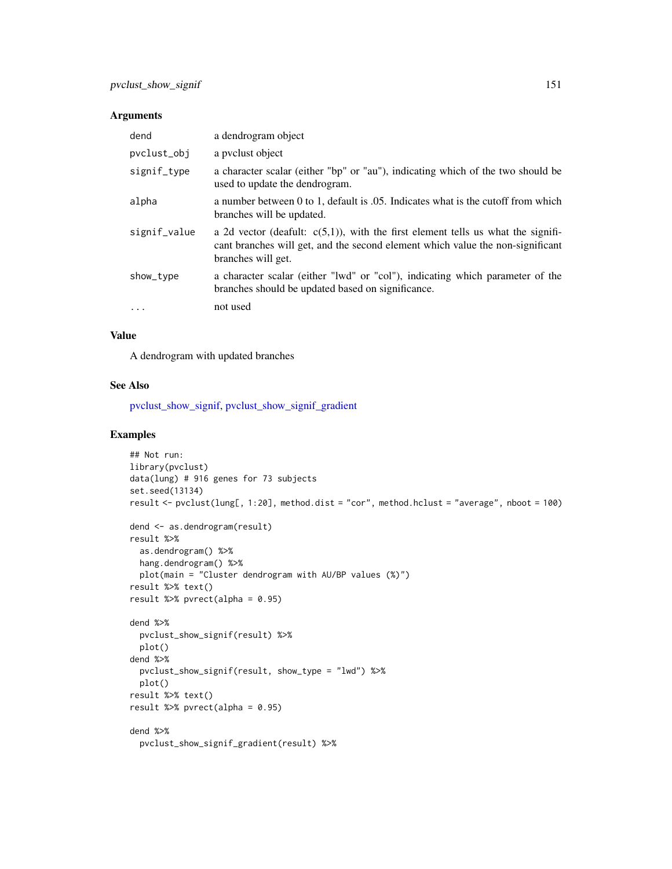# Arguments

| dend         | a dendrogram object                                                                                                                                                                         |
|--------------|---------------------------------------------------------------------------------------------------------------------------------------------------------------------------------------------|
| pvclust_obj  | a pyclust object                                                                                                                                                                            |
| signif_type  | a character scalar (either "bp" or "au"), indicating which of the two should be<br>used to update the dendrogram.                                                                           |
| alpha        | a number between 0 to 1, default is 0.05. Indicates what is the cutoff from which<br>branches will be updated.                                                                              |
| signif_value | a 2d vector (deafult: $c(5,1)$ ), with the first element tells us what the signifi-<br>cant branches will get, and the second element which value the non-significant<br>branches will get. |
| show_type    | a character scalar (either "lwd" or "col"), indicating which parameter of the<br>branches should be updated based on significance.                                                          |
| $\cdots$     | not used                                                                                                                                                                                    |

# Value

A dendrogram with updated branches

## See Also

[pvclust\\_show\\_signif,](#page-149-0) [pvclust\\_show\\_signif\\_gradient](#page-151-0)

```
## Not run:
library(pvclust)
data(lung) # 916 genes for 73 subjects
set.seed(13134)
result <- pvclust(lung[, 1:20], method.dist = "cor", method.hclust = "average", nboot = 100)
dend <- as.dendrogram(result)
result %>%
  as.dendrogram() %>%
 hang.dendrogram() %>%
 plot(main = "Cluster dendrogram with AU/BP values (%)")
result %>% text()
result %>% pvrect(alpha = 0.95)
dend %>%
  pvclust_show_signif(result) %>%
  plot()
dend %>%
  pvclust_show_signif(result, show_type = "lwd") %>%
  plot()
result %>% text()
result %>% pvrect(alpha = 0.95)
dend %>%
  pvclust_show_signif_gradient(result) %>%
```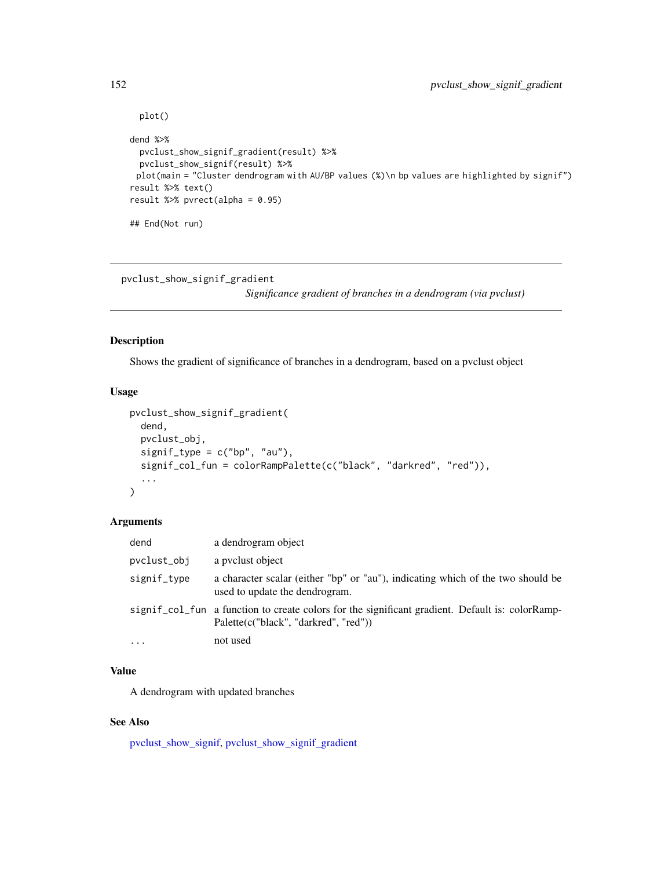```
plot()
dend %>%
 pvclust_show_signif_gradient(result) %>%
 pvclust_show_signif(result) %>%
 plot(main = "Cluster dendrogram with AU/BP values (%)\n bp values are highlighted by signif")
result %>% text()
result %>% pvrect(alpha = 0.95)
## End(Not run)
```
<span id="page-151-0"></span>pvclust\_show\_signif\_gradient

*Significance gradient of branches in a dendrogram (via pvclust)*

# Description

Shows the gradient of significance of branches in a dendrogram, based on a pvclust object

# Usage

```
pvclust_show_signif_gradient(
  dend,
  pvclust_obj,
  signif_type = c("bp", "au"),signif_col_fun = colorRampPalette(c("black", "darkred", "red")),
  ...
)
```
## Arguments

| dend        | a dendrogram object                                                                                                                      |
|-------------|------------------------------------------------------------------------------------------------------------------------------------------|
| pvclust_obj | a pyclust object                                                                                                                         |
| signif_type | a character scalar (either "bp" or "au"), indicating which of the two should be<br>used to update the dendrogram.                        |
|             | signif_col_fun a function to create colors for the significant gradient. Default is: colorRamp-<br>Palette(c("black", "darkred", "red")) |
| $\cdots$    | not used                                                                                                                                 |

# Value

A dendrogram with updated branches

# See Also

[pvclust\\_show\\_signif,](#page-149-0) [pvclust\\_show\\_signif\\_gradient](#page-151-0)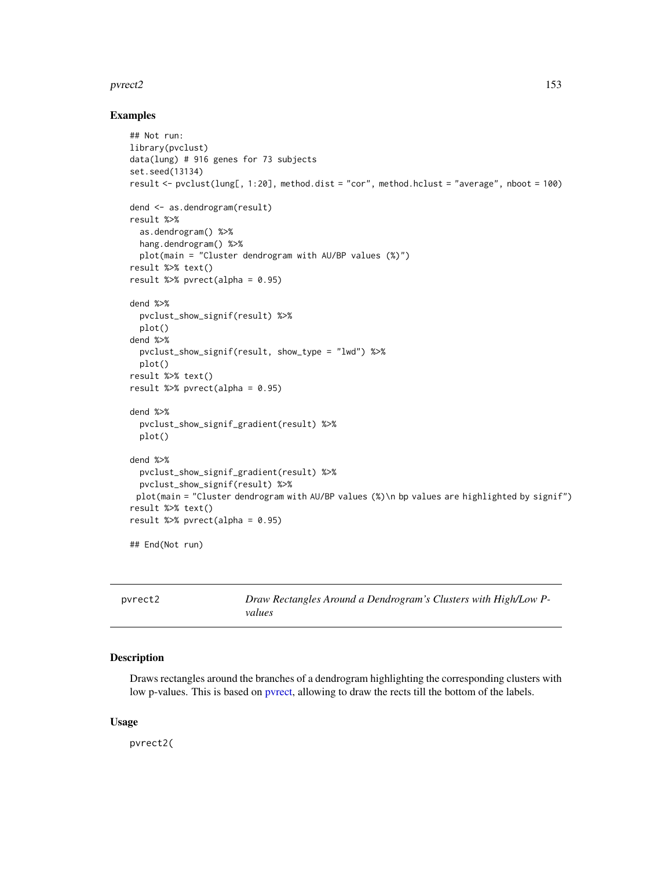## pvrect2 and the state of the state of the state of the state of the state of the state of the state of the state of the state of the state of the state of the state of the state of the state of the state of the state of th

## Examples

```
## Not run:
library(pvclust)
data(lung) # 916 genes for 73 subjects
set.seed(13134)
result <- pvclust(lung[, 1:20], method.dist = "cor", method.hclust = "average", nboot = 100)
dend <- as.dendrogram(result)
result %>%
  as.dendrogram() %>%
 hang.dendrogram() %>%
  plot(main = "Cluster dendrogram with AU/BP values (%)")
result %>% text()
result %>% pvrect(alpha = 0.95)
dend %>%
  pvclust_show_signif(result) %>%
  plot()
dend %>%
  pvclust_show_signif(result, show_type = "lwd") %>%
  plot()
result %>% text()
result %>% pvrect(alpha = 0.95)
dend %>%
  pvclust_show_signif_gradient(result) %>%
  plot()
dend %>%
  pvclust_show_signif_gradient(result) %>%
 pvclust_show_signif(result) %>%
 plot(main = "Cluster dendrogram with AU/BP values (%)\n bp values are highlighted by signif")
result %>% text()
result %>% pvrect(alpha = 0.95)
## End(Not run)
```

| pyrect2 | Draw Rectangles Around a Dendrogram's Clusters with High/Low P- |
|---------|-----------------------------------------------------------------|
|         | values                                                          |

# Description

Draws rectangles around the branches of a dendrogram highlighting the corresponding clusters with low p-values. This is based on [pvrect,](#page-0-0) allowing to draw the rects till the bottom of the labels.

## Usage

pvrect2(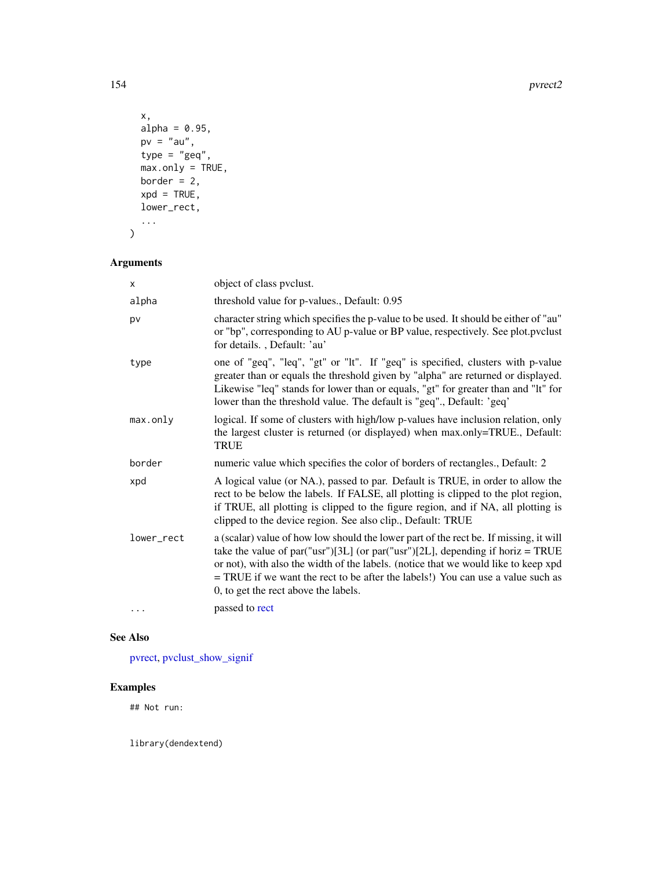154 pvrect2

```
x,
  alpha = 0.95,
 pv = "au",type = "geq",
  max.only = TRUE,border = 2,
  xpd = TRUE,lower_rect,
  ...
\mathcal{L}
```
# Arguments

| x          | object of class pyclust.                                                                                                                                                                                                                                                                                                                                                                 |
|------------|------------------------------------------------------------------------------------------------------------------------------------------------------------------------------------------------------------------------------------------------------------------------------------------------------------------------------------------------------------------------------------------|
| alpha      | threshold value for p-values., Default: 0.95                                                                                                                                                                                                                                                                                                                                             |
| pv         | character string which specifies the p-value to be used. It should be either of "au"<br>or "bp", corresponding to AU p-value or BP value, respectively. See plot.pvclust<br>for details., Default: 'au'                                                                                                                                                                                  |
| type       | one of "geq", "leq", "gt" or "lt". If "geq" is specified, clusters with p-value<br>greater than or equals the threshold given by "alpha" are returned or displayed.<br>Likewise "leq" stands for lower than or equals, "gt" for greater than and "lt" for<br>lower than the threshold value. The default is "geq"., Default: 'geq'                                                       |
| max.only   | logical. If some of clusters with high/low p-values have inclusion relation, only<br>the largest cluster is returned (or displayed) when max.only=TRUE., Default:<br><b>TRUE</b>                                                                                                                                                                                                         |
| border     | numeric value which specifies the color of borders of rectangles., Default: 2                                                                                                                                                                                                                                                                                                            |
| xpd        | A logical value (or NA.), passed to par. Default is TRUE, in order to allow the<br>rect to be below the labels. If FALSE, all plotting is clipped to the plot region,<br>if TRUE, all plotting is clipped to the figure region, and if NA, all plotting is<br>clipped to the device region. See also clip., Default: TRUE                                                                |
| lower_rect | a (scalar) value of how low should the lower part of the rect be. If missing, it will<br>take the value of par("usr")[3L] (or par("usr")[2L], depending if horiz = TRUE<br>or not), with also the width of the labels. (notice that we would like to keep xpd<br>= TRUE if we want the rect to be after the labels!) You can use a value such as<br>0, to get the rect above the labels. |
| .          | passed to rect                                                                                                                                                                                                                                                                                                                                                                           |

# See Also

[pvrect,](#page-0-0) [pvclust\\_show\\_signif](#page-149-0)

# Examples

## Not run:

library(dendextend)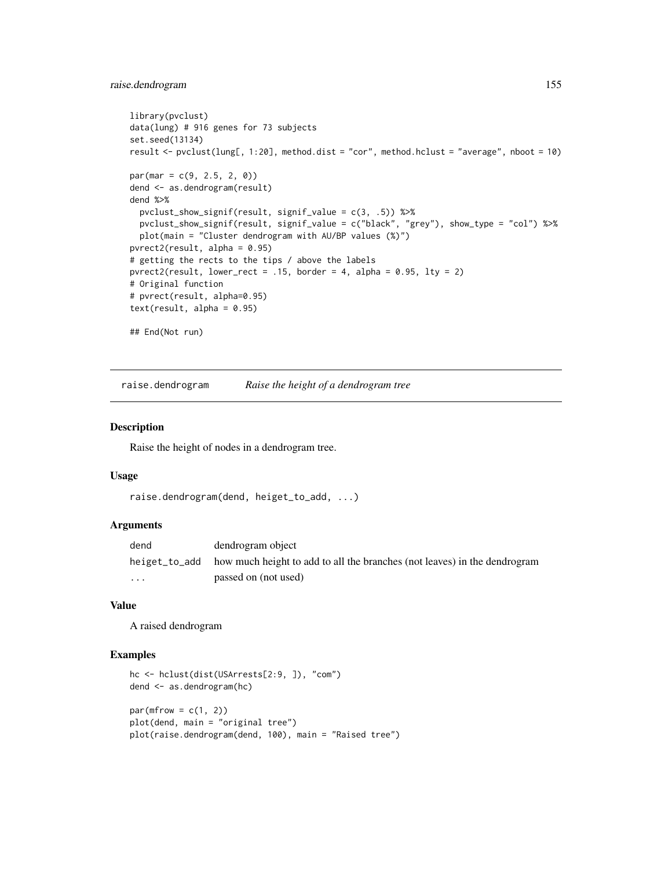# raise.dendrogram 155

```
library(pvclust)
data(lung) # 916 genes for 73 subjects
set.seed(13134)
result <- pvclust(lung[, 1:20], method.dist = "cor", method.hclust = "average", nboot = 10)
par(max = c(9, 2.5, 2, 0))dend <- as.dendrogram(result)
dend %>%
  pvclust_show_signif(result, signif_value = c(3, .5)) %>%
 pvclust_show_signif(result, signif_value = c("black", "grey"), show_type = "col") %>%
  plot(main = "Cluster dendrogram with AU/BP values (%)")
pvrect2(result, alpha = 0.95)
# getting the rects to the tips / above the labels
purect2(result, lower\_rect = .15, border = 4, alpha = 0.95, lty = 2)# Original function
# pvrect(result, alpha=0.95)
text(result, alpha = 0.95)## End(Not run)
```
raise.dendrogram *Raise the height of a dendrogram tree*

#### Description

Raise the height of nodes in a dendrogram tree.

## Usage

```
raise.dendrogram(dend, heiget_to_add, ...)
```
# Arguments

| dend                    | dendrogram object                                                                       |
|-------------------------|-----------------------------------------------------------------------------------------|
|                         | heiget_to_add how much height to add to all the branches (not leaves) in the dendrogram |
| $\cdot$ $\cdot$ $\cdot$ | passed on (not used)                                                                    |

#### Value

A raised dendrogram

```
hc <- hclust(dist(USArrests[2:9, ]), "com")
dend <- as.dendrogram(hc)
par(mfrow = c(1, 2))plot(dend, main = "original tree")
plot(raise.dendrogram(dend, 100), main = "Raised tree")
```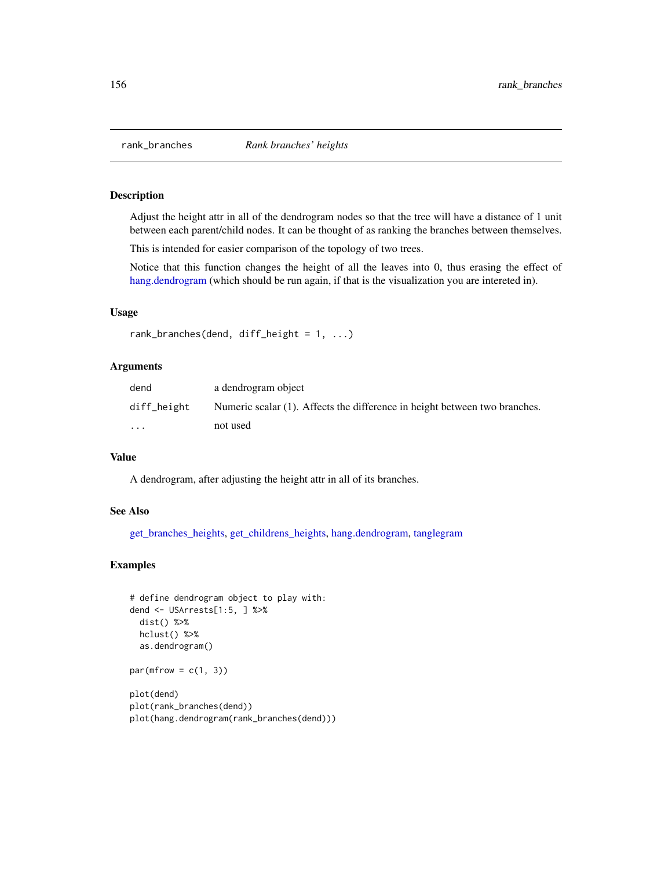## Description

Adjust the height attr in all of the dendrogram nodes so that the tree will have a distance of 1 unit between each parent/child nodes. It can be thought of as ranking the branches between themselves.

This is intended for easier comparison of the topology of two trees.

Notice that this function changes the height of all the leaves into 0, thus erasing the effect of [hang.dendrogram](#page-110-0) (which should be run again, if that is the visualization you are intereted in).

## Usage

```
rank_branches(dend, diff_height = 1, ...)
```
### Arguments

| dend        | a dendrogram object                                                        |
|-------------|----------------------------------------------------------------------------|
| diff_height | Numeric scalar (1). Affects the difference in height between two branches. |
| $\cdot$     | not used                                                                   |

## Value

A dendrogram, after adjusting the height attr in all of its branches.

#### See Also

[get\\_branches\\_heights,](#page-94-0) [get\\_childrens\\_heights,](#page-95-0) [hang.dendrogram,](#page-110-0) [tanglegram](#page-184-0)

```
# define dendrogram object to play with:
dend <- USArrests[1:5, ] %>%
 dist() %>%
 hclust() %>%
 as.dendrogram()
par(mfrow = c(1, 3))
```

```
plot(dend)
plot(rank_branches(dend))
plot(hang.dendrogram(rank_branches(dend)))
```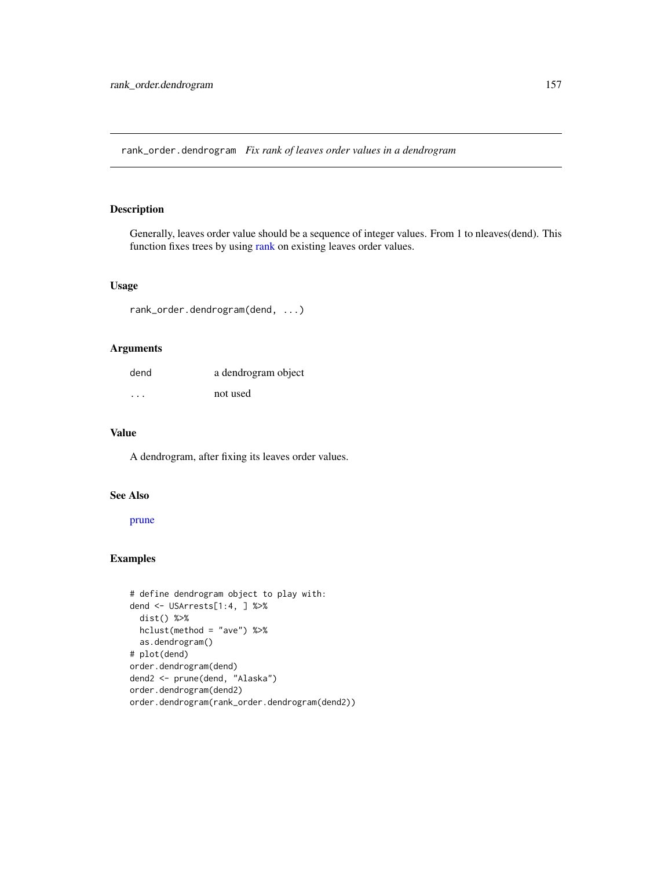<span id="page-156-0"></span>rank\_order.dendrogram *Fix rank of leaves order values in a dendrogram*

# Description

Generally, leaves order value should be a sequence of integer values. From 1 to nleaves(dend). This function fixes trees by using [rank](#page-0-0) on existing leaves order values.

# Usage

rank\_order.dendrogram(dend, ...)

# Arguments

| dend    | a dendrogram object |
|---------|---------------------|
| $\cdot$ | not used            |

# Value

A dendrogram, after fixing its leaves order values.

# See Also

[prune](#page-145-0)

```
# define dendrogram object to play with:
dend <- USArrests[1:4, ] %>%
  dist() %>%
 hclust(method = "ave") %>%
  as.dendrogram()
# plot(dend)
order.dendrogram(dend)
dend2 <- prune(dend, "Alaska")
order.dendrogram(dend2)
order.dendrogram(rank_order.dendrogram(dend2))
```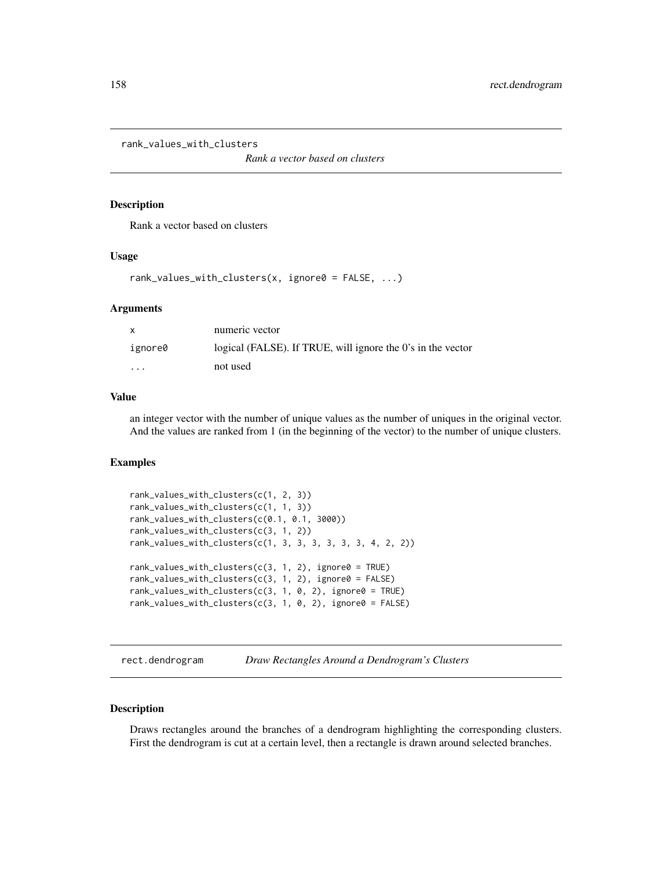rank\_values\_with\_clusters

*Rank a vector based on clusters*

## Description

Rank a vector based on clusters

## Usage

```
rank\_values\_with\_clusters(x, ignore0 = FALSE, ...)
```
## Arguments

| $\mathsf{x}$            | numeric vector                                              |
|-------------------------|-------------------------------------------------------------|
| ignore0                 | logical (FALSE). If TRUE, will ignore the 0's in the vector |
| $\cdot$ $\cdot$ $\cdot$ | not used                                                    |

# Value

an integer vector with the number of unique values as the number of uniques in the original vector. And the values are ranked from 1 (in the beginning of the vector) to the number of unique clusters.

## Examples

```
rank_values_with_clusters(c(1, 2, 3))
rank_values_with_clusters(c(1, 1, 3))
rank_values_with_clusters(c(0.1, 0.1, 3000))
rank_values_with_clusters(c(3, 1, 2))
rank_values_with_clusters(c(1, 3, 3, 3, 3, 3, 3, 4, 2, 2))
rank\_values\_with\_clusters(c(3, 1, 2), ignore0 = TRUE)rank\_values\_with\_clusters(c(3, 1, 2), ignore 0 = FALSE)rank_values_with_clusters(c(3, 1, 0, 2), ignore0 = TRUE)
rank_values_with_clusters(c(3, 1, 0, 2), ignore0 = FALSE)
```
rect.dendrogram *Draw Rectangles Around a Dendrogram's Clusters*

## Description

Draws rectangles around the branches of a dendrogram highlighting the corresponding clusters. First the dendrogram is cut at a certain level, then a rectangle is drawn around selected branches.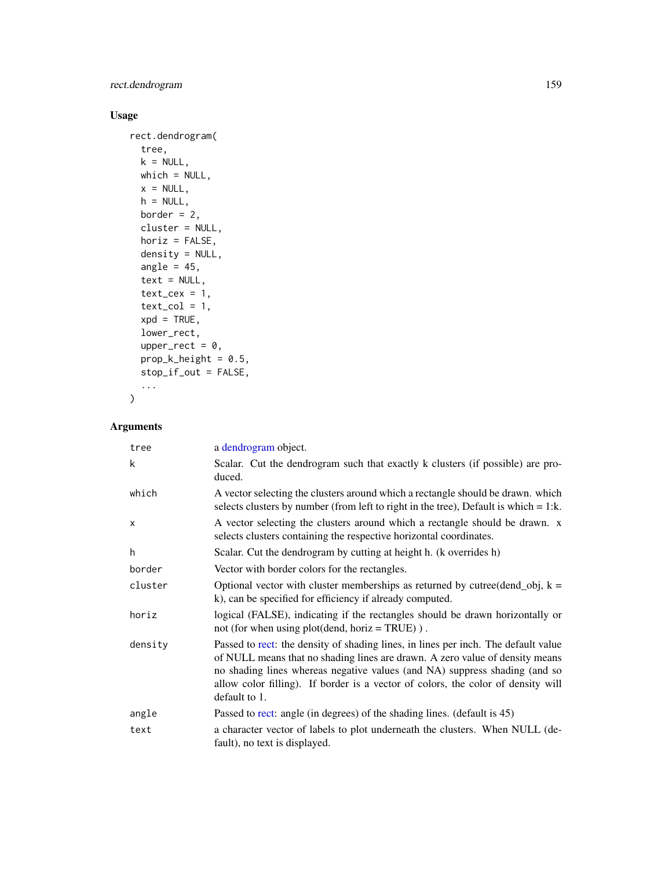# rect.dendrogram 159

# Usage

```
rect.dendrogram(
 tree,
 k = NULL,which = NULL,
 x = NULL,h = NULL,border = 2,
 cluster = NULL,
 horiz = FALSE,density = NULL,
 angle = 45,
 text = NULL,text_{cex} = 1,
  text_col = 1,
 xpd = TRUE,lower_rect,
 upper_rect = 0,
 prop_k_h = 0.5,
 stop_if_out = FALSE,
  ...
\mathcal{L}
```
# Arguments

| tree         | a dendrogram object.                                                                                                                                                                                                                                                                                                                                  |
|--------------|-------------------------------------------------------------------------------------------------------------------------------------------------------------------------------------------------------------------------------------------------------------------------------------------------------------------------------------------------------|
| k            | Scalar. Cut the dendrogram such that exactly k clusters (if possible) are pro-<br>duced.                                                                                                                                                                                                                                                              |
| which        | A vector selecting the clusters around which a rectangle should be drawn. which<br>selects clusters by number (from left to right in the tree), Default is which $= 1$ :k.                                                                                                                                                                            |
| $\mathsf{x}$ | A vector selecting the clusters around which a rectangle should be drawn. x<br>selects clusters containing the respective horizontal coordinates.                                                                                                                                                                                                     |
| h.           | Scalar. Cut the dendrogram by cutting at height h. (k overrides h)                                                                                                                                                                                                                                                                                    |
| border       | Vector with border colors for the rectangles.                                                                                                                                                                                                                                                                                                         |
| cluster      | Optional vector with cluster memberships as returned by cutree(dend_obj, $k =$<br>k), can be specified for efficiency if already computed.                                                                                                                                                                                                            |
| horiz        | logical (FALSE), indicating if the rectangles should be drawn horizontally or<br>not (for when using plot(dend, horiz = TRUE)).                                                                                                                                                                                                                       |
| density      | Passed to rect: the density of shading lines, in lines per inch. The default value<br>of NULL means that no shading lines are drawn. A zero value of density means<br>no shading lines whereas negative values (and NA) suppress shading (and so<br>allow color filling). If border is a vector of colors, the color of density will<br>default to 1. |
| angle        | Passed to rect: angle (in degrees) of the shading lines. (default is 45)                                                                                                                                                                                                                                                                              |
| text         | a character vector of labels to plot underneath the clusters. When NULL (de-<br>fault), no text is displayed.                                                                                                                                                                                                                                         |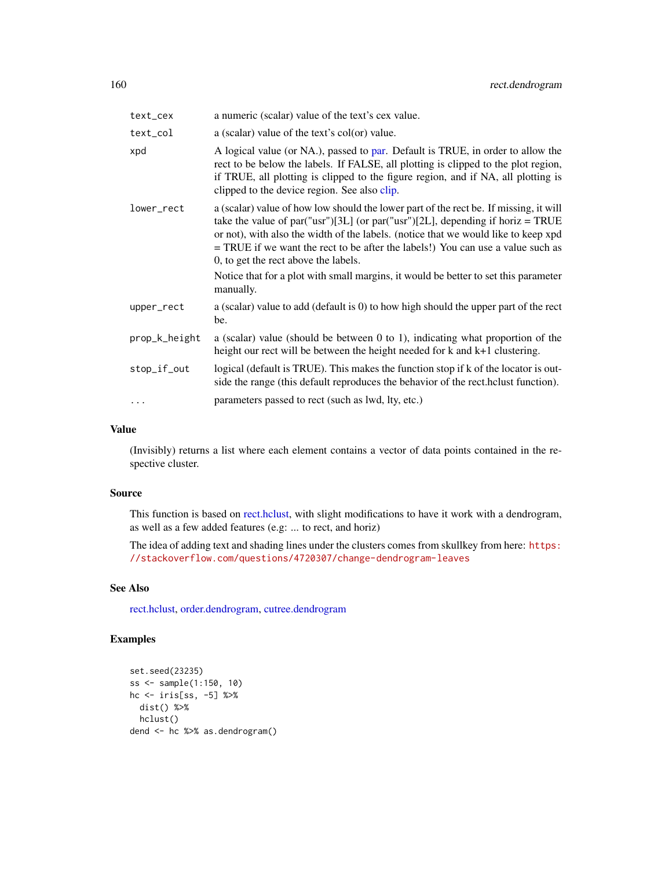| text_cex      | a numeric (scalar) value of the text's cex value.                                                                                                                                                                                                                                                                                                                                                                                                                                              |
|---------------|------------------------------------------------------------------------------------------------------------------------------------------------------------------------------------------------------------------------------------------------------------------------------------------------------------------------------------------------------------------------------------------------------------------------------------------------------------------------------------------------|
| text_col      | a (scalar) value of the text's col(or) value.                                                                                                                                                                                                                                                                                                                                                                                                                                                  |
| xpd           | A logical value (or NA.), passed to par. Default is TRUE, in order to allow the<br>rect to be below the labels. If FALSE, all plotting is clipped to the plot region,<br>if TRUE, all plotting is clipped to the figure region, and if NA, all plotting is<br>clipped to the device region. See also clip.                                                                                                                                                                                     |
| lower_rect    | a (scalar) value of how low should the lower part of the rect be. If missing, it will<br>take the value of par("usr")[3L] (or par("usr")[2L], depending if horiz = TRUE<br>or not), with also the width of the labels. (notice that we would like to keep xpd<br>$=$ TRUE if we want the rect to be after the labels!) You can use a value such as<br>0, to get the rect above the labels.<br>Notice that for a plot with small margins, it would be better to set this parameter<br>manually. |
| upper_rect    | a (scalar) value to add (default is 0) to how high should the upper part of the rect<br>be.                                                                                                                                                                                                                                                                                                                                                                                                    |
| prop_k_height | a (scalar) value (should be between $0$ to 1), indicating what proportion of the<br>height our rect will be between the height needed for $k$ and $k+1$ clustering.                                                                                                                                                                                                                                                                                                                            |
| stop_if_out   | logical (default is TRUE). This makes the function stop if k of the locator is out-<br>side the range (this default reproduces the behavior of the rect. holyet function).                                                                                                                                                                                                                                                                                                                     |
| .             | parameters passed to rect (such as lwd, lty, etc.)                                                                                                                                                                                                                                                                                                                                                                                                                                             |

## Value

(Invisibly) returns a list where each element contains a vector of data points contained in the respective cluster.

## Source

This function is based on [rect.hclust,](#page-0-0) with slight modifications to have it work with a dendrogram, as well as a few added features (e.g: ... to rect, and horiz)

The idea of adding text and shading lines under the clusters comes from skullkey from here: [https:](https://stackoverflow.com/questions/4720307/change-dendrogram-leaves) [//stackoverflow.com/questions/4720307/change-dendrogram-leaves](https://stackoverflow.com/questions/4720307/change-dendrogram-leaves)

# See Also

[rect.hclust,](#page-0-0) [order.dendrogram,](#page-0-0) [cutree.dendrogram](#page-61-0)

```
set.seed(23235)
ss <- sample(1:150, 10)
hc <- iris[ss, -5] %>%
 dist() %>%
 hclust()
dend <- hc %>% as.dendrogram()
```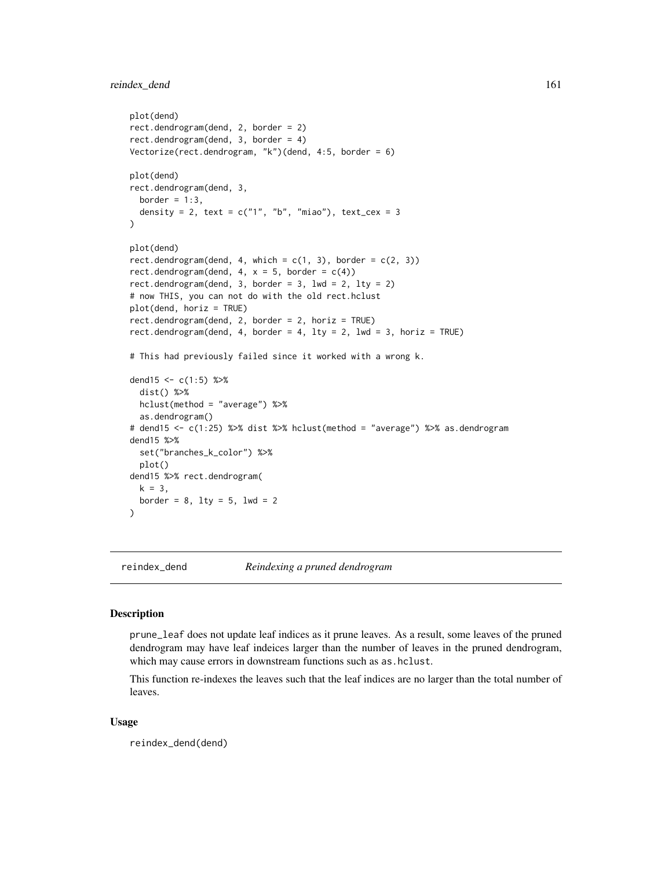# reindex\_dend 161

```
plot(dend)
rect.dendrogram(dend, 2, border = 2)
rect.dendrogram(dend, 3, border = 4)
Vectorize(rect.dendrogram, "k")(dend, 4:5, border = 6)
plot(dend)
rect.dendrogram(dend, 3,
  border = 1:3,
  density = 2, text = c("1", "b", "miao"), text_cex = 3
\mathcal{L}plot(dend)
rect.dendrogram(dend, 4, which = c(1, 3), border = c(2, 3))
rect.dendrogram(dend, 4, x = 5, border = c(4))
rect.dendrogram(dend, 3, border = 3, 1wd = 2, 1ty = 2)
# now THIS, you can not do with the old rect.hclust
plot(dend, horiz = TRUE)
rect.dendrogram(dend, 2, border = 2, horiz = TRUE)
rect.dendrogram(dend, 4, border = 4, lty = 2, lwd = 3, horiz = TRUE)
# This had previously failed since it worked with a wrong k.
dend15 <- c(1:5) %>%
  dist() %>%
  hclust(method = "average") %>%
  as.dendrogram()
# dend15 <- c(1:25) %>% dist %>% hclust(method = "average") %>% as.dendrogram
dend15 %>%
  set("branches_k_color") %>%
  plot()
dend15 %>% rect.dendrogram(
 k = 3,
  border = 8, 1ty = 5, 1wd = 2)
```
reindex\_dend *Reindexing a pruned dendrogram*

## **Description**

prune\_leaf does not update leaf indices as it prune leaves. As a result, some leaves of the pruned dendrogram may have leaf indeices larger than the number of leaves in the pruned dendrogram, which may cause errors in downstream functions such as as.hclust.

This function re-indexes the leaves such that the leaf indices are no larger than the total number of leaves.

## Usage

reindex\_dend(dend)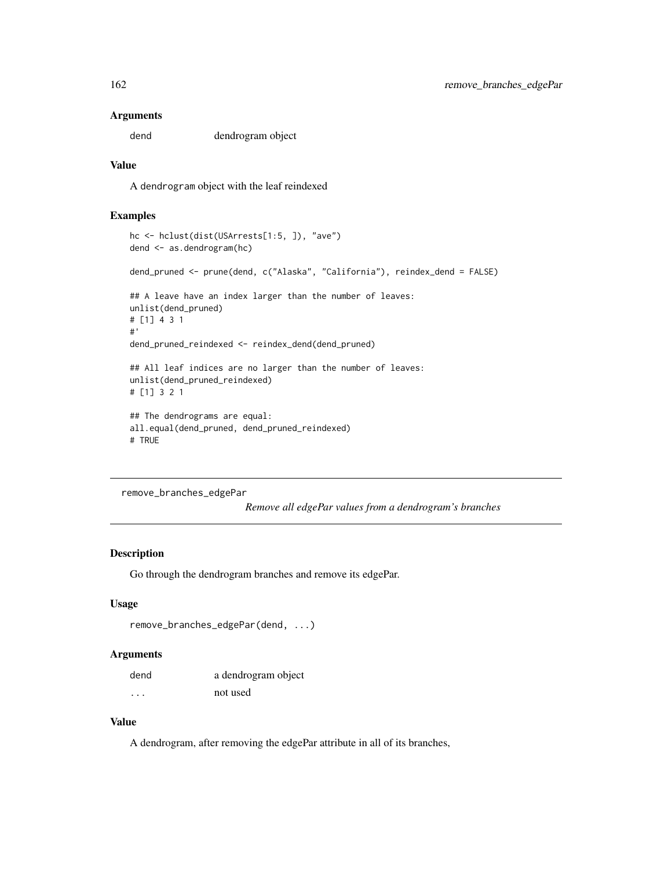## Arguments

dend dendrogram object

# Value

A dendrogram object with the leaf reindexed

# Examples

```
hc <- hclust(dist(USArrests[1:5, ]), "ave")
dend <- as.dendrogram(hc)
dend_pruned <- prune(dend, c("Alaska", "California"), reindex_dend = FALSE)
## A leave have an index larger than the number of leaves:
unlist(dend_pruned)
# [1] 4 3 1
#'
dend_pruned_reindexed <- reindex_dend(dend_pruned)
## All leaf indices are no larger than the number of leaves:
unlist(dend_pruned_reindexed)
# [1] 3 2 1
## The dendrograms are equal:
all.equal(dend_pruned, dend_pruned_reindexed)
# TRUE
```

```
remove_branches_edgePar
```
*Remove all edgePar values from a dendrogram's branches*

## Description

Go through the dendrogram branches and remove its edgePar.

## Usage

```
remove_branches_edgePar(dend, ...)
```
## Arguments

| dend | a dendrogram object |
|------|---------------------|
| .    | not used            |

# Value

A dendrogram, after removing the edgePar attribute in all of its branches,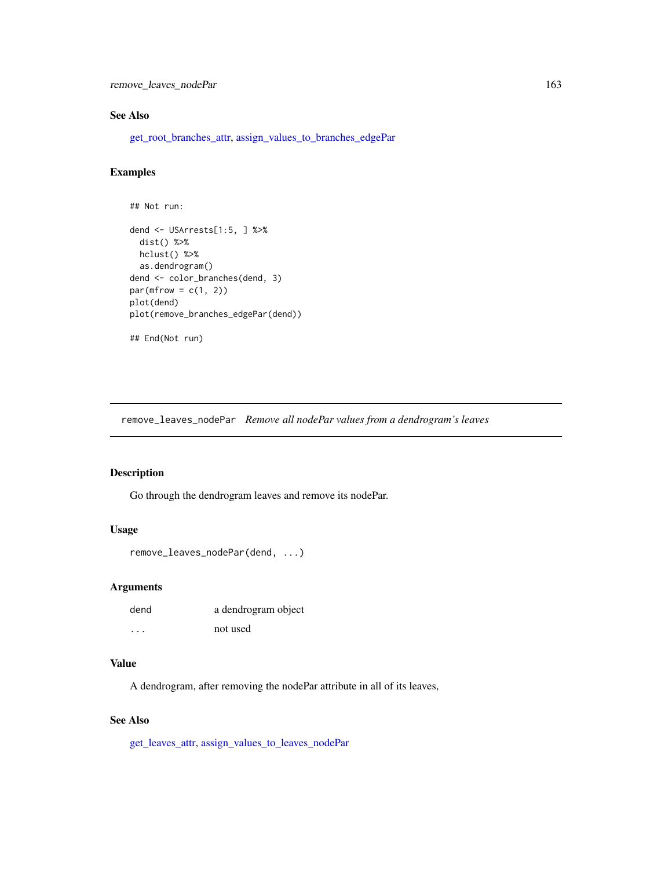remove\_leaves\_nodePar 163

# See Also

[get\\_root\\_branches\\_attr,](#page-104-0) [assign\\_values\\_to\\_branches\\_edgePar](#page-11-0)

# Examples

```
## Not run:
dend <- USArrests[1:5, ] %>%
  dist() %>%
 hclust() %>%
  as.dendrogram()
dend <- color_branches(dend, 3)
par(mfrow = c(1, 2))plot(dend)
plot(remove_branches_edgePar(dend))
## End(Not run)
```
<span id="page-162-0"></span>remove\_leaves\_nodePar *Remove all nodePar values from a dendrogram's leaves*

## Description

Go through the dendrogram leaves and remove its nodePar.

## Usage

```
remove_leaves_nodePar(dend, ...)
```
## Arguments

| dend      | a dendrogram object |
|-----------|---------------------|
| $\ddotsc$ | not used            |

# Value

A dendrogram, after removing the nodePar attribute in all of its leaves,

# See Also

[get\\_leaves\\_attr,](#page-96-0) [assign\\_values\\_to\\_leaves\\_nodePar](#page-14-0)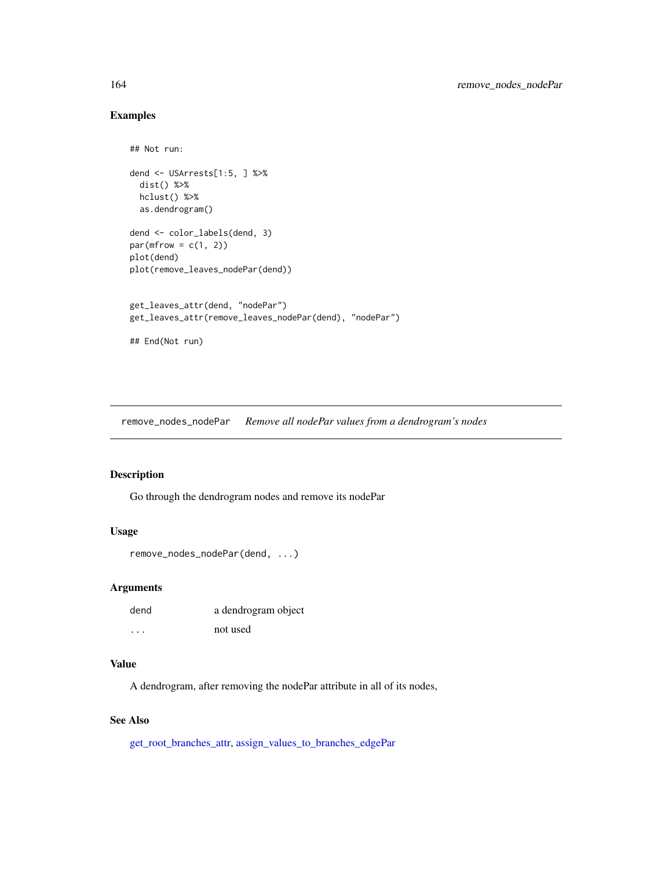# Examples

```
## Not run:
dend <- USArrests[1:5, ] %>%
  dist() %>%
 hclust() %>%
  as.dendrogram()
dend <- color_labels(dend, 3)
par(mfrow = c(1, 2))plot(dend)
plot(remove_leaves_nodePar(dend))
get_leaves_attr(dend, "nodePar")
get_leaves_attr(remove_leaves_nodePar(dend), "nodePar")
## End(Not run)
```
remove\_nodes\_nodePar *Remove all nodePar values from a dendrogram's nodes*

# Description

Go through the dendrogram nodes and remove its nodePar

# Usage

```
remove_nodes_nodePar(dend, ...)
```
# Arguments

| dend | a dendrogram object |
|------|---------------------|
| .    | not used            |

# Value

A dendrogram, after removing the nodePar attribute in all of its nodes,

# See Also

[get\\_root\\_branches\\_attr,](#page-104-0) [assign\\_values\\_to\\_branches\\_edgePar](#page-11-0)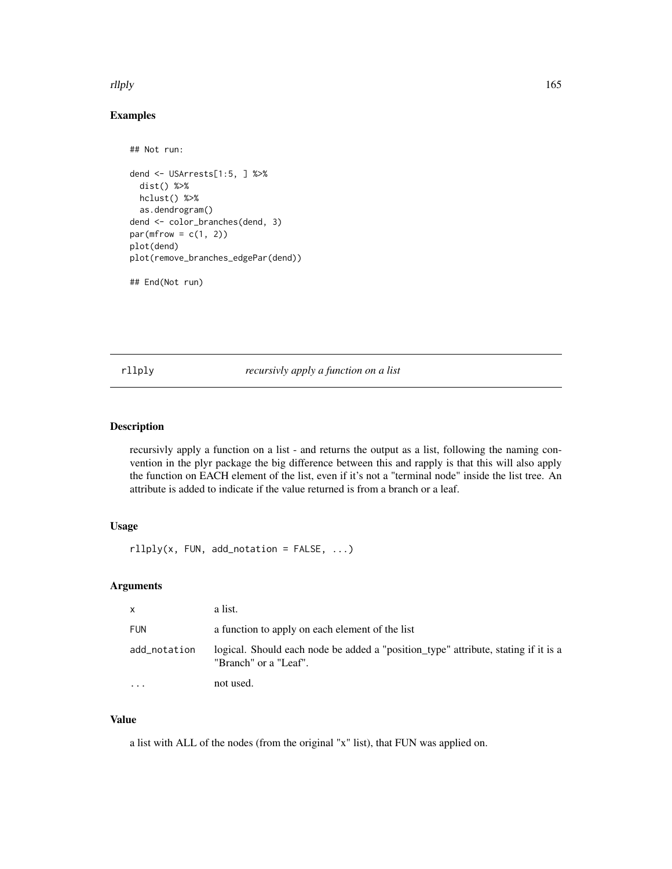## rllply that is a state of the state of the state of the state of the state of the state of the state of the state of the state of the state of the state of the state of the state of the state of the state of the state of t

# Examples

```
## Not run:
dend <- USArrests[1:5, ] %>%
 dist() %>%
 hclust() %>%
 as.dendrogram()
dend <- color_branches(dend, 3)
par(mfrow = c(1, 2))plot(dend)
plot(remove_branches_edgePar(dend))
## End(Not run)
```
rllply *recursivly apply a function on a list*

# Description

recursivly apply a function on a list - and returns the output as a list, following the naming convention in the plyr package the big difference between this and rapply is that this will also apply the function on EACH element of the list, even if it's not a "terminal node" inside the list tree. An attribute is added to indicate if the value returned is from a branch or a leaf.

# Usage

 $rllply(x, FUN, add\_notation = FALSE, ...)$ 

# Arguments

| X                       | a list.                                                                                                     |
|-------------------------|-------------------------------------------------------------------------------------------------------------|
| <b>FUN</b>              | a function to apply on each element of the list                                                             |
| add_notation            | logical. Should each node be added a "position_type" attribute, stating if it is a<br>"Branch" or a "Leaf". |
| $\cdot$ $\cdot$ $\cdot$ | not used.                                                                                                   |

# Value

a list with ALL of the nodes (from the original "x" list), that FUN was applied on.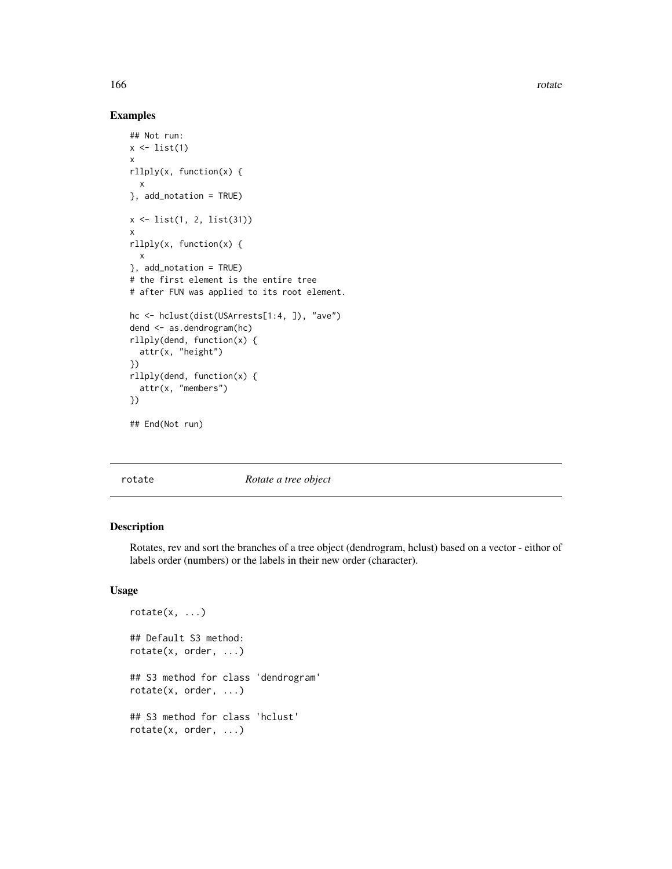166 rotate and the contract of the contract of the contract of the contract of the contract of the contract of the contract of the contract of the contract of the contract of the contract of the contract of the contract of

# Examples

```
## Not run:
x \leftarrow list(1)
x
rllply(x, function(x) {
  x
}, add_notation = TRUE)
x <- list(1, 2, list(31))
x
rllply(x, function(x) {
 x
}, add_notation = TRUE)
# the first element is the entire tree
# after FUN was applied to its root element.
hc <- hclust(dist(USArrests[1:4, ]), "ave")
dend <- as.dendrogram(hc)
rllply(dend, function(x) {
  attr(x, "height")
})
rllply(dend, function(x) {
  attr(x, "members")
})
## End(Not run)
```
<span id="page-165-0"></span>

rotate *Rotate a tree object*

## Description

Rotates, rev and sort the branches of a tree object (dendrogram, hclust) based on a vector - eithor of labels order (numbers) or the labels in their new order (character).

## Usage

```
rotate(x, ...)## Default S3 method:
rotate(x, order, ...)
## S3 method for class 'dendrogram'
rotate(x, order, ...)
## S3 method for class 'hclust'
rotate(x, order, ...)
```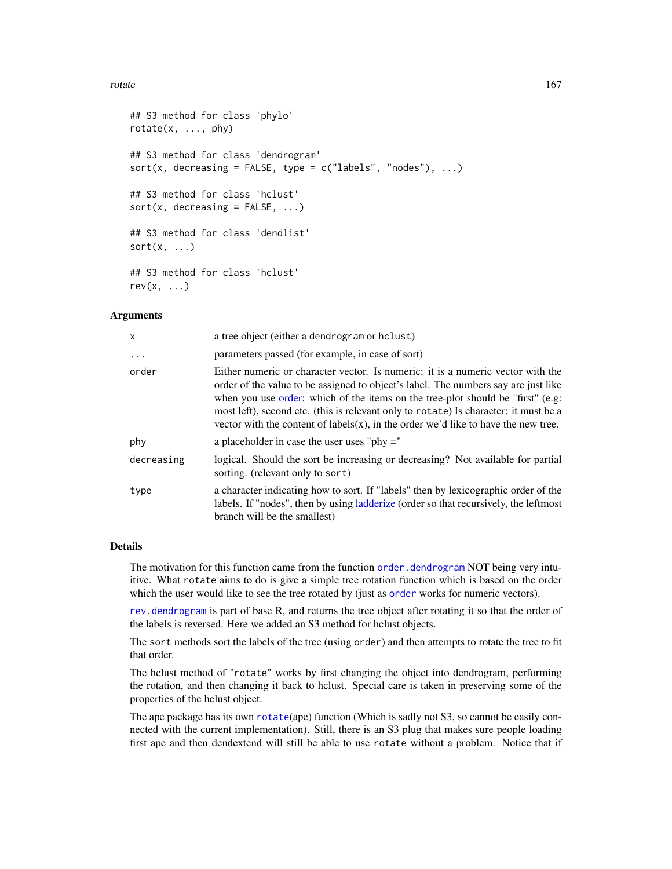## rotate and the state of the state of the state of the state of the state of the state of the state of the state of the state of the state of the state of the state of the state of the state of the state of the state of the

```
## S3 method for class 'phylo'
rotate(x, ..., phy)
## S3 method for class 'dendrogram'
sort(x, decreasing = FALSE, type = c("labels", "nodes"), ...)## S3 method for class 'hclust'
sort(x, decreasing = FALSE, ...)## S3 method for class 'dendlist'
sort(x, \ldots)## S3 method for class 'hclust'
rev(x, \ldots)
```
## Arguments

| X          | a tree object (either a dendrogram or hclust)                                                                                                                                                                                                                                                                                                                                                                                             |
|------------|-------------------------------------------------------------------------------------------------------------------------------------------------------------------------------------------------------------------------------------------------------------------------------------------------------------------------------------------------------------------------------------------------------------------------------------------|
| $\cdot$    | parameters passed (for example, in case of sort)                                                                                                                                                                                                                                                                                                                                                                                          |
| order      | Either numeric or character vector. Is numeric: it is a numeric vector with the<br>order of the value to be assigned to object's label. The numbers say are just like<br>when you use order: which of the items on the tree-plot should be "first" (e.g.<br>most left), second etc. (this is relevant only to rotate) Is character: it must be a<br>vector with the content of $labels(x)$ , in the order we'd like to have the new tree. |
| phy        | a placeholder in case the user uses "phy $=$ "                                                                                                                                                                                                                                                                                                                                                                                            |
| decreasing | logical. Should the sort be increasing or decreasing? Not available for partial<br>sorting. (relevant only to sort)                                                                                                                                                                                                                                                                                                                       |
| type       | a character indicating how to sort. If "labels" then by lexicographic order of the<br>labels. If "nodes", then by using <i>ladderize</i> (order so that recursively, the leftmost<br>branch will be the smallest)                                                                                                                                                                                                                         |

## Details

The motivation for this function came from the function [order.dendrogram](#page-0-0) NOT being very intuitive. What rotate aims to do is give a simple tree rotation function which is based on the order which the user would like to see the tree rotated by (just as [order](#page-0-0) works for numeric vectors).

[rev.dendrogram](#page-0-0) is part of base R, and returns the tree object after rotating it so that the order of the labels is reversed. Here we added an S3 method for hclust objects.

The sort methods sort the labels of the tree (using order) and then attempts to rotate the tree to fit that order.

The hclust method of "rotate" works by first changing the object into dendrogram, performing the rotation, and then changing it back to hclust. Special care is taken in preserving some of the properties of the hclust object.

The ape package has its own [rotate](#page-165-0)(ape) function (Which is sadly not S3, so cannot be easily connected with the current implementation). Still, there is an S3 plug that makes sure people loading first ape and then dendextend will still be able to use rotate without a problem. Notice that if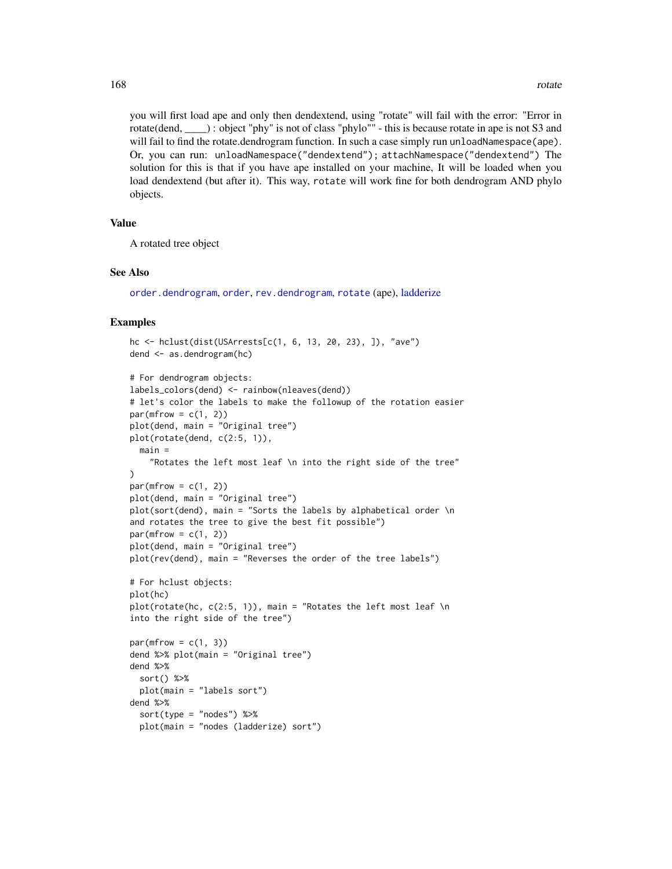you will first load ape and only then dendextend, using "rotate" will fail with the error: "Error in rotate(dend, \_\_\_\_) : object "phy" is not of class "phylo"" - this is because rotate in ape is not S3 and will fail to find the rotate.dendrogram function. In such a case simply run unloadNamespace(ape). Or, you can run: unloadNamespace("dendextend"); attachNamespace("dendextend") The solution for this is that if you have ape installed on your machine, It will be loaded when you load dendextend (but after it). This way, rotate will work fine for both dendrogram AND phylo objects.

## Value

A rotated tree object

## See Also

[order.dendrogram](#page-0-0), [order](#page-0-0), [rev.dendrogram](#page-0-0), [rotate](#page-165-0) (ape), [ladderize](#page-129-0)

```
hc <- hclust(dist(USArrests[c(1, 6, 13, 20, 23), ]), "ave")
dend <- as.dendrogram(hc)
# For dendrogram objects:
labels_colors(dend) <- rainbow(nleaves(dend))
# let's color the labels to make the followup of the rotation easier
par(mfrow = c(1, 2))plot(dend, main = "Original tree")
plot(rotate(dend, c(2:5, 1)),
  main =
    "Rotates the left most leaf \n into the right side of the tree"
)
par(mfrow = c(1, 2))plot(dend, main = "Original tree")
plot(sort(dend), main = "Sorts the labels by alphabetical order \n
and rotates the tree to give the best fit possible")
par(mfrow = c(1, 2))plot(dend, main = "Original tree")
plot(rev(dend), main = "Reverses the order of the tree labels")
# For hclust objects:
plot(hc)
plot(rotate(hc, c(2:5, 1)), main = "Rotates the left most leaf \n
into the right side of the tree")
par(mfrow = c(1, 3))dend %>% plot(main = "Original tree")
dend %>%
  sort() %>%
  plot(main = "labels sort")
dend %>%
  sort(type = "nodes") %>%
  plot(main = "nodes (ladderize) sort")
```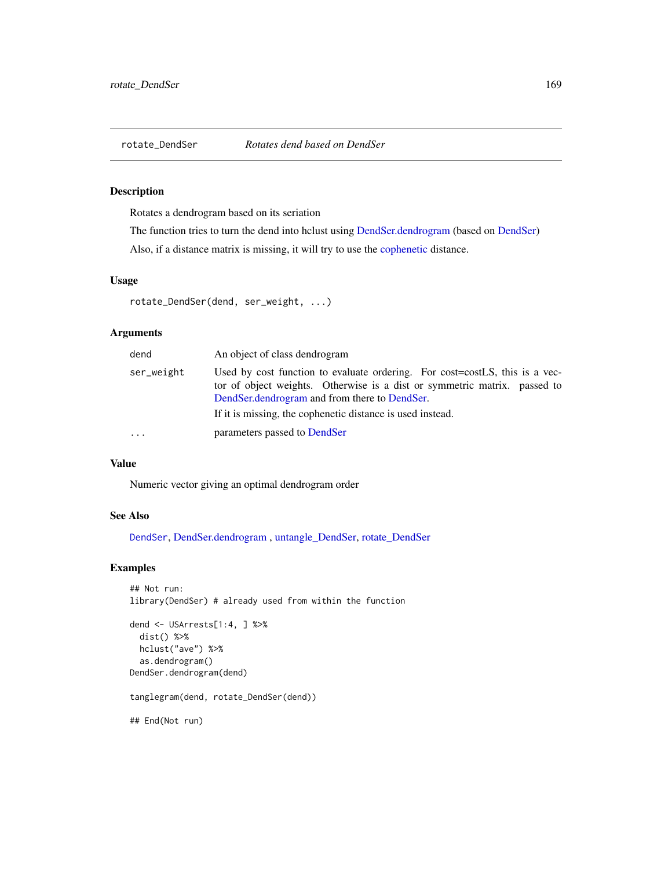<span id="page-168-0"></span>

## Description

Rotates a dendrogram based on its seriation

The function tries to turn the dend into hclust using [DendSer.dendrogram](#page-72-0) (based on [DendSer\)](#page-0-0)

Also, if a distance matrix is missing, it will try to use the [cophenetic](#page-0-0) distance.

#### Usage

```
rotate_DendSer(dend, ser_weight, ...)
```
# Arguments

| dend       | An object of class dendrogram                                                                                                                                                                                                                                            |
|------------|--------------------------------------------------------------------------------------------------------------------------------------------------------------------------------------------------------------------------------------------------------------------------|
| ser_weight | Used by cost function to evaluate ordering. For cost=costLS, this is a vec-<br>tor of object weights. Otherwise is a dist or symmetric matrix. passed to<br>DendSer, dendrogram and from there to DendSer.<br>If it is missing, the cophenetic distance is used instead. |
| $\cdots$   | parameters passed to DendSer                                                                                                                                                                                                                                             |

# Value

Numeric vector giving an optimal dendrogram order

# See Also

[DendSer](#page-0-0), [DendSer.dendrogram](#page-72-0) , [untangle\\_DendSer,](#page-196-0) [rotate\\_DendSer](#page-168-0)

```
## Not run:
library(DendSer) # already used from within the function
dend <- USArrests[1:4, ] %>%
  dist() %>%
  hclust("ave") %>%
  as.dendrogram()
DendSer.dendrogram(dend)
tanglegram(dend, rotate_DendSer(dend))
```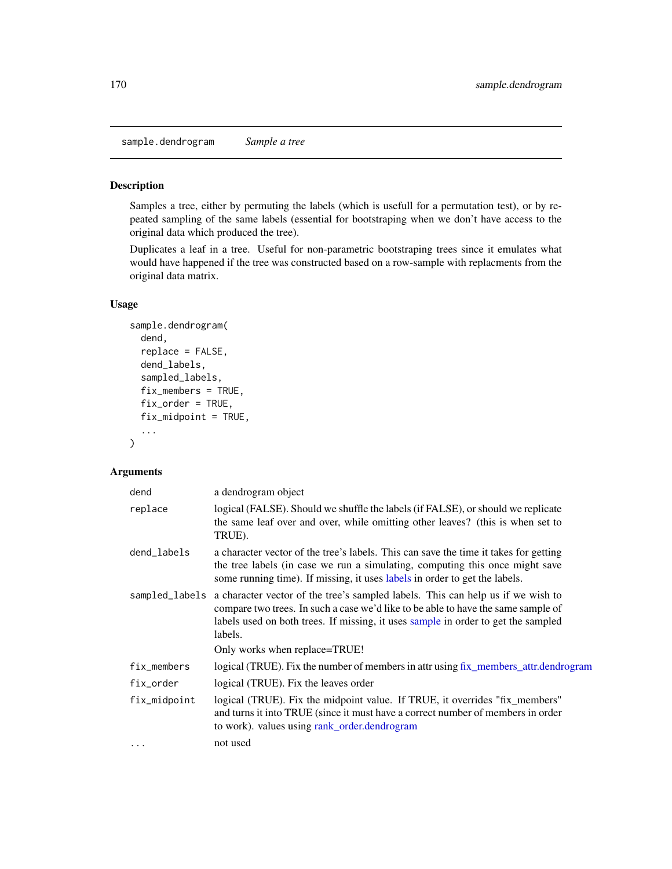sample.dendrogram *Sample a tree*

## Description

Samples a tree, either by permuting the labels (which is usefull for a permutation test), or by repeated sampling of the same labels (essential for bootstraping when we don't have access to the original data which produced the tree).

Duplicates a leaf in a tree. Useful for non-parametric bootstraping trees since it emulates what would have happened if the tree was constructed based on a row-sample with replacments from the original data matrix.

# Usage

```
sample.dendrogram(
  dend,
  replace = FALSE,
  dend_labels,
  sampled_labels,
  fix_members = TRUE,
  fix_order = TRUE,
  fix_midpoint = TRUE,
  ...
)
```
# Arguments

| dend         | a dendrogram object                                                                                                                                                                                                                                                                                                  |
|--------------|----------------------------------------------------------------------------------------------------------------------------------------------------------------------------------------------------------------------------------------------------------------------------------------------------------------------|
| replace      | logical (FALSE). Should we shuffle the labels (if FALSE), or should we replicate<br>the same leaf over and over, while omitting other leaves? (this is when set to<br>TRUE).                                                                                                                                         |
| dend_labels  | a character vector of the tree's labels. This can save the time it takes for getting<br>the tree labels (in case we run a simulating, computing this once might save<br>some running time). If missing, it uses labels in order to get the labels.                                                                   |
|              | sampled_labels a character vector of the tree's sampled labels. This can help us if we wish to<br>compare two trees. In such a case we'd like to be able to have the same sample of<br>labels used on both trees. If missing, it uses sample in order to get the sampled<br>labels.<br>Only works when replace=TRUE! |
| fix_members  | logical (TRUE). Fix the number of members in attr using fix_members_attr.dendrogram                                                                                                                                                                                                                                  |
| fix_order    | logical (TRUE). Fix the leaves order                                                                                                                                                                                                                                                                                 |
| fix_midpoint | logical (TRUE). Fix the midpoint value. If TRUE, it overrides "fix_members"<br>and turns it into TRUE (since it must have a correct number of members in order<br>to work). values using rank_order.dendrogram                                                                                                       |
| $\cdots$     | not used                                                                                                                                                                                                                                                                                                             |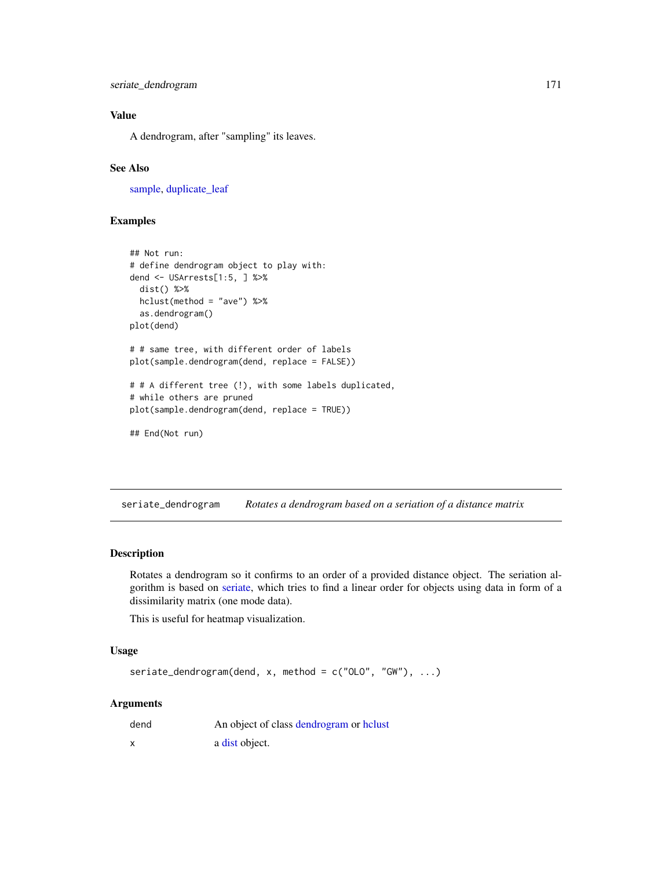seriate\_dendrogram 171

# Value

A dendrogram, after "sampling" its leaves.

# See Also

[sample,](#page-0-0) [duplicate\\_leaf](#page-78-0)

# Examples

```
## Not run:
# define dendrogram object to play with:
dend <- USArrests[1:5, ] %>%
 dist() %>%
 hclust(method = "ave") %>%
 as.dendrogram()
plot(dend)
# # same tree, with different order of labels
plot(sample.dendrogram(dend, replace = FALSE))
# # A different tree (!), with some labels duplicated,
# while others are pruned
plot(sample.dendrogram(dend, replace = TRUE))
## End(Not run)
```
seriate\_dendrogram *Rotates a dendrogram based on a seriation of a distance matrix*

## Description

Rotates a dendrogram so it confirms to an order of a provided distance object. The seriation algorithm is based on [seriate,](#page-0-0) which tries to find a linear order for objects using data in form of a dissimilarity matrix (one mode data).

This is useful for heatmap visualization.

# Usage

```
seriate_dendrogram(dend, x, method = c("OLO", "GW"), ...)
```
## Arguments

| dend | An object of class dendrogram or helust |
|------|-----------------------------------------|
| X    | a dist object.                          |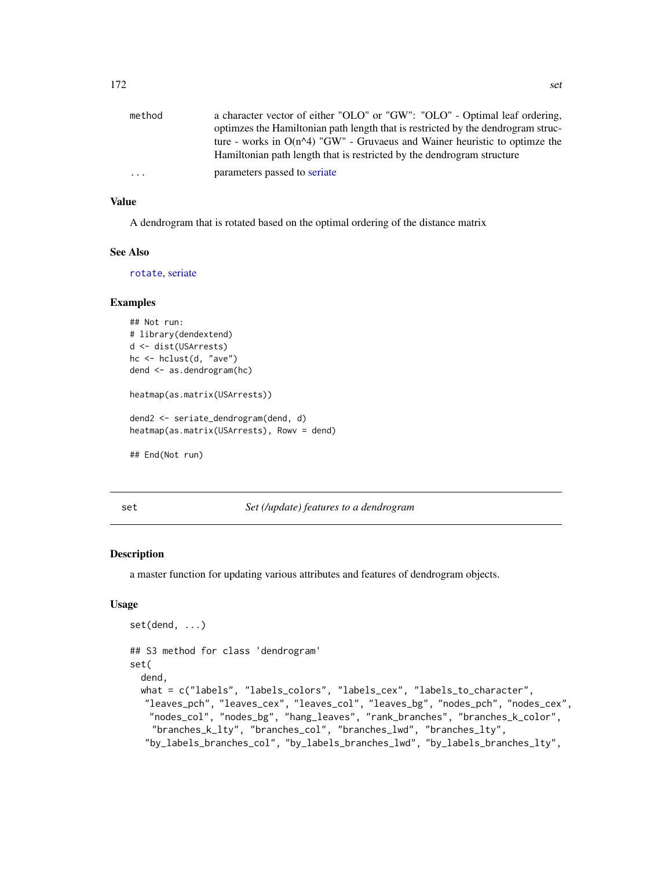| method | a character vector of either "OLO" or "GW": "OLO" - Optimal leaf ordering,                                                                                        |
|--------|-------------------------------------------------------------------------------------------------------------------------------------------------------------------|
|        | optimizes the Hamiltonian path length that is restricted by the dendrogram struc-<br>ture - works in $O(n^2)$ "GW" - Gruvaeus and Wainer heuristic to optimze the |
|        | Hamiltonian path length that is restricted by the dendrogram structure                                                                                            |
| .      | parameters passed to seriate                                                                                                                                      |

## Value

A dendrogram that is rotated based on the optimal ordering of the distance matrix

# See Also

[rotate](#page-165-0), [seriate](#page-0-0)

## Examples

```
## Not run:
# library(dendextend)
d <- dist(USArrests)
hc <- hclust(d, "ave")
dend <- as.dendrogram(hc)
heatmap(as.matrix(USArrests))
dend2 <- seriate_dendrogram(dend, d)
heatmap(as.matrix(USArrests), Rowv = dend)
## End(Not run)
```
## <span id="page-171-0"></span>set *Set (/update) features to a dendrogram*

## Description

a master function for updating various attributes and features of dendrogram objects.

## Usage

```
set(dend, ...)
## S3 method for class 'dendrogram'
set(
  dend,
 what = c("labels", "labels_colors", "labels_cex", "labels_to_character",
  "leaves_pch", "leaves_cex", "leaves_col", "leaves_bg", "nodes_pch", "nodes_cex",
   "nodes_col", "nodes_bg", "hang_leaves", "rank_branches", "branches_k_color",
    "branches_k_lty", "branches_col", "branches_lwd", "branches_lty",
  "by_labels_branches_col", "by_labels_branches_lwd", "by_labels_branches_lty",
```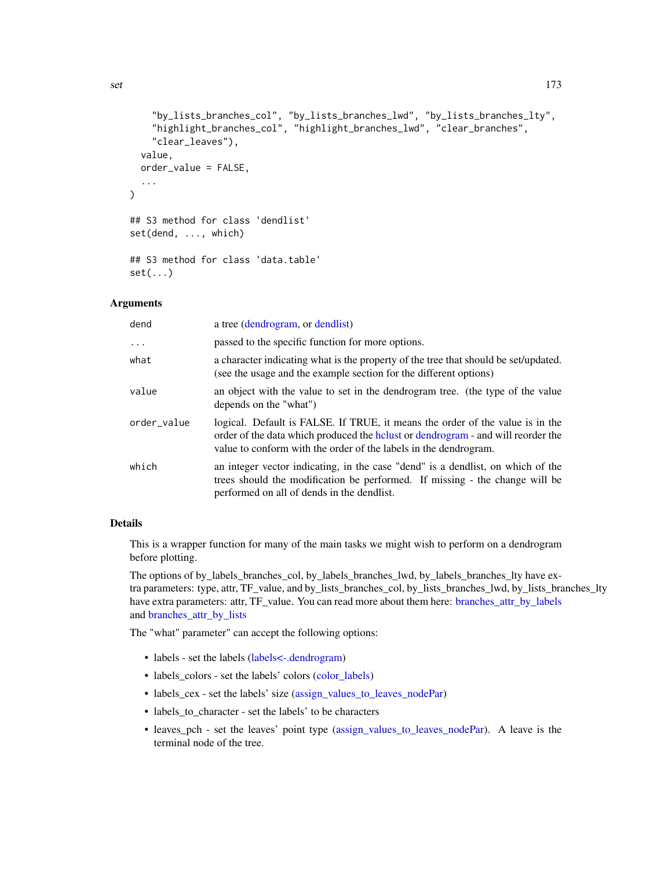```
"by_lists_branches_col", "by_lists_branches_lwd", "by_lists_branches_lty",
    "highlight_branches_col", "highlight_branches_lwd", "clear_branches",
    "clear_leaves"),
  value,
  order_value = FALSE,
  ...
)
## S3 method for class 'dendlist'
set(dend, ..., which)
## S3 method for class 'data.table'
set(\ldots)
```
# Arguments

| dend        | a tree (dendrogram, or dendlist)                                                                                                                                                                                                       |
|-------------|----------------------------------------------------------------------------------------------------------------------------------------------------------------------------------------------------------------------------------------|
| $\ddots$    | passed to the specific function for more options.                                                                                                                                                                                      |
| what        | a character indicating what is the property of the tree that should be set/updated.<br>(see the usage and the example section for the different options)                                                                               |
| value       | an object with the value to set in the dendrogram tree. (the type of the value<br>depends on the "what")                                                                                                                               |
| order_value | logical. Default is FALSE. If TRUE, it means the order of the value is in the<br>order of the data which produced the holy order dendrogram - and will reorder the<br>value to conform with the order of the labels in the dendrogram. |
| which       | an integer vector indicating, in the case "dend" is a dendlist, on which of the<br>trees should the modification be performed. If missing - the change will be<br>performed on all of dends in the dendlist.                           |

## Details

This is a wrapper function for many of the main tasks we might wish to perform on a dendrogram before plotting.

The options of by\_labels\_branches\_col, by\_labels\_branches\_lwd, by\_labels\_branches\_lty have extra parameters: type, attr, TF\_value, and by\_lists\_branches\_col, by\_lists\_branches\_lwd, by\_lists\_branches\_lty have extra parameters: attr, TF\_value. You can read more about them here: [branches\\_attr\\_by\\_labels](#page-28-0) and [branches\\_attr\\_by\\_lists](#page-30-0)

The "what" parameter" can accept the following options:

- labels set the labels (labels <-.dendrogram)
- labels\_colors set the labels' colors [\(color\\_labels\)](#page-48-0)
- labels\_cex set the labels' size [\(assign\\_values\\_to\\_leaves\\_nodePar\)](#page-14-0)
- labels\_to\_character set the labels' to be characters
- leaves\_pch set the leaves' point type [\(assign\\_values\\_to\\_leaves\\_nodePar\)](#page-14-0). A leave is the terminal node of the tree.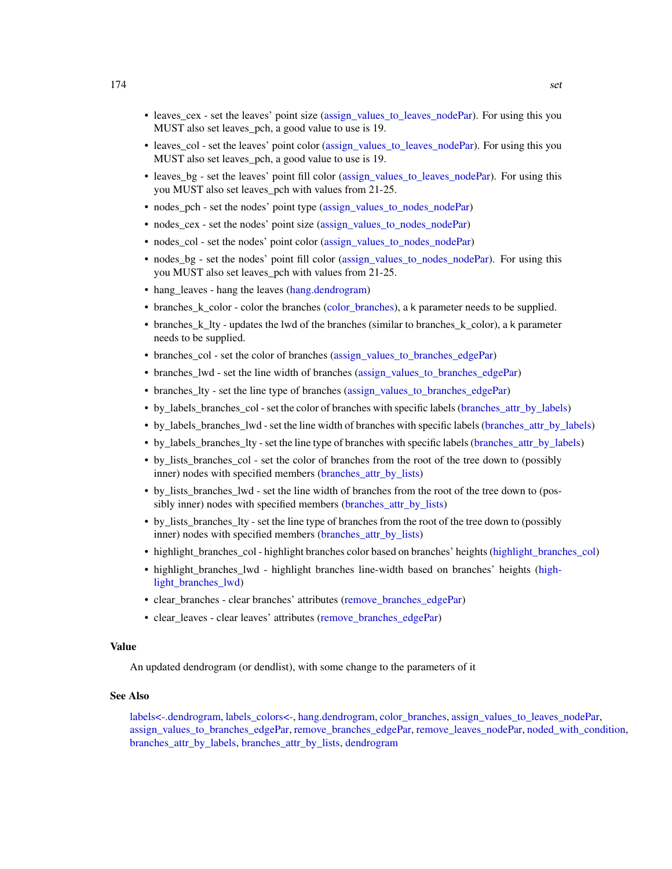- leaves\_cex set the leaves' point size [\(assign\\_values\\_to\\_leaves\\_nodePar\)](#page-14-0). For using this you MUST also set leaves pch, a good value to use is 19.
- leaves\_col set the leaves' point color [\(assign\\_values\\_to\\_leaves\\_nodePar\)](#page-14-0). For using this you MUST also set leaves\_pch, a good value to use is 19.
- leaves\_bg set the leaves' point fill color [\(assign\\_values\\_to\\_leaves\\_nodePar\)](#page-14-0). For using this you MUST also set leaves\_pch with values from 21-25.
- nodes\_pch set the nodes' point type [\(assign\\_values\\_to\\_nodes\\_nodePar\)](#page-16-0)
- nodes cex set the nodes' point size [\(assign\\_values\\_to\\_nodes\\_nodePar\)](#page-16-0)
- nodes\_col set the nodes' point color [\(assign\\_values\\_to\\_nodes\\_nodePar\)](#page-16-0)
- nodes\_bg set the nodes' point fill color [\(assign\\_values\\_to\\_nodes\\_nodePar\)](#page-16-0). For using this you MUST also set leaves\_pch with values from 21-25.
- hang\_leaves hang the leaves [\(hang.dendrogram\)](#page-110-0)
- branches\_k\_color color the branches [\(color\\_branches\)](#page-44-0), a k parameter needs to be supplied.
- branches k lty updates the lwd of the branches (similar to branches k color), a k parameter needs to be supplied.
- branches\_col set the color of branches [\(assign\\_values\\_to\\_branches\\_edgePar\)](#page-11-0)
- branches\_lwd set the line width of branches [\(assign\\_values\\_to\\_branches\\_edgePar\)](#page-11-0)
- branches\_lty set the line type of branches [\(assign\\_values\\_to\\_branches\\_edgePar\)](#page-11-0)
- by labels branches col set the color of branches with specific labels (branches attr by labels)
- by labels branches lwd set the line width of branches with specific labels (branches attr by labels)
- by labels branches lty set the line type of branches with specific labels (branches attr by labels)
- by\_lists\_branches\_col set the color of branches from the root of the tree down to (possibly inner) nodes with specified members [\(branches\\_attr\\_by\\_lists\)](#page-30-0)
- by lists branches lwd set the line width of branches from the root of the tree down to (possibly inner) nodes with specified members [\(branches\\_attr\\_by\\_lists\)](#page-30-0)
- by lists branches lty set the line type of branches from the root of the tree down to (possibly inner) nodes with specified members [\(branches\\_attr\\_by\\_lists\)](#page-30-0)
- highlight\_branches\_col highlight branches color based on branches' heights [\(highlight\\_branches\\_col\)](#page-114-0)
- highlight branches lwd highlight branches line-width based on branches' heights [\(high](#page-114-1)light branches lwd)
- clear branches clear branches' attributes (remove branches edgePar)
- clear\_leaves clear leaves' attributes [\(remove\\_branches\\_edgePar\)](#page-161-0)

# Value

An updated dendrogram (or dendlist), with some change to the parameters of it

## See Also

[labels<-.dendrogram,](#page-125-0) [labels\\_colors<-,](#page-128-0) [hang.dendrogram,](#page-110-0) [color\\_branches,](#page-44-0) [assign\\_values\\_to\\_leaves\\_nodePar,](#page-14-0) [assign\\_values\\_to\\_branches\\_edgePar,](#page-11-0) [remove\\_branches\\_edgePar,](#page-161-0) [remove\\_leaves\\_nodePar,](#page-162-0) [noded\\_with\\_condition,](#page-139-0) [branches\\_attr\\_by\\_labels,](#page-28-0) [branches\\_attr\\_by\\_lists,](#page-30-0) [dendrogram](#page-0-0)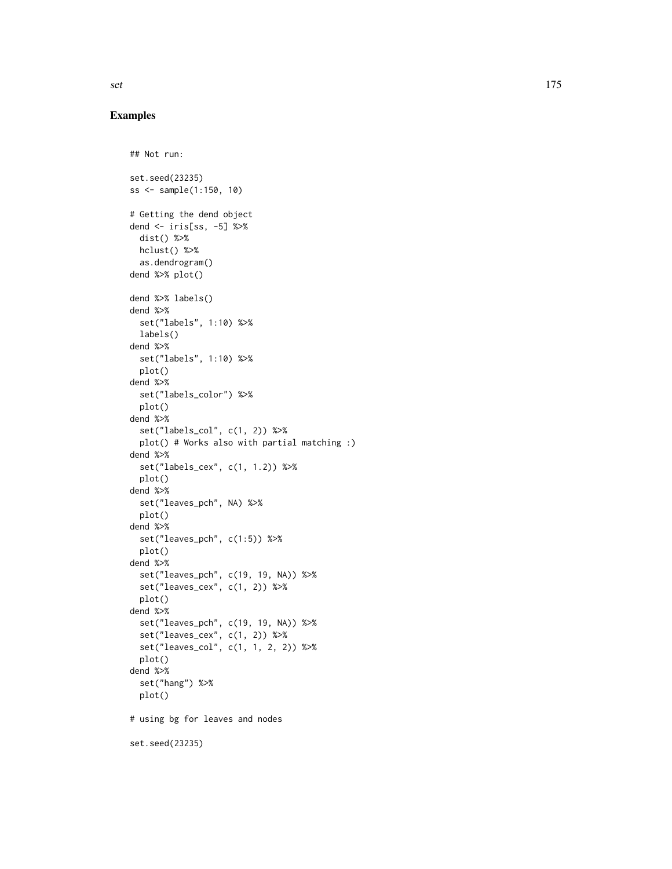```
## Not run:
set.seed(23235)
ss <- sample(1:150, 10)
# Getting the dend object
dend <- iris[ss, -5] %>%
 dist() %>%
 hclust() %>%
  as.dendrogram()
dend %>% plot()
dend %>% labels()
dend %>%
  set("labels", 1:10) %>%
 labels()
dend %>%
  set("labels", 1:10) %>%
  plot()
dend %>%
  set("labels_color") %>%
  plot()
dend %>%
  set("labels_col", c(1, 2)) %>%
  plot() # Works also with partial matching :)
dend %>%
 set("labels_cex", c(1, 1.2)) %>%
 plot()
dend %>%
  set("leaves_pch", NA) %>%
 plot()
dend %>%
  set("leaves_pch", c(1:5)) %>%
  plot()
dend %>%
  set("leaves_pch", c(19, 19, NA)) %>%
  set("leaves_cex", c(1, 2)) %>%
  plot()
dend %>%
  set("leaves_pch", c(19, 19, NA)) %>%
  set("leaves_cex", c(1, 2)) %>%
  set("leaves_col", c(1, 1, 2, 2)) %>%
  plot()
dend %>%
  set("hang") %>%
  plot()
# using bg for leaves and nodes
set.seed(23235)
```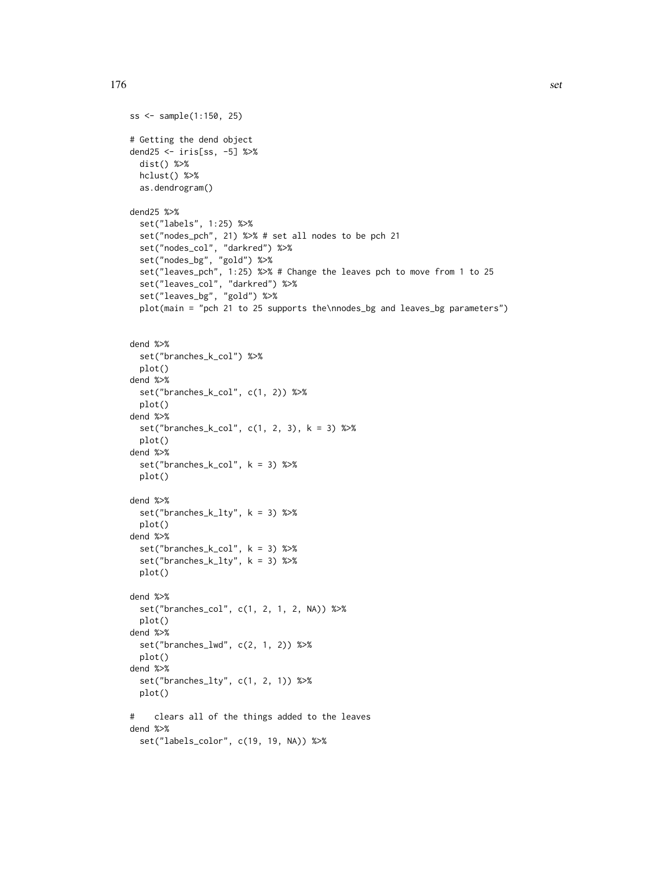ss <- sample(1:150, 25)

```
176 set
```

```
# Getting the dend object
dend25 <- iris[ss, -5] %>%
  dist() %>%
 hclust() %>%
  as.dendrogram()
dend25 %>%
  set("labels", 1:25) %>%
  set("nodes_pch", 21) %>% # set all nodes to be pch 21
  set("nodes_col", "darkred") %>%
  set("nodes_bg", "gold") %>%
  set("leaves_pch", 1:25) %>% # Change the leaves pch to move from 1 to 25
  set("leaves_col", "darkred") %>%
  set("leaves_bg", "gold") %>%
  plot(main = "pch 21 to 25 supports the\nnodes_bg and leaves_bg parameters")
dend %>%
  set("branches_k_col") %>%
  plot()
dend %>%
  set("branches_k_col", c(1, 2)) %>%
  plot()
dend %>%
  set("branches_k_col", c(1, 2, 3), k = 3) %>%
  plot()
dend %>%
  set("branches_k_col", k = 3) %>%
  plot()
dend %>%
  set("branches_k_lty", k = 3) %>%
  plot()
dend %>%
  set("branches_k_col", k = 3) %>%
  set("branches_k_lty", k = 3) %>%
  plot()
dend %>%
  set("branches_col", c(1, 2, 1, 2, NA)) %>%
  plot()
dend %>%
  set("branches_lwd", c(2, 1, 2)) %>%
  plot()
dend %>%
  set("branches_lty", c(1, 2, 1)) %>%
  plot()
# clears all of the things added to the leaves
dend %>%
  set("labels_color", c(19, 19, NA)) %>%
```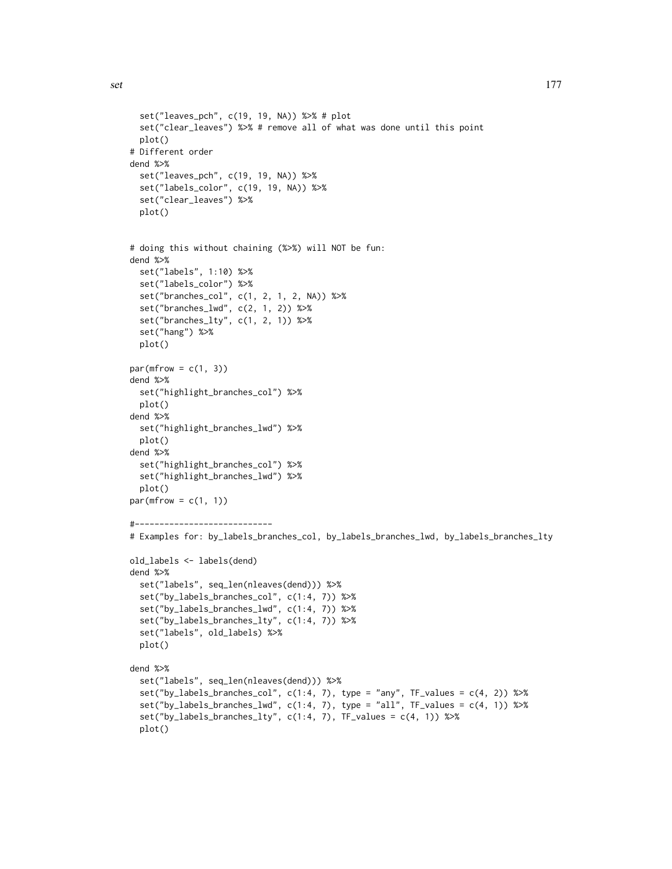```
set("leaves_pch", c(19, 19, NA)) %>% # plot
 set("clear_leaves") %>% # remove all of what was done until this point
 plot()
# Different order
dend %>%
 set("leaves_pch", c(19, 19, NA)) %>%
 set("labels_color", c(19, 19, NA)) %>%
 set("clear_leaves") %>%
 plot()
# doing this without chaining (%>%) will NOT be fun:
dend %>%
 set("labels", 1:10) %>%
 set("labels_color") %>%
 set("branches_col", c(1, 2, 1, 2, NA)) %>%
 set("branches_lwd", c(2, 1, 2)) %>%
 set("branches_lty", c(1, 2, 1)) %>%
 set("hang") %>%
 plot()
par(mfrow = c(1, 3))dend %>%
 set("highlight_branches_col") %>%
 plot()
dend %>%
 set("highlight_branches_lwd") %>%
 plot()
dend %>%
 set("highlight_branches_col") %>%
 set("highlight_branches_lwd") %>%
 plot()
par(mfrow = c(1, 1))#----------------------------
# Examples for: by_labels_branches_col, by_labels_branches_lwd, by_labels_branches_lty
old_labels <- labels(dend)
dend %>%
 set("labels", seq_len(nleaves(dend))) %>%
 set("by_labels_branches_col", c(1:4, 7)) %>%
 set("by_labels_branches_lwd", c(1:4, 7)) %>%
 set("by_labels_branches_lty", c(1:4, 7)) %>%
 set("labels", old_labels) %>%
 plot()
dend %>%
```
set("by\_labels\_branches\_col", c(1:4, 7), type = "any", TF\_values = c(4, 2)) %>% set("by\_labels\_branches\_lwd", c(1:4, 7), type = "all", TF\_values = c(4, 1)) %>%

set("by\_labels\_branches\_lty", c(1:4, 7), TF\_values = c(4, 1)) %>%

set("labels", seq\_len(nleaves(dend))) %>%

plot()

```
set and the set of the set of the set of the set of the set of the set of the set of the set of the set of the set of the set of the set of the set of the set of the set of the set of the set of the set of the set of the s
```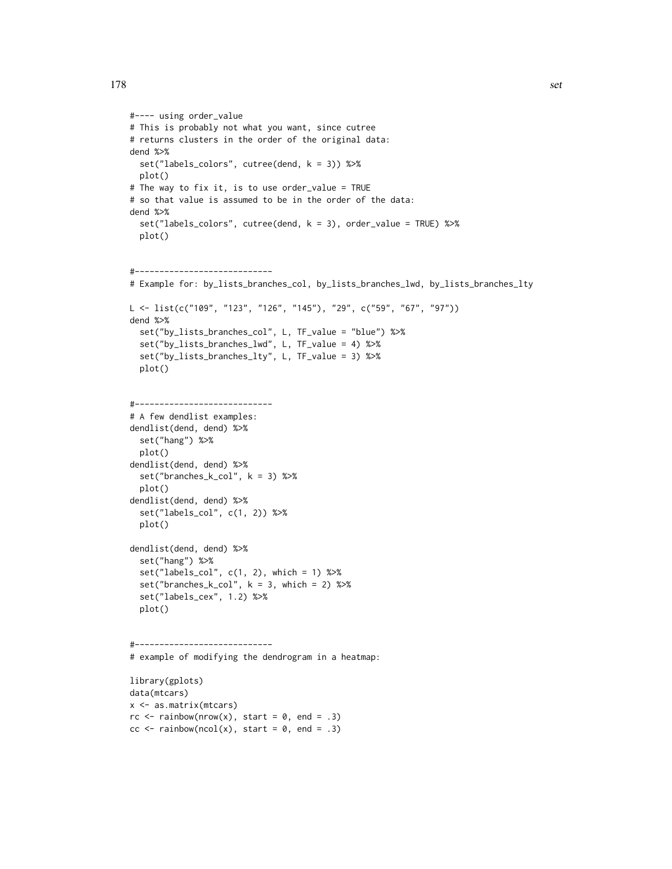```
#---- using order_value
# This is probably not what you want, since cutree
# returns clusters in the order of the original data:
dend %>%
 set("labels_colors", cutree(dend, k = 3)) %>%
  plot()
# The way to fix it, is to use order_value = TRUE
# so that value is assumed to be in the order of the data:
dend %>%
  set("labels_colors", cutree(dend, k = 3), order_value = TRUE) %>%
  plot()
#----------------------------
# Example for: by_lists_branches_col, by_lists_branches_lwd, by_lists_branches_lty
L <- list(c("109", "123", "126", "145"), "29", c("59", "67", "97"))
dend %>%
  set("by_lists_branches_col", L, TF_value = "blue") %>%
  set("by_lists_branches_lwd", L, TF_value = 4) %>%
  set("by_lists_branches_lty", L, TF_value = 3) %>%
  plot()
#----------------------------
# A few dendlist examples:
dendlist(dend, dend) %>%
  set("hang") %>%
  plot()
dendlist(dend, dend) %>%
  set("branches_k_col", k = 3) %>%
  plot()
dendlist(dend, dend) %>%
  set("labels_col", c(1, 2)) %>%
  plot()
dendlist(dend, dend) %>%
  set("hang") %>%
  set("labels_col", c(1, 2), which = 1) %>%
  set("branches_k_col", k = 3, which = 2) %>%
  set("labels_cex", 1.2) %>%
  plot()
#----------------------------
# example of modifying the dendrogram in a heatmap:
library(gplots)
data(mtcars)
x <- as.matrix(mtcars)
rc \leftarrow rainbow(nrow(x), start = 0, end = .3)
cc \le rainbow(ncol(x), start = 0, end = .3)
```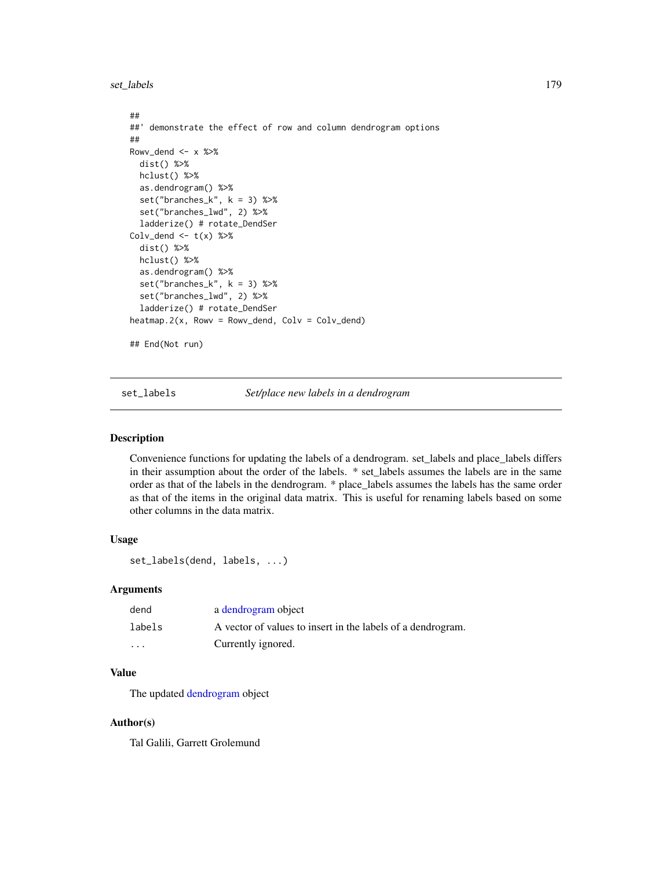set\_labels 179

```
##
##' demonstrate the effect of row and column dendrogram options
##
Rowv_dend <- x %>%
 dist() %>%
 hclust() %>%
 as.dendrogram() %>%
 set("branches_k", k = 3) %>%
 set("branches_lwd", 2) %>%
 ladderize() # rotate_DendSer
Colv\_dend < - t(x) %>%
 dist() %>%
 hclust() %>%
 as.dendrogram() %>%
 set("branches_k", k = 3) %>%
 set("branches_lwd", 2) %>%
 ladderize() # rotate_DendSer
heatmap.2(x, Rowv = Rowv_dend, Colv = Colv_dend)
## End(Not run)
```
set\_labels *Set/place new labels in a dendrogram*

## Description

Convenience functions for updating the labels of a dendrogram. set\_labels and place\_labels differs in their assumption about the order of the labels. \* set\_labels assumes the labels are in the same order as that of the labels in the dendrogram. \* place\_labels assumes the labels has the same order as that of the items in the original data matrix. This is useful for renaming labels based on some other columns in the data matrix.

## Usage

```
set_labels(dend, labels, ...)
```
# **Arguments**

| dend    | a dendrogram object                                         |
|---------|-------------------------------------------------------------|
| labels  | A vector of values to insert in the labels of a dendrogram. |
| $\cdot$ | Currently ignored.                                          |

# Value

The updated [dendrogram](#page-0-0) object

## Author(s)

Tal Galili, Garrett Grolemund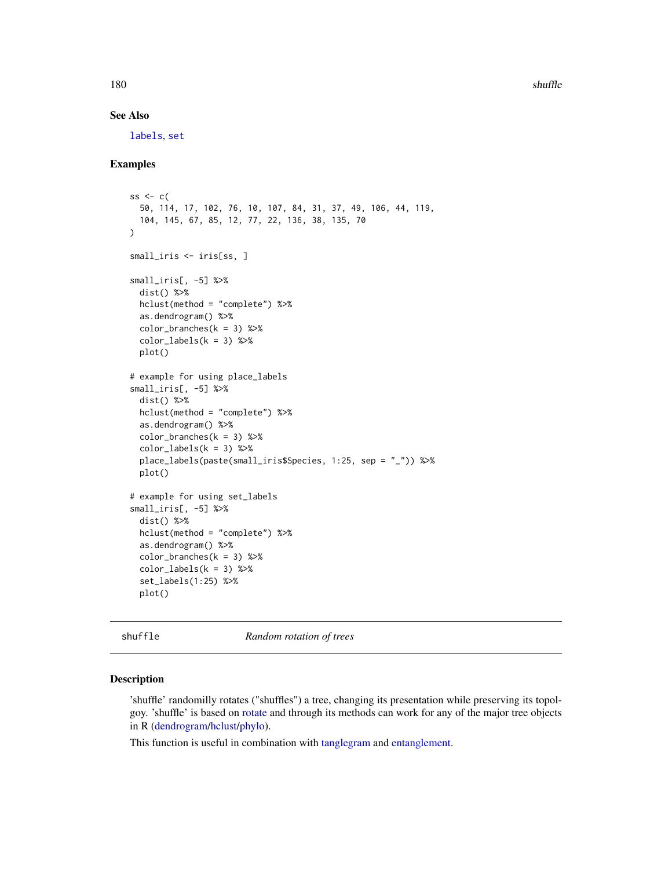180 shuffle

# See Also

[labels](#page-0-0), [set](#page-171-0)

## Examples

```
ss \leq c(
  50, 114, 17, 102, 76, 10, 107, 84, 31, 37, 49, 106, 44, 119,
  104, 145, 67, 85, 12, 77, 22, 136, 38, 135, 70
\lambdasmall_iris <- iris[ss, ]
small_iris[, -5] %>%
 dist() %>%
 hclust(method = "complete") %>%
  as.dendrogram() %>%
  color_branches(k = 3) %color\_labels(k = 3) %>%
  plot()
# example for using place_labels
small_iris[, -5] %>%
  dist() %>%
  hclust(method = "complete") %>%
  as.dendrogram() %>%
  color_branches(k = 3) %color_labels(k = 3) %place_labels(paste(small_iris$Species, 1:25, sep = "_")) %>%
  plot()
# example for using set_labels
small_iris[, -5] %>%
  dist() %>%
  hclust(method = "complete") %>%
  as.dendrogram() %>%
  color\_branches(k = 3) %>%
  color\_labels(k = 3) %>%
  set_labels(1:25) %>%
  plot()
```
shuffle *Random rotation of trees*

## Description

'shuffle' randomilly rotates ("shuffles") a tree, changing its presentation while preserving its topolgoy. 'shuffle' is based on [rotate](#page-165-0) and through its methods can work for any of the major tree objects in R [\(dendrogram/hclust/phylo\)](#page-0-0).

This function is useful in combination with [tanglegram](#page-184-0) and [entanglement.](#page-80-0)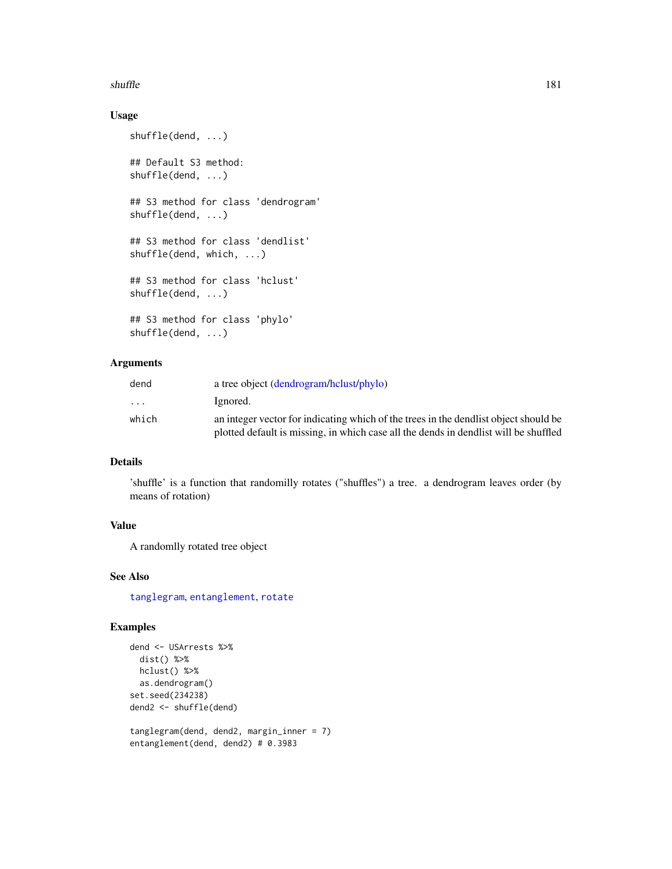#### <span id="page-180-0"></span>shuffle that the state of the state of the state of the state of the state of the state of the state of the state of the state of the state of the state of the state of the state of the state of the state of the state of t

# Usage

```
shuffle(dend, ...)
## Default S3 method:
shuffle(dend, ...)
## S3 method for class 'dendrogram'
shuffle(dend, ...)
## S3 method for class 'dendlist'
shuffle(dend, which, ...)
## S3 method for class 'hclust'
shuffle(dend, ...)
## S3 method for class 'phylo'
shuffle(dend, ...)
```
# Arguments

| dend                    | a tree object (dendrogram/hclust/phylo)                                              |
|-------------------------|--------------------------------------------------------------------------------------|
| $\cdot$ $\cdot$ $\cdot$ | Ignored.                                                                             |
| which                   | an integer vector for indicating which of the trees in the dendlist object should be |
|                         | plotted default is missing, in which case all the dends in dendlist will be shuffled |

# Details

'shuffle' is a function that randomilly rotates ("shuffles") a tree. a dendrogram leaves order (by means of rotation)

# Value

A randomlly rotated tree object

#### See Also

[tanglegram](#page-184-0), [entanglement](#page-80-0), [rotate](#page-165-0)

```
dend <- USArrests %>%
  dist() %>%
 hclust() %>%
  as.dendrogram()
set.seed(234238)
dend2 <- shuffle(dend)
tanglegram(dend, dend2, margin_inner = 7)
```

```
entanglement(dend, dend2) # 0.3983
```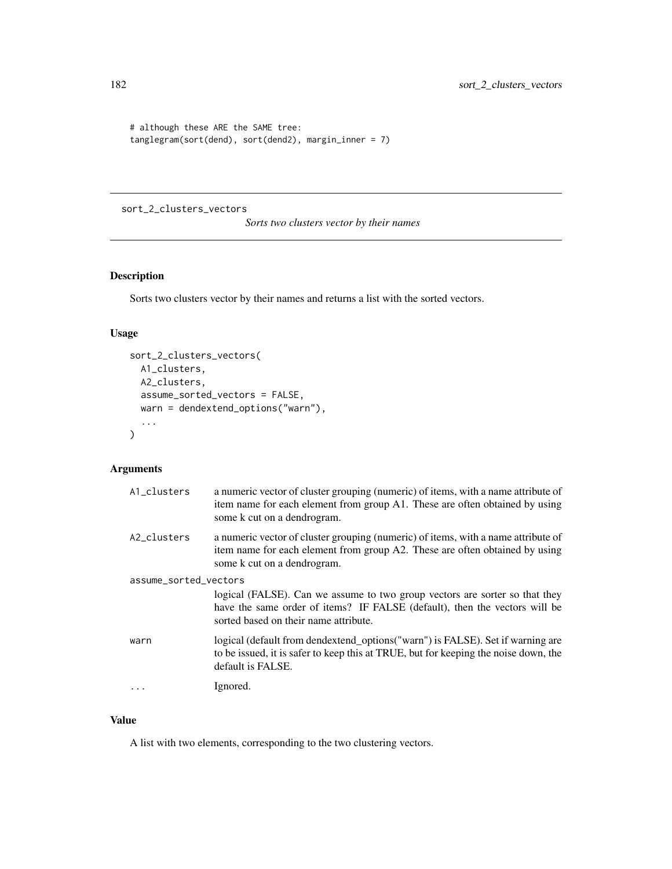```
# although these ARE the SAME tree:
tanglegram(sort(dend), sort(dend2), margin_inner = 7)
```
sort\_2\_clusters\_vectors

*Sorts two clusters vector by their names*

# Description

Sorts two clusters vector by their names and returns a list with the sorted vectors.

# Usage

```
sort_2_clusters_vectors(
 A1_clusters,
 A2_clusters,
 assume_sorted_vectors = FALSE,
 warn = dendextend_options("warn"),
  ...
)
```
#### Arguments

| A1_clusters           | a numeric vector of cluster grouping (numeric) of items, with a name attribute of<br>item name for each element from group A1. These are often obtained by using<br>some k cut on a dendrogram.    |  |
|-----------------------|----------------------------------------------------------------------------------------------------------------------------------------------------------------------------------------------------|--|
| A2_clusters           | a numeric vector of cluster grouping (numeric) of items, with a name attribute of<br>item name for each element from group A2. These are often obtained by using<br>some k cut on a dendrogram.    |  |
| assume_sorted_vectors |                                                                                                                                                                                                    |  |
|                       | logical (FALSE). Can we assume to two group vectors are sorter so that they<br>have the same order of items? IF FALSE (default), then the vectors will be<br>sorted based on their name attribute. |  |
| warn                  | logical (default from dendextend_options("warn") is FALSE). Set if warning are<br>to be issued, it is safer to keep this at TRUE, but for keeping the noise down, the<br>default is FALSE.         |  |
|                       | Ignored.                                                                                                                                                                                           |  |

# Value

A list with two elements, corresponding to the two clustering vectors.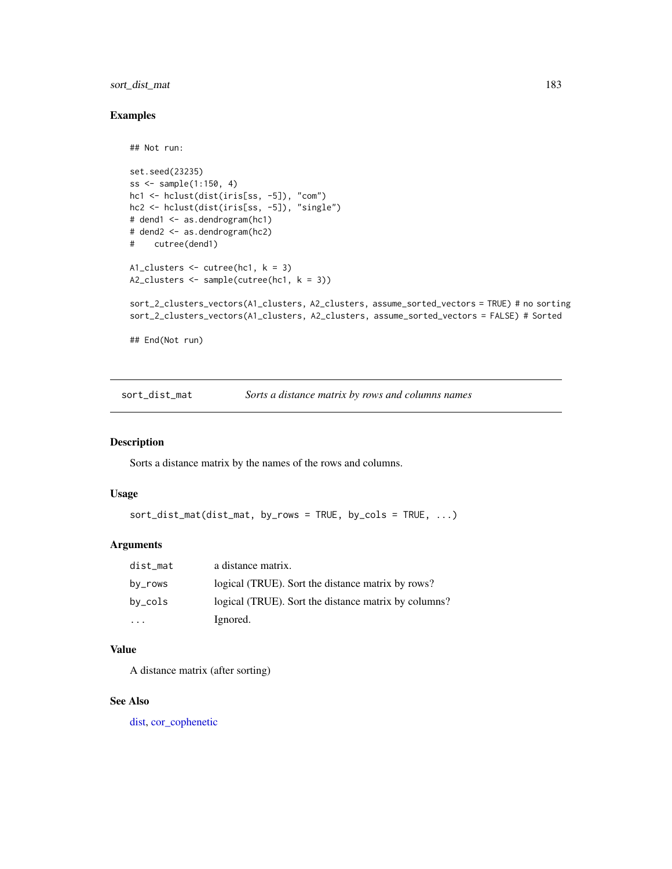# <span id="page-182-0"></span>sort\_dist\_mat 183

# Examples

```
## Not run:
set.seed(23235)
ss <- sample(1:150, 4)
hc1 <- hclust(dist(iris[ss, -5]), "com")
hc2 <- hclust(dist(iris[ss, -5]), "single")
# dend1 <- as.dendrogram(hc1)
# dend2 <- as.dendrogram(hc2)
# cutree(dend1)
A1_clusters <- cutree(hc1, k = 3)
A2_clusters <- sample(cutree(hc1, k = 3))
sort_2_clusters_vectors(A1_clusters, A2_clusters, assume_sorted_vectors = TRUE) # no sorting
sort_2_clusters_vectors(A1_clusters, A2_clusters, assume_sorted_vectors = FALSE) # Sorted
## End(Not run)
```
sort\_dist\_mat *Sorts a distance matrix by rows and columns names*

#### Description

Sorts a distance matrix by the names of the rows and columns.

### Usage

```
sort_dist_mat(dist_mat, by_rows = TRUE, by_cols = TRUE, ...)
```
# Arguments

| dist_mat                | a distance matrix.                                   |
|-------------------------|------------------------------------------------------|
| by_rows                 | logical (TRUE). Sort the distance matrix by rows?    |
| by_cols                 | logical (TRUE). Sort the distance matrix by columns? |
| $\cdot$ $\cdot$ $\cdot$ | Ignored.                                             |

# Value

A distance matrix (after sorting)

# See Also

[dist,](#page-0-0) [cor\\_cophenetic](#page-57-0)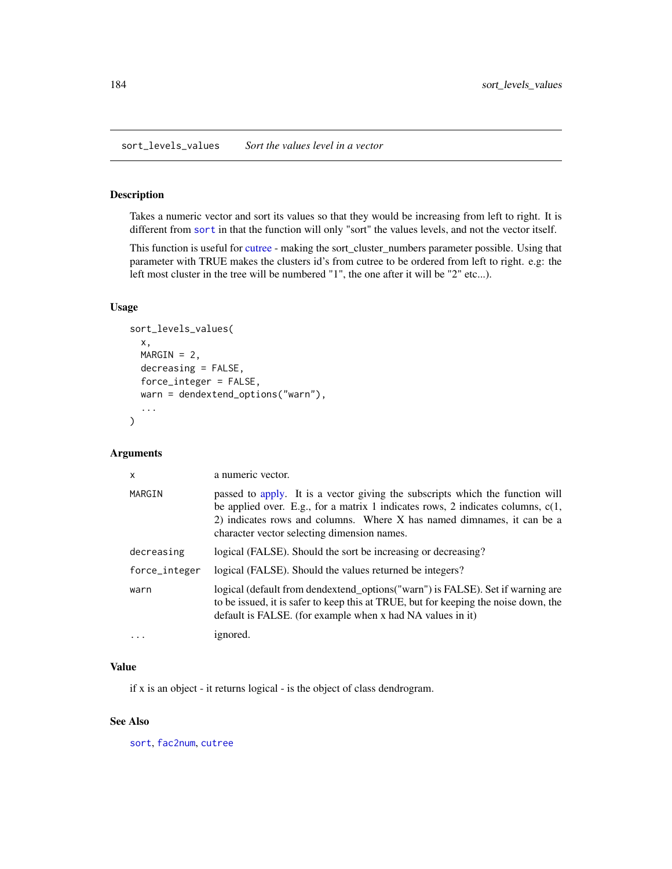# <span id="page-183-0"></span>Description

Takes a numeric vector and sort its values so that they would be increasing from left to right. It is different from [sort](#page-0-0) in that the function will only "sort" the values levels, and not the vector itself.

This function is useful for [cutree](#page-61-0) - making the sort\_cluster\_numbers parameter possible. Using that parameter with TRUE makes the clusters id's from cutree to be ordered from left to right. e.g: the left most cluster in the tree will be numbered "1", the one after it will be "2" etc...).

# Usage

```
sort_levels_values(
 x,
 MARGIN = 2,
 decreasing = FALSE,
  force_integer = FALSE,
 warn = dendextend_options("warn"),
  ...
)
```
# Arguments

| X             | a numeric vector.                                                                                                                                                                                                                                                                           |
|---------------|---------------------------------------------------------------------------------------------------------------------------------------------------------------------------------------------------------------------------------------------------------------------------------------------|
| MARGIN        | passed to apply. It is a vector giving the subscripts which the function will<br>be applied over. E.g., for a matrix 1 indicates rows, 2 indicates columns, $c(1,$<br>2) indicates rows and columns. Where X has named dimnames, it can be a<br>character vector selecting dimension names. |
| decreasing    | logical (FALSE). Should the sort be increasing or decreasing?                                                                                                                                                                                                                               |
| force_integer | logical (FALSE). Should the values returned be integers?                                                                                                                                                                                                                                    |
| warn          | logical (default from dendextend_options("warn") is FALSE). Set if warning are<br>to be issued, it is safer to keep this at TRUE, but for keeping the noise down, the<br>default is FALSE. (for example when x had NA values in it)                                                         |
|               | ignored.                                                                                                                                                                                                                                                                                    |

#### Value

if x is an object - it returns logical - is the object of class dendrogram.

#### See Also

[sort](#page-0-0), [fac2num](#page-82-0), [cutree](#page-61-0)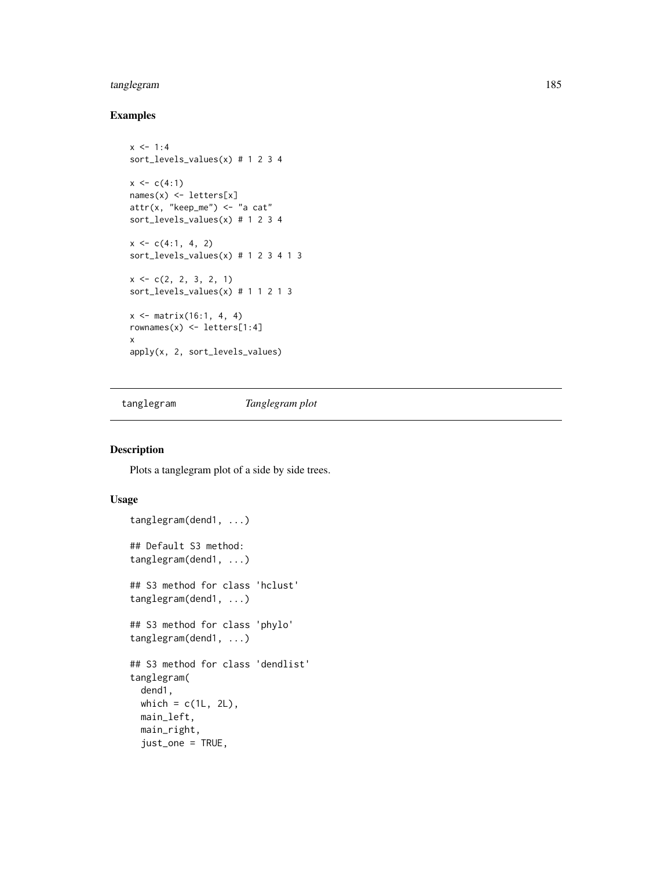# <span id="page-184-1"></span>tanglegram 185

# Examples

```
x < -1:4sort_levels_values(x) # 1 2 3 4
x \leq c(4:1)names(x) <- letters[x]
attr(x, "keep_m e") \leq "a cat"sort_levels_values(x) # 1 2 3 4
x \leq c(4:1, 4, 2)sort_levels_values(x) # 1 2 3 4 1 3
x \leftarrow c(2, 2, 3, 2, 1)sort_levels_values(x) # 1 1 2 1 3
x \le - matrix(16:1, 4, 4)
rownames(x) <- letters[1:4]
x
apply(x, 2, sort_levels_values)
```
<span id="page-184-0"></span>tanglegram *Tanglegram plot*

# Description

Plots a tanglegram plot of a side by side trees.

#### Usage

```
tanglegram(dend1, ...)
## Default S3 method:
tanglegram(dend1, ...)
## S3 method for class 'hclust'
tanglegram(dend1, ...)
## S3 method for class 'phylo'
tanglegram(dend1, ...)
## S3 method for class 'dendlist'
tanglegram(
 dend1,
 which = c(1L, 2L),
 main_left,
 main_right,
  just_one = TRUE,
```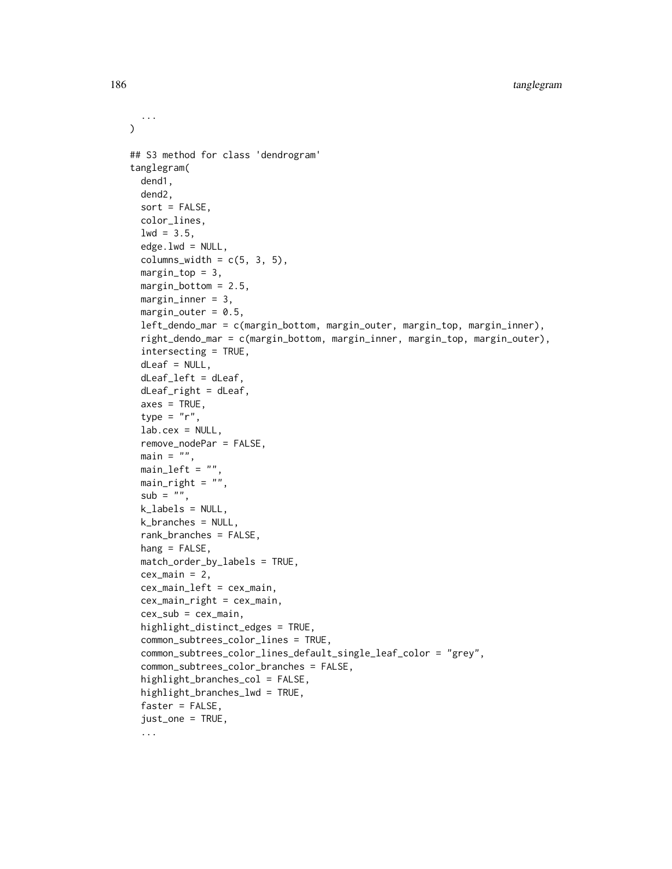```
\lambda## S3 method for class 'dendrogram'
tanglegram(
  dend1,
  dend2,
  sort = FALSE,color_lines,
  1wd = 3.5,
  edge.lwd = NULL,columns_width = c(5, 3, 5),margin\_top = 3,
 margin\_bottom = 2.5,
 margin_inner = 3,
 margin\_outer = 0.5,
  left_dendo_mar = c(margin_bottom, margin_outer, margin_top, margin_inner),
  right_dendo_mar = c(margin_bottom, margin_inner, margin_top, margin_outer),
  intersecting = TRUE,
  dLeaf = NULL,
  dLeaf_left = dLeaf,
  dLeaf\_right = dLeaf,axes = TRUE,type = "r",lab.cex = NULL,remove_nodePar = FALSE,
 main = "",main<sub>-</sub>left = ",
 main\_right = "",
  sub = "",k<sup>l</sup>abels = NULL,
  k_branches = NULL,
  rank_branches = FALSE,
  hang = FALSE,match_order_by_labels = TRUE,
  cex\_main = 2,
  cex_main_left = cex_main,
  cex_main_right = cex_main,
  cex_sub = cex_main,
  highlight_distinct_edges = TRUE,
  common_subtrees_color_lines = TRUE,
  common_subtrees_color_lines_default_single_leaf_color = "grey",
  common_subtrees_color_branches = FALSE,
  highlight_branches_col = FALSE,
  highlight_branches_lwd = TRUE,
  faster = FALSE,
  just_one = TRUE,
  ...
```
...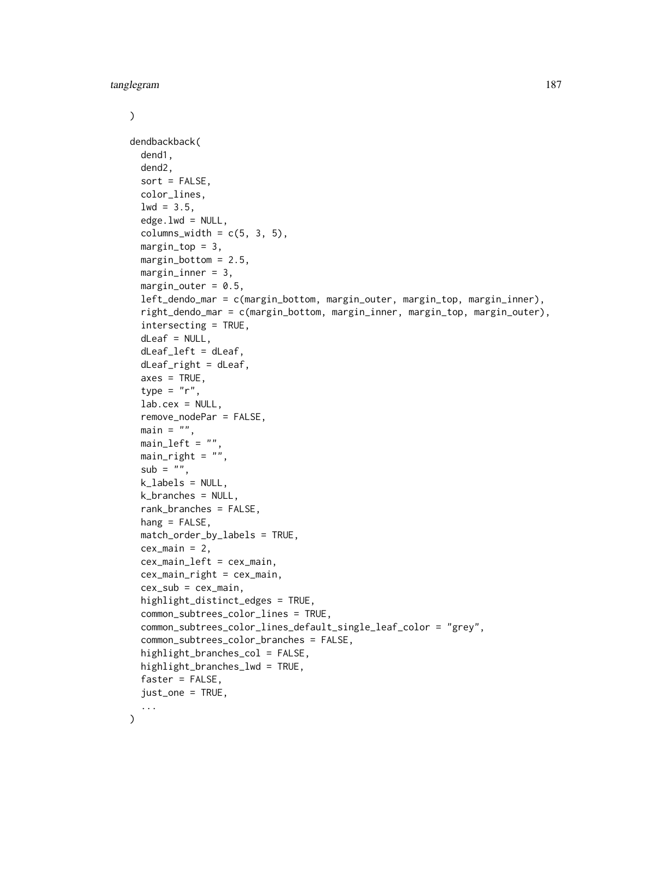tanglegram 187

```
\mathcal{L}dendbackback(
  dend1,
  dend2,
  sort = FALSE,color_lines,
  1wd = 3.5,
  edge.lwd = NULL,columns_width = c(5, 3, 5),margin\_top = 3,
 margin_bottom = 2.5,
 margin\_inner = 3,
 margin_outer = 0.5,
  left_dendo_mar = c(margin_bottom, margin_outer, margin_top, margin_inner),
  right_dendo_mar = c(margin_bottom, margin_inner, margin_top, margin_outer),
  intersecting = TRUE,
  dLeaf = NULL,
  dLeafldeft = dLeaf,
  dLeaf<sub>right</sub> = dLeaf,
  axes = TRUE,type = "r",lab.cex = NULL,remove_nodePar = FALSE,
 main = "",main<sub>-</sub>left = "main\_right = "",sub = "",k_labels = NULL,
  k_branches = NULL,
  rank_branches = FALSE,
 hang = FALSE,match_order_by_labels = TRUE,
  cex\_main = 2,
  cex_main_left = cex_main,
  cex_main_right = cex_main,
  cex\_sub = cex\_main,
  highlight_distinct_edges = TRUE,
  common_subtrees_color_lines = TRUE,
  common_subtrees_color_lines_default_single_leaf_color = "grey",
  common_subtrees_color_branches = FALSE,
  highlight_branches_col = FALSE,
  highlight_branches_lwd = TRUE,
  faster = FALSE,just_one = TRUE,
  ...
)
```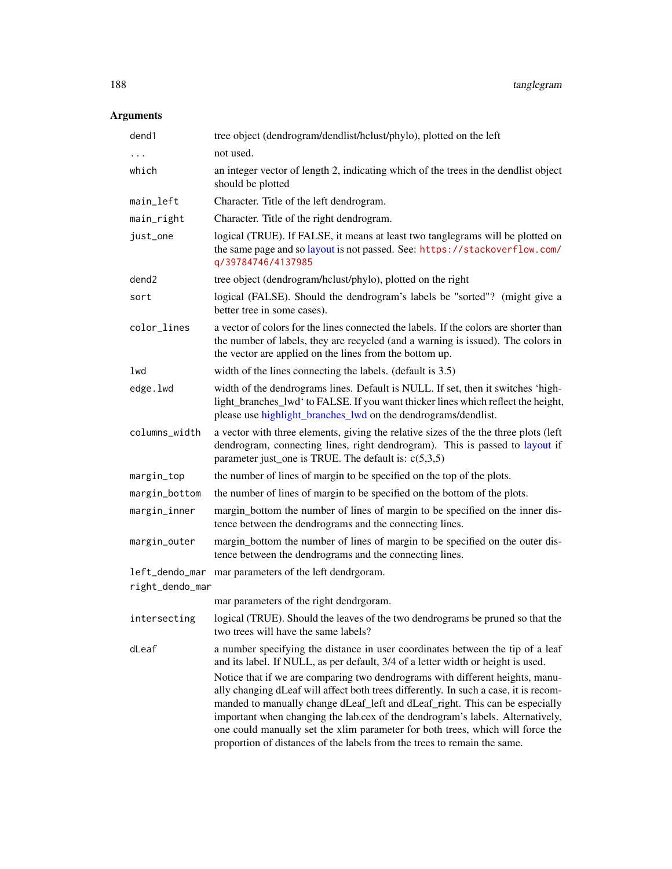# <span id="page-187-0"></span>Arguments

| dend1             | tree object (dendrogram/dendlist/hclust/phylo), plotted on the left                                                                                                                                                                                                                                                                                                                                                                                                                                   |
|-------------------|-------------------------------------------------------------------------------------------------------------------------------------------------------------------------------------------------------------------------------------------------------------------------------------------------------------------------------------------------------------------------------------------------------------------------------------------------------------------------------------------------------|
| .                 | not used.                                                                                                                                                                                                                                                                                                                                                                                                                                                                                             |
| which             | an integer vector of length 2, indicating which of the trees in the dendlist object<br>should be plotted                                                                                                                                                                                                                                                                                                                                                                                              |
| main_left         | Character. Title of the left dendrogram.                                                                                                                                                                                                                                                                                                                                                                                                                                                              |
| main_right        | Character. Title of the right dendrogram.                                                                                                                                                                                                                                                                                                                                                                                                                                                             |
| just_one          | logical (TRUE). If FALSE, it means at least two tanglegrams will be plotted on<br>the same page and so layout is not passed. See: https://stackoverflow.com/<br>q/39784746/4137985                                                                                                                                                                                                                                                                                                                    |
| dend <sub>2</sub> | tree object (dendrogram/hclust/phylo), plotted on the right                                                                                                                                                                                                                                                                                                                                                                                                                                           |
| sort              | logical (FALSE). Should the dendrogram's labels be "sorted"? (might give a<br>better tree in some cases).                                                                                                                                                                                                                                                                                                                                                                                             |
| color_lines       | a vector of colors for the lines connected the labels. If the colors are shorter than<br>the number of labels, they are recycled (and a warning is issued). The colors in<br>the vector are applied on the lines from the bottom up.                                                                                                                                                                                                                                                                  |
| lwd               | width of the lines connecting the labels. (default is 3.5)                                                                                                                                                                                                                                                                                                                                                                                                                                            |
| edge.lwd          | width of the dendrograms lines. Default is NULL. If set, then it switches 'high-<br>light_branches_lwd' to FALSE. If you want thicker lines which reflect the height,<br>please use highlight_branches_lwd on the dendrograms/dendlist.                                                                                                                                                                                                                                                               |
| columns_width     | a vector with three elements, giving the relative sizes of the the three plots (left<br>dendrogram, connecting lines, right dendrogram). This is passed to layout if<br>parameter just_one is TRUE. The default is: $c(5,3,5)$                                                                                                                                                                                                                                                                        |
| margin_top        | the number of lines of margin to be specified on the top of the plots.                                                                                                                                                                                                                                                                                                                                                                                                                                |
| margin_bottom     | the number of lines of margin to be specified on the bottom of the plots.                                                                                                                                                                                                                                                                                                                                                                                                                             |
| margin_inner      | margin_bottom the number of lines of margin to be specified on the inner dis-<br>tence between the dendrograms and the connecting lines.                                                                                                                                                                                                                                                                                                                                                              |
| margin_outer      | margin_bottom the number of lines of margin to be specified on the outer dis-<br>tence between the dendrograms and the connecting lines.                                                                                                                                                                                                                                                                                                                                                              |
|                   | left_dendo_mar mar parameters of the left dendrgoram.                                                                                                                                                                                                                                                                                                                                                                                                                                                 |
| right_dendo_mar   |                                                                                                                                                                                                                                                                                                                                                                                                                                                                                                       |
|                   | mar parameters of the right dendrgoram.                                                                                                                                                                                                                                                                                                                                                                                                                                                               |
| intersecting      | logical (TRUE). Should the leaves of the two dendrograms be pruned so that the<br>two trees will have the same labels?                                                                                                                                                                                                                                                                                                                                                                                |
| dLeaf             | a number specifying the distance in user coordinates between the tip of a leaf<br>and its label. If NULL, as per default, 3/4 of a letter width or height is used.                                                                                                                                                                                                                                                                                                                                    |
|                   | Notice that if we are comparing two dendrograms with different heights, manu-<br>ally changing dLeaf will affect both trees differently. In such a case, it is recom-<br>manded to manually change dLeaf_left and dLeaf_right. This can be especially<br>important when changing the lab.cex of the dendrogram's labels. Alternatively,<br>one could manually set the xlim parameter for both trees, which will force the<br>proportion of distances of the labels from the trees to remain the same. |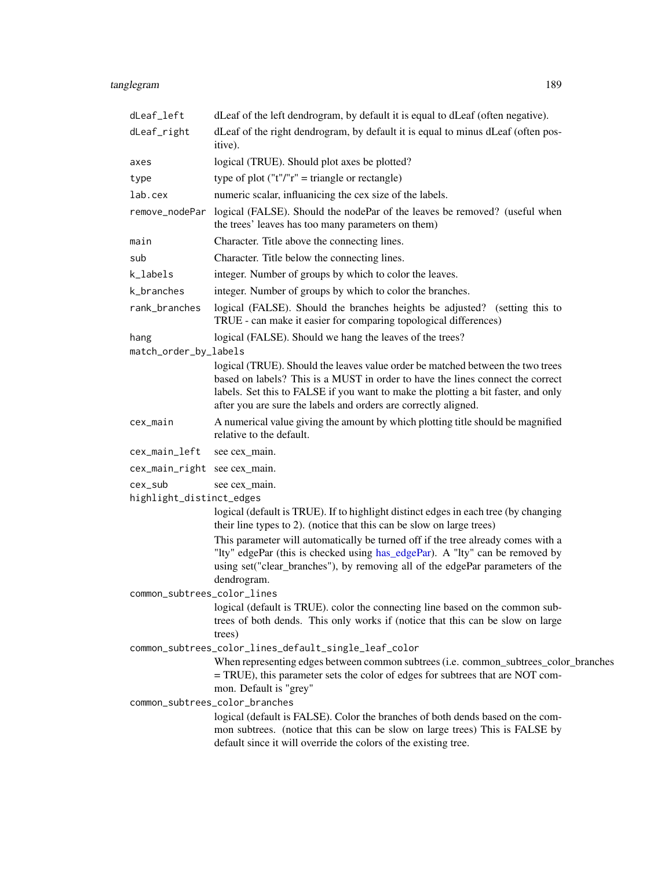# <span id="page-188-0"></span>tanglegram 189

| dLeaf_left                   | dLeaf of the left dendrogram, by default it is equal to dLeaf (often negative).                                                                                                                                                                                                                                          |
|------------------------------|--------------------------------------------------------------------------------------------------------------------------------------------------------------------------------------------------------------------------------------------------------------------------------------------------------------------------|
| dLeaf_right                  | dLeaf of the right dendrogram, by default it is equal to minus dLeaf (often pos-<br>itive).                                                                                                                                                                                                                              |
| axes                         | logical (TRUE). Should plot axes be plotted?                                                                                                                                                                                                                                                                             |
| type                         | type of plot ("t"/"r" = triangle or rectangle)                                                                                                                                                                                                                                                                           |
| lab.cex                      | numeric scalar, influanicing the cex size of the labels.                                                                                                                                                                                                                                                                 |
| remove_nodePar               | logical (FALSE). Should the nodePar of the leaves be removed? (useful when<br>the trees' leaves has too many parameters on them)                                                                                                                                                                                         |
| main                         | Character. Title above the connecting lines.                                                                                                                                                                                                                                                                             |
| sub                          | Character. Title below the connecting lines.                                                                                                                                                                                                                                                                             |
| k_labels                     | integer. Number of groups by which to color the leaves.                                                                                                                                                                                                                                                                  |
| k_branches                   | integer. Number of groups by which to color the branches.                                                                                                                                                                                                                                                                |
| rank_branches                | logical (FALSE). Should the branches heights be adjusted? (setting this to<br>TRUE - can make it easier for comparing topological differences)                                                                                                                                                                           |
| hang                         | logical (FALSE). Should we hang the leaves of the trees?                                                                                                                                                                                                                                                                 |
| match_order_by_labels        |                                                                                                                                                                                                                                                                                                                          |
|                              | logical (TRUE). Should the leaves value order be matched between the two trees<br>based on labels? This is a MUST in order to have the lines connect the correct<br>labels. Set this to FALSE if you want to make the plotting a bit faster, and only<br>after you are sure the labels and orders are correctly aligned. |
| cex_main                     | A numerical value giving the amount by which plotting title should be magnified<br>relative to the default.                                                                                                                                                                                                              |
| cex_main_left                | see cex_main.                                                                                                                                                                                                                                                                                                            |
| cex_main_right see cex_main. |                                                                                                                                                                                                                                                                                                                          |
| cex_sub                      | see cex_main.                                                                                                                                                                                                                                                                                                            |
| highlight_distinct_edges     |                                                                                                                                                                                                                                                                                                                          |
|                              | logical (default is TRUE). If to highlight distinct edges in each tree (by changing<br>their line types to 2). (notice that this can be slow on large trees)                                                                                                                                                             |
|                              | This parameter will automatically be turned off if the tree already comes with a<br>"Ity" edgePar (this is checked using has_edgePar). A "Ity" can be removed by<br>using set("clear_branches"), by removing all of the edgePar parameters of the<br>dendrogram.                                                         |
| common_subtrees_color_lines  |                                                                                                                                                                                                                                                                                                                          |
|                              | logical (default is TRUE). color the connecting line based on the common sub-<br>trees of both dends. This only works if (notice that this can be slow on large<br>trees)                                                                                                                                                |
|                              | common_subtrees_color_lines_default_single_leaf_color                                                                                                                                                                                                                                                                    |
|                              | When representing edges between common subtrees (i.e. common_subtrees_color_branches<br>= TRUE), this parameter sets the color of edges for subtrees that are NOT com-<br>mon. Default is "grey"                                                                                                                         |
|                              | common_subtrees_color_branches                                                                                                                                                                                                                                                                                           |
|                              | logical (default is FALSE). Color the branches of both dends based on the com-<br>mon subtrees. (notice that this can be slow on large trees) This is FALSE by<br>default since it will override the colors of the existing tree.                                                                                        |
|                              |                                                                                                                                                                                                                                                                                                                          |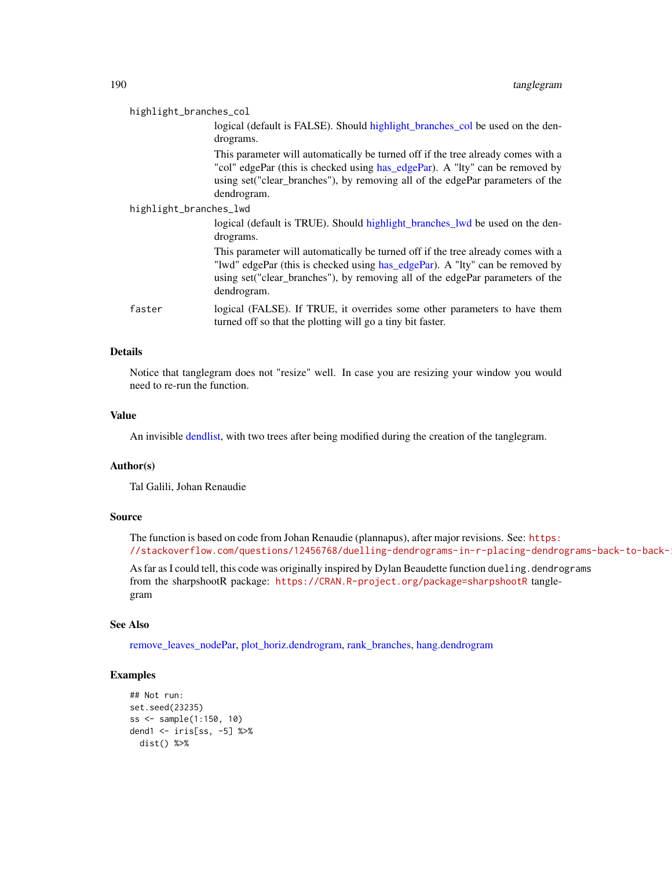<span id="page-189-0"></span>

| highlight_branches_col |                                                                                                                                                                                                                                                                   |  |
|------------------------|-------------------------------------------------------------------------------------------------------------------------------------------------------------------------------------------------------------------------------------------------------------------|--|
|                        | logical (default is FALSE). Should highlight_branches_col be used on the den-<br>drograms.                                                                                                                                                                        |  |
|                        | This parameter will automatically be turned off if the tree already comes with a<br>"col" edgePar (this is checked using has_edgePar). A "Ity" can be removed by<br>using set ("clear_branches"), by removing all of the edgePar parameters of the<br>dendrogram. |  |
| highlight_branches_lwd |                                                                                                                                                                                                                                                                   |  |
|                        | logical (default is TRUE). Should highlight_branches_lwd be used on the den-<br>drograms.                                                                                                                                                                         |  |
|                        | This parameter will automatically be turned off if the tree already comes with a<br>"lwd" edgePar (this is checked using has_edgePar). A "lty" can be removed by<br>using set("clear_branches"), by removing all of the edgePar parameters of the<br>dendrogram.  |  |
| faster                 | logical (FALSE). If TRUE, it overrides some other parameters to have them<br>turned off so that the plotting will go a tiny bit faster.                                                                                                                           |  |

# Details

Notice that tanglegram does not "resize" well. In case you are resizing your window you would need to re-run the function.

# Value

An invisible [dendlist,](#page-71-0) with two trees after being modified during the creation of the tanglegram.

#### Author(s)

Tal Galili, Johan Renaudie

#### Source

The function is based on code from Johan Renaudie (plannapus), after major revisions. See: [https:](https://stackoverflow.com/questions/12456768/duelling-dendrograms-in-r-placing-dendrograms-back-to-back-in-r) //stackoverflow.com/questions/12456768/duelling-dendrograms-in-r-placing-dendrograms-back-to-back-

As far as I could tell, this code was originally inspired by Dylan Beaudette function dueling.dendrograms from the sharpshootR package: <https://CRAN.R-project.org/package=sharpshootR> tanglegram

# See Also

[remove\\_leaves\\_nodePar,](#page-162-0) [plot\\_horiz.dendrogram,](#page-143-0) [rank\\_branches,](#page-155-0) [hang.dendrogram](#page-110-0)

```
## Not run:
set.seed(23235)
ss <- sample(1:150, 10)
dend1 <- iris[ss, -5] %>%
  dist() %>%
```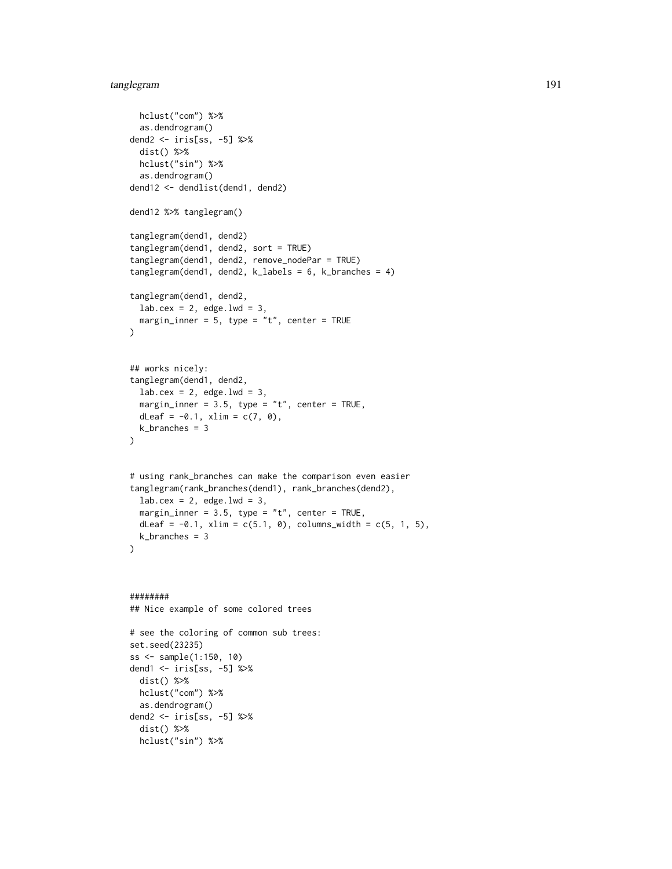# tanglegram 191

```
hclust("com") %>%
  as.dendrogram()
dend2 <- iris[ss, -5] %>%
  dist() %>%
 hclust("sin") %>%
  as.dendrogram()
dend12 <- dendlist(dend1, dend2)
dend12 %>% tanglegram()
tanglegram(dend1, dend2)
tanglegram(dend1, dend2, sort = TRUE)
tanglegram(dend1, dend2, remove_nodePar = TRUE)
tanglegram(dend1, dend2, k_labels = 6, k_branches = 4)
tanglegram(dend1, dend2,
  lab.cex = 2, edge.lwd = 3,
  margin_inner = 5, type = "t", center = TRUE
\mathcal{L}## works nicely:
tanglegram(dend1, dend2,
  lab.cex = 2, edge.1wd = 3,
  margin_inner = 3.5, type = "t", center = TRUE,
  dLeaf = -0.1, xlim = c(7, 0),
  k_branches = 3
\mathcal{L}# using rank_branches can make the comparison even easier
tanglegram(rank_branches(dend1), rank_branches(dend2),
  lab.cex = 2, edge.lwd = 3,
  margin_inner = 3.5, type = "t", center = TRUE,
  dLeaf = -0.1, xlim = c(5.1, 0), columns_width = c(5, 1, 5),
  k_branches = 3
\lambda########
## Nice example of some colored trees
# see the coloring of common sub trees:
set.seed(23235)
ss <- sample(1:150, 10)
dend1 <- iris[ss, -5] %>%
  dist() %>%
  hclust("com") %>%
  as.dendrogram()
dend2 <- iris[ss, -5] %>%
  dist() %>%
  hclust("sin") %>%
```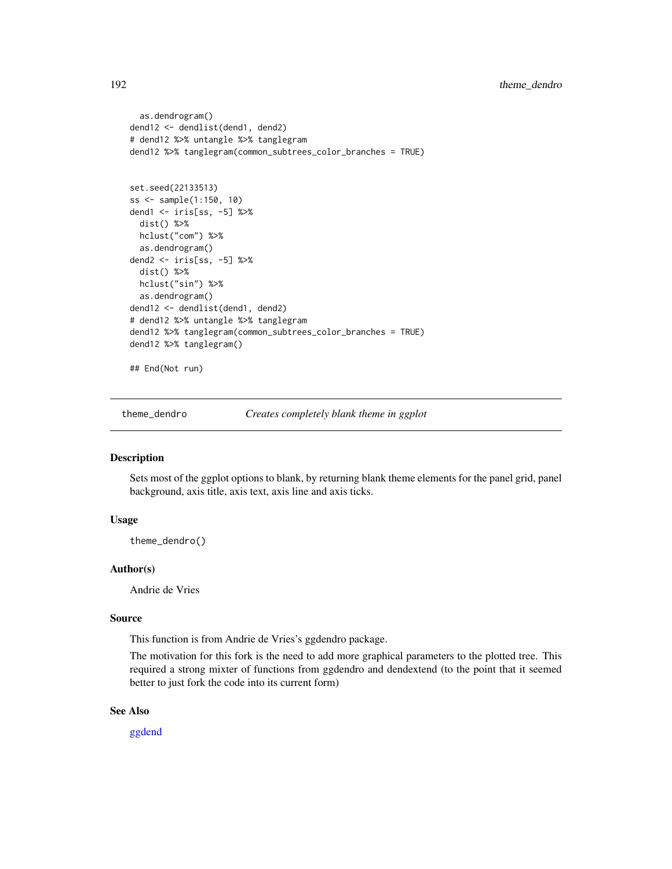```
as.dendrogram()
dend12 <- dendlist(dend1, dend2)
# dend12 %>% untangle %>% tanglegram
dend12 %>% tanglegram(common_subtrees_color_branches = TRUE)
set.seed(22133513)
ss <- sample(1:150, 10)
dend1 <- iris[ss, -5] %>%
 dist() %>%
 hclust("com") %>%
 as.dendrogram()
dend2 <- iris[ss, -5] %>%
 dist() %>%
 hclust("sin") %>%
 as.dendrogram()
dend12 <- dendlist(dend1, dend2)
# dend12 %>% untangle %>% tanglegram
dend12 %>% tanglegram(common_subtrees_color_branches = TRUE)
dend12 %>% tanglegram()
## End(Not run)
```
theme\_dendro *Creates completely blank theme in ggplot*

# Description

Sets most of the ggplot options to blank, by returning blank theme elements for the panel grid, panel background, axis title, axis text, axis line and axis ticks.

# Usage

theme\_dendro()

#### Author(s)

Andrie de Vries

#### Source

This function is from Andrie de Vries's ggdendro package.

The motivation for this fork is the need to add more graphical parameters to the plotted tree. This required a strong mixter of functions from ggdendro and dendextend (to the point that it seemed better to just fork the code into its current form)

#### See Also

[ggdend](#page-107-0)

<span id="page-191-0"></span>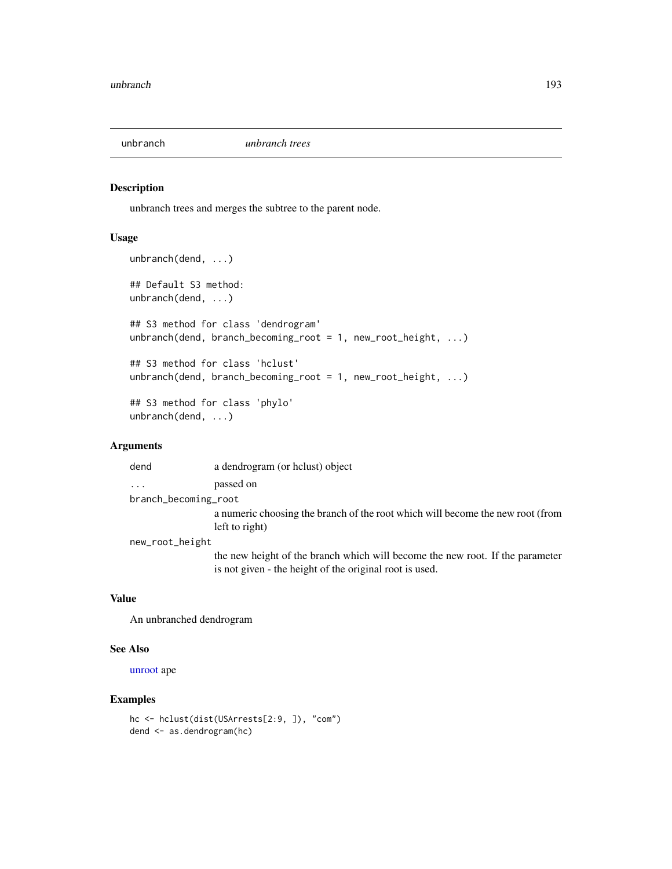<span id="page-192-0"></span>

# Description

unbranch trees and merges the subtree to the parent node.

#### Usage

```
unbranch(dend, ...)
## Default S3 method:
unbranch(dend, ...)
## S3 method for class 'dendrogram'
unbranch(dend, branch_becoming_root = 1, new_root_height, ...)
## S3 method for class 'hclust'
unbranch(dend, branch_becoming_root = 1, new_root_height, ...)
## S3 method for class 'phylo'
unbranch(dend, ...)
```
# Arguments

| dend                 | a dendrogram (or holust) object                                                |
|----------------------|--------------------------------------------------------------------------------|
| .                    | passed on                                                                      |
| branch_becoming_root |                                                                                |
|                      | a numeric choosing the branch of the root which will become the new root (from |
|                      | left to right)                                                                 |
| new_root_height      |                                                                                |
|                      |                                                                                |

the new height of the branch which will become the new root. If the parameter is not given - the height of the original root is used.

#### Value

An unbranched dendrogram

#### See Also

[unroot](#page-0-0) ape

```
hc <- hclust(dist(USArrests[2:9, ]), "com")
dend <- as.dendrogram(hc)
```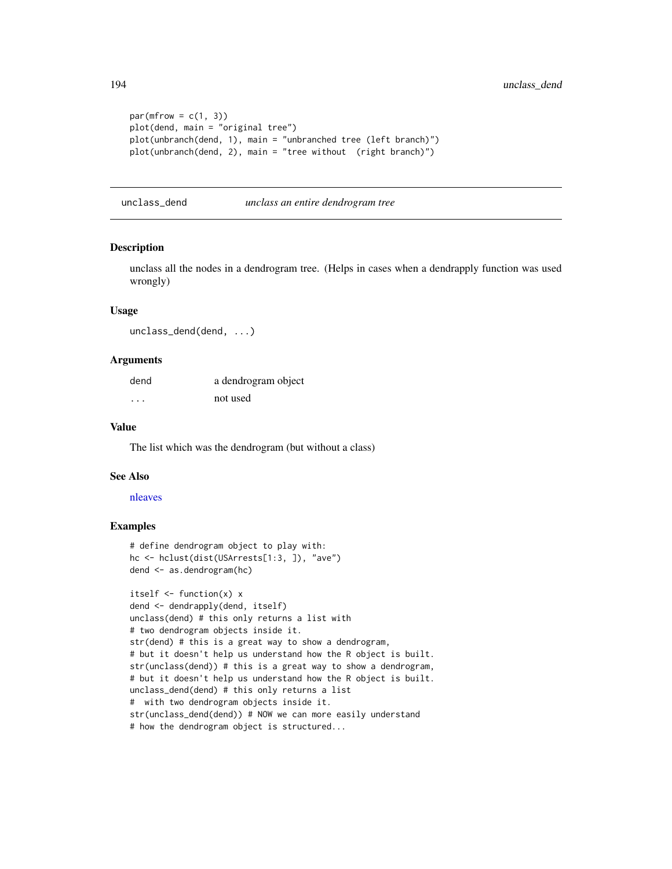```
par(mfrow = c(1, 3))plot(dend, main = "original tree")
plot(unbranch(dend, 1), main = "unbranched tree (left branch)")
plot(unbranch(dend, 2), main = "tree without (right branch)")
```
unclass\_dend *unclass an entire dendrogram tree*

# Description

unclass all the nodes in a dendrogram tree. (Helps in cases when a dendrapply function was used wrongly)

#### Usage

unclass\_dend(dend, ...)

#### Arguments

| dend     | a dendrogram object |
|----------|---------------------|
| $\cdots$ | not used            |

#### Value

The list which was the dendrogram (but without a class)

#### See Also

#### [nleaves](#page-137-0)

```
# define dendrogram object to play with:
hc <- hclust(dist(USArrests[1:3, ]), "ave")
dend <- as.dendrogram(hc)
```

```
itself \leq function(x) x
dend <- dendrapply(dend, itself)
unclass(dend) # this only returns a list with
# two dendrogram objects inside it.
str(dend) # this is a great way to show a dendrogram,
# but it doesn't help us understand how the R object is built.
str(unclass(dend)) # this is a great way to show a dendrogram,
# but it doesn't help us understand how the R object is built.
unclass_dend(dend) # this only returns a list
# with two dendrogram objects inside it.
str(unclass_dend(dend)) # NOW we can more easily understand
# how the dendrogram object is structured...
```
<span id="page-193-0"></span>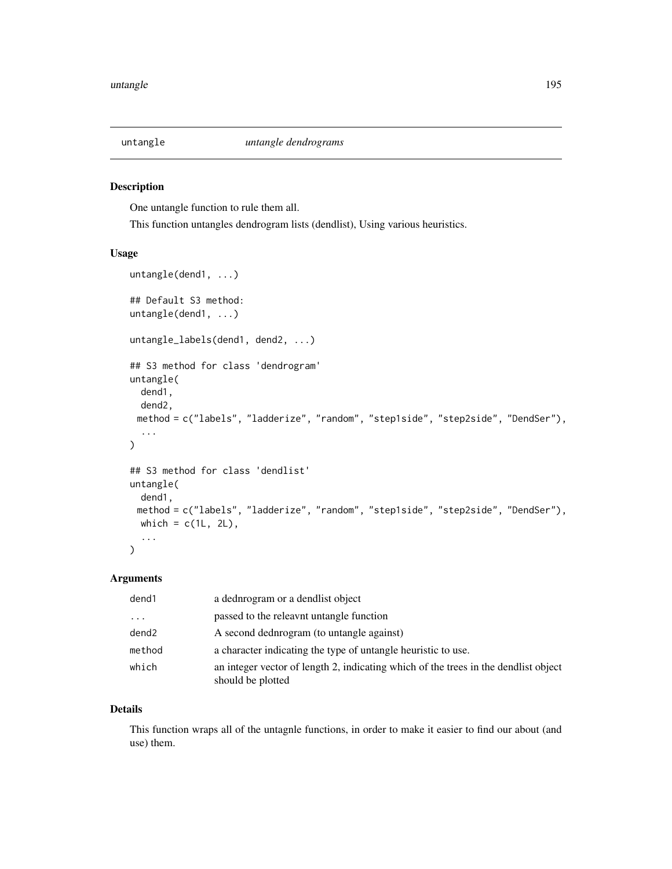<span id="page-194-0"></span>

# Description

One untangle function to rule them all.

This function untangles dendrogram lists (dendlist), Using various heuristics.

# Usage

```
untangle(dend1, ...)
## Default S3 method:
untangle(dend1, ...)
untangle_labels(dend1, dend2, ...)
## S3 method for class 'dendrogram'
untangle(
 dend1,
 dend2,
 method = c("labels", "ladderize", "random", "step1side", "step2side", "DendSer"),
  ...
)
## S3 method for class 'dendlist'
untangle(
 dend1,
 method = c("labels", "ladderize", "random", "step1side", "step2side", "DendSer"),
 which = c(1L, 2L),
  ...
)
```
# Arguments

| dend1                   | a dednrogram or a dendlist object                                                                        |
|-------------------------|----------------------------------------------------------------------------------------------------------|
| $\cdot$ $\cdot$ $\cdot$ | passed to the releavnt untangle function                                                                 |
| dend2                   | A second dednrogram (to untangle against)                                                                |
| method                  | a character indicating the type of untangle heuristic to use.                                            |
| which                   | an integer vector of length 2, indicating which of the trees in the dendlist object<br>should be plotted |

#### Details

This function wraps all of the untagnle functions, in order to make it easier to find our about (and use) them.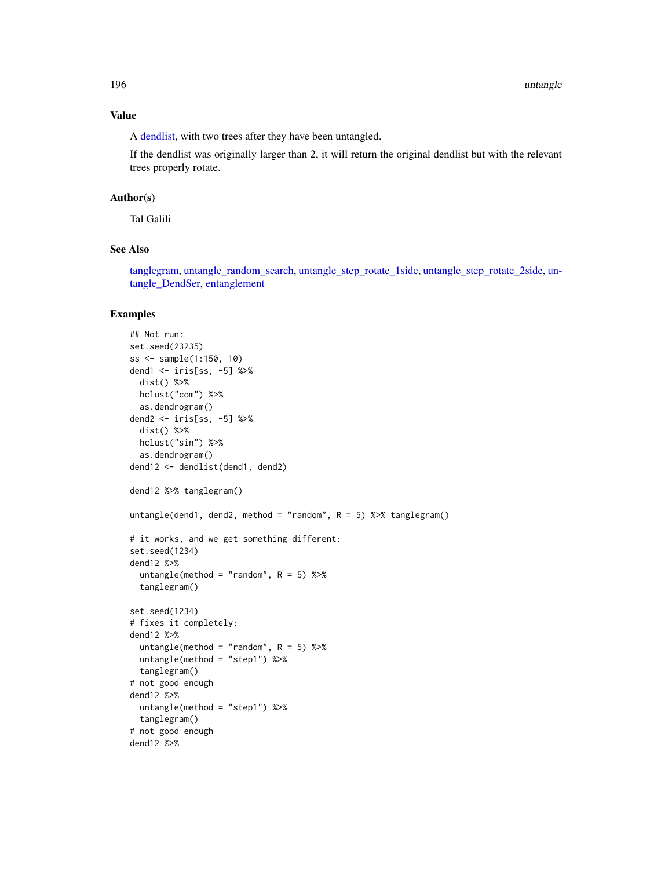#### Value

A [dendlist,](#page-71-0) with two trees after they have been untangled.

If the dendlist was originally larger than 2, it will return the original dendlist but with the relevant trees properly rotate.

# Author(s)

Tal Galili

# See Also

[tanglegram,](#page-184-0) [untangle\\_random\\_search,](#page-197-0) [untangle\\_step\\_rotate\\_1side,](#page-199-0) [untangle\\_step\\_rotate\\_2side,](#page-200-0) [un](#page-196-0)[tangle\\_DendSer,](#page-196-0) [entanglement](#page-80-0)

```
## Not run:
set.seed(23235)
ss <- sample(1:150, 10)
dend1 <- iris[ss, -5] %>%
 dist() %>%
 hclust("com") %>%
  as.dendrogram()
dend2 <- iris[ss, -5] %>%
 dist() %>%
 hclust("sin") %>%
  as.dendrogram()
dend12 <- dendlist(dend1, dend2)
dend12 %>% tanglegram()
untangle(dend1, dend2, method = "random", R = 5) %>% tanglegram()
# it works, and we get something different:
set.seed(1234)
dend12 %>%
  untangle(method = "random", R = 5) %>%
  tanglegram()
set.seed(1234)
# fixes it completely:
dend12 %>%
  untangle(method = "random", R = 5) %>%
  untangle(method = "step1") %>%
  tanglegram()
# not good enough
dend12 %>%
 untangle(method = "step1") %>%
 tanglegram()
# not good enough
dend12 %>%
```
<span id="page-195-0"></span>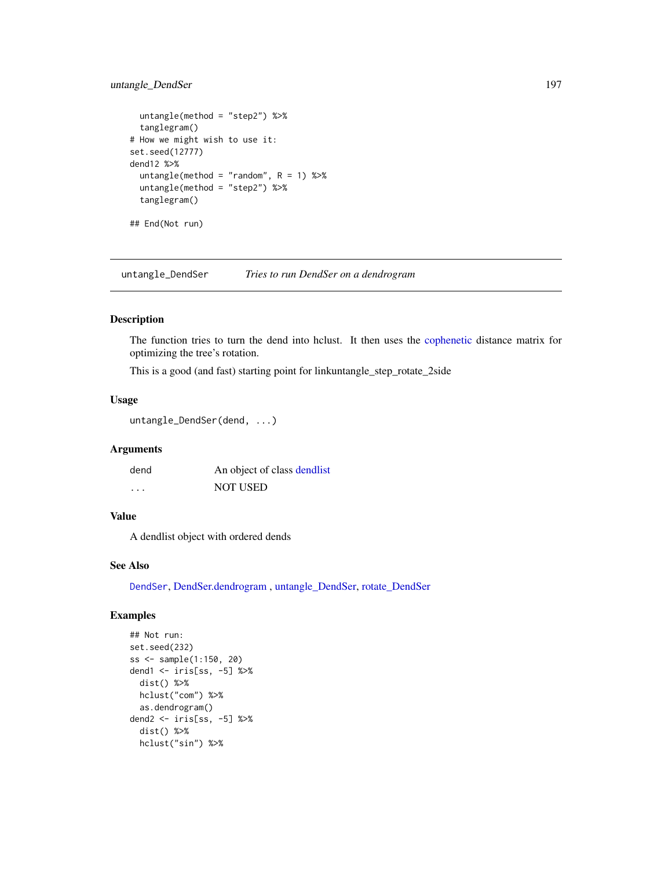# <span id="page-196-1"></span>untangle\_DendSer 197

```
untangle(method = "step2") %>%
 tanglegram()
# How we might wish to use it:
set.seed(12777)
dend12 %>%
 untangle(method = "random", R = 1) %>%
 untangle(method = "step2") %>%
 tanglegram()
## End(Not run)
```
<span id="page-196-0"></span>untangle\_DendSer *Tries to run DendSer on a dendrogram*

# Description

The function tries to turn the dend into hclust. It then uses the [cophenetic](#page-0-0) distance matrix for optimizing the tree's rotation.

This is a good (and fast) starting point for linkuntangle\_step\_rotate\_2side

#### Usage

```
untangle_DendSer(dend, ...)
```
#### Arguments

| dend | An object of class dendlist |
|------|-----------------------------|
| .    | <b>NOT USED</b>             |

# Value

A dendlist object with ordered dends

# See Also

[DendSer](#page-0-0), [DendSer.dendrogram](#page-72-0) , [untangle\\_DendSer,](#page-196-0) [rotate\\_DendSer](#page-168-0)

```
## Not run:
set.seed(232)
ss <- sample(1:150, 20)
dend1 <- iris[ss, -5] %>%
  dist() %>%
  hclust("com") %>%
  as.dendrogram()
dend2 <- iris[ss, -5] %>%
  dist() %>%
  hclust("sin") %>%
```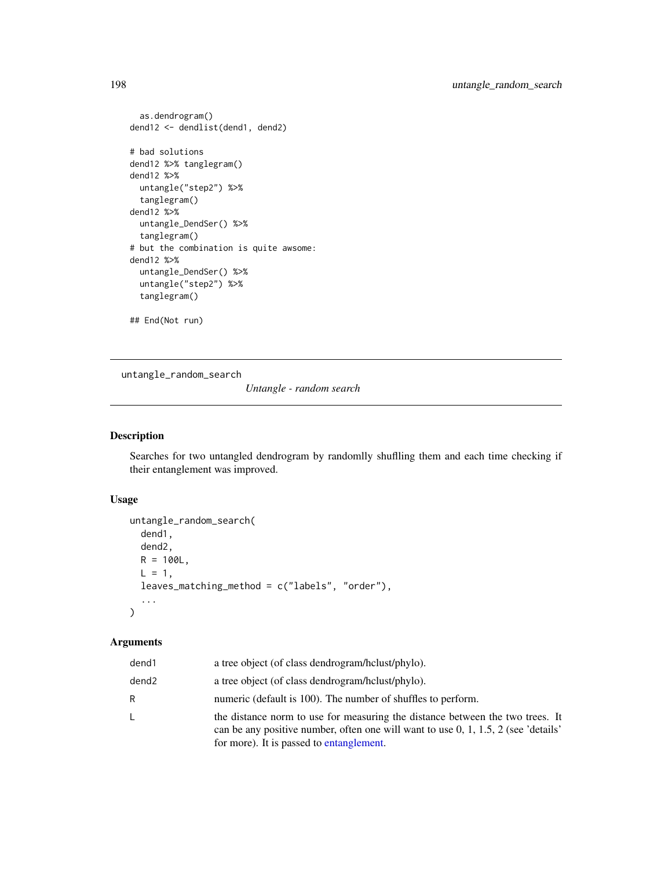```
as.dendrogram()
dend12 <- dendlist(dend1, dend2)
# bad solutions
dend12 %>% tanglegram()
dend12 %>%
 untangle("step2") %>%
  tanglegram()
dend12 %>%
  untangle_DendSer() %>%
  tanglegram()
# but the combination is quite awsome:
dend12 %>%
  untangle_DendSer() %>%
  untangle("step2") %>%
  tanglegram()
## End(Not run)
```
<span id="page-197-0"></span>untangle\_random\_search

*Untangle - random search*

#### Description

Searches for two untangled dendrogram by randomlly shuflling them and each time checking if their entanglement was improved.

#### Usage

```
untangle_random_search(
  dend1,
  dend2,
  R = 100L,L = 1,leaves_matching_method = c("labels", "order"),
  ...
\mathcal{L}
```
#### Arguments

| dend1             | a tree object (of class dendrogram/hclust/phylo).                                                                                                                                                                 |
|-------------------|-------------------------------------------------------------------------------------------------------------------------------------------------------------------------------------------------------------------|
| dend <sub>2</sub> | a tree object (of class dendrogram/hclust/phylo).                                                                                                                                                                 |
| R                 | numeric (default is 100). The number of shuffles to perform.                                                                                                                                                      |
| L                 | the distance norm to use for measuring the distance between the two trees. It<br>can be any positive number, often one will want to use $0, 1, 1.5, 2$ (see 'details'<br>for more). It is passed to entanglement. |

<span id="page-197-1"></span>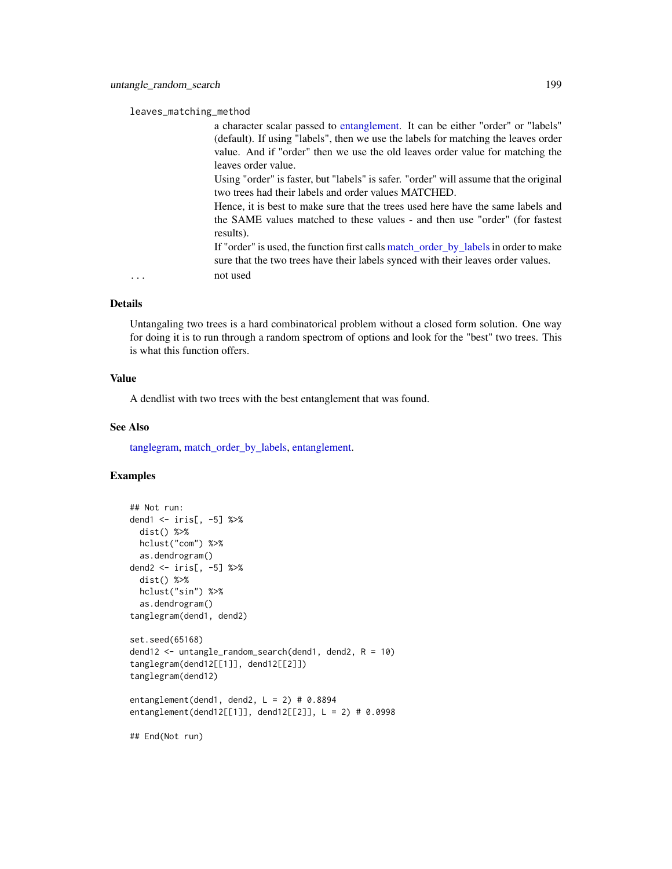#### <span id="page-198-0"></span>leaves\_matching\_method

a character scalar passed to [entanglement.](#page-80-0) It can be either "order" or "labels" (default). If using "labels", then we use the labels for matching the leaves order value. And if "order" then we use the old leaves order value for matching the leaves order value.

Using "order" is faster, but "labels" is safer. "order" will assume that the original two trees had their labels and order values MATCHED.

Hence, it is best to make sure that the trees used here have the same labels and the SAME values matched to these values - and then use "order" (for fastest results).

If "order" is used, the function first calls [match\\_order\\_by\\_labels](#page-132-0)in order to make sure that the two trees have their labels synced with their leaves order values. ... not used

#### Details

Untangaling two trees is a hard combinatorical problem without a closed form solution. One way for doing it is to run through a random spectrom of options and look for the "best" two trees. This is what this function offers.

# Value

A dendlist with two trees with the best entanglement that was found.

#### See Also

[tanglegram,](#page-184-0) [match\\_order\\_by\\_labels,](#page-132-0) [entanglement.](#page-80-0)

```
## Not run:
dend1 <- iris[, -5] %>%
 dist() %>%
 hclust("com") %>%
 as.dendrogram()
dend2 <- iris[, -5] %>%
 dist() %>%
 hclust("sin") %>%
 as.dendrogram()
tanglegram(dend1, dend2)
set.seed(65168)
dend12 <- untangle_random_search(dend1, dend2, R = 10)
tanglegram(dend12[[1]], dend12[[2]])
tanglegram(dend12)
entanglement(dend1, dend2, L = 2) # 0.8894
entanglement(dend12[[1]], dend12[[2]], L = 2) # 0.0998
## End(Not run)
```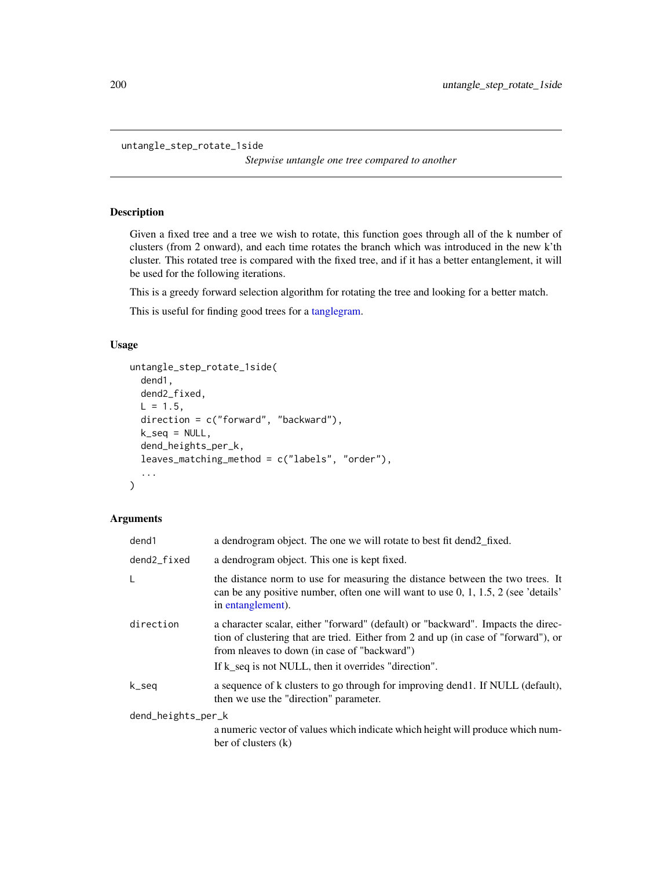```
untangle_step_rotate_1side
```
*Stepwise untangle one tree compared to another*

# Description

Given a fixed tree and a tree we wish to rotate, this function goes through all of the k number of clusters (from 2 onward), and each time rotates the branch which was introduced in the new k'th cluster. This rotated tree is compared with the fixed tree, and if it has a better entanglement, it will be used for the following iterations.

This is a greedy forward selection algorithm for rotating the tree and looking for a better match.

This is useful for finding good trees for a [tanglegram.](#page-184-0)

# Usage

```
untangle_step_rotate_1side(
  dend1,
  dend2_fixed,
 L = 1.5,
 direction = c("forward", "backward"),
 k_seq = NULL,
  dend_heights_per_k,
  leaves_matching_method = c("labels", "order"),
  ...
\mathcal{E}
```
# Arguments

| dend1              | a dendrogram object. The one we will rotate to best fit dend 2_fixed.                                                                                                                                                  |
|--------------------|------------------------------------------------------------------------------------------------------------------------------------------------------------------------------------------------------------------------|
| dend2_fixed        | a dendrogram object. This one is kept fixed.                                                                                                                                                                           |
| L                  | the distance norm to use for measuring the distance between the two trees. It<br>can be any positive number, often one will want to use $0, 1, 1.5, 2$ (see 'details'<br>in entanglement).                             |
| direction          | a character scalar, either "forward" (default) or "backward". Impacts the direc-<br>tion of clustering that are tried. Either from 2 and up (in case of "forward"), or<br>from nleaves to down (in case of "backward") |
|                    | If k seq is not NULL, then it overrides "direction".                                                                                                                                                                   |
| k_seq              | a sequence of k clusters to go through for improving dend. If NULL (default),<br>then we use the "direction" parameter.                                                                                                |
| dend_heights_per_k |                                                                                                                                                                                                                        |
|                    | a numeric vector of values which indicate which height will produce which num-<br>ber of clusters (k)                                                                                                                  |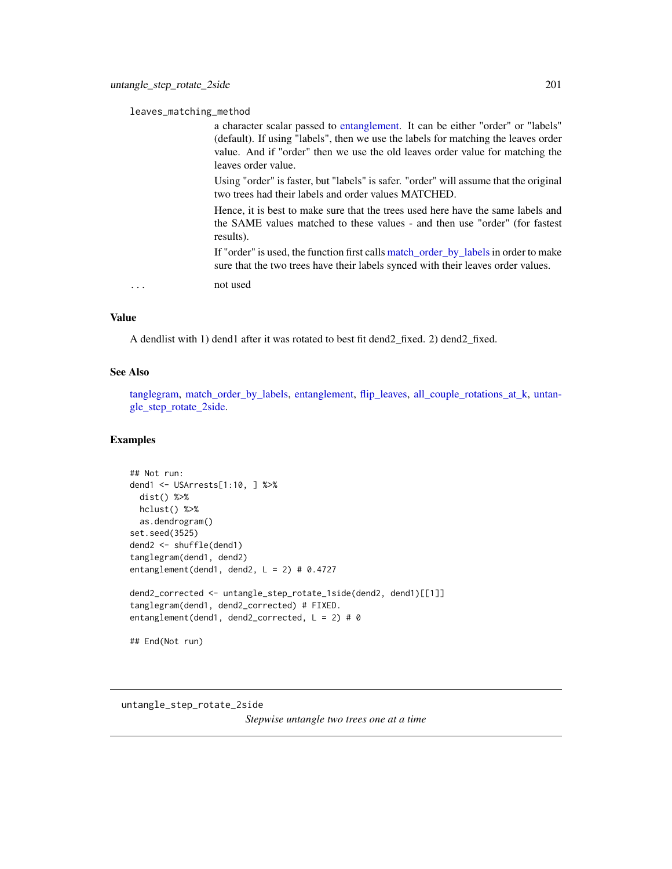<span id="page-200-1"></span>leaves\_matching\_method

a character scalar passed to [entanglement.](#page-80-0) It can be either "order" or "labels" (default). If using "labels", then we use the labels for matching the leaves order value. And if "order" then we use the old leaves order value for matching the leaves order value.

Using "order" is faster, but "labels" is safer. "order" will assume that the original two trees had their labels and order values MATCHED.

Hence, it is best to make sure that the trees used here have the same labels and the SAME values matched to these values - and then use "order" (for fastest results).

If "order" is used, the function first calls [match\\_order\\_by\\_labels](#page-132-0) in order to make sure that the two trees have their labels synced with their leaves order values.

... not used

#### Value

A dendlist with 1) dend1 after it was rotated to best fit dend2\_fixed. 2) dend2\_fixed.

#### See Also

[tanglegram,](#page-184-0) match order by labels, [entanglement,](#page-80-0) flip leaves, all couple rotations at  $k$ , [untan](#page-200-0)[gle\\_step\\_rotate\\_2side.](#page-200-0)

#### Examples

```
## Not run:
dend1 <- USArrests[1:10, ] %>%
 dist() %>%
 hclust() %>%
 as.dendrogram()
set.seed(3525)
dend2 <- shuffle(dend1)
tanglegram(dend1, dend2)
entanglement(dend1, dend2, L = 2) # 0.4727
dend2_corrected <- untangle_step_rotate_1side(dend2, dend1)[[1]]
tanglegram(dend1, dend2_corrected) # FIXED.
entanglement(dend1, dend2_corrected, L = 2) # 0
## End(Not run)
```
<span id="page-200-0"></span>untangle\_step\_rotate\_2side *Stepwise untangle two trees one at a time*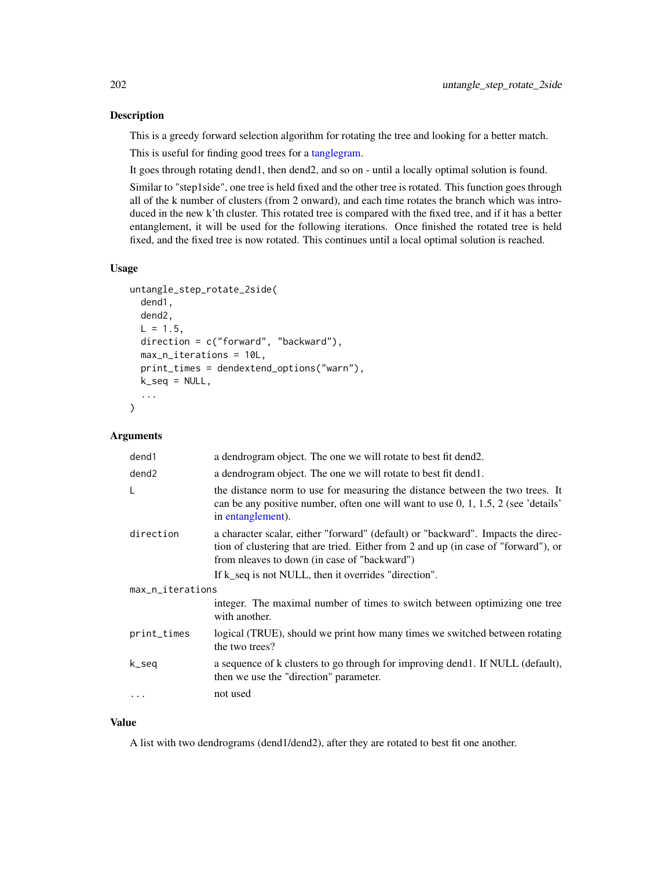# Description

This is a greedy forward selection algorithm for rotating the tree and looking for a better match.

This is useful for finding good trees for a [tanglegram.](#page-184-0)

It goes through rotating dend1, then dend2, and so on - until a locally optimal solution is found.

Similar to "step1side", one tree is held fixed and the other tree is rotated. This function goes through all of the k number of clusters (from 2 onward), and each time rotates the branch which was introduced in the new k'th cluster. This rotated tree is compared with the fixed tree, and if it has a better entanglement, it will be used for the following iterations. Once finished the rotated tree is held fixed, and the fixed tree is now rotated. This continues until a local optimal solution is reached.

# Usage

```
untangle_step_rotate_2side(
  dend1,
  dend2,
 L = 1.5,
 direction = c("forward", "backward"),
 max_n_iterations = 10L,
 print_times = dendextend_options("warn"),
 k_seq = NULL,
  ...
)
```
#### Arguments

| dend1             | a dendrogram object. The one we will rotate to best fit dend2.                                                                                                                                                         |  |
|-------------------|------------------------------------------------------------------------------------------------------------------------------------------------------------------------------------------------------------------------|--|
| dend <sub>2</sub> | a dendrogram object. The one we will rotate to best fit dend.                                                                                                                                                          |  |
| L                 | the distance norm to use for measuring the distance between the two trees. It<br>can be any positive number, often one will want to use $0, 1, 1.5, 2$ (see 'details'<br>in entanglement).                             |  |
| direction         | a character scalar, either "forward" (default) or "backward". Impacts the direc-<br>tion of clustering that are tried. Either from 2 and up (in case of "forward"), or<br>from nleaves to down (in case of "backward") |  |
|                   | If k_seq is not NULL, then it overrides "direction".                                                                                                                                                                   |  |
| max_n_iterations  |                                                                                                                                                                                                                        |  |
|                   | integer. The maximal number of times to switch between optimizing one tree<br>with another.                                                                                                                            |  |
| print_times       | logical (TRUE), should we print how many times we switched between rotating<br>the two trees?                                                                                                                          |  |
| k_seq             | a sequence of k clusters to go through for improving dend1. If NULL (default),<br>then we use the "direction" parameter.                                                                                               |  |
| $\cdots$          | not used                                                                                                                                                                                                               |  |

#### Value

A list with two dendrograms (dend1/dend2), after they are rotated to best fit one another.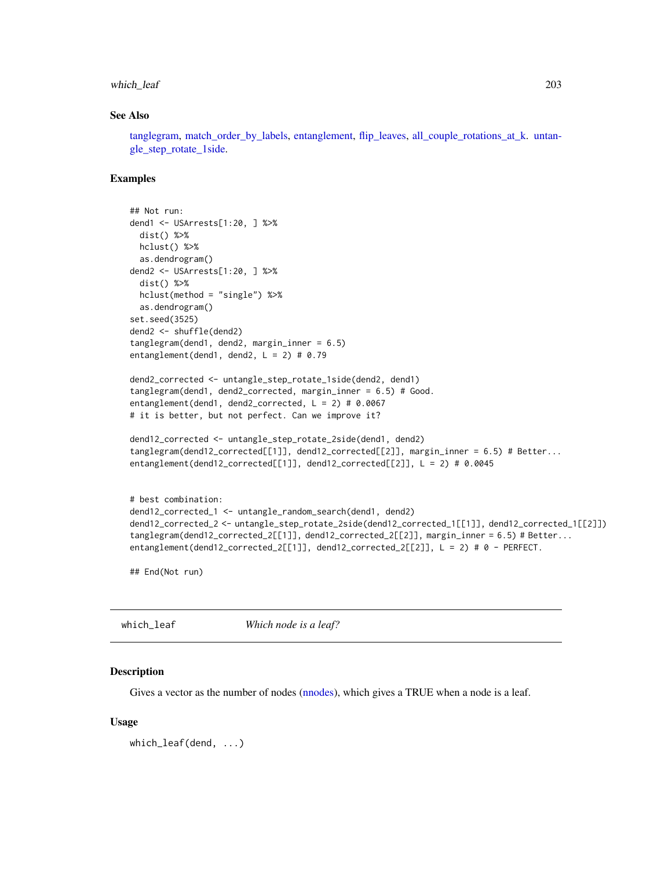# <span id="page-202-0"></span>which\_leaf 203

#### See Also

[tanglegram,](#page-184-0) [match\\_order\\_by\\_labels,](#page-132-0) [entanglement,](#page-80-0) [flip\\_leaves,](#page-87-0) [all\\_couple\\_rotations\\_at\\_k.](#page-6-0) [untan](#page-199-0)[gle\\_step\\_rotate\\_1side.](#page-199-0)

#### Examples

```
## Not run:
dend1 <- USArrests[1:20, ] %>%
 dist() %>%
 hclust() %>%
 as.dendrogram()
dend2 <- USArrests[1:20, ] %>%
 dist() %>%
 hclust(method = "single") %>%
 as.dendrogram()
set.seed(3525)
dend2 <- shuffle(dend2)
tanglegram(dend1, dend2, margin_inner = 6.5)
entanglement(dend1, dend2, L = 2) # 0.79
dend2_corrected <- untangle_step_rotate_1side(dend2, dend1)
tanglegram(dend1, dend2_corrected, margin_inner = 6.5) # Good.
entanglement(dend1, dend2_corrected, L = 2) # 0.0067
# it is better, but not perfect. Can we improve it?
dend12_corrected <- untangle_step_rotate_2side(dend1, dend2)
tanglegram(dend12_corrected[[1]], dend12_corrected[[2]], margin_inner = 6.5) # Better...
entanglement(dend12_corrected[[1]], dend12_corrected[[2]], L = 2) # 0.0045
# best combination:
dend12_corrected_1 <- untangle_random_search(dend1, dend2)
dend12_corrected_2 <- untangle_step_rotate_2side(dend12_corrected_1[[1]], dend12_corrected_1[[2]])
tanglegram(dend12_corrected_2[[1]], dend12_corrected_2[[2]], margin_inner = 6.5) # Better...
entanglement(dend12_corrected_2[[1]], dend12_corrected_2[[2]], L = 2) # 0 - PERFECT.
```
## End(Not run)

which\_leaf *Which node is a leaf?*

#### Description

Gives a vector as the number of nodes [\(nnodes\)](#page-138-0), which gives a TRUE when a node is a leaf.

#### Usage

```
which_leaf(dend, ...)
```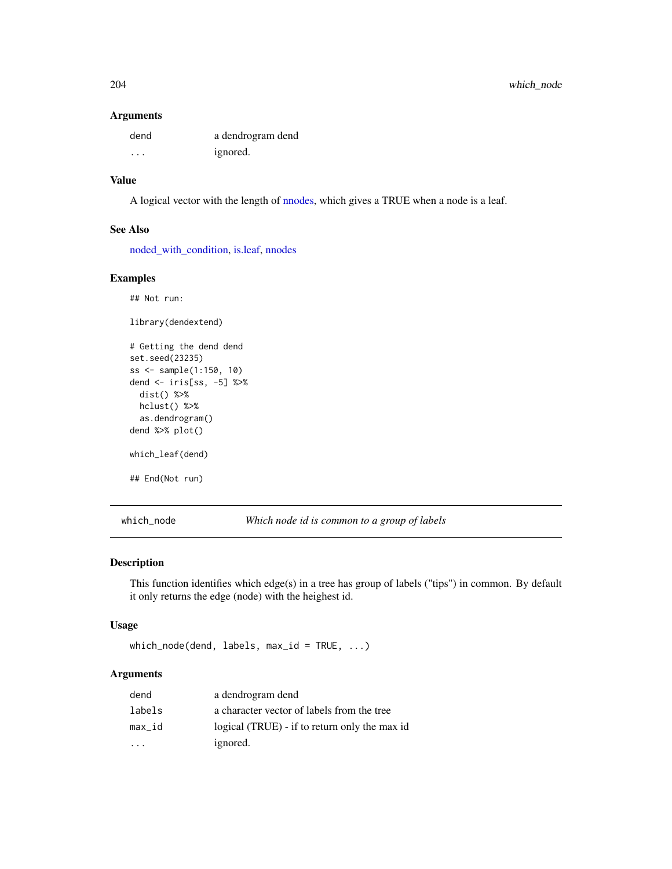#### Arguments

| dend     | a dendrogram dend |
|----------|-------------------|
| $\cdots$ | ignored.          |

# Value

A logical vector with the length of [nnodes,](#page-138-0) which gives a TRUE when a node is a leaf.

# See Also

[noded\\_with\\_condition,](#page-139-0) [is.leaf,](#page-0-0) [nnodes](#page-138-0)

# Examples

```
## Not run:
library(dendextend)
# Getting the dend dend
set.seed(23235)
ss <- sample(1:150, 10)
dend <- iris[ss, -5] %>%
 dist() %>%
 hclust() %>%
  as.dendrogram()
dend %>% plot()
which_leaf(dend)
## End(Not run)
```
which\_node *Which node id is common to a group of labels*

# Description

This function identifies which edge(s) in a tree has group of labels ("tips") in common. By default it only returns the edge (node) with the heighest id.

#### Usage

which\_node(dend, labels, max\_id = TRUE, ...)

# Arguments

| dend   | a dendrogram dend                             |
|--------|-----------------------------------------------|
| labels | a character vector of labels from the tree    |
| max_id | logical (TRUE) - if to return only the max id |
|        | ignored.                                      |

<span id="page-203-0"></span>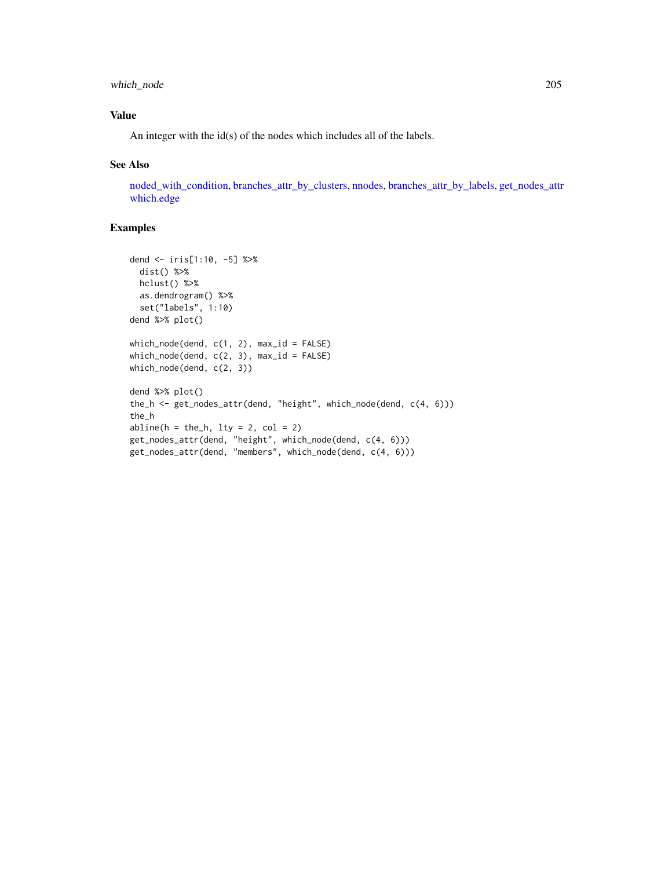# <span id="page-204-0"></span>which\_node 205

# Value

An integer with the id(s) of the nodes which includes all of the labels.

#### See Also

[noded\\_with\\_condition,](#page-139-0) [branches\\_attr\\_by\\_clusters,](#page-25-0) [nnodes,](#page-138-0) [branches\\_attr\\_by\\_labels,](#page-28-0) [get\\_nodes\\_attr](#page-101-0) [which.edge](#page-0-0)

```
dend <- iris[1:10, -5] %>%
  dist() %>%
  hclust() %>%
  as.dendrogram() %>%
  set("labels", 1:10)
dend %>% plot()
which_model(dend, c(1, 2), max_id = FALSE)which_node(dend, c(2, 3), max_id = FALSE)
which_node(dend, c(2, 3))
dend %>% plot()
the_h <- get_nodes_attr(dend, "height", which_node(dend, c(4, 6)))
the_h
abline(h = the_h, lty = 2, col = 2)get_nodes_attr(dend, "height", which_node(dend, c(4, 6)))
get_nodes_attr(dend, "members", which_node(dend, c(4, 6)))
```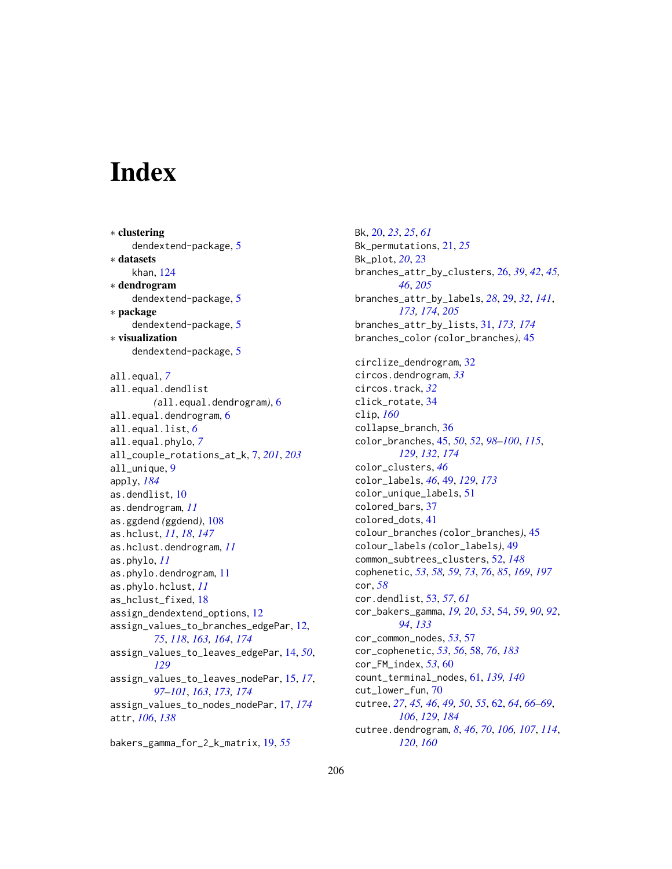# **Index**

∗ clustering dendextend-package, [5](#page-4-0) ∗ datasets khan, [124](#page-123-0) ∗ dendrogram dendextend-package, [5](#page-4-0) ∗ package dendextend-package, [5](#page-4-0) ∗ visualization dendextend-package, [5](#page-4-0) all.equal, *[7](#page-6-1)* all.equal.dendlist *(*all.equal.dendrogram*)*, [6](#page-5-0) all.equal.dendrogram, [6](#page-5-0) all.equal.list, *[6](#page-5-0)* all.equal.phylo, *[7](#page-6-1)* all\_couple\_rotations\_at\_k, [7,](#page-6-1) *[201](#page-200-1)*, *[203](#page-202-0)* all\_unique, [9](#page-8-0) apply, *[184](#page-183-0)* as.dendlist, [10](#page-9-0) as.dendrogram, *[11](#page-10-0)* as.ggdend *(*ggdend*)*, [108](#page-107-1) as.hclust, *[11](#page-10-0)*, *[18](#page-17-0)*, *[147](#page-146-0)* as.hclust.dendrogram, *[11](#page-10-0)* as.phylo, *[11](#page-10-0)* as.phylo.dendrogram, [11](#page-10-0) as.phylo.hclust, *[11](#page-10-0)* as\_hclust\_fixed, [18](#page-17-0) assign\_dendextend\_options, [12](#page-11-0) assign\_values\_to\_branches\_edgePar, [12,](#page-11-0) *[75](#page-74-0)*, *[118](#page-117-0)*, *[163,](#page-162-1) [164](#page-163-0)*, *[174](#page-173-0)* assign\_values\_to\_leaves\_edgePar, [14,](#page-13-0) *[50](#page-49-0)*, *[129](#page-128-0)* assign\_values\_to\_leaves\_nodePar, [15,](#page-14-0) *[17](#page-16-0)*, *[97](#page-96-0)[–101](#page-100-0)*, *[163](#page-162-1)*, *[173,](#page-172-0) [174](#page-173-0)* assign\_values\_to\_nodes\_nodePar, [17,](#page-16-0) *[174](#page-173-0)* attr, *[106](#page-105-0)*, *[138](#page-137-1)*

bakers\_gamma\_for\_2\_k\_matrix, [19,](#page-18-0) *[55](#page-54-0)*

Bk, [20,](#page-19-0) *[23](#page-22-0)*, *[25](#page-24-0)*, *[61](#page-60-0)* Bk\_permutations, [21,](#page-20-0) *[25](#page-24-0)* Bk\_plot, *[20](#page-19-0)*, [23](#page-22-0) branches\_attr\_by\_clusters, [26,](#page-25-1) *[39](#page-38-0)*, *[42](#page-41-0)*, *[45,](#page-44-0) [46](#page-45-0)*, *[205](#page-204-0)* branches\_attr\_by\_labels, *[28](#page-27-0)*, [29,](#page-28-1) *[32](#page-31-0)*, *[141](#page-140-0)*, *[173,](#page-172-0) [174](#page-173-0)*, *[205](#page-204-0)* branches\_attr\_by\_lists, [31,](#page-30-0) *[173,](#page-172-0) [174](#page-173-0)* branches\_color *(*color\_branches*)*, [45](#page-44-0) circlize\_dendrogram, [32](#page-31-0) circos.dendrogram, *[33](#page-32-0)* circos.track, *[32](#page-31-0)* click\_rotate, [34](#page-33-0) clip, *[160](#page-159-0)* collapse\_branch, [36](#page-35-0) color\_branches, [45,](#page-44-0) *[50](#page-49-0)*, *[52](#page-51-0)*, *[98](#page-97-0)[–100](#page-99-0)*, *[115](#page-114-2)*, *[129](#page-128-0)*, *[132](#page-131-0)*, *[174](#page-173-0)* color\_clusters, *[46](#page-45-0)* color\_labels, *[46](#page-45-0)*, [49,](#page-48-0) *[129](#page-128-0)*, *[173](#page-172-0)* color\_unique\_labels, [51](#page-50-0) colored\_bars, [37](#page-36-0) colored\_dots, [41](#page-40-0) colour\_branches *(*color\_branches*)*, [45](#page-44-0) colour\_labels *(*color\_labels*)*, [49](#page-48-0) common\_subtrees\_clusters, [52,](#page-51-0) *[148](#page-147-0)* cophenetic, *[53](#page-52-0)*, *[58,](#page-57-1) [59](#page-58-0)*, *[73](#page-72-1)*, *[76](#page-75-0)*, *[85](#page-84-0)*, *[169](#page-168-1)*, *[197](#page-196-1)* cor, *[58](#page-57-1)* cor.dendlist, [53,](#page-52-0) *[57](#page-56-0)*, *[61](#page-60-0)* cor\_bakers\_gamma, *[19,](#page-18-0) [20](#page-19-0)*, *[53](#page-52-0)*, [54,](#page-53-0) *[59](#page-58-0)*, *[90](#page-89-0)*, *[92](#page-91-0)*, *[94](#page-93-0)*, *[133](#page-132-1)* cor\_common\_nodes, *[53](#page-52-0)*, [57](#page-56-0) cor\_cophenetic, *[53](#page-52-0)*, *[56](#page-55-0)*, [58,](#page-57-1) *[76](#page-75-0)*, *[183](#page-182-0)* cor\_FM\_index, *[53](#page-52-0)*, [60](#page-59-0) count\_terminal\_nodes, [61,](#page-60-0) *[139,](#page-138-1) [140](#page-139-1)* cut\_lower\_fun, [70](#page-69-0) cutree, *[27](#page-26-0)*, *[45,](#page-44-0) [46](#page-45-0)*, *[49,](#page-48-0) [50](#page-49-0)*, *[55](#page-54-0)*, [62,](#page-61-1) *[64](#page-63-0)*, *[66](#page-65-0)[–69](#page-68-0)*, *[106](#page-105-0)*, *[129](#page-128-0)*, *[184](#page-183-0)* cutree.dendrogram, *[8](#page-7-0)*, *[46](#page-45-0)*, *[70](#page-69-0)*, *[106,](#page-105-0) [107](#page-106-0)*, *[114](#page-113-0)*, *[120](#page-119-0)*, *[160](#page-159-0)*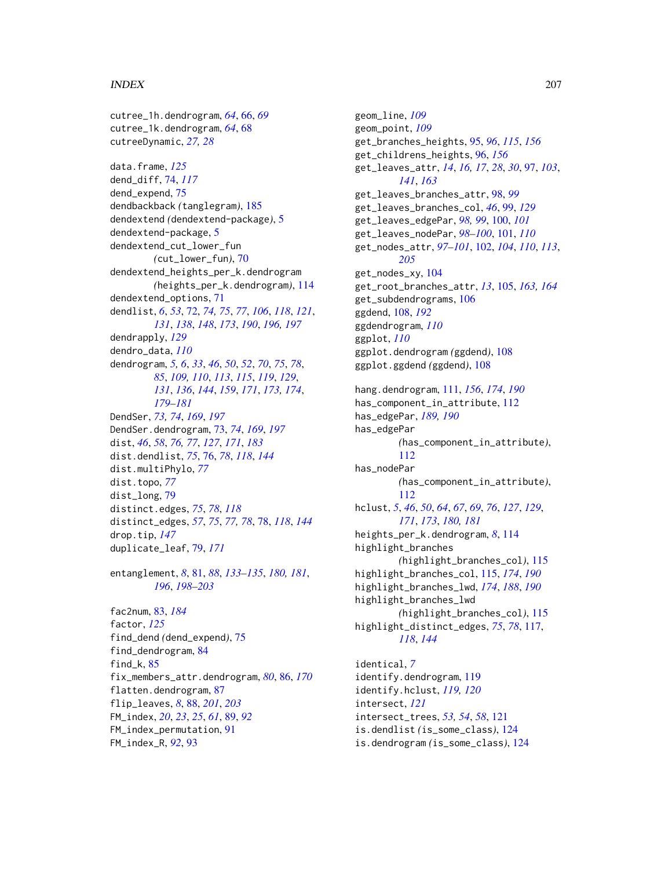#### INDEX 207

cutree\_1h.dendrogram, *[64](#page-63-0)*, [66,](#page-65-0) *[69](#page-68-0)*

cutree\_1k.dendrogram, *[64](#page-63-0)*, [68](#page-67-0) cutreeDynamic, *[27,](#page-26-0) [28](#page-27-0)* data.frame, *[125](#page-124-0)* dend\_diff, [74,](#page-73-0) *[117](#page-116-0)* dend\_expend, [75](#page-74-0) dendbackback *(*tanglegram*)*, [185](#page-184-1) dendextend *(*dendextend-package*)*, [5](#page-4-0) dendextend-package, [5](#page-4-0) dendextend\_cut\_lower\_fun *(*cut\_lower\_fun*)*, [70](#page-69-0) dendextend\_heights\_per\_k.dendrogram *(*heights\_per\_k.dendrogram*)*, [114](#page-113-0) dendextend\_options, [71](#page-70-0) dendlist, *[6](#page-5-0)*, *[53](#page-52-0)*, [72,](#page-71-1) *[74,](#page-73-0) [75](#page-74-0)*, *[77](#page-76-0)*, *[106](#page-105-0)*, *[118](#page-117-0)*, *[121](#page-120-0)*, *[131](#page-130-0)*, *[138](#page-137-1)*, *[148](#page-147-0)*, *[173](#page-172-0)*, *[190](#page-189-0)*, *[196,](#page-195-0) [197](#page-196-1)* dendrapply, *[129](#page-128-0)* dendro\_data, *[110](#page-109-0)* dendrogram, *[5,](#page-4-0) [6](#page-5-0)*, *[33](#page-32-0)*, *[46](#page-45-0)*, *[50](#page-49-0)*, *[52](#page-51-0)*, *[70](#page-69-0)*, *[75](#page-74-0)*, *[78](#page-77-0)*, *[85](#page-84-0)*, *[109,](#page-108-0) [110](#page-109-0)*, *[113](#page-112-0)*, *[115](#page-114-2)*, *[119](#page-118-0)*, *[129](#page-128-0)*, *[131](#page-130-0)*, *[136](#page-135-0)*, *[144](#page-143-1)*, *[159](#page-158-0)*, *[171](#page-170-0)*, *[173,](#page-172-0) [174](#page-173-0)*, *[179](#page-178-0)[–181](#page-180-0)* DendSer, *[73,](#page-72-1) [74](#page-73-0)*, *[169](#page-168-1)*, *[197](#page-196-1)* DendSer.dendrogram, [73,](#page-72-1) *[74](#page-73-0)*, *[169](#page-168-1)*, *[197](#page-196-1)* dist, *[46](#page-45-0)*, *[58](#page-57-1)*, *[76,](#page-75-0) [77](#page-76-0)*, *[127](#page-126-0)*, *[171](#page-170-0)*, *[183](#page-182-0)* dist.dendlist, *[75](#page-74-0)*, [76,](#page-75-0) *[78](#page-77-0)*, *[118](#page-117-0)*, *[144](#page-143-1)* dist.multiPhylo, *[77](#page-76-0)* dist.topo, *[77](#page-76-0)* dist\_long, [79](#page-78-0) distinct.edges, *[75](#page-74-0)*, *[78](#page-77-0)*, *[118](#page-117-0)* distinct\_edges, *[57](#page-56-0)*, *[75](#page-74-0)*, *[77,](#page-76-0) [78](#page-77-0)*, [78,](#page-77-0) *[118](#page-117-0)*, *[144](#page-143-1)* drop.tip, *[147](#page-146-0)* duplicate\_leaf, [79,](#page-78-0) *[171](#page-170-0)*

entanglement, *[8](#page-7-0)*, [81,](#page-80-1) *[88](#page-87-1)*, *[133–](#page-132-1)[135](#page-134-0)*, *[180,](#page-179-0) [181](#page-180-0)*, *[196](#page-195-0)*, *[198](#page-197-1)[–203](#page-202-0)*

fac2num, [83,](#page-82-1) *[184](#page-183-0)* factor, *[125](#page-124-0)* find\_dend *(*dend\_expend*)*, [75](#page-74-0) find\_dendrogram, [84](#page-83-0) find\_k, [85](#page-84-0) fix\_members\_attr.dendrogram, *[80](#page-79-0)*, [86,](#page-85-0) *[170](#page-169-0)* flatten.dendrogram, [87](#page-86-0) flip\_leaves, *[8](#page-7-0)*, [88,](#page-87-1) *[201](#page-200-1)*, *[203](#page-202-0)* FM\_index, *[20](#page-19-0)*, *[23](#page-22-0)*, *[25](#page-24-0)*, *[61](#page-60-0)*, [89,](#page-88-0) *[92](#page-91-0)* FM\_index\_permutation, [91](#page-90-0) FM\_index\_R, *[92](#page-91-0)*, [93](#page-92-0)

geom\_line, *[109](#page-108-0)* geom\_point, *[109](#page-108-0)* get\_branches\_heights, [95,](#page-94-0) *[96](#page-95-0)*, *[115](#page-114-2)*, *[156](#page-155-1)* get\_childrens\_heights, [96,](#page-95-0) *[156](#page-155-1)* get\_leaves\_attr, *[14](#page-13-0)*, *[16,](#page-15-0) [17](#page-16-0)*, *[28](#page-27-0)*, *[30](#page-29-0)*, [97,](#page-96-0) *[103](#page-102-0)*, *[141](#page-140-0)*, *[163](#page-162-1)* get\_leaves\_branches\_attr, [98,](#page-97-0) *[99](#page-98-0)* get\_leaves\_branches\_col, *[46](#page-45-0)*, [99,](#page-98-0) *[129](#page-128-0)* get\_leaves\_edgePar, *[98,](#page-97-0) [99](#page-98-0)*, [100,](#page-99-0) *[101](#page-100-0)* get\_leaves\_nodePar, *[98](#page-97-0)[–100](#page-99-0)*, [101,](#page-100-0) *[110](#page-109-0)* get\_nodes\_attr, *[97](#page-96-0)[–101](#page-100-0)*, [102,](#page-101-1) *[104](#page-103-0)*, *[110](#page-109-0)*, *[113](#page-112-0)*, *[205](#page-204-0)* get\_nodes\_xy, [104](#page-103-0) get\_root\_branches\_attr, *[13](#page-12-0)*, [105,](#page-104-0) *[163,](#page-162-1) [164](#page-163-0)* get\_subdendrograms, [106](#page-105-0) ggdend, [108,](#page-107-1) *[192](#page-191-0)* ggdendrogram, *[110](#page-109-0)* ggplot, *[110](#page-109-0)* ggplot.dendrogram *(*ggdend*)*, [108](#page-107-1) ggplot.ggdend *(*ggdend*)*, [108](#page-107-1) hang.dendrogram, [111,](#page-110-1) *[156](#page-155-1)*, *[174](#page-173-0)*, *[190](#page-189-0)* has\_component\_in\_attribute, [112](#page-111-1) has\_edgePar, *[189,](#page-188-0) [190](#page-189-0)* has\_edgePar *(*has\_component\_in\_attribute*)*, [112](#page-111-1) has\_nodePar *(*has\_component\_in\_attribute*)*, [112](#page-111-1) hclust, *[5](#page-4-0)*, *[46](#page-45-0)*, *[50](#page-49-0)*, *[64](#page-63-0)*, *[67](#page-66-0)*, *[69](#page-68-0)*, *[76](#page-75-0)*, *[127](#page-126-0)*, *[129](#page-128-0)*, *[171](#page-170-0)*, *[173](#page-172-0)*, *[180,](#page-179-0) [181](#page-180-0)* heights\_per\_k.dendrogram, *[8](#page-7-0)*, [114](#page-113-0) highlight\_branches *(*highlight\_branches\_col*)*, [115](#page-114-2) highlight\_branches\_col, [115,](#page-114-2) *[174](#page-173-0)*, *[190](#page-189-0)* highlight\_branches\_lwd, *[174](#page-173-0)*, *[188](#page-187-0)*, *[190](#page-189-0)* highlight\_branches\_lwd *(*highlight\_branches\_col*)*, [115](#page-114-2) highlight\_distinct\_edges, *[75](#page-74-0)*, *[78](#page-77-0)*, [117,](#page-116-0) *[118](#page-117-0)*, *[144](#page-143-1)* identical, *[7](#page-6-1)*

identify.dendrogram, [119](#page-118-0) identify.hclust, *[119,](#page-118-0) [120](#page-119-0)* intersect, *[121](#page-120-0)* intersect\_trees, *[53,](#page-52-0) [54](#page-53-0)*, *[58](#page-57-1)*, [121](#page-120-0) is.dendlist *(*is\_some\_class*)*, [124](#page-123-0) is.dendrogram *(*is\_some\_class*)*, [124](#page-123-0)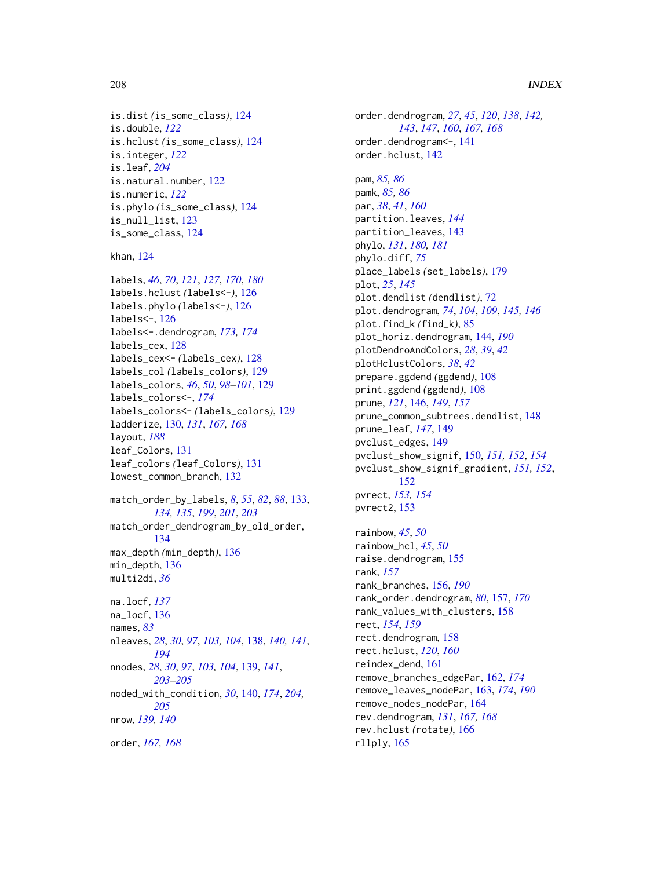#### 208 **INDEX**

```
is.dist (is_some_class), 124
is.double, 122
is.hclust (is_some_class), 124
is.integer, 122
is.leaf, 204
is.natural.number, 122
is.numeric, 122
is.phylo (is_some_class), 124
is_null_list, 123
is_some_class, 124
```
khan, [124](#page-123-0)

```
labels, 46, 70, 121, 127, 170, 180
labels.hclust (labels<-), 126
labels.phylo (labels<-), 126
labels<-, 126
labels<-.dendrogram, 173, 174
labels_cex, 128
labels_cex<- (labels_cex), 128
labels_col (labels_colors), 129
labels_colors, 46, 50, 98–101, 129
labels_colors<-, 174
labels_colors<- (labels_colors), 129
ladderize, 130, 131, 167, 168
layout, 188
leaf_Colors, 131
leaf_colors (leaf_Colors), 131
lowest_common_branch, 132
```

```
match_order_by_labels, 8, 55, 82, 88, 133,
         134, 135, 199, 201, 203
match_order_dendrogram_by_old_order,
         134
max_depth (min_depth), 136
min_depth, 136
multi2di, 36
```

```
na.locf, 137
na_locf, 136
names, 83
nleaves, 28, 30, 97, 103, 104, 138, 140, 141,
         194
nnodes, 28, 30, 97, 103, 104, 139, 141,
         203–205
noded_with_condition, 30, 140, 174, 204,
         205
nrow, 139, 140
order, 167, 168
```
order.dendrogram, *[27](#page-26-0)*, *[45](#page-44-0)*, *[120](#page-119-0)*, *[138](#page-137-1)*, *[142,](#page-141-0) [143](#page-142-0)*, *[147](#page-146-0)*, *[160](#page-159-0)*, *[167,](#page-166-0) [168](#page-167-0)* order.dendrogram<-, [141](#page-140-0) order.hclust, [142](#page-141-0) pam, *[85,](#page-84-0) [86](#page-85-0)* pamk, *[85,](#page-84-0) [86](#page-85-0)* par, *[38](#page-37-0)*, *[41](#page-40-0)*, *[160](#page-159-0)* partition.leaves, *[144](#page-143-1)* partition\_leaves, [143](#page-142-0) phylo, *[131](#page-130-0)*, *[180,](#page-179-0) [181](#page-180-0)* phylo.diff, *[75](#page-74-0)* place\_labels *(*set\_labels*)*, [179](#page-178-0) plot, *[25](#page-24-0)*, *[145](#page-144-0)* plot.dendlist *(*dendlist*)*, [72](#page-71-1) plot.dendrogram, *[74](#page-73-0)*, *[104](#page-103-0)*, *[109](#page-108-0)*, *[145,](#page-144-0) [146](#page-145-0)* plot.find\_k *(*find\_k*)*, [85](#page-84-0) plot\_horiz.dendrogram, [144,](#page-143-1) *[190](#page-189-0)* plotDendroAndColors, *[28](#page-27-0)*, *[39](#page-38-0)*, *[42](#page-41-0)* plotHclustColors, *[38](#page-37-0)*, *[42](#page-41-0)* prepare.ggdend *(*ggdend*)*, [108](#page-107-1) print.ggdend *(*ggdend*)*, [108](#page-107-1) prune, *[121](#page-120-0)*, [146,](#page-145-0) *[149](#page-148-0)*, *[157](#page-156-0)* prune\_common\_subtrees.dendlist, [148](#page-147-0) prune\_leaf, *[147](#page-146-0)*, [149](#page-148-0) pvclust\_edges, [149](#page-148-0) pvclust\_show\_signif, [150,](#page-149-0) *[151,](#page-150-0) [152](#page-151-0)*, *[154](#page-153-0)* pvclust\_show\_signif\_gradient, *[151,](#page-150-0) [152](#page-151-0)*, [152](#page-151-0) pvrect, *[153,](#page-152-0) [154](#page-153-0)* pvrect2, [153](#page-152-0)

rainbow, *[45](#page-44-0)*, *[50](#page-49-0)* rainbow\_hcl, *[45](#page-44-0)*, *[50](#page-49-0)* raise.dendrogram, [155](#page-154-0) rank, *[157](#page-156-0)* rank\_branches, [156,](#page-155-1) *[190](#page-189-0)* rank\_order.dendrogram, *[80](#page-79-0)*, [157,](#page-156-0) *[170](#page-169-0)* rank\_values\_with\_clusters, [158](#page-157-0) rect, *[154](#page-153-0)*, *[159](#page-158-0)* rect.dendrogram, [158](#page-157-0) rect.hclust, *[120](#page-119-0)*, *[160](#page-159-0)* reindex\_dend, [161](#page-160-0) remove\_branches\_edgePar, [162,](#page-161-0) *[174](#page-173-0)* remove\_leaves\_nodePar, [163,](#page-162-1) *[174](#page-173-0)*, *[190](#page-189-0)* remove\_nodes\_nodePar, [164](#page-163-0) rev.dendrogram, *[131](#page-130-0)*, *[167,](#page-166-0) [168](#page-167-0)* rev.hclust *(*rotate*)*, [166](#page-165-1) rllply, [165](#page-164-0)